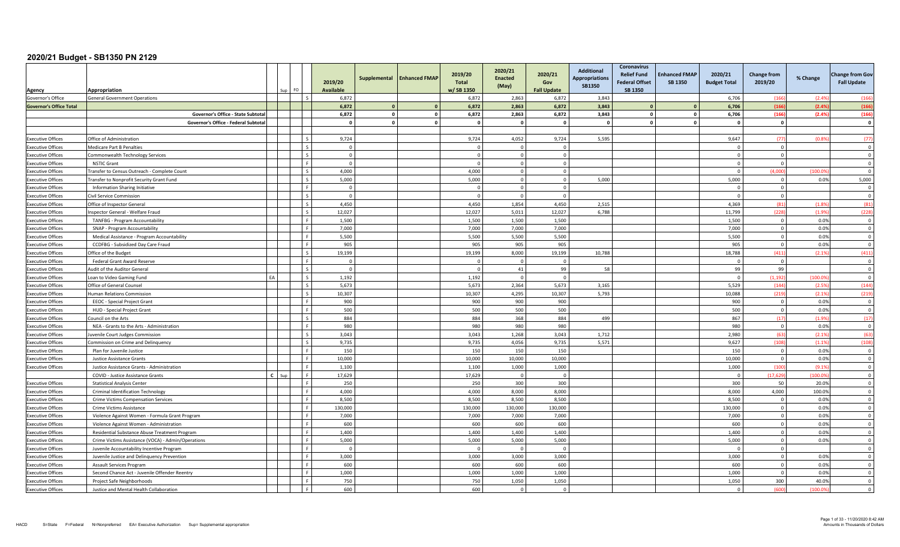| Agency                                               | Appropriation                                                           |           |      |                          | 2019/20<br><b>Available</b> | Supplemental | <b>Enhanced FMAP</b> | 2019/20<br><b>Total</b><br>w/SB 1350 | 2020/21<br><b>Enacted</b><br>(May) | 2020/21<br>Gov<br><b>Fall Update</b> | <b>Additional</b><br><b>Appropriations</b><br><b>SB1350</b> | Coronavirus<br><b>Relief Fund</b><br><b>Federal Offset</b><br><b>SB 1350</b> | <b>Enhanced FMAP</b><br><b>SB 1350</b> | 2020/21<br><b>Budget Total</b> | <b>Change from</b><br>2019/20    | % Change     | <b>Change from Gov</b><br><b>Fall Update</b> |
|------------------------------------------------------|-------------------------------------------------------------------------|-----------|------|--------------------------|-----------------------------|--------------|----------------------|--------------------------------------|------------------------------------|--------------------------------------|-------------------------------------------------------------|------------------------------------------------------------------------------|----------------------------------------|--------------------------------|----------------------------------|--------------|----------------------------------------------|
| Governor's Office                                    | <b>General Government Operations</b>                                    |           |      |                          | 6,872                       |              |                      | 6,872                                | 2,863                              | 6,872                                | 3,843                                                       |                                                                              |                                        | 6,706                          | (166)                            | (2.49)       | (166)                                        |
| <b>Governor's Office Total</b>                       |                                                                         |           |      |                          | 6.872                       | $\Omega$     | $\mathbf{0}$         | 6.872                                | 2.863                              | 6.872                                | 3.843                                                       |                                                                              |                                        | 6.706                          | (166                             | (2.49)       | (166)                                        |
|                                                      | Governor's Office - State Subtota                                       |           |      |                          | 6,872                       | $\circ$      | $\mathbf 0$          | 6,872                                | 2,863                              | 6,872                                | 3,843                                                       |                                                                              | $\Omega$                               | 6,706                          | (166)                            | (2.4%        | (166)                                        |
|                                                      | Governor's Office - Federal Subtota                                     |           |      |                          | $\sqrt{ }$                  | $\mathbf{0}$ | $\mathbf 0$          | <b>n</b>                             | $\sqrt{2}$                         | $\mathbf{a}$                         | $\sqrt{2}$                                                  |                                                                              |                                        | $\sqrt{2}$                     | $\Omega$                         |              | $\Omega$                                     |
|                                                      |                                                                         |           |      |                          |                             |              |                      |                                      |                                    |                                      |                                                             |                                                                              |                                        |                                |                                  |              |                                              |
| <b>Executive Offices</b>                             | Office of Administration                                                |           |      | l s                      | 9,724                       |              |                      | 9,724                                | 4,052                              | 9,724                                | 5,595                                                       |                                                                              |                                        | 9,647                          | (77)                             | (0.89)       | (77)                                         |
| <b>Executive Offices</b>                             | Medicare Part B Penalties                                               |           |      | $\varsigma$              | $\overline{0}$              |              |                      |                                      |                                    | $\Omega$                             |                                                             |                                                                              |                                        | $\Omega$                       | $\overline{0}$                   |              | $\Omega$                                     |
| <b>Executive Offices</b>                             | Commonwealth Technology Services                                        |           |      | l s                      | $\overline{0}$              |              |                      | $\Omega$                             | $\Omega$                           | $\Omega$                             |                                                             |                                                                              |                                        | $\Omega$                       | $\overline{0}$                   |              | $\Omega$                                     |
| <b>Executive Offices</b>                             | <b>NSTIC Grant</b>                                                      |           |      | ΙF                       | $\overline{0}$              |              |                      | $\Omega$                             | $\Omega$                           | $\Omega$                             |                                                             |                                                                              |                                        | $\Omega$                       | $\Omega$                         |              | $\Omega$                                     |
| <b>Executive Offices</b>                             | Fransfer to Census Outreach - Complete Count                            |           |      | $\mathsf{L}$             | 4,000                       |              |                      | 4,000                                | $\Omega$                           | $\Omega$                             |                                                             |                                                                              |                                        | $\Omega$                       | (4,000)                          | (100.0)      | $\Omega$                                     |
| <b>Executive Offices</b>                             | Fransfer to Nonprofit Security Grant Fund                               |           |      | $\overline{\phantom{a}}$ | 5,000                       |              |                      | 5,000                                | $\Omega$                           | $\Omega$                             | 5,000                                                       |                                                                              |                                        | 5,000                          | $\overline{0}$                   | 0.0%         | 5,000                                        |
| <b>Executive Offices</b>                             | Information Sharing Initiative                                          |           |      | l F.                     | $\overline{0}$              |              |                      | $\Omega$                             | $\Omega$                           | $\Omega$                             |                                                             |                                                                              |                                        | $\Omega$                       | $\mathbf 0$                      |              | $\Omega$                                     |
| <b>Executive Offices</b>                             | Civil Service Commission                                                |           |      | l s                      | $\Omega$                    |              |                      | $\Omega$                             | $\Omega$                           | $\Omega$                             |                                                             |                                                                              |                                        | $\Omega$                       | $\overline{0}$                   |              | $\Omega$                                     |
| <b>Executive Offices</b>                             | Office of Inspector General                                             |           |      | $\sim$                   | 4.450                       |              |                      | 4.450                                | 1.854                              | 4.450                                | 2,515                                                       |                                                                              |                                        | 4.369                          | (81)                             | (1.89)       | (81)                                         |
| <b>Executive Offices</b>                             | spector General - Welfare Fraud                                         |           |      | $\mathsf{I}$ s           | 12,027                      |              |                      | 12,027                               | 5,011                              | 12,027                               | 6,788                                                       |                                                                              |                                        | 11,799                         | (228)                            | (1.99)       | (228)                                        |
| <b>Executive Offices</b>                             | TANFBG - Program Accountability                                         |           |      | l F                      | 1,500                       |              |                      | 1,500                                | 1,500                              | 1,500                                |                                                             |                                                                              |                                        | 1,500                          | $\overline{0}$                   | 0.0%         | $\mathbf 0$                                  |
| <b>Executive Offices</b>                             | SNAP - Program Accountability                                           |           |      | l F.                     | 7,000                       |              |                      | 7,000                                | 7,000                              | 7,000                                |                                                             |                                                                              |                                        | 7,000                          | $\overline{0}$                   | 0.0%         | $\overline{\mathbf{0}}$                      |
| <b>Executive Offices</b>                             | Medical Assistance - Program Accountability                             |           |      | l F                      | 5,500                       |              |                      | 5,500                                | 5,500                              | 5,500                                |                                                             |                                                                              |                                        | 5,500                          | $\mathbf{0}$                     | 0.0%         | $\overline{0}$                               |
| <b>Executive Offices</b>                             | CCDFBG - Subsidized Day Care Fraud                                      |           |      | - F                      | 905                         |              |                      | 905                                  | 905                                | 905                                  |                                                             |                                                                              |                                        | 905                            | $\overline{0}$                   | 0.0%         | $\Omega$                                     |
| <b>Executive Offices</b>                             | Office of the Budget                                                    |           |      | l s                      | 19,199                      |              |                      | 19,199                               | 8,000                              | 19,199                               | 10,788                                                      |                                                                              |                                        | 18,788                         | (411)                            | (2.1%        | (411)                                        |
| <b>Executive Offices</b>                             | <b>Federal Grant Award Reserve</b>                                      |           |      | l F.                     | $\overline{0}$              |              |                      | $\Omega$                             | $\Omega$                           | $\Omega$                             |                                                             |                                                                              |                                        | - 0                            | $\overline{0}$                   |              | $\Omega$                                     |
| <b>Executive Offices</b>                             | Audit of the Auditor General                                            |           |      | $\overline{\phantom{a}}$ | $\overline{0}$              |              |                      | $\mathbf{0}$                         | 41                                 | 99                                   | 58                                                          |                                                                              |                                        | 99                             | 99                               |              | $\overline{\mathbf{0}}$                      |
| <b>Executive Offices</b>                             | Loan to Video Gaming Fund                                               | <b>FA</b> |      | $\overline{\phantom{a}}$ | 1,192                       |              |                      | 1,192                                | $\Omega$                           | $\Omega$                             |                                                             |                                                                              |                                        | $\Omega$                       | (1, 192)                         | (100.0)      | $\overline{\mathbf{0}}$                      |
| <b>Executive Offices</b>                             | Office of General Counsel                                               |           |      | $\overline{\phantom{a}}$ | 5,673                       |              |                      | 5,673                                | 2.364                              | 5.673                                | 3.165                                                       |                                                                              |                                        | 5,529                          | (144)                            | (2.59)       | (144)                                        |
| <b>Executive Offices</b>                             | <b>Human Relations Commission</b>                                       |           |      | $\overline{\mathbf{s}}$  | 10,307                      |              |                      | 10,307                               | 4,295                              | 10,307                               | 5,793                                                       |                                                                              |                                        | 10,088                         | (219)                            | (2.19)       | (219)                                        |
| <b>Executive Offices</b>                             | <b>EEOC</b> - Special Project Grant                                     |           |      |                          | 900                         |              |                      | 900                                  | 900                                | 900                                  |                                                             |                                                                              |                                        | 900                            | $\overline{0}$                   | 0.0%         | $\Omega$                                     |
| <b>Executive Offices</b>                             | HUD - Special Project Grant                                             |           |      | l F.                     | 500                         |              |                      | 500                                  | 500                                | 500                                  |                                                             |                                                                              |                                        | 500                            | $\overline{0}$                   | 0.0%         | $\Omega$                                     |
| <b>Executive Offices</b>                             | Council on the Arts                                                     |           |      | l s                      | 884                         |              |                      | 884                                  | 368                                | 884                                  | 499                                                         |                                                                              |                                        | 867                            | (17)                             | (1.9%        | (17)                                         |
| <b>Executive Offices</b>                             | NEA - Grants to the Arts - Administration                               |           |      | l el                     | 980                         |              |                      | 980                                  | 980                                | 980                                  |                                                             |                                                                              |                                        | 980                            | $\overline{0}$                   | 0.0%         | $\overline{\mathbf{0}}$                      |
| <b>Executive Offices</b>                             | uvenile Court Judges Commission                                         |           |      | Ιs                       | 3,043                       |              |                      | 3,043                                | 1,268                              | 3,043                                | 1,712                                                       |                                                                              |                                        | 2,980                          | (63)                             | (2.1%        | (63)                                         |
| <b>Executive Offices</b>                             | Commission on Crime and Delinquency                                     |           |      | $\varsigma$              | 9,735                       |              |                      | 9,735                                | 4,056                              | 9.735                                | 5,571                                                       |                                                                              |                                        | 9,627                          | (108)                            | (1.1%        | (108)                                        |
| <b>Executive Offices</b>                             | Plan for Juvenile Justice                                               |           |      | L.F.                     | 150                         |              |                      | 150                                  | 150                                | 150                                  |                                                             |                                                                              |                                        | 150                            | $\overline{0}$                   | 0.0%         | $\Omega$                                     |
| <b>Executive Offices</b>                             | Justice Assistance Grants                                               |           |      | $\mathbf{F}$             | 10,000                      |              |                      | 10,000                               | 10,000                             | 10,000                               |                                                             |                                                                              |                                        | 10,000                         | $\overline{0}$                   | 0.0%         | $\Omega$                                     |
| <b>Executive Offices</b>                             | Justice Assistance Grants - Administration                              |           |      | F                        | 1,100                       |              |                      | 1,100                                | 1,000                              | 1,000                                |                                                             |                                                                              |                                        | 1,000                          | (100)                            | (9.19)       | $\overline{\mathbf{0}}$                      |
|                                                      | COVID - Justice Assistance Grants                                       | C.        | -Sur | l F.                     | 17,629                      |              |                      | 17,629                               | $\Omega$                           | $\Omega$                             |                                                             |                                                                              |                                        | $\overline{0}$                 | (17, 629)                        | (100.09)     | $\overline{\mathbf{0}}$                      |
| <b>Executive Offices</b>                             | <b>Statistical Analysis Center</b>                                      |           |      | L.F.                     | 250                         |              |                      | 250                                  | 300                                | 300                                  |                                                             |                                                                              |                                        | 300                            | 50                               | 20.0%        | $\overline{0}$                               |
| <b>Executive Offices</b>                             | Criminal Identification Technology                                      |           |      | L.F.                     | 4,000                       |              |                      | 4,000                                | 8,000                              | 8,000                                |                                                             |                                                                              |                                        | 8,000                          | 4,000                            | 100.0%       | $\overline{0}$<br>$\Omega$                   |
| <b>Executive Offices</b>                             | Crime Victims Compensation Services                                     |           |      | - F                      | 8,500                       |              |                      | 8,500                                | 8,500                              | 8,500                                |                                                             |                                                                              |                                        | 8,500                          | $\Omega$                         | 0.0%         | $\Omega$                                     |
| <b>Executive Offices</b>                             | Crime Victims Assistance                                                |           |      | l F.                     | 130.000                     |              |                      | 130,000                              | 130,000                            | 130,000                              |                                                             |                                                                              |                                        | 130,000                        | $\overline{0}$                   | 0.0%         | $\overline{0}$                               |
| <b>Executive Offices</b>                             | Violence Against Women - Formula Grant Program                          |           |      | F                        | 7,000<br>600                |              |                      | 7,000<br>600                         | 7,000<br>600                       | 7,000<br>600                         |                                                             |                                                                              |                                        | 7,000<br>600                   | $\mathbf 0$<br>$\overline{0}$    | 0.0%<br>0.0% | $\mathbf 0$                                  |
| <b>Executive Offices</b>                             | Violence Against Women - Administration                                 |           |      | LE.                      |                             |              |                      |                                      |                                    |                                      |                                                             |                                                                              |                                        |                                |                                  |              |                                              |
| <b>Executive Offices</b>                             | Residential Substance Abuse Treatment Program                           |           |      | L.F.                     | 1,400<br>5,000              |              |                      | 1,400<br>5,000                       | 1,400<br>5,000                     | 1,400<br>5,000                       |                                                             |                                                                              |                                        | 1,400<br>5,000                 | $\overline{0}$<br>$\overline{0}$ | 0.0%<br>0.0% | $\overline{\mathbf{0}}$<br>$\Omega$          |
| <b>Executive Offices</b>                             | Crime Victims Assistance (VOCA) - Admin/Operations                      |           |      | <b>F</b>                 | $\Omega$                    |              |                      | $\Omega$                             | $\Omega$                           | $\Omega$                             |                                                             |                                                                              |                                        | - 0                            | $\Omega$                         |              | $\overline{0}$                               |
| <b>Executive Offices</b>                             | Juvenile Accountability Incentive Program                               |           |      | - F                      | 3,000                       |              |                      |                                      | 3,000                              | 3,000                                |                                                             |                                                                              |                                        |                                | $\Omega$                         | 0.0%         | $\Omega$                                     |
| <b>Executive Offices</b><br><b>Executive Offices</b> | Juvenile Justice and Delinquency Prevention<br>Assault Services Program |           |      | ΙF                       | 600                         |              |                      | 3,000<br>600                         | 600                                | 600                                  |                                                             |                                                                              |                                        | 3,000<br>600                   | $\Omega$                         | 0.0%         | $\Omega$                                     |
| <b>Executive Offices</b>                             | Second Chance Act - Juvenile Offender Reentry                           |           |      | LЕ                       | 1,000                       |              |                      | 1,000                                | 1,000                              | 1,000                                |                                                             |                                                                              |                                        | 1,000                          | $\Omega$                         | 0.0%         | $\overline{0}$                               |
| <b>Executive Offices</b>                             | Project Safe Neighborhoods                                              |           |      | ΙF                       | 750                         |              |                      | 750                                  | 1,050                              | 1,050                                |                                                             |                                                                              |                                        | 1,050                          | 300                              | 40.0%        | $\Omega$                                     |
| <b>Executive Offices</b>                             | Justice and Mental Health Collaboration                                 |           |      | l F.                     | 600                         |              |                      | 600                                  | $\Omega$                           | $\Omega$                             |                                                             |                                                                              |                                        | $\mathbf{0}$                   | (600                             | (100.09)     | $\overline{0}$                               |
|                                                      |                                                                         |           |      |                          |                             |              |                      |                                      |                                    |                                      |                                                             |                                                                              |                                        |                                |                                  |              |                                              |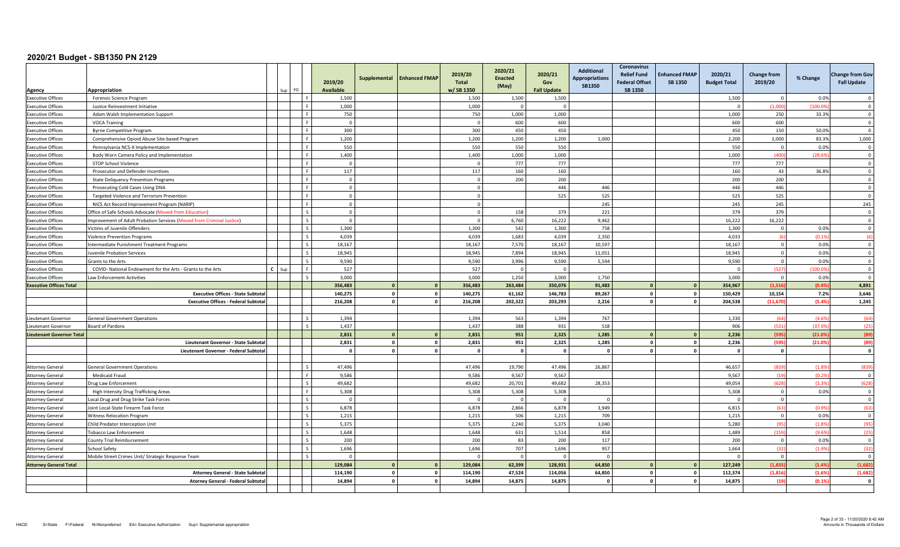|                                                      | Appropriation                                                                                         | FO.                      | 2019/20<br><b>Available</b> | Supplemental                  | <b>Enhanced FMAP</b> | 2019/20<br><b>Total</b><br>w/SB 1350 | 2020/21<br><b>Enacted</b><br>(May) | 2020/21<br>Gov<br><b>Fall Update</b> | <b>Additional</b><br><b>Appropriations</b><br><b>SB1350</b> | <b>Coronavirus</b><br><b>Relief Fund</b><br><b>Federal Offset</b><br>SB 1350 | <b>Enhanced FMAP</b><br><b>SB 1350</b> | 2020/21<br><b>Budget Total</b> | <b>Change from</b><br>2019/20 | % Change | <b>Change from Gov</b><br><b>Fall Update</b> |
|------------------------------------------------------|-------------------------------------------------------------------------------------------------------|--------------------------|-----------------------------|-------------------------------|----------------------|--------------------------------------|------------------------------------|--------------------------------------|-------------------------------------------------------------|------------------------------------------------------------------------------|----------------------------------------|--------------------------------|-------------------------------|----------|----------------------------------------------|
| Agency<br><b>Executive Offices</b>                   | Forensic Science Program                                                                              | - 6                      |                             | 1,500                         |                      | 1,500                                | 1,500                              | 1,500                                |                                                             |                                                                              |                                        | 1,500                          | $\Omega$                      | 0.0%     | $\Omega$                                     |
| <b>Executive Offices</b>                             | Justice Reinvestment Initiative                                                                       | F                        |                             | 1.000                         |                      | 1,000                                | $\Omega$                           | $\Omega$                             |                                                             |                                                                              |                                        | - 0                            | (1.000)                       | (100.09) | $\Omega$                                     |
| <b>Executive Offices</b>                             | Adam Walsh Implementation Support                                                                     | l F.                     |                             | 750                           |                      | 750                                  | 1,000                              | 1,000                                |                                                             |                                                                              |                                        | 1,000                          | 250                           | 33.3%    | $\overline{0}$                               |
|                                                      | <b>VOCA Training</b>                                                                                  | ء ا                      |                             | $\Omega$                      |                      | $\Omega$                             | 600                                | 600                                  |                                                             |                                                                              |                                        | 600                            | 600                           |          | $\overline{0}$                               |
| <b>Executive Offices</b><br><b>Executive Offices</b> |                                                                                                       | l F                      |                             | 300                           |                      | 300                                  | 450                                | 450                                  |                                                             |                                                                              |                                        | 450                            | 150                           | 50.0%    | $\Omega$                                     |
| <b>Executive Offices</b>                             | <b>Byrne Competitive Program</b><br>Comprehensive Opioid Abuse Site-based Program                     | ΙF                       |                             | 1,200                         |                      | 1,200                                | 1,200                              | 1,200                                | 1,000                                                       |                                                                              |                                        | 2,200                          | 1,000                         | 83.3%    | 1,000                                        |
| <b>Executive Offices</b>                             | Pennsylvania NCS-X Implementation                                                                     | - F                      |                             | 550                           |                      | 550                                  | 550                                | 550                                  |                                                             |                                                                              |                                        | 550                            | $\Omega$                      | 0.0%     | $\overline{\mathbf{0}}$                      |
|                                                      |                                                                                                       | - F                      |                             | 1,400                         |                      | 1,400                                | 1,000                              | 1,000                                |                                                             |                                                                              |                                        | 1,000                          | (400)                         | (28.69)  | $\overline{\mathbf{0}}$                      |
| <b>Executive Offices</b><br><b>Executive Offices</b> | Body Worn Camera Policy and Implementation<br>STOP School Violence                                    | ΙF                       |                             | $\mathbf{0}$                  |                      | $\Omega$                             | 777                                | 777                                  |                                                             |                                                                              |                                        | 777                            | 777                           |          | $\Omega$                                     |
|                                                      |                                                                                                       | l F.                     |                             | 117                           |                      | 117                                  | 160                                | 160                                  |                                                             |                                                                              |                                        | 160                            | 43                            | 36.8%    | $\mathbf 0$                                  |
| <b>Executive Offices</b>                             | Prosecutor and Defender Incentives                                                                    | L.F.                     |                             | $\Omega$                      |                      |                                      | 200                                | 200                                  |                                                             |                                                                              |                                        |                                | 200                           |          | $\overline{\mathbf{0}}$                      |
| <b>Executive Offices</b>                             | <b>State Deliquency Prevention Programs</b>                                                           | l F                      |                             | $\overline{0}$                |                      | $\mathbf 0$<br>$\overline{0}$        |                                    | 446                                  | 446                                                         |                                                                              |                                        | 200<br>446                     | 446                           |          | $\Omega$                                     |
| <b>Executive Offices</b>                             | Prosecuting Cold Cases Using DNA                                                                      | l F                      |                             |                               |                      |                                      |                                    | 525                                  | 525                                                         |                                                                              |                                        |                                | 525                           |          | $\overline{\mathbf{0}}$                      |
| <b>Executive Offices</b><br><b>Executive Offices</b> | Targeted Violence and Terrorism Prevention                                                            | <b>F</b>                 |                             | $\mathbf 0$<br>$\overline{0}$ |                      | $\mathbf 0$<br>$\Omega$              |                                    |                                      | 245                                                         |                                                                              |                                        | 525<br>245                     | 245                           |          | 245                                          |
| <b>Executive Offices</b>                             | NICS Act Record Improvement Program (NARIP)<br>Office of Safe Schools Advocate (Moved from Education) | l s                      |                             | $\overline{0}$                |                      | $\Omega$                             | 158                                | 379                                  | 221                                                         |                                                                              |                                        | 379                            | 379                           |          | $\Omega$                                     |
| <b>Executive Offices</b>                             | mprovement of Adult Probation Services (Moved from Criminal Justice)                                  | $\overline{\phantom{a}}$ |                             | $\overline{0}$                |                      | $\circ$                              | 6,760                              | 16,222                               | 9,462                                                       |                                                                              |                                        | 16,222                         | 16,222                        |          | $\Omega$                                     |
| <b>Executive Offices</b>                             | Victims of Juvenile Offenders                                                                         | $\overline{\phantom{a}}$ |                             | 1,300                         |                      | 1,300                                | 542                                | 1,300                                | 758                                                         |                                                                              |                                        | 1,300                          | $\mathbf 0$                   | 0.0%     | $\overline{\mathbf{0}}$                      |
| <b>Executive Offices</b>                             | <b>Violence Prevention Programs</b>                                                                   | $\overline{\phantom{a}}$ |                             | 4.039                         |                      | 4.039                                | 1.683                              | 4,039                                | 2,350                                                       |                                                                              |                                        | 4.033                          | -6                            | (0.1%    | (6)                                          |
| <b>Executive Offices</b>                             | ntermediate Punishment Treatment Programs                                                             | $\mathcal{S}$            |                             | 18,167                        |                      | 18,167                               | 7,570                              | 18,167                               | 10,597                                                      |                                                                              |                                        | 18,167                         | $\mathbf 0$                   | 0.0%     | $\overline{0}$                               |
| <b>Executive Offices</b>                             | uvenile Probation Services                                                                            | $\sim$                   |                             | 18,945                        |                      | 18,945                               | 7,894                              | 18,945                               | 11,051                                                      |                                                                              |                                        | 18,945                         | $^{\circ}$                    | 0.0%     | $\overline{0}$                               |
| <b>Executive Offices</b>                             | Grants to the Arts                                                                                    |                          |                             | 9,590                         |                      | 9,590                                | 3,996                              | 9,590                                | 5,594                                                       |                                                                              |                                        | 9,590                          | $\Omega$                      | 0.0%     | $\Omega$                                     |
| <b>Executive Offices</b>                             | COVID- National Endowment for the Arts - Grants to the Arts                                           | l F                      |                             | 527                           |                      | 527                                  | $\Omega$                           | $\Omega$                             |                                                             |                                                                              |                                        | $\Omega$                       | (527)                         | (100.09) | $\overline{\mathbf{0}}$                      |
| <b>Executive Offices</b>                             | aw Enforcement Activities                                                                             | $\ddot{\phantom{1}}$     |                             | 3,000                         |                      | 3.000                                | 1.250                              | 3,000                                | 1,750                                                       |                                                                              |                                        | 3.000                          | $\overline{0}$                | 0.0%     | $\Omega$                                     |
| <b>Executive Offices Total</b>                       |                                                                                                       |                          | 356,483                     | $\mathbf{0}$                  | $\mathbf{0}$         | 356,483                              | 263,484                            | 350,076                              | 91,483                                                      |                                                                              |                                        | 354,967                        | (1.516)                       | (0.4%    | 4,891                                        |
|                                                      | <b>Executive Offices - State Subtota</b>                                                              |                          | 140.275                     | $\circ$                       | $\mathbf 0$          | 140.275                              | 61.162                             | 146.783                              | 89.267                                                      |                                                                              | $\Omega$                               | 150.429                        | 10.154                        | 7.2%     | 3,646                                        |
|                                                      | <b>Executive Offices - Federal Subtotal</b>                                                           |                          | 216,208                     | $\overline{\mathbf{0}}$       | $\mathbf 0$          | 216,208                              | 202,322                            | 203,293                              | 2,216                                                       |                                                                              |                                        | 204,538                        | (11, 670)                     | (5.4%    | 1,245                                        |
|                                                      |                                                                                                       |                          |                             |                               |                      |                                      |                                    |                                      |                                                             |                                                                              |                                        |                                |                               |          |                                              |
| Lieutenant Governor                                  | <b>General Government Operations</b>                                                                  | $\sim$                   |                             | 1.394                         |                      | 1.394                                | 563                                | 1.394                                | 767                                                         |                                                                              |                                        | 1.330                          | (64)                          | (4.69)   | (64)                                         |
| Lieutenant Governor                                  | oard of Pardons                                                                                       | $\mathsf{R}$             |                             | 1,437                         |                      | 1,437                                | 388                                | 931                                  | 518                                                         |                                                                              |                                        | 906                            | (531)                         | (37.09)  | (25)                                         |
| <b>Lieutenant Governor Total</b>                     |                                                                                                       |                          |                             | 2,831<br>$\mathbf{0}$         | $\mathbf{0}$         | 2,831                                | 951                                | 2,325                                | 1,285                                                       |                                                                              |                                        | 2,236                          | (595                          | (21.0)   | (89)                                         |
|                                                      | Lieutenant Governor - State Subtota                                                                   |                          |                             | 2,831<br>$\overline{0}$       | $\mathbf 0$          | 2,831                                | 951                                | 2,325                                | 1,285                                                       | $\mathbf{0}$                                                                 | $\Omega$                               | 2,236                          | (595)                         | (21.09)  | (89)                                         |
|                                                      | Lieutenant Governor - Federal Subtota                                                                 |                          |                             | $\circ$<br>$\Omega$           | $\mathbf 0$          | $\Omega$                             | $\Omega$                           | $\Omega$                             | $\mathbf{0}$                                                |                                                                              |                                        | $\Omega$                       | $\mathbf{0}$                  |          | $\mathbf{o}$                                 |
|                                                      |                                                                                                       |                          |                             |                               |                      |                                      |                                    |                                      |                                                             |                                                                              |                                        |                                |                               |          |                                              |
| <b>Attorney General</b>                              | <b>General Government Operations</b>                                                                  | $\sim$                   |                             | 47.496                        |                      | 47,496                               | 19,790                             | 47,496                               | 26,867                                                      |                                                                              |                                        | 46,657                         | (839                          | (1.89)   | (839)                                        |
| <b>Attorney General</b>                              | <b>Medicaid Fraud</b>                                                                                 | l F.                     |                             | 9,586                         |                      | 9,586                                | 9,567                              | 9,567                                |                                                             |                                                                              |                                        | 9,567                          | (19)                          | (0.29)   | $\overline{\mathbf{0}}$                      |
| <b>Attorney General</b>                              | Orug Law Enforcement                                                                                  | $\overline{\phantom{a}}$ |                             | 49,682                        |                      | 49,682                               | 20,701                             | 49,682                               | 28,353                                                      |                                                                              |                                        | 49,054                         | (628)                         | (1.3%    | (628)                                        |
| <b>Attorney General</b>                              | High Intensity Drug Trafficking Areas                                                                 | l F.                     |                             | 5.308                         |                      | 5.308                                | 5,308                              | 5,308                                |                                                             |                                                                              |                                        | 5,308                          | $\Omega$                      | 0.0%     | $\overline{0}$                               |
| <b>Attorney General</b>                              | ocal Drug and Drug Strike Task Forces                                                                 | $\mathcal{S}$            |                             | $\overline{0}$                |                      | $\Omega$                             | $\Omega$                           | $\Omega$                             | $\Omega$                                                    |                                                                              |                                        | $\Omega$                       | $\mathbf 0$                   |          | $\overline{\mathbf{0}}$                      |
| <b>Attorney General</b>                              | oint Local-State Firearm Task Force                                                                   | $\sim$                   |                             | 6,878                         |                      | 6,878                                | 2,866                              | 6,878                                | 3,949                                                       |                                                                              |                                        | 6,815                          | (63)                          | (0.99)   | (63)                                         |
| <b>Attorney General</b>                              | <b>Witness Relocation Program</b>                                                                     |                          |                             | 1,215                         |                      | 1,215                                | 506                                | 1,215                                | 709                                                         |                                                                              |                                        | 1,215                          | $\overline{0}$                | 0.0%     | $\Omega$                                     |
| <b>Attorney General</b>                              | Child Predator Interception Unit                                                                      | $\mathsf{I}$             |                             | 5,375                         |                      | 5,375                                | 2,240                              | 5,375                                | 3,040                                                       |                                                                              |                                        | 5,280                          | (95)                          | (1.8%    | (95)                                         |
| <b>Attorney General</b>                              | <b>Tobacco Law Enforcement</b>                                                                        | l s                      |                             | 1.648                         |                      | 1,648                                | 631                                | 1,514                                | 858                                                         |                                                                              |                                        | 1,489                          | (159)                         | (9.6%    | (25)                                         |
| <b>Attorney General</b>                              | County Trial Reimbursement                                                                            | $\mathsf{L}$             |                             | 200                           |                      | 200                                  | 83                                 | 200                                  | 117                                                         |                                                                              |                                        | 200                            | $\overline{0}$                | 0.0%     | $\overline{\mathbf{0}}$                      |
| <b>Attorney General</b>                              | School Safety                                                                                         | $\mathsf{L}$             |                             | 1.696                         |                      | 1.696                                | 707                                | 1.696                                | 957                                                         |                                                                              |                                        | 1.664                          | (32)                          | (1.99)   | (32)                                         |
| <b>Attorney General</b>                              | Mobile Street Crimes Unit/ Strategic Response Team                                                    | l s                      |                             | $\Omega$                      |                      | $\Omega$                             | $\Omega$                           | $\Omega$                             | $\Omega$                                                    |                                                                              |                                        | $\Omega$                       | $\overline{0}$                |          | $\Omega$                                     |
| <b>Attorney General Total</b>                        |                                                                                                       |                          | 129,084                     | $\Omega$                      | $\mathbf{0}$         | 129,084                              | 62,399                             | 128,931                              | 64,850                                                      |                                                                              |                                        | 127,249                        | (1, 835)                      | (1.49)   | (1,682)                                      |
|                                                      | <b>Attorney General - State Subtotal</b>                                                              |                          | 114.190                     | $\overline{\mathbf{0}}$       | $\mathbf{0}$         | 114.190                              | 47.524                             | 114,056                              | 64.850                                                      |                                                                              |                                        | 112.374                        | (1.816)                       | (1.6%    | (1,682)                                      |
|                                                      | <b>Atorney General - Federal Subtota</b>                                                              |                          |                             | $\overline{0}$<br>14,894      | $\mathbf 0$          | 14,894                               | 14,875                             | 14,875                               | $\mathbf{0}$                                                |                                                                              |                                        | 14,875                         | (19)                          | (0.1%    | $\mathbf{0}$                                 |
|                                                      |                                                                                                       |                          |                             |                               |                      |                                      |                                    |                                      |                                                             |                                                                              |                                        |                                |                               |          |                                              |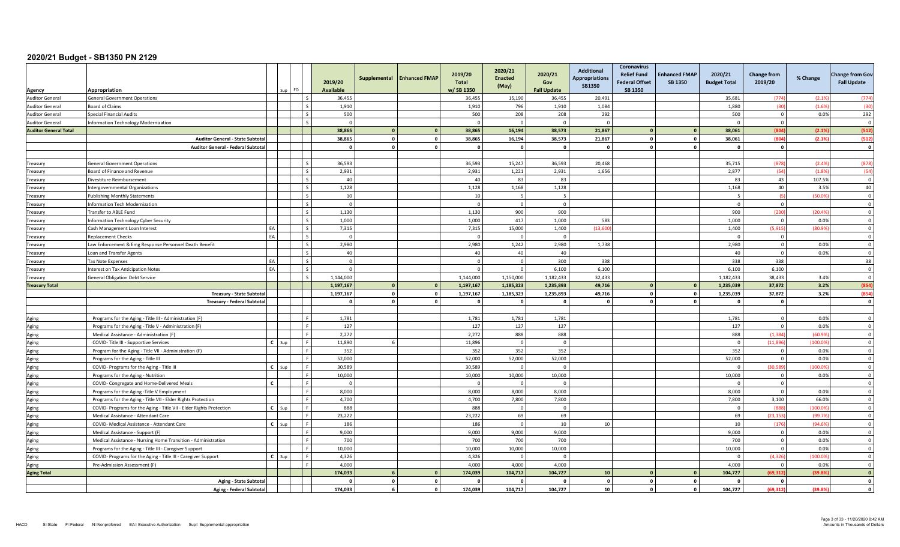|                                  | Appropriation                                                       |              |     | FO                       | 2019/20<br><b>Available</b> | Supplemental            | <b>Enhanced FMAP</b>    | 2019/20<br><b>Total</b><br>w/SB 1350 | 2020/21<br><b>Enacted</b><br>(May) | 2020/21<br>Gov<br><b>Fall Update</b> | <b>Additional</b><br><b>Appropriations</b><br>SB1350 | Coronavirus<br><b>Relief Fund</b><br><b>Federal Offset</b><br>SB 1350 | <b>Enhanced FMAP</b><br><b>SB 1350</b> | 2020/21<br><b>Budget Total</b> | <b>Change from</b><br>2019/20 | % Change | <b>Change from Gov</b><br><b>Fall Update</b> |
|----------------------------------|---------------------------------------------------------------------|--------------|-----|--------------------------|-----------------------------|-------------------------|-------------------------|--------------------------------------|------------------------------------|--------------------------------------|------------------------------------------------------|-----------------------------------------------------------------------|----------------------------------------|--------------------------------|-------------------------------|----------|----------------------------------------------|
| Agency<br><b>Auditor General</b> | <b>General Government Operations</b>                                |              |     | $\sim$                   | 36,455                      |                         |                         | 36,455                               | 15,190                             | 36,455                               | 20,491                                               |                                                                       |                                        | 35,681                         | (774)                         | (2.19)   | (774)                                        |
| <b>Auditor General</b>           | Board of Claims                                                     |              |     | l s                      | 1,910                       |                         |                         | 1,910                                | 796                                | 1,910                                | 1,084                                                |                                                                       |                                        | 1,880                          | (30)                          | (1.69)   | (30)                                         |
| <b>Auditor General</b>           | Special Financial Audits                                            |              |     | $\sim$                   | 500                         |                         |                         | 500                                  | 208                                | 208                                  | 292                                                  |                                                                       |                                        | 500                            | $\mathbf 0$                   | 0.0%     | 292                                          |
| <b>Auditor General</b>           | Information Technology Modernization                                |              |     |                          | $\Omega$                    |                         |                         | $\Omega$                             | $\sqrt{ }$                         | $\Omega$                             | $\Omega$                                             |                                                                       |                                        | $\Omega$                       | $\Omega$                      |          | $\Omega$                                     |
| <b>Auditor General Total</b>     |                                                                     |              |     |                          | 38,865                      | $\Omega$                | $\mathbf{0}$            | 38,865                               | 16,194                             | 38,573                               | 21,867                                               |                                                                       |                                        | 38,061                         | (804)                         | (2.1%    | (512)                                        |
|                                  | <b>Auditor General - State Subtotal</b>                             |              |     |                          | 38.865                      | $\overline{\mathbf{0}}$ | $\mathbf{o}$            | 38,865                               | 16,194                             | 38,573                               | 21,867                                               | $\Omega$                                                              | $\mathbf{r}$                           | 38,061                         | (804                          | (2.1%    | (512)                                        |
|                                  | <b>Auditor General - Federal Subtota</b>                            |              |     |                          | $\mathbf{0}$                | $\Omega$                | $\mathbf{0}$            | <sup>0</sup>                         | $\Omega$                           | $\Omega$                             | $\mathbf{0}$                                         | - 0                                                                   |                                        | $\mathbf{0}$                   | $\mathbf{0}$                  |          | $\mathbf{0}$                                 |
|                                  |                                                                     |              |     |                          |                             |                         |                         |                                      |                                    |                                      |                                                      |                                                                       |                                        |                                |                               |          |                                              |
| Treasury                         | <b>General Government Operations</b>                                |              |     | $\overline{\phantom{a}}$ | 36,593                      |                         |                         | 36,593                               | 15,247                             | 36,593                               | 20,468                                               |                                                                       |                                        | 35,715                         | (878)                         | (2.49)   | (878)                                        |
| Treasury                         | Board of Finance and Revenue                                        |              |     | $\mathsf{S}$             | 2,931                       |                         |                         | 2,931                                | 1,221                              | 2,931                                | 1,656                                                |                                                                       |                                        | 2,877                          | (54)                          | (1.89)   | (54)                                         |
| Treasury                         | Divestiture Reimbursement                                           |              |     | l s                      | 40                          |                         |                         | 40                                   | 83                                 | 83                                   |                                                      |                                                                       |                                        | 83                             | 43                            | 107.5%   | $\Omega$                                     |
| Treasury                         | ntergovernmental Organizations                                      |              |     | $\overline{\mathbf{s}}$  | 1,128                       |                         |                         | 1,128                                | 1,168                              | 1,128                                |                                                      |                                                                       |                                        | 1,168                          | 40                            | 3.5%     | 40                                           |
| Treasury                         | Publishing Monthly Statements                                       |              |     | l s                      | 10                          |                         |                         | 10                                   |                                    |                                      |                                                      |                                                                       |                                        |                                | $\sqrt{5}$                    | (50.09)  | $\Omega$                                     |
| Treasurv                         | nformation Tech Modernization                                       |              |     | $\overline{s}$           | $\overline{0}$              |                         |                         | $\Omega$                             | $\Omega$                           | $\Omega$                             |                                                      |                                                                       |                                        | $\Omega$                       | $\overline{0}$                |          | $\Omega$                                     |
| Treasury                         | Transfer to ABLE Fund                                               |              |     | $\mathsf{L}$             | 1,130                       |                         |                         | 1,130                                | 900                                | 900                                  |                                                      |                                                                       |                                        | 900                            | (230)                         | (20.49)  | $\overline{0}$                               |
| Treasury                         | Information Technology Cyber Security                               |              |     | $\overline{\phantom{a}}$ | 1,000                       |                         |                         | 1,000                                | 417                                | 1,000                                | 583                                                  |                                                                       |                                        | 1,000                          | $\overline{0}$                | 0.0%     | $\overline{0}$                               |
| Treasury                         | Cash Management Loan Interest                                       | FL           |     | $\overline{s}$           | 7,315                       |                         |                         | 7,315                                | 15.000                             | 1,400                                | (13.600)                                             |                                                                       |                                        | 1.400                          | (5.915                        | (80.99)  | $\Omega$                                     |
| Treasury                         | Replacement Checks                                                  | EA           |     | l s                      | $\Omega$                    |                         |                         | $\Omega$                             | $\Omega$                           | $\Omega$                             |                                                      |                                                                       |                                        | - 0                            | $\overline{0}$                |          | $\overline{0}$                               |
| Treasury                         | aw Enforcement & Emg Response Personnel Death Benefit               |              |     | l s                      | 2,980                       |                         |                         | 2,980                                | 1,242                              | 2,980                                | 1,738                                                |                                                                       |                                        | 2,980                          | $\overline{0}$                | 0.0%     | $\Omega$                                     |
| Treasurv                         | oan and Transfer Agents                                             |              |     | $\mathsf{L}$             | 40                          |                         |                         | 40                                   | 40                                 | 40                                   |                                                      |                                                                       |                                        | 40                             | $\overline{0}$                | 0.0%     | $\Omega$                                     |
| Treasury                         | <b>Tax Note Expenses</b>                                            | EA           |     | $\mathsf{L}$             | $\mathbf 0$                 |                         |                         | $\Omega$                             | $\Omega$                           | 300                                  | 338                                                  |                                                                       |                                        | 338                            | 338                           |          | 38                                           |
| Treasury                         | Interest on Tax Anticipation Notes                                  | EA           |     | $\overline{\phantom{a}}$ | $\Omega$                    |                         |                         | $\Omega$                             | $\Omega$                           | 6.100                                | 6,100                                                |                                                                       |                                        | 6,100                          | 6,100                         |          | $\overline{0}$                               |
| Treasury                         | <b>General Obligation Debt Service</b>                              |              |     | $\mathsf{L}$             | 1.144.000                   |                         |                         | 1.144.000                            | 1,150,000                          | 1,182,433                            | 32.433                                               |                                                                       |                                        | 1.182.433                      | 38.433                        | 3.4%     | $\overline{0}$                               |
| <b>Treasury Total</b>            |                                                                     |              |     |                          | 1,197,167                   | $\mathbf{0}$            | $\mathbf{0}$            | 1,197,167                            | 1,185,323                          | 1,235,893                            | 49,716                                               |                                                                       |                                        | 1,235,039                      | 37,872                        | 3.2%     | (854)                                        |
|                                  | <b>Treasury - State Subtota</b>                                     |              |     |                          | 1,197,167                   | $\Omega$                | $\mathbf 0$             | 1,197,167                            | 1,185,323                          | 1,235,893                            | 49,716                                               | $\mathbf{0}$                                                          | $\sqrt{2}$                             | 1,235,039                      | 37.872                        | 3.2%     | (854)                                        |
|                                  | <b>Treasury - Federal Subtota</b>                                   |              |     |                          | $\mathbf{0}$                | $\overline{0}$          | $\mathbf{o}$            | O.                                   | $\Omega$                           | $\Omega$                             | $\mathbf{0}$                                         |                                                                       |                                        | $\mathbf{0}$                   | $\mathbf{0}$                  |          | $\mathbf{o}$                                 |
|                                  |                                                                     |              |     |                          |                             |                         |                         |                                      |                                    |                                      |                                                      |                                                                       |                                        |                                |                               |          |                                              |
| Aging                            | Programs for the Aging - Title III - Administration (F)             |              |     | l F.                     | 1,781                       |                         |                         | 1,781                                | 1.781                              | 1.781                                |                                                      |                                                                       |                                        | 1,781                          | $\Omega$                      | 0.0%     | $\Omega$                                     |
| Aging                            | Programs for the Aging - Title V - Administration (F)               |              |     | <b>F</b>                 | 127                         |                         |                         | 127                                  | 127                                | 127                                  |                                                      |                                                                       |                                        | 127                            | $\overline{0}$                | 0.0%     | $\Omega$                                     |
| Aging                            | Medical Assistance - Administration (F)                             |              |     | <b>C</b>                 | 2,272                       |                         |                         | 2,272                                | 888                                | 888                                  |                                                      |                                                                       |                                        | 888                            | (1, 384)                      | (60.99)  | $\overline{\mathbf{0}}$                      |
| Aging                            | COVID- Title III - Supportive Services                              | $\mathbf{C}$ | Sur | $\mathbf{F}$             | 11.890                      |                         |                         | 11,896                               | $\Omega$                           | $\Omega$                             |                                                      |                                                                       |                                        | $\Omega$                       | (11, 896)                     | (100.09) | $\Omega$                                     |
| Aging                            | Program for the Aging - Title VII - Administration (F)              |              |     | F                        | 352                         |                         |                         | 352                                  | 352                                | 352                                  |                                                      |                                                                       |                                        | 352                            | $\mathbf{0}$                  | 0.0%     | $\overline{0}$                               |
| Aging                            | Programs for the Aging - Title III                                  |              |     | ΙF                       | 52,000                      |                         |                         | 52,000                               | 52,000                             | 52,000                               |                                                      |                                                                       |                                        | 52,000                         | $\mathbf 0$                   | 0.0%     | $\overline{0}$                               |
| Aging                            | COVID- Programs for the Aging - Title III                           | $\mathbf{c}$ |     | l F.                     | 30.589                      |                         |                         | 30,589                               | $\Omega$                           | $\Omega$                             |                                                      |                                                                       |                                        | $\Omega$                       | (30.589                       | (100.09) | $\overline{0}$                               |
| Aging                            | Programs for the Aging - Nutrition                                  |              |     | l F.                     | 10,000                      |                         |                         | 10,000                               | 10,000                             | 10,000                               |                                                      |                                                                       |                                        | 10,000                         | $\Omega$                      | 0.0%     | $\overline{0}$                               |
| Aging                            | COVID- Congregate and Home-Delivered Meals                          | $\mathbf{C}$ |     |                          | $\Omega$                    |                         |                         |                                      |                                    |                                      |                                                      |                                                                       |                                        | $\Omega$                       | $\overline{0}$                |          | $\Omega$                                     |
| Aging                            | Programs for the Aging - Title V Employment                         |              |     | $\mathsf{F}$             | 8.000                       |                         |                         | 8,000                                | 8,000                              | 8.000                                |                                                      |                                                                       |                                        | 8,000                          | $\Omega$                      | 0.0%     | $\Omega$                                     |
| Aging                            | Programs for the Aging - Title VII - Elder Rights Protection        |              |     | l F.                     | 4,700                       |                         |                         | 4,700                                | 7,800                              | 7,800                                |                                                      |                                                                       |                                        | 7,800                          | 3,100                         | 66.0%    | $\Omega$                                     |
| Aging                            | COVID- Programs for the Aging - Title VII - Elder Rights Protection | C            |     | l F.                     | 888                         |                         |                         | 888                                  | $\Omega$                           | $\Omega$                             |                                                      |                                                                       |                                        | $\Omega$                       | (888                          | (100.0)  | $\Omega$                                     |
| Aging                            | Medical Assistance - Attendant Care                                 |              |     | l F.                     | 23,222                      |                         |                         | 23,222                               | 69                                 | 69                                   |                                                      |                                                                       |                                        | 69                             | (23.153)                      | (99.7)   | $\overline{0}$                               |
| Aging                            | COVID- Medical Assistance - Attendant Care                          | C            | Sun | -F                       | 186                         |                         |                         | 186                                  | $\Omega$                           | 10                                   | 10                                                   |                                                                       |                                        | 10                             | (176)                         | (94.69)  | $\overline{0}$                               |
| Aging                            | Medical Assistance - Support (F)                                    |              |     | - F                      | 9,000                       |                         |                         | 9.000                                | 9.000                              | 9,000                                |                                                      |                                                                       |                                        | 9,000                          | $\overline{0}$                | 0.0%     | $\Omega$                                     |
| Aging                            | Medical Assistance - Nursing Home Transition - Administration       |              |     |                          | 700                         |                         |                         | 700                                  | 700                                | 700                                  |                                                      |                                                                       |                                        | 700                            | $\Omega$                      | 0.0%     | $\Omega$                                     |
| Aging                            | Programs for the Aging - Title III - Caregiver Support              |              |     | F                        | 10,000                      |                         |                         | 10,000                               | 10,000                             | 10,000                               |                                                      |                                                                       |                                        | 10,000                         | $\mathbf 0$                   | 0.0%     | $\overline{0}$                               |
| Aging                            | COVID- Programs for the Aging - Title III - Caregiver Support       | $\epsilon$   |     | l F                      | 4.326                       |                         |                         | 4.326                                |                                    | $\Omega$                             |                                                      |                                                                       |                                        | $\Omega$                       | (4.326)                       | (100.09) | $\Omega$                                     |
| Aging                            | Pre-Admission Assessment (F)                                        |              |     | F                        | 4,000                       |                         |                         | 4.000                                | 4,000                              | 4,000                                |                                                      |                                                                       |                                        | 4.000                          | $\overline{0}$                | 0.0%     | $\overline{0}$                               |
| <b>Aging Total</b>               |                                                                     |              |     |                          | 174,033                     | ĥ.                      | $\mathbf{0}$            | 174,039                              | 104,717                            | 104,727                              | 10                                                   |                                                                       |                                        | 104,727                        | (69, 312)                     | (39.89)  | $\mathbf{o}$                                 |
|                                  | <b>Aging - State Subtotal</b>                                       |              |     |                          | $\Omega$                    | $\mathbf{o}$            | $\mathbf 0$             | O.                                   | $\Omega$                           |                                      | $\mathbf{0}$                                         |                                                                       |                                        | $\Omega$                       | $\mathbf{0}$                  |          | $\mathbf{o}$                                 |
|                                  | <b>Aging - Federal Subtotal</b>                                     |              |     |                          | 174,033                     | 6                       | $\overline{\mathbf{0}}$ | 174,039                              | 104,717                            | 104,727                              | ${\bf 10}$                                           |                                                                       |                                        | 104,727                        | (69, 312)                     | (39.8)   | $\mathbf{o}$                                 |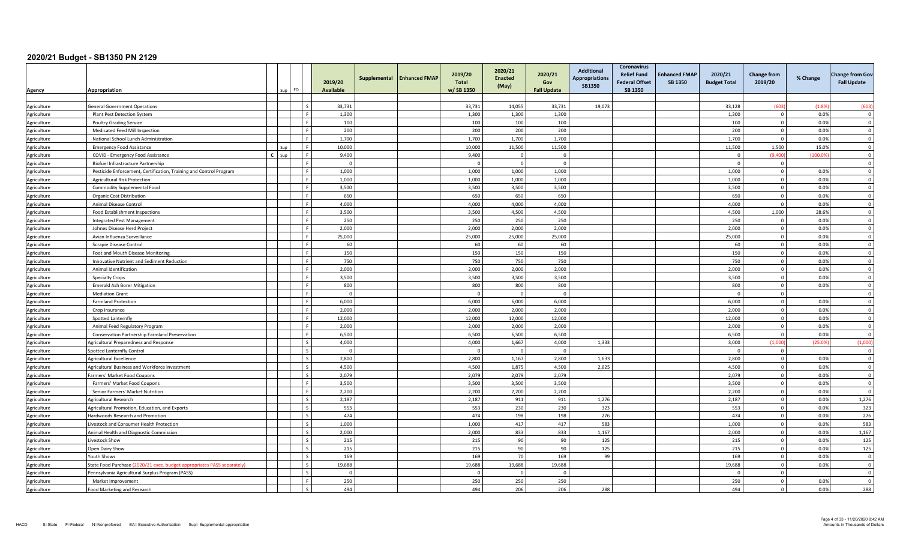|                            |                                                                         |              |          |                          | 2019/20          | Supplemental | <b>Enhanced FMAP</b> | 2019/20<br><b>Total</b> | 2020/21<br><b>Enacted</b><br>(May) | 2020/21<br>Gov     | <b>Additional</b><br>Appropriations<br><b>SB1350</b> | <b>Coronavirus</b><br><b>Relief Fund</b><br><b>Federal Offset</b> | <b>Enhanced FMAP</b><br>SB 1350 | 2020/21<br><b>Budget Total</b> | <b>Change from</b><br>2019/20 | % Change     | <b>Change from Gov</b><br><b>Fall Update</b> |
|----------------------------|-------------------------------------------------------------------------|--------------|----------|--------------------------|------------------|--------------|----------------------|-------------------------|------------------------------------|--------------------|------------------------------------------------------|-------------------------------------------------------------------|---------------------------------|--------------------------------|-------------------------------|--------------|----------------------------------------------|
| <u>Agency</u>              | Appropriation                                                           |              | $Sun$ FO |                          | <b>Available</b> |              |                      | w/SB 1350               |                                    | <b>Fall Update</b> |                                                      | SB 1350                                                           |                                 |                                |                               |              |                                              |
|                            |                                                                         |              |          |                          |                  |              |                      |                         |                                    |                    |                                                      |                                                                   |                                 |                                |                               |              |                                              |
| Agriculture                | <b>General Government Operations</b>                                    |              |          |                          | 33.731           |              |                      | 33,731                  | 14,055                             | 33,731             | 19,073                                               |                                                                   |                                 | 33,128                         | (603)                         | (1.89)       | (603)                                        |
| Agriculture                | Plant Pest Detection System                                             |              |          |                          | 1,300            |              |                      | 1,300                   | 1,300                              | 1,300              |                                                      |                                                                   |                                 | 1,300                          | $\overline{0}$                | 0.0%         | $\overline{\mathbf{0}}$                      |
| Agriculture                | <b>Poultry Grading Service</b>                                          |              |          |                          | 100              |              |                      | 100                     | 100                                | 100                |                                                      |                                                                   |                                 | 100                            | $\Omega$                      | 0.0%         | $\mathbf 0$                                  |
| Agriculture                | Medicated Feed Mill Inspection                                          |              |          |                          | 200              |              |                      | 200                     | 200                                | 200                |                                                      |                                                                   |                                 | 200                            | $\overline{0}$                | 0.0%         | $\overline{0}$                               |
| Agriculture                | National School Lunch Administration                                    |              |          |                          | 1,700            |              |                      | 1,700                   | 1,700                              | 1,700              |                                                      |                                                                   |                                 | 1,700                          | $\Omega$                      | 0.0%         | $\overline{0}$                               |
| Agriculture                | <b>Emergency Food Assistance</b>                                        |              | Sun      |                          | 10,000           |              |                      | 10,000                  | 11,500                             | 11,500             |                                                      |                                                                   |                                 | 11,500                         | 1,500                         | 15.0%        | $\Omega$                                     |
| Agriculture                | COVID - Emergency Food Assistance                                       | $\mathbf{c}$ | Sun      |                          | 9,400            |              |                      | 9,400                   | $\Omega$                           | $\overline{0}$     |                                                      |                                                                   |                                 | $\Omega$                       | (9.400)                       | (100.09)     | $\Omega$                                     |
| Agriculture                | Biofuel Infrastructure Partnership                                      |              |          |                          | $\overline{0}$   |              |                      |                         | $\overline{\mathbf{0}}$            | $\Omega$           |                                                      |                                                                   |                                 | $\overline{0}$                 | $^{\circ}$                    |              | $\overline{0}$                               |
| Agriculture                | Pesticide Enforcement, Certification, Training and Control Program      |              |          |                          | 1,000            |              |                      | 1,000                   | 1,000                              | 1,000              |                                                      |                                                                   |                                 | 1,000                          | $\overline{0}$                | 0.0%         | $\mathbf 0$                                  |
| Agriculture                | <b>Agricultural Risk Protection</b>                                     |              |          |                          | 1,000            |              |                      | 1,000                   | 1,000                              | 1,000              |                                                      |                                                                   |                                 | 1,000                          | $\Omega$                      | 0.0%         | $\overline{\mathbf{0}}$                      |
| Agriculture                | Commodity Supplemental Food                                             |              |          |                          | 3,500            |              |                      | 3,500                   | 3,500                              | 3,500              |                                                      |                                                                   |                                 | 3,500                          | $\overline{0}$                | 0.0%         | $\overline{0}$                               |
| Agriculture<br>Agriculture | Organic Cost Distribution<br>Animal Disease Control                     |              |          |                          | 650<br>4,000     |              |                      | 650<br>4,000            | 650<br>4,000                       | 650<br>4,000       |                                                      |                                                                   |                                 | 650<br>4,000                   | $\Omega$<br>$\Omega$          | 0.0%<br>0.0% | $\overline{0}$<br>$\Omega$                   |
| Agriculture                | Food Establishment Inspections                                          |              |          |                          | 3.500            |              |                      | 3.500                   | 4.500                              | 4.500              |                                                      |                                                                   |                                 | 4.500                          | 1.000                         | 28.6%        | $\Omega$                                     |
| Agriculture                | <b>Integrated Pest Management</b>                                       |              |          |                          | 250              |              |                      | 250                     | 250                                | 250                |                                                      |                                                                   |                                 | 250                            | $\overline{0}$                | 0.0%         | $\mathbf 0$                                  |
| Agriculture                | Johnes Disease Herd Project                                             |              |          |                          | 2,000            |              |                      | 2,000                   | 2,000                              | 2,000              |                                                      |                                                                   |                                 | 2,000                          | $\mathbf 0$                   | 0.0%         | $\overline{0}$                               |
| Agriculture                | Avian Influenza Surveillance                                            |              |          |                          | 25,000           |              |                      | 25,000                  | 25,000                             | 25,000             |                                                      |                                                                   |                                 | 25.000                         | $\overline{0}$                | 0.0%         | $\overline{0}$                               |
| Agriculture                | Scrapie Disease Control                                                 |              |          |                          | 60               |              |                      | 60                      | 60                                 | 60                 |                                                      |                                                                   |                                 | 60                             | $\overline{0}$                | 0.0%         | $\overline{0}$                               |
| Agriculture                | Foot and Mouth Disease Monitoring                                       |              |          |                          | 150              |              |                      | 150                     | 150                                | 150                |                                                      |                                                                   |                                 | 150                            | $\Omega$                      | 0.0%         | $\Omega$                                     |
| Agriculture                | Innovative Nutrient and Sediment Reduction                              |              |          |                          | 750              |              |                      | 750                     | 750                                | 750                |                                                      |                                                                   |                                 | 750                            | $\Omega$                      | 0.0%         | $\Omega$                                     |
| Agriculture                | Animal Identification                                                   |              |          |                          | 2,000            |              |                      | 2,000                   | 2,000                              | 2,000              |                                                      |                                                                   |                                 | 2,000                          | $\mathbf 0$                   | 0.0%         | $\overline{0}$                               |
| Agriculture                | <b>Specialty Crops</b>                                                  |              |          |                          | 3,500            |              |                      | 3,500                   | 3,500                              | 3,500              |                                                      |                                                                   |                                 | 3,500                          | $\overline{0}$                | 0.0%         | $\Omega$                                     |
| Agriculture                | <b>Emerald Ash Borer Mitigation</b>                                     |              |          |                          | 800              |              |                      | 800                     | 800                                | 800                |                                                      |                                                                   |                                 | 800                            | $\overline{0}$                | 0.0%         | $\overline{0}$                               |
| Agriculture                | <b>Mediation Grant</b>                                                  |              |          |                          | $\Omega$         |              |                      |                         | $\Omega$                           | $\Omega$           |                                                      |                                                                   |                                 | $\Omega$                       | $\Omega$                      |              | $\Omega$                                     |
| Agriculture                | <b>Farmland Protection</b>                                              |              |          |                          | 6,000            |              |                      | 6,000                   | 6,000                              | 6,000              |                                                      |                                                                   |                                 | 6,000                          | $\Omega$                      | 0.0%         | $\Omega$                                     |
| Agriculture                | Crop Insurance                                                          |              |          |                          | 2.000            |              |                      | 2,000                   | 2,000                              | 2,000              |                                                      |                                                                   |                                 | 2,000                          | $\Omega$                      | 0.0%         | $\Omega$                                     |
| Agriculture                | Spotted Lanternfly                                                      |              |          |                          | 12,000           |              |                      | 12,000                  | 12,000                             | 12,000             |                                                      |                                                                   |                                 | 12,000                         | $\Omega$                      | 0.0%         | $\overline{0}$                               |
| Agriculture                | Animal Feed Regulatory Program                                          |              |          |                          | 2,000            |              |                      | 2,000                   | 2,000                              | 2,000              |                                                      |                                                                   |                                 | 2,000                          | $\overline{0}$                | 0.0%         | $\overline{0}$                               |
| Agriculture                | Conservation Partnership Farmland Preservation                          |              |          |                          | 6,500            |              |                      | 6,500                   | 6,500                              | 6,500              |                                                      |                                                                   |                                 | 6,500                          | $\Omega$                      | 0.0%         | $\Omega$                                     |
| Agriculture                | Agricultural Preparedness and Response                                  |              |          |                          | 4,000            |              |                      | 4,000                   | 1,667                              | 4,000              | 1,333                                                |                                                                   |                                 | 3,000                          | (1.000)                       | (25.09)      | (1,000)                                      |
| Agriculture                | Spotted Lanternfly Control                                              |              |          |                          | $\Omega$         |              |                      |                         | $\Omega$                           | $\Omega$           |                                                      |                                                                   |                                 | $\Omega$                       | $\Omega$                      |              | $\overline{\mathbf{0}}$                      |
| Agriculture                | Agricultural Excellence                                                 |              |          |                          | 2,800            |              |                      | 2.800                   | 1,167                              | 2,800              | 1,633                                                |                                                                   |                                 | 2.800                          | $\overline{0}$                | 0.0%         | $\Omega$                                     |
| Agriculture                | Agricultural Business and Workforce Investment                          |              |          | $\overline{\phantom{a}}$ | 4,500            |              |                      | 4,500                   | 1,875                              | 4,500              | 2,625                                                |                                                                   |                                 | 4,500                          | $\Omega$                      | 0.0%         | $\overline{\mathbf{0}}$                      |
| Agriculture                | Farmers' Market Food Coupons                                            |              |          | $\sim$                   | 2,079            |              |                      | 2,079                   | 2,079                              | 2,079              |                                                      |                                                                   |                                 | 2,079                          | $\Omega$                      | 0.0%         | $\mathbf 0$                                  |
| Agriculture                | Farmers' Market Food Coupons                                            |              |          |                          | 3,500            |              |                      | 3,500                   | 3,500                              | 3,500              |                                                      |                                                                   |                                 | 3,500                          | $\overline{0}$                | 0.0%         | $\Omega$                                     |
| Agriculture                | Senior Farmers' Market Nutrition                                        |              |          |                          | 2,200            |              |                      | 2,200                   | 2,200                              | 2,200              |                                                      |                                                                   |                                 | 2,200                          | $\Omega$                      | 0.0%         | $\overline{\mathbf{0}}$                      |
| Agriculture                | Agricultural Research                                                   |              |          |                          | 2,187            |              |                      | 2,187                   | 911                                | 911                | 1,276                                                |                                                                   |                                 | 2,187                          | $\Omega$                      | 0.0%         | 1,276                                        |
| Agriculture                | Agricultural Promotion, Education, and Exports                          |              |          |                          | 553              |              |                      | 553                     | 230                                | 230                | 323                                                  |                                                                   |                                 | 553                            | $\Omega$                      | 0.0%         | 323                                          |
| Agriculture                | Hardwoods Research and Promotion                                        |              |          |                          | 474              |              |                      | 474                     | 198                                | 198                | 276                                                  |                                                                   |                                 | 474                            | $\mathbf{0}$                  | 0.0%         | 276                                          |
| Agriculture                | Livestock and Consumer Health Protection                                |              |          | $\zeta$                  | 1,000            |              |                      | 1,000                   | 417                                | 417                | 583                                                  |                                                                   |                                 | 1,000                          | $\mathbf 0$                   | 0.0%         | 583                                          |
| Agriculture                | Animal Health and Diagnostic Commission                                 |              |          | $\sim$                   | 2,000            |              |                      | 2,000                   | 833                                | 833                | 1,167                                                |                                                                   |                                 | 2,000                          | $\overline{0}$                | 0.0%         | 1,167                                        |
| Agriculture                | Livestock Show                                                          |              |          | $\varsigma$              | 215              |              |                      | 215                     | 90                                 | 90                 | 125                                                  |                                                                   |                                 | 215                            | $\overline{0}$                | 0.0%         | 125                                          |
| Agriculture                | Open Dairy Show                                                         |              |          |                          | 215              |              |                      | 215                     | 90                                 | 90                 | 125                                                  |                                                                   |                                 | 215                            | $\Omega$                      | 0.0%         | 125                                          |
| Agriculture                | Youth Shows                                                             |              |          |                          | 169              |              |                      | 169                     | 70                                 | 169                | 99                                                   |                                                                   |                                 | 169                            | $\Omega$                      | 0.0%         | $\Omega$                                     |
| Agriculture                | State Food Purchase (2020/21 exec. budget appropriates PASS separately) |              |          |                          | 19,688           |              |                      | 19.688                  | 19.688                             | 19.688             |                                                      |                                                                   |                                 | 19.688                         | $\Omega$                      | 0.0%         | $\Omega$                                     |
| Agriculture                | Pennsylvania Agricultural Surplus Program (PASS)                        |              |          |                          | $\Omega$         |              |                      |                         | $\Omega$                           | $\Omega$           |                                                      |                                                                   |                                 | $\Omega$                       | $\Omega$                      |              | $\overline{0}$                               |
| Agriculture                | Market Improvement                                                      |              |          |                          | 250              |              |                      | 250                     | 250                                | 250                |                                                      |                                                                   |                                 | 250                            | $\Omega$                      | 0.0%         | $\Omega$                                     |
| Agriculture                | Food Marketing and Research                                             |              |          |                          | 494              |              |                      | 494                     | 206                                | 206                | 288                                                  |                                                                   |                                 | 494                            | $\Omega$                      | 0.0%         | 288                                          |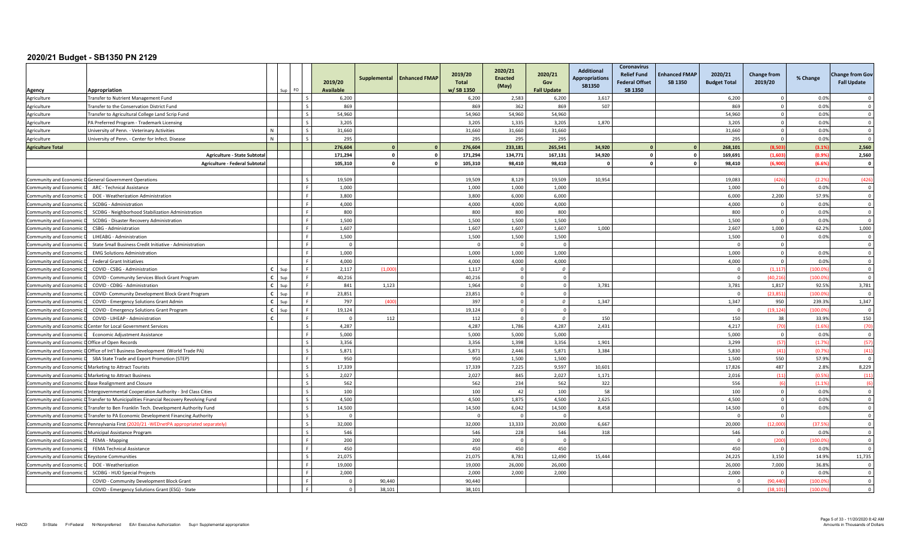| 6,200<br>6,200<br>2,583<br>Agriculture<br>ransfer to Nutrient Management Fund<br>6,200<br>3,617<br>6,200<br>0.0%<br>$\Omega$<br>0.0%<br>869<br>869<br>362<br>869<br>507<br>869<br>$\mathbf 0$<br>Agriculture<br>ransfer to the Conservation District Fund<br>54,960<br>54,960<br>54,960<br>54,960<br>54,960<br>$\overline{0}$<br>0.0%<br>Agriculture<br>ransfer to Agricultural College Land Scrip Fund<br>3.205<br>1.335<br>3.205<br>1.870<br>0.0%<br>3.205<br>3.205<br>$\Omega$<br>Agriculture<br>PA Preferred Program - Trademark Licensing<br>31,660<br>0.0%<br>31,660<br>31,660<br>31,660<br>31,660<br>$\mathbf 0$<br>Jniversity of Penn. - Veterinary Activities<br>Agriculture<br>295<br>295<br>0.0%<br>N<br>295<br>295<br>295<br>$\Omega$<br>Jniversity of Penn. - Center for Infect. Disease<br>Agriculture<br>(8.503)<br>(3.1%<br>2,560<br><b>Agriculture Total</b><br>276.604<br>$\mathbf{0}$<br>276.604<br>233,181<br>265,541<br>34.920<br>268.101<br>$\mathbf{0}$<br>(1,603)<br>(0.9%<br>2,560<br>171,294<br>$\mathbf{0}$<br>134,771<br>34,920<br>169,691<br>Agriculture - State Subtota<br>171,294<br>167,131<br>$\mathbf{0}$<br>105,310<br>$\Omega$<br>105,310<br>98,410<br>98,410<br>98,410<br>(6,900)<br>(6.6%<br>Agriculture - Federal Subtotal<br>$\Omega$<br>- 0<br>(426)<br>19,509<br>19,509<br>8,129<br>19,509<br>10,954<br>19,083<br>(426)<br>(2.29)<br><b>General Government Operations</b><br><b>Community and Economic</b><br>1,000<br>0.0%<br>1,000<br>1,000<br>1,000<br>1,000<br>ARC - Technical Assistance<br>$\overline{0}$<br>Community and Economic<br>3,800<br>3,800<br>6,000<br>6,000<br>6,000<br>2,200<br>57.9%<br>DOE - Weatherization Administration<br>Community and Economic<br><b>SCDBG</b> - Administration<br>4.000<br>4.000<br>4.000<br>4.000<br>4.000<br>0.0%<br><b>Community and Economic</b><br>$\mathbf{0}$<br>800<br>800<br>800<br>800<br>$\overline{0}$<br>0.0%<br>800<br>SCDBG - Neighborhood Stabilization Administration<br>Community and Economic<br>1,500<br>1,500<br>1,500<br>1,500<br>1,500<br>$\Omega$<br>0.0%<br>SCDBG - Disaster Recovery Administration<br>Community and Economic<br>1,607<br>1,607<br>1,000<br>1,607<br>1,607<br>1,000<br>2,607<br>62.2%<br><b>CSBG</b> - Administration<br>Community and Economic<br>1,500<br>0.0%<br>1,500<br>1,500<br>1,500<br>1,500<br>$\overline{0}$<br>Community and Economic<br>LIHEABG - Administration<br>State Small Business Credit Initiative - Administration<br>$\Omega$<br>$\Omega$<br>$\overline{0}$<br>Community and Economic<br>- 0<br>1,000<br>1,000<br>1.000<br>1.000<br>1,000<br>$\overline{0}$<br>0.0%<br><b>EMG Solutions Administration</b><br>Community and Economic<br>0.0%<br>4.000<br>4.000<br>4.000<br>4.000<br>4.000<br>$\Omega$<br>Community and Economic<br><b>Federal Grant Initiatives</b><br>$C$ Sup<br>(100.09)<br>2,117<br>(1,00)<br>1,117<br>$\overline{0}$<br>$\overline{0}$<br>(1, 117)<br>COVID - CSBG - Administration<br>$\Omega$<br>Community and Economic<br>$c$ Sup<br>40,216<br>40,216<br>$\Omega$<br>(40.216)<br>(100.0)<br>COVID - Community Services Block Grant Program<br>$\Omega$<br>$\Omega$<br>Community and Economic<br>$C$ Sup<br>841<br>3,781<br>1,123<br>1,964<br>$\Omega$<br>3,781<br>1,817<br>92.5%<br>Community and Economic<br>COVID - CDBG - Administration<br>$\Omega$<br>$\mathbf{c}$<br>23,851<br>23,851<br>(23, 851)<br>(100.09)<br>$\Omega$<br>COVID- Community Development Block Grant Program<br>$\Omega$<br>Community and Economic<br>$\Omega$<br>l Sur<br>$\mathbf{c}$<br>1,347<br>797<br>(400)<br>397<br>$\Omega$<br>1.347<br>1,347<br>950<br>COVID - Emergency Solutions Grant Admin<br>239.3%<br>Community and Economic<br>Suc<br>$c$ Sup<br>19,124<br>19,124<br>$\Omega$<br>$\Omega$<br>(19, 124)<br>(100.0)<br>Community and Economic<br>COVID - Emergency Solutions Grant Program<br>- 0<br>$\mathbf{r}$<br>112<br>112<br>$\Omega$<br>150<br>150<br>38<br>33.9%<br>COVID - LIHEAP - Administration<br>$\Omega$<br>Community and Economic<br>4,287<br>4,287<br>1,786<br>4.287<br>2,431<br>4,217<br>(70)<br>(1.6%<br>Center for Local Government Services<br>Community and Economic<br>5,000<br>5,000<br>5,000<br>5,000<br>5,000<br>0.0%<br>Economic Adjustment Assistance<br>$\overline{0}$<br>Community and Economic<br>3,356<br>3,356<br>1,398<br>3,356<br>1.901<br>3,299<br>(57)<br>(1.7%<br>Community and Economic D Office of Open Records<br>5,871<br>5,871<br>2,446<br>5,871<br>3,384<br>5,830<br>(41)<br>(0.79)<br>Office of Int'l Business Development (World Trade PA)<br>Community and Economic<br>550<br>950<br>1,500<br>1,500<br>57.9%<br>SBA State Trade and Export Promotion (STEP)<br>950<br>1,500<br>Community and Economic<br>17,339<br>17,339<br>7,225<br>9,597<br>10,601<br>17,826<br>487<br>2.8%<br>Marketing to Attract Tourists<br>Community and Economic<br>2,027<br>2,027<br>845<br>2,027<br>2,016<br>(11)<br>(0.5%<br>Marketing to Attract Business<br>1,171<br>Community and Economic<br>562<br>562<br>234<br>562<br>322<br>556<br>(6)<br>(1.1%<br><b>Community and Economic</b><br><b>Base Realignment and Closure</b><br>100<br>58<br>100<br>42<br>100<br>100<br>0.0%<br>$\overline{0}$<br>Community and Economic D Intergovernmental Cooperation Authority - 3rd Class Cities<br>4,500<br>4,500<br>1,875<br>4,500<br>2,625<br>0.0%<br>Community and Economic D Transfer to Municipalities Financial Recovery Revolving Fund<br>4,500<br>$\overline{0}$<br>$\overline{0}$<br>14.500<br>6.042<br>0.0%<br>14.500<br>14,500<br>8,458<br>14.500<br>Community and Economic D Transfer to Ben Franklin Tech. Development Authority Fund<br>$\mathbf 0$<br>Transfer to PA Economic Development Financing Authority<br>$\Omega$<br>Community and Economic I<br>$\Omega$<br>$\Omega$<br>32,000<br>13,333<br>20,000<br>(12,000)<br>(37.59)<br>Pennsylvania First (2020/21 - WEDnetPA appropriated separately)<br>32,000<br>20,000<br>6,667<br>Community and Economic I<br>546<br>546<br>228<br>546<br>318<br>546<br>0.0%<br>Municipal Assistance Program<br>$\overline{0}$<br>Community and Economic | Agency | Appropriation | FO. | 2019/20<br>Available | Supplemental Enhanced FMAP | 2019/20<br><b>Total</b><br>w/SB 1350 | 2020/21<br><b>Enacted</b><br>(May) | 2020/21<br>Gov<br><b>Fall Update</b> | <b>Additional</b><br><b>Appropriations</b><br><b>SB1350</b> | Coronavirus<br><b>Relief Fund</b><br><b>Federal Offset</b><br>SB 1350 | <b>Enhanced FMAP</b><br><b>SB 1350</b> | 2020/21<br><b>Budget Total</b> | <b>Change from</b><br>2019/20 | % Change | <b>Change from Gov</b><br><b>Fall Update</b> |
|----------------------------------------------------------------------------------------------------------------------------------------------------------------------------------------------------------------------------------------------------------------------------------------------------------------------------------------------------------------------------------------------------------------------------------------------------------------------------------------------------------------------------------------------------------------------------------------------------------------------------------------------------------------------------------------------------------------------------------------------------------------------------------------------------------------------------------------------------------------------------------------------------------------------------------------------------------------------------------------------------------------------------------------------------------------------------------------------------------------------------------------------------------------------------------------------------------------------------------------------------------------------------------------------------------------------------------------------------------------------------------------------------------------------------------------------------------------------------------------------------------------------------------------------------------------------------------------------------------------------------------------------------------------------------------------------------------------------------------------------------------------------------------------------------------------------------------------------------------------------------------------------------------------------------------------------------------------------------------------------------------------------------------------------------------------------------------------------------------------------------------------------------------------------------------------------------------------------------------------------------------------------------------------------------------------------------------------------------------------------------------------------------------------------------------------------------------------------------------------------------------------------------------------------------------------------------------------------------------------------------------------------------------------------------------------------------------------------------------------------------------------------------------------------------------------------------------------------------------------------------------------------------------------------------------------------------------------------------------------------------------------------------------------------------------------------------------------------------------------------------------------------------------------------------------------------------------------------------------------------------------------------------------------------------------------------------------------------------------------------------------------------------------------------------------------------------------------------------------------------------------------------------------------------------------------------------------------------------------------------------------------------------------------------------------------------------------------------------------------------------------------------------------------------------------------------------------------------------------------------------------------------------------------------------------------------------------------------------------------------------------------------------------------------------------------------------------------------------------------------------------------------------------------------------------------------------------------------------------------------------------------------------------------------------------------------------------------------------------------------------------------------------------------------------------------------------------------------------------------------------------------------------------------------------------------------------------------------------------------------------------------------------------------------------------------------------------------------------------------------------------------------------------------------------------------------------------------------------------------------------------------------------------------------------------------------------------------------------------------------------------------------------------------------------------------------------------------------------------------------------------------------------------------------------------------------------------------------------------------------------------------------------------------------------------------------------------------------------------------------------------------------------------------------------------------------------------------------------------------------------------------------------------------------------------------------------------------------------------------------------------------------------------------------------------------------------------------------------------------------------------------------------------------------------------------------------------------------------------------------------------------------------------------------------------------------------------------------------------------------------------------------------------------------------------------------------------------------------|--------|---------------|-----|----------------------|----------------------------|--------------------------------------|------------------------------------|--------------------------------------|-------------------------------------------------------------|-----------------------------------------------------------------------|----------------------------------------|--------------------------------|-------------------------------|----------|----------------------------------------------|
|                                                                                                                                                                                                                                                                                                                                                                                                                                                                                                                                                                                                                                                                                                                                                                                                                                                                                                                                                                                                                                                                                                                                                                                                                                                                                                                                                                                                                                                                                                                                                                                                                                                                                                                                                                                                                                                                                                                                                                                                                                                                                                                                                                                                                                                                                                                                                                                                                                                                                                                                                                                                                                                                                                                                                                                                                                                                                                                                                                                                                                                                                                                                                                                                                                                                                                                                                                                                                                                                                                                                                                                                                                                                                                                                                                                                                                                                                                                                                                                                                                                                                                                                                                                                                                                                                                                                                                                                                                                                                                                                                                                                                                                                                                                                                                                                                                                                                                                                                                                                                                                                                                                                                                                                                                                                                                                                                                                                                                                                                                                                                                                                                                                                                                                                                                                                                                                                                                                                                                                                                                                                                                    |        |               |     |                      |                            |                                      |                                    |                                      |                                                             |                                                                       |                                        |                                |                               |          | $\Omega$                                     |
|                                                                                                                                                                                                                                                                                                                                                                                                                                                                                                                                                                                                                                                                                                                                                                                                                                                                                                                                                                                                                                                                                                                                                                                                                                                                                                                                                                                                                                                                                                                                                                                                                                                                                                                                                                                                                                                                                                                                                                                                                                                                                                                                                                                                                                                                                                                                                                                                                                                                                                                                                                                                                                                                                                                                                                                                                                                                                                                                                                                                                                                                                                                                                                                                                                                                                                                                                                                                                                                                                                                                                                                                                                                                                                                                                                                                                                                                                                                                                                                                                                                                                                                                                                                                                                                                                                                                                                                                                                                                                                                                                                                                                                                                                                                                                                                                                                                                                                                                                                                                                                                                                                                                                                                                                                                                                                                                                                                                                                                                                                                                                                                                                                                                                                                                                                                                                                                                                                                                                                                                                                                                                                    |        |               |     |                      |                            |                                      |                                    |                                      |                                                             |                                                                       |                                        |                                |                               |          | $\Omega$                                     |
|                                                                                                                                                                                                                                                                                                                                                                                                                                                                                                                                                                                                                                                                                                                                                                                                                                                                                                                                                                                                                                                                                                                                                                                                                                                                                                                                                                                                                                                                                                                                                                                                                                                                                                                                                                                                                                                                                                                                                                                                                                                                                                                                                                                                                                                                                                                                                                                                                                                                                                                                                                                                                                                                                                                                                                                                                                                                                                                                                                                                                                                                                                                                                                                                                                                                                                                                                                                                                                                                                                                                                                                                                                                                                                                                                                                                                                                                                                                                                                                                                                                                                                                                                                                                                                                                                                                                                                                                                                                                                                                                                                                                                                                                                                                                                                                                                                                                                                                                                                                                                                                                                                                                                                                                                                                                                                                                                                                                                                                                                                                                                                                                                                                                                                                                                                                                                                                                                                                                                                                                                                                                                                    |        |               |     |                      |                            |                                      |                                    |                                      |                                                             |                                                                       |                                        |                                |                               |          | $\overline{0}$                               |
|                                                                                                                                                                                                                                                                                                                                                                                                                                                                                                                                                                                                                                                                                                                                                                                                                                                                                                                                                                                                                                                                                                                                                                                                                                                                                                                                                                                                                                                                                                                                                                                                                                                                                                                                                                                                                                                                                                                                                                                                                                                                                                                                                                                                                                                                                                                                                                                                                                                                                                                                                                                                                                                                                                                                                                                                                                                                                                                                                                                                                                                                                                                                                                                                                                                                                                                                                                                                                                                                                                                                                                                                                                                                                                                                                                                                                                                                                                                                                                                                                                                                                                                                                                                                                                                                                                                                                                                                                                                                                                                                                                                                                                                                                                                                                                                                                                                                                                                                                                                                                                                                                                                                                                                                                                                                                                                                                                                                                                                                                                                                                                                                                                                                                                                                                                                                                                                                                                                                                                                                                                                                                                    |        |               |     |                      |                            |                                      |                                    |                                      |                                                             |                                                                       |                                        |                                |                               |          | $\Omega$                                     |
|                                                                                                                                                                                                                                                                                                                                                                                                                                                                                                                                                                                                                                                                                                                                                                                                                                                                                                                                                                                                                                                                                                                                                                                                                                                                                                                                                                                                                                                                                                                                                                                                                                                                                                                                                                                                                                                                                                                                                                                                                                                                                                                                                                                                                                                                                                                                                                                                                                                                                                                                                                                                                                                                                                                                                                                                                                                                                                                                                                                                                                                                                                                                                                                                                                                                                                                                                                                                                                                                                                                                                                                                                                                                                                                                                                                                                                                                                                                                                                                                                                                                                                                                                                                                                                                                                                                                                                                                                                                                                                                                                                                                                                                                                                                                                                                                                                                                                                                                                                                                                                                                                                                                                                                                                                                                                                                                                                                                                                                                                                                                                                                                                                                                                                                                                                                                                                                                                                                                                                                                                                                                                                    |        |               |     |                      |                            |                                      |                                    |                                      |                                                             |                                                                       |                                        |                                |                               |          | $\overline{0}$                               |
|                                                                                                                                                                                                                                                                                                                                                                                                                                                                                                                                                                                                                                                                                                                                                                                                                                                                                                                                                                                                                                                                                                                                                                                                                                                                                                                                                                                                                                                                                                                                                                                                                                                                                                                                                                                                                                                                                                                                                                                                                                                                                                                                                                                                                                                                                                                                                                                                                                                                                                                                                                                                                                                                                                                                                                                                                                                                                                                                                                                                                                                                                                                                                                                                                                                                                                                                                                                                                                                                                                                                                                                                                                                                                                                                                                                                                                                                                                                                                                                                                                                                                                                                                                                                                                                                                                                                                                                                                                                                                                                                                                                                                                                                                                                                                                                                                                                                                                                                                                                                                                                                                                                                                                                                                                                                                                                                                                                                                                                                                                                                                                                                                                                                                                                                                                                                                                                                                                                                                                                                                                                                                                    |        |               |     |                      |                            |                                      |                                    |                                      |                                                             |                                                                       |                                        |                                |                               |          | $\Omega$                                     |
|                                                                                                                                                                                                                                                                                                                                                                                                                                                                                                                                                                                                                                                                                                                                                                                                                                                                                                                                                                                                                                                                                                                                                                                                                                                                                                                                                                                                                                                                                                                                                                                                                                                                                                                                                                                                                                                                                                                                                                                                                                                                                                                                                                                                                                                                                                                                                                                                                                                                                                                                                                                                                                                                                                                                                                                                                                                                                                                                                                                                                                                                                                                                                                                                                                                                                                                                                                                                                                                                                                                                                                                                                                                                                                                                                                                                                                                                                                                                                                                                                                                                                                                                                                                                                                                                                                                                                                                                                                                                                                                                                                                                                                                                                                                                                                                                                                                                                                                                                                                                                                                                                                                                                                                                                                                                                                                                                                                                                                                                                                                                                                                                                                                                                                                                                                                                                                                                                                                                                                                                                                                                                                    |        |               |     |                      |                            |                                      |                                    |                                      |                                                             |                                                                       |                                        |                                |                               |          |                                              |
|                                                                                                                                                                                                                                                                                                                                                                                                                                                                                                                                                                                                                                                                                                                                                                                                                                                                                                                                                                                                                                                                                                                                                                                                                                                                                                                                                                                                                                                                                                                                                                                                                                                                                                                                                                                                                                                                                                                                                                                                                                                                                                                                                                                                                                                                                                                                                                                                                                                                                                                                                                                                                                                                                                                                                                                                                                                                                                                                                                                                                                                                                                                                                                                                                                                                                                                                                                                                                                                                                                                                                                                                                                                                                                                                                                                                                                                                                                                                                                                                                                                                                                                                                                                                                                                                                                                                                                                                                                                                                                                                                                                                                                                                                                                                                                                                                                                                                                                                                                                                                                                                                                                                                                                                                                                                                                                                                                                                                                                                                                                                                                                                                                                                                                                                                                                                                                                                                                                                                                                                                                                                                                    |        |               |     |                      |                            |                                      |                                    |                                      |                                                             |                                                                       |                                        |                                |                               |          |                                              |
|                                                                                                                                                                                                                                                                                                                                                                                                                                                                                                                                                                                                                                                                                                                                                                                                                                                                                                                                                                                                                                                                                                                                                                                                                                                                                                                                                                                                                                                                                                                                                                                                                                                                                                                                                                                                                                                                                                                                                                                                                                                                                                                                                                                                                                                                                                                                                                                                                                                                                                                                                                                                                                                                                                                                                                                                                                                                                                                                                                                                                                                                                                                                                                                                                                                                                                                                                                                                                                                                                                                                                                                                                                                                                                                                                                                                                                                                                                                                                                                                                                                                                                                                                                                                                                                                                                                                                                                                                                                                                                                                                                                                                                                                                                                                                                                                                                                                                                                                                                                                                                                                                                                                                                                                                                                                                                                                                                                                                                                                                                                                                                                                                                                                                                                                                                                                                                                                                                                                                                                                                                                                                                    |        |               |     |                      |                            |                                      |                                    |                                      |                                                             |                                                                       |                                        |                                |                               |          | $\mathbf 0$                                  |
|                                                                                                                                                                                                                                                                                                                                                                                                                                                                                                                                                                                                                                                                                                                                                                                                                                                                                                                                                                                                                                                                                                                                                                                                                                                                                                                                                                                                                                                                                                                                                                                                                                                                                                                                                                                                                                                                                                                                                                                                                                                                                                                                                                                                                                                                                                                                                                                                                                                                                                                                                                                                                                                                                                                                                                                                                                                                                                                                                                                                                                                                                                                                                                                                                                                                                                                                                                                                                                                                                                                                                                                                                                                                                                                                                                                                                                                                                                                                                                                                                                                                                                                                                                                                                                                                                                                                                                                                                                                                                                                                                                                                                                                                                                                                                                                                                                                                                                                                                                                                                                                                                                                                                                                                                                                                                                                                                                                                                                                                                                                                                                                                                                                                                                                                                                                                                                                                                                                                                                                                                                                                                                    |        |               |     |                      |                            |                                      |                                    |                                      |                                                             |                                                                       |                                        |                                |                               |          |                                              |
|                                                                                                                                                                                                                                                                                                                                                                                                                                                                                                                                                                                                                                                                                                                                                                                                                                                                                                                                                                                                                                                                                                                                                                                                                                                                                                                                                                                                                                                                                                                                                                                                                                                                                                                                                                                                                                                                                                                                                                                                                                                                                                                                                                                                                                                                                                                                                                                                                                                                                                                                                                                                                                                                                                                                                                                                                                                                                                                                                                                                                                                                                                                                                                                                                                                                                                                                                                                                                                                                                                                                                                                                                                                                                                                                                                                                                                                                                                                                                                                                                                                                                                                                                                                                                                                                                                                                                                                                                                                                                                                                                                                                                                                                                                                                                                                                                                                                                                                                                                                                                                                                                                                                                                                                                                                                                                                                                                                                                                                                                                                                                                                                                                                                                                                                                                                                                                                                                                                                                                                                                                                                                                    |        |               |     |                      |                            |                                      |                                    |                                      |                                                             |                                                                       |                                        |                                |                               |          |                                              |
|                                                                                                                                                                                                                                                                                                                                                                                                                                                                                                                                                                                                                                                                                                                                                                                                                                                                                                                                                                                                                                                                                                                                                                                                                                                                                                                                                                                                                                                                                                                                                                                                                                                                                                                                                                                                                                                                                                                                                                                                                                                                                                                                                                                                                                                                                                                                                                                                                                                                                                                                                                                                                                                                                                                                                                                                                                                                                                                                                                                                                                                                                                                                                                                                                                                                                                                                                                                                                                                                                                                                                                                                                                                                                                                                                                                                                                                                                                                                                                                                                                                                                                                                                                                                                                                                                                                                                                                                                                                                                                                                                                                                                                                                                                                                                                                                                                                                                                                                                                                                                                                                                                                                                                                                                                                                                                                                                                                                                                                                                                                                                                                                                                                                                                                                                                                                                                                                                                                                                                                                                                                                                                    |        |               |     |                      |                            |                                      |                                    |                                      |                                                             |                                                                       |                                        |                                |                               |          | $\Omega$                                     |
|                                                                                                                                                                                                                                                                                                                                                                                                                                                                                                                                                                                                                                                                                                                                                                                                                                                                                                                                                                                                                                                                                                                                                                                                                                                                                                                                                                                                                                                                                                                                                                                                                                                                                                                                                                                                                                                                                                                                                                                                                                                                                                                                                                                                                                                                                                                                                                                                                                                                                                                                                                                                                                                                                                                                                                                                                                                                                                                                                                                                                                                                                                                                                                                                                                                                                                                                                                                                                                                                                                                                                                                                                                                                                                                                                                                                                                                                                                                                                                                                                                                                                                                                                                                                                                                                                                                                                                                                                                                                                                                                                                                                                                                                                                                                                                                                                                                                                                                                                                                                                                                                                                                                                                                                                                                                                                                                                                                                                                                                                                                                                                                                                                                                                                                                                                                                                                                                                                                                                                                                                                                                                                    |        |               |     |                      |                            |                                      |                                    |                                      |                                                             |                                                                       |                                        |                                |                               |          | $\Omega$                                     |
|                                                                                                                                                                                                                                                                                                                                                                                                                                                                                                                                                                                                                                                                                                                                                                                                                                                                                                                                                                                                                                                                                                                                                                                                                                                                                                                                                                                                                                                                                                                                                                                                                                                                                                                                                                                                                                                                                                                                                                                                                                                                                                                                                                                                                                                                                                                                                                                                                                                                                                                                                                                                                                                                                                                                                                                                                                                                                                                                                                                                                                                                                                                                                                                                                                                                                                                                                                                                                                                                                                                                                                                                                                                                                                                                                                                                                                                                                                                                                                                                                                                                                                                                                                                                                                                                                                                                                                                                                                                                                                                                                                                                                                                                                                                                                                                                                                                                                                                                                                                                                                                                                                                                                                                                                                                                                                                                                                                                                                                                                                                                                                                                                                                                                                                                                                                                                                                                                                                                                                                                                                                                                                    |        |               |     |                      |                            |                                      |                                    |                                      |                                                             |                                                                       |                                        |                                |                               |          | $\Omega$                                     |
|                                                                                                                                                                                                                                                                                                                                                                                                                                                                                                                                                                                                                                                                                                                                                                                                                                                                                                                                                                                                                                                                                                                                                                                                                                                                                                                                                                                                                                                                                                                                                                                                                                                                                                                                                                                                                                                                                                                                                                                                                                                                                                                                                                                                                                                                                                                                                                                                                                                                                                                                                                                                                                                                                                                                                                                                                                                                                                                                                                                                                                                                                                                                                                                                                                                                                                                                                                                                                                                                                                                                                                                                                                                                                                                                                                                                                                                                                                                                                                                                                                                                                                                                                                                                                                                                                                                                                                                                                                                                                                                                                                                                                                                                                                                                                                                                                                                                                                                                                                                                                                                                                                                                                                                                                                                                                                                                                                                                                                                                                                                                                                                                                                                                                                                                                                                                                                                                                                                                                                                                                                                                                                    |        |               |     |                      |                            |                                      |                                    |                                      |                                                             |                                                                       |                                        |                                |                               |          | $\overline{\mathbf{0}}$                      |
|                                                                                                                                                                                                                                                                                                                                                                                                                                                                                                                                                                                                                                                                                                                                                                                                                                                                                                                                                                                                                                                                                                                                                                                                                                                                                                                                                                                                                                                                                                                                                                                                                                                                                                                                                                                                                                                                                                                                                                                                                                                                                                                                                                                                                                                                                                                                                                                                                                                                                                                                                                                                                                                                                                                                                                                                                                                                                                                                                                                                                                                                                                                                                                                                                                                                                                                                                                                                                                                                                                                                                                                                                                                                                                                                                                                                                                                                                                                                                                                                                                                                                                                                                                                                                                                                                                                                                                                                                                                                                                                                                                                                                                                                                                                                                                                                                                                                                                                                                                                                                                                                                                                                                                                                                                                                                                                                                                                                                                                                                                                                                                                                                                                                                                                                                                                                                                                                                                                                                                                                                                                                                                    |        |               |     |                      |                            |                                      |                                    |                                      |                                                             |                                                                       |                                        |                                |                               |          | $\overline{0}$                               |
|                                                                                                                                                                                                                                                                                                                                                                                                                                                                                                                                                                                                                                                                                                                                                                                                                                                                                                                                                                                                                                                                                                                                                                                                                                                                                                                                                                                                                                                                                                                                                                                                                                                                                                                                                                                                                                                                                                                                                                                                                                                                                                                                                                                                                                                                                                                                                                                                                                                                                                                                                                                                                                                                                                                                                                                                                                                                                                                                                                                                                                                                                                                                                                                                                                                                                                                                                                                                                                                                                                                                                                                                                                                                                                                                                                                                                                                                                                                                                                                                                                                                                                                                                                                                                                                                                                                                                                                                                                                                                                                                                                                                                                                                                                                                                                                                                                                                                                                                                                                                                                                                                                                                                                                                                                                                                                                                                                                                                                                                                                                                                                                                                                                                                                                                                                                                                                                                                                                                                                                                                                                                                                    |        |               |     |                      |                            |                                      |                                    |                                      |                                                             |                                                                       |                                        |                                |                               |          | 1,000                                        |
|                                                                                                                                                                                                                                                                                                                                                                                                                                                                                                                                                                                                                                                                                                                                                                                                                                                                                                                                                                                                                                                                                                                                                                                                                                                                                                                                                                                                                                                                                                                                                                                                                                                                                                                                                                                                                                                                                                                                                                                                                                                                                                                                                                                                                                                                                                                                                                                                                                                                                                                                                                                                                                                                                                                                                                                                                                                                                                                                                                                                                                                                                                                                                                                                                                                                                                                                                                                                                                                                                                                                                                                                                                                                                                                                                                                                                                                                                                                                                                                                                                                                                                                                                                                                                                                                                                                                                                                                                                                                                                                                                                                                                                                                                                                                                                                                                                                                                                                                                                                                                                                                                                                                                                                                                                                                                                                                                                                                                                                                                                                                                                                                                                                                                                                                                                                                                                                                                                                                                                                                                                                                                                    |        |               |     |                      |                            |                                      |                                    |                                      |                                                             |                                                                       |                                        |                                |                               |          | $\overline{\mathbf{0}}$                      |
|                                                                                                                                                                                                                                                                                                                                                                                                                                                                                                                                                                                                                                                                                                                                                                                                                                                                                                                                                                                                                                                                                                                                                                                                                                                                                                                                                                                                                                                                                                                                                                                                                                                                                                                                                                                                                                                                                                                                                                                                                                                                                                                                                                                                                                                                                                                                                                                                                                                                                                                                                                                                                                                                                                                                                                                                                                                                                                                                                                                                                                                                                                                                                                                                                                                                                                                                                                                                                                                                                                                                                                                                                                                                                                                                                                                                                                                                                                                                                                                                                                                                                                                                                                                                                                                                                                                                                                                                                                                                                                                                                                                                                                                                                                                                                                                                                                                                                                                                                                                                                                                                                                                                                                                                                                                                                                                                                                                                                                                                                                                                                                                                                                                                                                                                                                                                                                                                                                                                                                                                                                                                                                    |        |               |     |                      |                            |                                      |                                    |                                      |                                                             |                                                                       |                                        |                                |                               |          | $\Omega$                                     |
|                                                                                                                                                                                                                                                                                                                                                                                                                                                                                                                                                                                                                                                                                                                                                                                                                                                                                                                                                                                                                                                                                                                                                                                                                                                                                                                                                                                                                                                                                                                                                                                                                                                                                                                                                                                                                                                                                                                                                                                                                                                                                                                                                                                                                                                                                                                                                                                                                                                                                                                                                                                                                                                                                                                                                                                                                                                                                                                                                                                                                                                                                                                                                                                                                                                                                                                                                                                                                                                                                                                                                                                                                                                                                                                                                                                                                                                                                                                                                                                                                                                                                                                                                                                                                                                                                                                                                                                                                                                                                                                                                                                                                                                                                                                                                                                                                                                                                                                                                                                                                                                                                                                                                                                                                                                                                                                                                                                                                                                                                                                                                                                                                                                                                                                                                                                                                                                                                                                                                                                                                                                                                                    |        |               |     |                      |                            |                                      |                                    |                                      |                                                             |                                                                       |                                        |                                |                               |          | $\Omega$                                     |
|                                                                                                                                                                                                                                                                                                                                                                                                                                                                                                                                                                                                                                                                                                                                                                                                                                                                                                                                                                                                                                                                                                                                                                                                                                                                                                                                                                                                                                                                                                                                                                                                                                                                                                                                                                                                                                                                                                                                                                                                                                                                                                                                                                                                                                                                                                                                                                                                                                                                                                                                                                                                                                                                                                                                                                                                                                                                                                                                                                                                                                                                                                                                                                                                                                                                                                                                                                                                                                                                                                                                                                                                                                                                                                                                                                                                                                                                                                                                                                                                                                                                                                                                                                                                                                                                                                                                                                                                                                                                                                                                                                                                                                                                                                                                                                                                                                                                                                                                                                                                                                                                                                                                                                                                                                                                                                                                                                                                                                                                                                                                                                                                                                                                                                                                                                                                                                                                                                                                                                                                                                                                                                    |        |               |     |                      |                            |                                      |                                    |                                      |                                                             |                                                                       |                                        |                                |                               |          | $\Omega$                                     |
|                                                                                                                                                                                                                                                                                                                                                                                                                                                                                                                                                                                                                                                                                                                                                                                                                                                                                                                                                                                                                                                                                                                                                                                                                                                                                                                                                                                                                                                                                                                                                                                                                                                                                                                                                                                                                                                                                                                                                                                                                                                                                                                                                                                                                                                                                                                                                                                                                                                                                                                                                                                                                                                                                                                                                                                                                                                                                                                                                                                                                                                                                                                                                                                                                                                                                                                                                                                                                                                                                                                                                                                                                                                                                                                                                                                                                                                                                                                                                                                                                                                                                                                                                                                                                                                                                                                                                                                                                                                                                                                                                                                                                                                                                                                                                                                                                                                                                                                                                                                                                                                                                                                                                                                                                                                                                                                                                                                                                                                                                                                                                                                                                                                                                                                                                                                                                                                                                                                                                                                                                                                                                                    |        |               |     |                      |                            |                                      |                                    |                                      |                                                             |                                                                       |                                        |                                |                               |          | $\overline{\mathbf{0}}$                      |
|                                                                                                                                                                                                                                                                                                                                                                                                                                                                                                                                                                                                                                                                                                                                                                                                                                                                                                                                                                                                                                                                                                                                                                                                                                                                                                                                                                                                                                                                                                                                                                                                                                                                                                                                                                                                                                                                                                                                                                                                                                                                                                                                                                                                                                                                                                                                                                                                                                                                                                                                                                                                                                                                                                                                                                                                                                                                                                                                                                                                                                                                                                                                                                                                                                                                                                                                                                                                                                                                                                                                                                                                                                                                                                                                                                                                                                                                                                                                                                                                                                                                                                                                                                                                                                                                                                                                                                                                                                                                                                                                                                                                                                                                                                                                                                                                                                                                                                                                                                                                                                                                                                                                                                                                                                                                                                                                                                                                                                                                                                                                                                                                                                                                                                                                                                                                                                                                                                                                                                                                                                                                                                    |        |               |     |                      |                            |                                      |                                    |                                      |                                                             |                                                                       |                                        |                                |                               |          | $\Omega$                                     |
|                                                                                                                                                                                                                                                                                                                                                                                                                                                                                                                                                                                                                                                                                                                                                                                                                                                                                                                                                                                                                                                                                                                                                                                                                                                                                                                                                                                                                                                                                                                                                                                                                                                                                                                                                                                                                                                                                                                                                                                                                                                                                                                                                                                                                                                                                                                                                                                                                                                                                                                                                                                                                                                                                                                                                                                                                                                                                                                                                                                                                                                                                                                                                                                                                                                                                                                                                                                                                                                                                                                                                                                                                                                                                                                                                                                                                                                                                                                                                                                                                                                                                                                                                                                                                                                                                                                                                                                                                                                                                                                                                                                                                                                                                                                                                                                                                                                                                                                                                                                                                                                                                                                                                                                                                                                                                                                                                                                                                                                                                                                                                                                                                                                                                                                                                                                                                                                                                                                                                                                                                                                                                                    |        |               |     |                      |                            |                                      |                                    |                                      |                                                             |                                                                       |                                        |                                |                               |          | 3,781                                        |
|                                                                                                                                                                                                                                                                                                                                                                                                                                                                                                                                                                                                                                                                                                                                                                                                                                                                                                                                                                                                                                                                                                                                                                                                                                                                                                                                                                                                                                                                                                                                                                                                                                                                                                                                                                                                                                                                                                                                                                                                                                                                                                                                                                                                                                                                                                                                                                                                                                                                                                                                                                                                                                                                                                                                                                                                                                                                                                                                                                                                                                                                                                                                                                                                                                                                                                                                                                                                                                                                                                                                                                                                                                                                                                                                                                                                                                                                                                                                                                                                                                                                                                                                                                                                                                                                                                                                                                                                                                                                                                                                                                                                                                                                                                                                                                                                                                                                                                                                                                                                                                                                                                                                                                                                                                                                                                                                                                                                                                                                                                                                                                                                                                                                                                                                                                                                                                                                                                                                                                                                                                                                                                    |        |               |     |                      |                            |                                      |                                    |                                      |                                                             |                                                                       |                                        |                                |                               |          | $\Omega$                                     |
|                                                                                                                                                                                                                                                                                                                                                                                                                                                                                                                                                                                                                                                                                                                                                                                                                                                                                                                                                                                                                                                                                                                                                                                                                                                                                                                                                                                                                                                                                                                                                                                                                                                                                                                                                                                                                                                                                                                                                                                                                                                                                                                                                                                                                                                                                                                                                                                                                                                                                                                                                                                                                                                                                                                                                                                                                                                                                                                                                                                                                                                                                                                                                                                                                                                                                                                                                                                                                                                                                                                                                                                                                                                                                                                                                                                                                                                                                                                                                                                                                                                                                                                                                                                                                                                                                                                                                                                                                                                                                                                                                                                                                                                                                                                                                                                                                                                                                                                                                                                                                                                                                                                                                                                                                                                                                                                                                                                                                                                                                                                                                                                                                                                                                                                                                                                                                                                                                                                                                                                                                                                                                                    |        |               |     |                      |                            |                                      |                                    |                                      |                                                             |                                                                       |                                        |                                |                               |          |                                              |
|                                                                                                                                                                                                                                                                                                                                                                                                                                                                                                                                                                                                                                                                                                                                                                                                                                                                                                                                                                                                                                                                                                                                                                                                                                                                                                                                                                                                                                                                                                                                                                                                                                                                                                                                                                                                                                                                                                                                                                                                                                                                                                                                                                                                                                                                                                                                                                                                                                                                                                                                                                                                                                                                                                                                                                                                                                                                                                                                                                                                                                                                                                                                                                                                                                                                                                                                                                                                                                                                                                                                                                                                                                                                                                                                                                                                                                                                                                                                                                                                                                                                                                                                                                                                                                                                                                                                                                                                                                                                                                                                                                                                                                                                                                                                                                                                                                                                                                                                                                                                                                                                                                                                                                                                                                                                                                                                                                                                                                                                                                                                                                                                                                                                                                                                                                                                                                                                                                                                                                                                                                                                                                    |        |               |     |                      |                            |                                      |                                    |                                      |                                                             |                                                                       |                                        |                                |                               |          | $\Omega$                                     |
|                                                                                                                                                                                                                                                                                                                                                                                                                                                                                                                                                                                                                                                                                                                                                                                                                                                                                                                                                                                                                                                                                                                                                                                                                                                                                                                                                                                                                                                                                                                                                                                                                                                                                                                                                                                                                                                                                                                                                                                                                                                                                                                                                                                                                                                                                                                                                                                                                                                                                                                                                                                                                                                                                                                                                                                                                                                                                                                                                                                                                                                                                                                                                                                                                                                                                                                                                                                                                                                                                                                                                                                                                                                                                                                                                                                                                                                                                                                                                                                                                                                                                                                                                                                                                                                                                                                                                                                                                                                                                                                                                                                                                                                                                                                                                                                                                                                                                                                                                                                                                                                                                                                                                                                                                                                                                                                                                                                                                                                                                                                                                                                                                                                                                                                                                                                                                                                                                                                                                                                                                                                                                                    |        |               |     |                      |                            |                                      |                                    |                                      |                                                             |                                                                       |                                        |                                |                               |          | 150                                          |
|                                                                                                                                                                                                                                                                                                                                                                                                                                                                                                                                                                                                                                                                                                                                                                                                                                                                                                                                                                                                                                                                                                                                                                                                                                                                                                                                                                                                                                                                                                                                                                                                                                                                                                                                                                                                                                                                                                                                                                                                                                                                                                                                                                                                                                                                                                                                                                                                                                                                                                                                                                                                                                                                                                                                                                                                                                                                                                                                                                                                                                                                                                                                                                                                                                                                                                                                                                                                                                                                                                                                                                                                                                                                                                                                                                                                                                                                                                                                                                                                                                                                                                                                                                                                                                                                                                                                                                                                                                                                                                                                                                                                                                                                                                                                                                                                                                                                                                                                                                                                                                                                                                                                                                                                                                                                                                                                                                                                                                                                                                                                                                                                                                                                                                                                                                                                                                                                                                                                                                                                                                                                                                    |        |               |     |                      |                            |                                      |                                    |                                      |                                                             |                                                                       |                                        |                                |                               |          | (70)                                         |
|                                                                                                                                                                                                                                                                                                                                                                                                                                                                                                                                                                                                                                                                                                                                                                                                                                                                                                                                                                                                                                                                                                                                                                                                                                                                                                                                                                                                                                                                                                                                                                                                                                                                                                                                                                                                                                                                                                                                                                                                                                                                                                                                                                                                                                                                                                                                                                                                                                                                                                                                                                                                                                                                                                                                                                                                                                                                                                                                                                                                                                                                                                                                                                                                                                                                                                                                                                                                                                                                                                                                                                                                                                                                                                                                                                                                                                                                                                                                                                                                                                                                                                                                                                                                                                                                                                                                                                                                                                                                                                                                                                                                                                                                                                                                                                                                                                                                                                                                                                                                                                                                                                                                                                                                                                                                                                                                                                                                                                                                                                                                                                                                                                                                                                                                                                                                                                                                                                                                                                                                                                                                                                    |        |               |     |                      |                            |                                      |                                    |                                      |                                                             |                                                                       |                                        |                                |                               |          | $\overline{\mathbf{0}}$                      |
|                                                                                                                                                                                                                                                                                                                                                                                                                                                                                                                                                                                                                                                                                                                                                                                                                                                                                                                                                                                                                                                                                                                                                                                                                                                                                                                                                                                                                                                                                                                                                                                                                                                                                                                                                                                                                                                                                                                                                                                                                                                                                                                                                                                                                                                                                                                                                                                                                                                                                                                                                                                                                                                                                                                                                                                                                                                                                                                                                                                                                                                                                                                                                                                                                                                                                                                                                                                                                                                                                                                                                                                                                                                                                                                                                                                                                                                                                                                                                                                                                                                                                                                                                                                                                                                                                                                                                                                                                                                                                                                                                                                                                                                                                                                                                                                                                                                                                                                                                                                                                                                                                                                                                                                                                                                                                                                                                                                                                                                                                                                                                                                                                                                                                                                                                                                                                                                                                                                                                                                                                                                                                                    |        |               |     |                      |                            |                                      |                                    |                                      |                                                             |                                                                       |                                        |                                |                               |          | (57)                                         |
|                                                                                                                                                                                                                                                                                                                                                                                                                                                                                                                                                                                                                                                                                                                                                                                                                                                                                                                                                                                                                                                                                                                                                                                                                                                                                                                                                                                                                                                                                                                                                                                                                                                                                                                                                                                                                                                                                                                                                                                                                                                                                                                                                                                                                                                                                                                                                                                                                                                                                                                                                                                                                                                                                                                                                                                                                                                                                                                                                                                                                                                                                                                                                                                                                                                                                                                                                                                                                                                                                                                                                                                                                                                                                                                                                                                                                                                                                                                                                                                                                                                                                                                                                                                                                                                                                                                                                                                                                                                                                                                                                                                                                                                                                                                                                                                                                                                                                                                                                                                                                                                                                                                                                                                                                                                                                                                                                                                                                                                                                                                                                                                                                                                                                                                                                                                                                                                                                                                                                                                                                                                                                                    |        |               |     |                      |                            |                                      |                                    |                                      |                                                             |                                                                       |                                        |                                |                               |          | (41)                                         |
|                                                                                                                                                                                                                                                                                                                                                                                                                                                                                                                                                                                                                                                                                                                                                                                                                                                                                                                                                                                                                                                                                                                                                                                                                                                                                                                                                                                                                                                                                                                                                                                                                                                                                                                                                                                                                                                                                                                                                                                                                                                                                                                                                                                                                                                                                                                                                                                                                                                                                                                                                                                                                                                                                                                                                                                                                                                                                                                                                                                                                                                                                                                                                                                                                                                                                                                                                                                                                                                                                                                                                                                                                                                                                                                                                                                                                                                                                                                                                                                                                                                                                                                                                                                                                                                                                                                                                                                                                                                                                                                                                                                                                                                                                                                                                                                                                                                                                                                                                                                                                                                                                                                                                                                                                                                                                                                                                                                                                                                                                                                                                                                                                                                                                                                                                                                                                                                                                                                                                                                                                                                                                                    |        |               |     |                      |                            |                                      |                                    |                                      |                                                             |                                                                       |                                        |                                |                               |          | $\overline{\mathbf{0}}$                      |
|                                                                                                                                                                                                                                                                                                                                                                                                                                                                                                                                                                                                                                                                                                                                                                                                                                                                                                                                                                                                                                                                                                                                                                                                                                                                                                                                                                                                                                                                                                                                                                                                                                                                                                                                                                                                                                                                                                                                                                                                                                                                                                                                                                                                                                                                                                                                                                                                                                                                                                                                                                                                                                                                                                                                                                                                                                                                                                                                                                                                                                                                                                                                                                                                                                                                                                                                                                                                                                                                                                                                                                                                                                                                                                                                                                                                                                                                                                                                                                                                                                                                                                                                                                                                                                                                                                                                                                                                                                                                                                                                                                                                                                                                                                                                                                                                                                                                                                                                                                                                                                                                                                                                                                                                                                                                                                                                                                                                                                                                                                                                                                                                                                                                                                                                                                                                                                                                                                                                                                                                                                                                                                    |        |               |     |                      |                            |                                      |                                    |                                      |                                                             |                                                                       |                                        |                                |                               |          | 8,229                                        |
|                                                                                                                                                                                                                                                                                                                                                                                                                                                                                                                                                                                                                                                                                                                                                                                                                                                                                                                                                                                                                                                                                                                                                                                                                                                                                                                                                                                                                                                                                                                                                                                                                                                                                                                                                                                                                                                                                                                                                                                                                                                                                                                                                                                                                                                                                                                                                                                                                                                                                                                                                                                                                                                                                                                                                                                                                                                                                                                                                                                                                                                                                                                                                                                                                                                                                                                                                                                                                                                                                                                                                                                                                                                                                                                                                                                                                                                                                                                                                                                                                                                                                                                                                                                                                                                                                                                                                                                                                                                                                                                                                                                                                                                                                                                                                                                                                                                                                                                                                                                                                                                                                                                                                                                                                                                                                                                                                                                                                                                                                                                                                                                                                                                                                                                                                                                                                                                                                                                                                                                                                                                                                                    |        |               |     |                      |                            |                                      |                                    |                                      |                                                             |                                                                       |                                        |                                |                               |          | (11)                                         |
|                                                                                                                                                                                                                                                                                                                                                                                                                                                                                                                                                                                                                                                                                                                                                                                                                                                                                                                                                                                                                                                                                                                                                                                                                                                                                                                                                                                                                                                                                                                                                                                                                                                                                                                                                                                                                                                                                                                                                                                                                                                                                                                                                                                                                                                                                                                                                                                                                                                                                                                                                                                                                                                                                                                                                                                                                                                                                                                                                                                                                                                                                                                                                                                                                                                                                                                                                                                                                                                                                                                                                                                                                                                                                                                                                                                                                                                                                                                                                                                                                                                                                                                                                                                                                                                                                                                                                                                                                                                                                                                                                                                                                                                                                                                                                                                                                                                                                                                                                                                                                                                                                                                                                                                                                                                                                                                                                                                                                                                                                                                                                                                                                                                                                                                                                                                                                                                                                                                                                                                                                                                                                                    |        |               |     |                      |                            |                                      |                                    |                                      |                                                             |                                                                       |                                        |                                |                               |          | (6)                                          |
|                                                                                                                                                                                                                                                                                                                                                                                                                                                                                                                                                                                                                                                                                                                                                                                                                                                                                                                                                                                                                                                                                                                                                                                                                                                                                                                                                                                                                                                                                                                                                                                                                                                                                                                                                                                                                                                                                                                                                                                                                                                                                                                                                                                                                                                                                                                                                                                                                                                                                                                                                                                                                                                                                                                                                                                                                                                                                                                                                                                                                                                                                                                                                                                                                                                                                                                                                                                                                                                                                                                                                                                                                                                                                                                                                                                                                                                                                                                                                                                                                                                                                                                                                                                                                                                                                                                                                                                                                                                                                                                                                                                                                                                                                                                                                                                                                                                                                                                                                                                                                                                                                                                                                                                                                                                                                                                                                                                                                                                                                                                                                                                                                                                                                                                                                                                                                                                                                                                                                                                                                                                                                                    |        |               |     |                      |                            |                                      |                                    |                                      |                                                             |                                                                       |                                        |                                |                               |          | $\overline{\mathbf{0}}$                      |
|                                                                                                                                                                                                                                                                                                                                                                                                                                                                                                                                                                                                                                                                                                                                                                                                                                                                                                                                                                                                                                                                                                                                                                                                                                                                                                                                                                                                                                                                                                                                                                                                                                                                                                                                                                                                                                                                                                                                                                                                                                                                                                                                                                                                                                                                                                                                                                                                                                                                                                                                                                                                                                                                                                                                                                                                                                                                                                                                                                                                                                                                                                                                                                                                                                                                                                                                                                                                                                                                                                                                                                                                                                                                                                                                                                                                                                                                                                                                                                                                                                                                                                                                                                                                                                                                                                                                                                                                                                                                                                                                                                                                                                                                                                                                                                                                                                                                                                                                                                                                                                                                                                                                                                                                                                                                                                                                                                                                                                                                                                                                                                                                                                                                                                                                                                                                                                                                                                                                                                                                                                                                                                    |        |               |     |                      |                            |                                      |                                    |                                      |                                                             |                                                                       |                                        |                                |                               |          | $\Omega$                                     |
|                                                                                                                                                                                                                                                                                                                                                                                                                                                                                                                                                                                                                                                                                                                                                                                                                                                                                                                                                                                                                                                                                                                                                                                                                                                                                                                                                                                                                                                                                                                                                                                                                                                                                                                                                                                                                                                                                                                                                                                                                                                                                                                                                                                                                                                                                                                                                                                                                                                                                                                                                                                                                                                                                                                                                                                                                                                                                                                                                                                                                                                                                                                                                                                                                                                                                                                                                                                                                                                                                                                                                                                                                                                                                                                                                                                                                                                                                                                                                                                                                                                                                                                                                                                                                                                                                                                                                                                                                                                                                                                                                                                                                                                                                                                                                                                                                                                                                                                                                                                                                                                                                                                                                                                                                                                                                                                                                                                                                                                                                                                                                                                                                                                                                                                                                                                                                                                                                                                                                                                                                                                                                                    |        |               |     |                      |                            |                                      |                                    |                                      |                                                             |                                                                       |                                        |                                |                               |          | $\Omega$                                     |
|                                                                                                                                                                                                                                                                                                                                                                                                                                                                                                                                                                                                                                                                                                                                                                                                                                                                                                                                                                                                                                                                                                                                                                                                                                                                                                                                                                                                                                                                                                                                                                                                                                                                                                                                                                                                                                                                                                                                                                                                                                                                                                                                                                                                                                                                                                                                                                                                                                                                                                                                                                                                                                                                                                                                                                                                                                                                                                                                                                                                                                                                                                                                                                                                                                                                                                                                                                                                                                                                                                                                                                                                                                                                                                                                                                                                                                                                                                                                                                                                                                                                                                                                                                                                                                                                                                                                                                                                                                                                                                                                                                                                                                                                                                                                                                                                                                                                                                                                                                                                                                                                                                                                                                                                                                                                                                                                                                                                                                                                                                                                                                                                                                                                                                                                                                                                                                                                                                                                                                                                                                                                                                    |        |               |     |                      |                            |                                      |                                    |                                      |                                                             |                                                                       |                                        |                                |                               |          | $\overline{0}$                               |
|                                                                                                                                                                                                                                                                                                                                                                                                                                                                                                                                                                                                                                                                                                                                                                                                                                                                                                                                                                                                                                                                                                                                                                                                                                                                                                                                                                                                                                                                                                                                                                                                                                                                                                                                                                                                                                                                                                                                                                                                                                                                                                                                                                                                                                                                                                                                                                                                                                                                                                                                                                                                                                                                                                                                                                                                                                                                                                                                                                                                                                                                                                                                                                                                                                                                                                                                                                                                                                                                                                                                                                                                                                                                                                                                                                                                                                                                                                                                                                                                                                                                                                                                                                                                                                                                                                                                                                                                                                                                                                                                                                                                                                                                                                                                                                                                                                                                                                                                                                                                                                                                                                                                                                                                                                                                                                                                                                                                                                                                                                                                                                                                                                                                                                                                                                                                                                                                                                                                                                                                                                                                                                    |        |               |     |                      |                            |                                      |                                    |                                      |                                                             |                                                                       |                                        |                                |                               |          | $\overline{\mathbf{0}}$                      |
|                                                                                                                                                                                                                                                                                                                                                                                                                                                                                                                                                                                                                                                                                                                                                                                                                                                                                                                                                                                                                                                                                                                                                                                                                                                                                                                                                                                                                                                                                                                                                                                                                                                                                                                                                                                                                                                                                                                                                                                                                                                                                                                                                                                                                                                                                                                                                                                                                                                                                                                                                                                                                                                                                                                                                                                                                                                                                                                                                                                                                                                                                                                                                                                                                                                                                                                                                                                                                                                                                                                                                                                                                                                                                                                                                                                                                                                                                                                                                                                                                                                                                                                                                                                                                                                                                                                                                                                                                                                                                                                                                                                                                                                                                                                                                                                                                                                                                                                                                                                                                                                                                                                                                                                                                                                                                                                                                                                                                                                                                                                                                                                                                                                                                                                                                                                                                                                                                                                                                                                                                                                                                                    |        |               |     |                      |                            |                                      |                                    |                                      |                                                             |                                                                       |                                        |                                |                               |          | $\mathbf{0}$                                 |
| $\Omega$<br>$\Omega$<br>$\Omega$<br>Community and Economic<br>FEMA - Mapping                                                                                                                                                                                                                                                                                                                                                                                                                                                                                                                                                                                                                                                                                                                                                                                                                                                                                                                                                                                                                                                                                                                                                                                                                                                                                                                                                                                                                                                                                                                                                                                                                                                                                                                                                                                                                                                                                                                                                                                                                                                                                                                                                                                                                                                                                                                                                                                                                                                                                                                                                                                                                                                                                                                                                                                                                                                                                                                                                                                                                                                                                                                                                                                                                                                                                                                                                                                                                                                                                                                                                                                                                                                                                                                                                                                                                                                                                                                                                                                                                                                                                                                                                                                                                                                                                                                                                                                                                                                                                                                                                                                                                                                                                                                                                                                                                                                                                                                                                                                                                                                                                                                                                                                                                                                                                                                                                                                                                                                                                                                                                                                                                                                                                                                                                                                                                                                                                                                                                                                                                       |        |               |     | 200                  |                            | 200                                  |                                    |                                      |                                                             |                                                                       |                                        |                                | (200)                         | (100.09) | $\Omega$                                     |
| 450<br>450<br>450<br>450<br>450<br>0.0%<br><b>FEMA Technical Assistance</b><br>$\Omega$<br>Community and Economic                                                                                                                                                                                                                                                                                                                                                                                                                                                                                                                                                                                                                                                                                                                                                                                                                                                                                                                                                                                                                                                                                                                                                                                                                                                                                                                                                                                                                                                                                                                                                                                                                                                                                                                                                                                                                                                                                                                                                                                                                                                                                                                                                                                                                                                                                                                                                                                                                                                                                                                                                                                                                                                                                                                                                                                                                                                                                                                                                                                                                                                                                                                                                                                                                                                                                                                                                                                                                                                                                                                                                                                                                                                                                                                                                                                                                                                                                                                                                                                                                                                                                                                                                                                                                                                                                                                                                                                                                                                                                                                                                                                                                                                                                                                                                                                                                                                                                                                                                                                                                                                                                                                                                                                                                                                                                                                                                                                                                                                                                                                                                                                                                                                                                                                                                                                                                                                                                                                                                                                  |        |               |     |                      |                            |                                      |                                    |                                      |                                                             |                                                                       |                                        |                                |                               |          | $\Omega$                                     |
| 21,075<br>21,075<br>8,781<br>12,490<br>15,444<br>24,225<br>3,150<br>14.9%<br><b>Keystone Communities</b><br>Community and Economic                                                                                                                                                                                                                                                                                                                                                                                                                                                                                                                                                                                                                                                                                                                                                                                                                                                                                                                                                                                                                                                                                                                                                                                                                                                                                                                                                                                                                                                                                                                                                                                                                                                                                                                                                                                                                                                                                                                                                                                                                                                                                                                                                                                                                                                                                                                                                                                                                                                                                                                                                                                                                                                                                                                                                                                                                                                                                                                                                                                                                                                                                                                                                                                                                                                                                                                                                                                                                                                                                                                                                                                                                                                                                                                                                                                                                                                                                                                                                                                                                                                                                                                                                                                                                                                                                                                                                                                                                                                                                                                                                                                                                                                                                                                                                                                                                                                                                                                                                                                                                                                                                                                                                                                                                                                                                                                                                                                                                                                                                                                                                                                                                                                                                                                                                                                                                                                                                                                                                                 |        |               |     |                      |                            |                                      |                                    |                                      |                                                             |                                                                       |                                        |                                |                               |          | 11,735                                       |
| 7,000<br>36.8%<br>19,000<br>19,000<br>26,000<br>26,000<br>26,000<br>Community and Economic<br>DOE - Weatherization                                                                                                                                                                                                                                                                                                                                                                                                                                                                                                                                                                                                                                                                                                                                                                                                                                                                                                                                                                                                                                                                                                                                                                                                                                                                                                                                                                                                                                                                                                                                                                                                                                                                                                                                                                                                                                                                                                                                                                                                                                                                                                                                                                                                                                                                                                                                                                                                                                                                                                                                                                                                                                                                                                                                                                                                                                                                                                                                                                                                                                                                                                                                                                                                                                                                                                                                                                                                                                                                                                                                                                                                                                                                                                                                                                                                                                                                                                                                                                                                                                                                                                                                                                                                                                                                                                                                                                                                                                                                                                                                                                                                                                                                                                                                                                                                                                                                                                                                                                                                                                                                                                                                                                                                                                                                                                                                                                                                                                                                                                                                                                                                                                                                                                                                                                                                                                                                                                                                                                                 |        |               |     |                      |                            |                                      |                                    |                                      |                                                             |                                                                       |                                        |                                |                               |          | $\Omega$                                     |
| 2,000<br>2,000<br>2,000<br>2,000<br>2,000<br>0.0%<br>Community and Economic<br>SCDBG - HUD Special Projects<br>$\Omega$                                                                                                                                                                                                                                                                                                                                                                                                                                                                                                                                                                                                                                                                                                                                                                                                                                                                                                                                                                                                                                                                                                                                                                                                                                                                                                                                                                                                                                                                                                                                                                                                                                                                                                                                                                                                                                                                                                                                                                                                                                                                                                                                                                                                                                                                                                                                                                                                                                                                                                                                                                                                                                                                                                                                                                                                                                                                                                                                                                                                                                                                                                                                                                                                                                                                                                                                                                                                                                                                                                                                                                                                                                                                                                                                                                                                                                                                                                                                                                                                                                                                                                                                                                                                                                                                                                                                                                                                                                                                                                                                                                                                                                                                                                                                                                                                                                                                                                                                                                                                                                                                                                                                                                                                                                                                                                                                                                                                                                                                                                                                                                                                                                                                                                                                                                                                                                                                                                                                                                            |        |               |     |                      |                            |                                      |                                    |                                      |                                                             |                                                                       |                                        |                                |                               |          | $\overline{\mathbf{0}}$                      |
| 90.440<br>90.440<br>(90.440)<br>(100.09)<br>COVID - Community Development Block Grant<br>$\Omega$<br>$\Omega$                                                                                                                                                                                                                                                                                                                                                                                                                                                                                                                                                                                                                                                                                                                                                                                                                                                                                                                                                                                                                                                                                                                                                                                                                                                                                                                                                                                                                                                                                                                                                                                                                                                                                                                                                                                                                                                                                                                                                                                                                                                                                                                                                                                                                                                                                                                                                                                                                                                                                                                                                                                                                                                                                                                                                                                                                                                                                                                                                                                                                                                                                                                                                                                                                                                                                                                                                                                                                                                                                                                                                                                                                                                                                                                                                                                                                                                                                                                                                                                                                                                                                                                                                                                                                                                                                                                                                                                                                                                                                                                                                                                                                                                                                                                                                                                                                                                                                                                                                                                                                                                                                                                                                                                                                                                                                                                                                                                                                                                                                                                                                                                                                                                                                                                                                                                                                                                                                                                                                                                      |        |               |     |                      |                            |                                      |                                    |                                      |                                                             |                                                                       |                                        |                                |                               |          | $\Omega$                                     |
| COVID - Emergency Solutions Grant (ESG) - State<br>38.101<br>38.101<br>(38.101<br>$\mathbf{0}$<br>(100.0)<br>$\Omega$                                                                                                                                                                                                                                                                                                                                                                                                                                                                                                                                                                                                                                                                                                                                                                                                                                                                                                                                                                                                                                                                                                                                                                                                                                                                                                                                                                                                                                                                                                                                                                                                                                                                                                                                                                                                                                                                                                                                                                                                                                                                                                                                                                                                                                                                                                                                                                                                                                                                                                                                                                                                                                                                                                                                                                                                                                                                                                                                                                                                                                                                                                                                                                                                                                                                                                                                                                                                                                                                                                                                                                                                                                                                                                                                                                                                                                                                                                                                                                                                                                                                                                                                                                                                                                                                                                                                                                                                                                                                                                                                                                                                                                                                                                                                                                                                                                                                                                                                                                                                                                                                                                                                                                                                                                                                                                                                                                                                                                                                                                                                                                                                                                                                                                                                                                                                                                                                                                                                                                              |        |               |     |                      |                            |                                      |                                    |                                      |                                                             |                                                                       |                                        |                                |                               |          | $\Omega$                                     |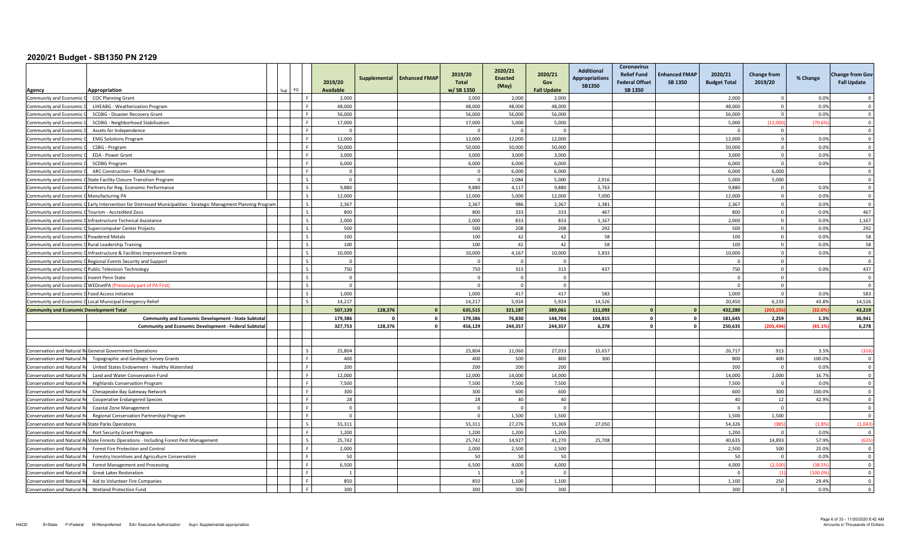| Agency                                               | Appropriation                                                                                                    | FO<br>Sup I | 2019/20<br><b>Available</b> | Supplemental | <b>Enhanced FMAP</b> | 2019/20<br><b>Total</b><br>w/SB 1350 | 2020/21<br><b>Enacted</b><br>(May) | 2020/21<br>Gov<br><b>Fall Update</b> | Additional<br><b>Appropriations</b><br><b>SB1350</b> | Coronavirus<br><b>Relief Fund</b><br><b>Federal Offset</b><br>SB 1350 | <b>Enhanced FMAP</b><br><b>SB 1350</b> | 2020/21<br><b>Budget Total</b> | <b>Change from</b><br>2019/20 | % Change | <b>Change from Gov</b><br><b>Fall Update</b> |
|------------------------------------------------------|------------------------------------------------------------------------------------------------------------------|-------------|-----------------------------|--------------|----------------------|--------------------------------------|------------------------------------|--------------------------------------|------------------------------------------------------|-----------------------------------------------------------------------|----------------------------------------|--------------------------------|-------------------------------|----------|----------------------------------------------|
| Community and Economic D                             | <b>COC Planning Grant</b>                                                                                        |             | 2,000                       |              |                      | 2,000                                | 2,000                              | 2.000                                |                                                      |                                                                       |                                        | 2,000                          | $\Omega$                      | 0.0%     |                                              |
| Community and Economic                               | LIHEABG - Weatherization Program                                                                                 |             | 48,000                      |              |                      | 48,000                               | 48,000                             | 48,000                               |                                                      |                                                                       |                                        | 48,000                         | $\Omega$                      | 0.0%     | $\Omega$                                     |
| Community and Economic                               | SCDBG - Disaster Recovery Grant                                                                                  |             | 56,000                      |              |                      | 56,000                               | 56,000                             | 56,000                               |                                                      |                                                                       |                                        | 56,000                         | $\Omega$                      | 0.0%     | $\overline{\mathbf{0}}$                      |
| Community and Economic                               | SCDBG - Neighborhood Stabilization                                                                               |             | 17,000                      |              |                      | 17,000                               | 5,000                              | 5,000                                |                                                      |                                                                       |                                        | 5,000                          | (12.000)                      | (70.69)  | $\Omega$                                     |
| <b>Community and Economic</b>                        | Assets for Independence                                                                                          |             | $\Omega$                    |              |                      | $\Omega$                             | $\Omega$                           | $\Omega$                             |                                                      |                                                                       |                                        | - 0                            | $\mathbf{0}$                  |          | $\Omega$                                     |
| Community and Economic                               | <b>EMG Solutions Program</b>                                                                                     |             | 12,000                      |              |                      | 12,000                               | 12,000                             | 12,000                               |                                                      |                                                                       |                                        | 12,000                         | $\mathbf 0$                   | 0.0%     | $\overline{\mathbf{0}}$                      |
| Community and Economic                               | CSBG - Program                                                                                                   |             | 50,000                      |              |                      | 50,000                               | 50,000                             | 50,000                               |                                                      |                                                                       |                                        | 50,000                         | $\Omega$                      | 0.0%     | $\Omega$                                     |
| <b>Community and Economic</b>                        | EDA - Power Grant                                                                                                |             | 3.000                       |              |                      | 3.000                                | 3.000                              | 3.000                                |                                                      |                                                                       |                                        | 3.000                          | $\Omega$                      | 0.0%     | $\Omega$                                     |
| Community and Economic                               | <b>SCDBG Program</b>                                                                                             |             | 6,000                       |              |                      | 6,000                                | 6,000                              | 6,000                                |                                                      |                                                                       |                                        | 6,000                          | $\mathbf{0}$                  | 0.0%     | $\overline{0}$                               |
| Community and Economic                               | ARC Construction - RSBA Program                                                                                  |             | $\Omega$                    |              |                      | $\Omega$                             | 6,000                              | 6,000                                |                                                      |                                                                       |                                        | 6,000                          | 6,000                         |          | $\Omega$                                     |
|                                                      | Community and Economic D State Facility Closure Transition Program                                               |             | $\Omega$                    |              |                      | $\Omega$                             | 2.084                              | 5.000                                | 2,916                                                |                                                                       |                                        | 5.000                          | 5.000                         |          | $\overline{0}$                               |
|                                                      | Community and Economic D Partners.for Reg. Economic Performance                                                  |             | 9,880                       |              |                      | 9,880                                | 4,117                              | 9,880                                | 5,763                                                |                                                                       |                                        | 9,880                          | $\mathbf 0$                   | 0.0%     | $\overline{\mathbf{0}}$                      |
| Community and Economic D Manufacturing PA            |                                                                                                                  |             | 12.000                      |              |                      | 12.000                               | 5.000                              | 12.000                               | 7,000                                                |                                                                       |                                        | 12,000                         | $\overline{0}$                | 0.0%     | $\Omega$                                     |
|                                                      | Community and Economic D Early Intervention for Distressed Municipalities - Strategic Managment Planning Program |             | 2.367                       |              |                      | 2.367                                | 986                                | 2,367                                | 1,381                                                |                                                                       |                                        | 2.367                          | $\circ$                       | 0.0%     | $\Omega$                                     |
| Community and Economic D Tourism - Accredited Zoos   |                                                                                                                  |             | 800                         |              |                      | 800                                  | 333                                | 333                                  | 467                                                  |                                                                       |                                        | 800                            | $\overline{0}$                | 0.0%     | 467                                          |
|                                                      | Community and Economic D Infrastructure Technical Assistance                                                     |             | 2,000                       |              |                      | 2,000                                | 833                                | 833                                  | 1,167                                                |                                                                       |                                        | 2,000                          | $\circ$                       | 0.0%     | 1,167                                        |
|                                                      | Community and Economic D Supercomputer Center Projects                                                           |             | 500                         |              |                      | 500                                  | 208                                | 208                                  | 292                                                  |                                                                       |                                        | 500                            | $\mathbf{0}$                  | 0.0%     | 292                                          |
| Community and Economic D Powdered Metals             |                                                                                                                  |             | 100                         |              |                      | 100                                  | 42                                 | 42                                   | 58                                                   |                                                                       |                                        | 100                            | $\mathbf 0$                   | 0.0%     | 58                                           |
| Community and Economic D Rural Leadership Training   |                                                                                                                  |             | 100                         |              |                      | 100                                  | 42                                 | 42                                   | 58                                                   |                                                                       |                                        | 100                            | $\mathbf{0}$                  | 0.0%     | 58                                           |
|                                                      | Community and Economic D Infrastructure & Facilities Improvement Grants                                          |             | 10,000                      |              |                      | 10,000                               | 4,167                              | 10.000                               | 5,833                                                |                                                                       |                                        | 10,000                         | $\circ$                       | 0.0%     | $\Omega$                                     |
|                                                      | Community and Economic D Regional Events Security and Support                                                    |             | $\Omega$                    |              |                      |                                      | $\Omega$                           | $\circ$                              |                                                      |                                                                       |                                        | - 0                            | $\circ$                       |          | $\overline{\mathbf{0}}$                      |
|                                                      | Community and Economic D Public Television Technology                                                            |             | 750                         |              |                      | 750                                  | 313                                | 313                                  | 437                                                  |                                                                       |                                        | 750                            | $\overline{0}$                | 0.0%     | 437                                          |
| Community and Economic D Invent Penn State           |                                                                                                                  |             | $\Omega$                    |              |                      | $\Omega$                             | $\Omega$                           | $\mathbf{0}$                         |                                                      |                                                                       |                                        | $\Omega$                       | $\mathbf{0}$                  |          | $\Omega$                                     |
|                                                      | Community and Economic D WEDnetPA (Previously part of PA First)                                                  |             | $\Omega$                    |              |                      |                                      | $\Omega$                           | $\Omega$                             |                                                      |                                                                       |                                        | $\Omega$                       | $\circ$                       |          | $\Omega$                                     |
| Community and Economic D Food Access Initiative      |                                                                                                                  |             | 1,000                       |              |                      | 1,000                                | 417                                | 417                                  | 583                                                  |                                                                       |                                        | 1,000                          | $\Omega$                      | 0.0%     | 583                                          |
|                                                      | Community and Economic D Local Municipal Emergency Relief                                                        |             | 14,217                      |              |                      | 14,217                               | 5,924                              | 5,924                                | 14,526                                               |                                                                       |                                        | 20,450                         | 6,233                         | 43.8%    | 14,526                                       |
| <b>Community and Economic Development Total</b>      |                                                                                                                  |             | 507,139                     | 128,376      |                      | 635,515                              | 321,187                            | 389,061                              | 111,093                                              | $\mathbf{0}$                                                          |                                        | 432,280                        | (203.235                      | (32.09   | 43,219                                       |
|                                                      | <b>Community and Economic Development - State Subtota</b>                                                        |             | 179,386                     | $\sqrt{2}$   | $\mathbf{0}$         | 179,386                              | 76,830                             | 144,704                              | 104,815                                              | $\mathbf 0$                                                           |                                        | 181,645                        | 2,259                         | 1.3%     | 36,941                                       |
|                                                      | <b>Community and Economic Development - Federal Subtotal</b>                                                     |             | 327.753                     | 128.376      | $\Omega$             | 456,129                              | 244.357                            | 244.357                              | 6,278                                                | $\Omega$                                                              |                                        | 250,635                        | (205.494)                     | (45.1%   | 6,278                                        |
|                                                      |                                                                                                                  |             |                             |              |                      |                                      |                                    |                                      |                                                      |                                                                       |                                        |                                |                               |          |                                              |
|                                                      |                                                                                                                  |             |                             |              |                      |                                      |                                    |                                      |                                                      |                                                                       |                                        |                                |                               |          |                                              |
|                                                      | <b>Conservation and Natural ReGeneral Government Operations</b>                                                  |             | 25.804                      |              |                      | 25.804                               | 11.060                             | 27.033                               | 15,657                                               |                                                                       |                                        | 26.717                         | 913                           | 3.5%     | (316)                                        |
| Conservation and Natural R                           | Topographic and Geologic Survey Grants                                                                           |             | 400                         |              |                      | 400                                  | 500                                | 800                                  | 300                                                  |                                                                       |                                        | 800                            | 400                           | 100.0%   | $^{\circ}$                                   |
| Conservation and Natural F                           | United States Endowment - Healthy Watershed                                                                      |             | 200                         |              |                      | 200                                  | 200                                | 200                                  |                                                      |                                                                       |                                        | 200                            | $\overline{0}$                | 0.0%     | $\overline{0}$                               |
| <b>Conservation and Natural F</b>                    | Land and Water Conservation Fund                                                                                 |             | 12.000                      |              |                      | 12.000                               | 14.000                             | 14.000                               |                                                      |                                                                       |                                        | 14.000                         | 2,000                         | 16.7%    | $\overline{0}$                               |
| Conservation and Natural I                           | <b>Highlands Conservation Program</b>                                                                            |             | 7,500                       |              |                      | 7,500                                | 7,500                              | 7,500                                |                                                      |                                                                       |                                        | 7,500                          | $\mathbf{0}$                  | 0.0%     | $\overline{\mathbf{0}}$                      |
| Conservation and Natural Re                          | Chesapeake Bay Gateway Network                                                                                   |             | 300                         |              |                      | 300                                  | 600                                | 600                                  |                                                      |                                                                       |                                        | 600                            | 300                           | 100.0%   | $\Omega$                                     |
| Conservation and Natural R                           | <b>Cooperative Endangered Species</b>                                                                            |             | 28                          |              |                      | 28                                   | 40                                 | 40                                   |                                                      |                                                                       |                                        | 40                             | 12                            | 42.9%    | $\Omega$                                     |
| <b>Conservation and Natural F</b>                    | Coastal Zone Management                                                                                          |             | $\overline{\mathbf{0}}$     |              |                      |                                      | $\Omega$                           | $\Omega$                             |                                                      |                                                                       |                                        | - 0                            | $\overline{0}$                |          | $\overline{0}$                               |
| <b>Conservation and Natural R</b>                    | Regional Conservation Partnership Program                                                                        |             | $\Omega$                    |              |                      | $\Omega$                             | 1.500                              | 1.500                                |                                                      |                                                                       |                                        | 1,500                          | 1,500                         |          | $\Omega$                                     |
| Conservation and Natural ReState Parks Operations    |                                                                                                                  |             | 55,311                      |              |                      | 55,311                               | 27,276                             | 55,369                               | 27,050                                               |                                                                       |                                        | 54,326                         | (985)                         | (1.8%    | (1,043)                                      |
| <b>Conservation and Natural F</b>                    | Port Security Grant Program                                                                                      |             | 1,200                       |              |                      | 1,200                                | 1,200                              | 1,200                                |                                                      |                                                                       |                                        | 1,200                          | $\Omega$                      | 0.0%     | $\overline{\mathbf{0}}$                      |
|                                                      | Conservation and Natural ReState Forests Operations - Including Forest Pest Management                           |             | 25,742                      |              |                      | 25,742                               | 14,927                             | 41,270                               | 25,708                                               |                                                                       |                                        | 40,635                         | 14,893                        | 57.9%    | (635)                                        |
| Conservation and Natural Re                          | Forest Fire Protection and Control                                                                               |             | 2,000                       |              |                      | 2,000                                | 2,500                              | 2.500                                |                                                      |                                                                       |                                        | 2,500                          | 500                           | 25.0%    | $\Omega$                                     |
| <b>Conservation and Natural R</b>                    | Forestry Incentives and Agriculture Conservation                                                                 |             | 50                          |              |                      | 50                                   | 50                                 | 50                                   |                                                      |                                                                       |                                        | 50                             | $\Omega$                      | 0.0%     | $\Omega$                                     |
| <b>Conservation and Natural R</b>                    | Forest Management and Processing                                                                                 |             | 6,500                       |              |                      | 6,500                                | 4,000                              | 4,000                                |                                                      |                                                                       |                                        | 4,000                          | (2.500)                       | (38.5)   | $\overline{\mathbf{0}}$                      |
| <b>Conservation and Natural R</b>                    | <b>Great Lakes Restoration</b>                                                                                   |             | $\overline{1}$              |              |                      |                                      | $\overline{0}$                     | $\overline{0}$                       |                                                      |                                                                       |                                        | $\sqrt{ }$                     | (1)                           | (100.09) | $\overline{0}$                               |
| <b>Conservation and Natural F</b>                    | Aid to Volunteer Fire Companies                                                                                  |             | 850                         |              |                      | 850                                  | 1.100                              | 1.100                                |                                                      |                                                                       |                                        | 1.100                          | 250                           | 29.4%    | $\Omega$                                     |
| Conservation and Natural Re  Wetland Protection Fund |                                                                                                                  |             | 300                         |              |                      | 300                                  | 300                                | 300                                  |                                                      |                                                                       |                                        | 300                            | $\mathbf 0$                   | 0.0%     | $\mathbf 0$                                  |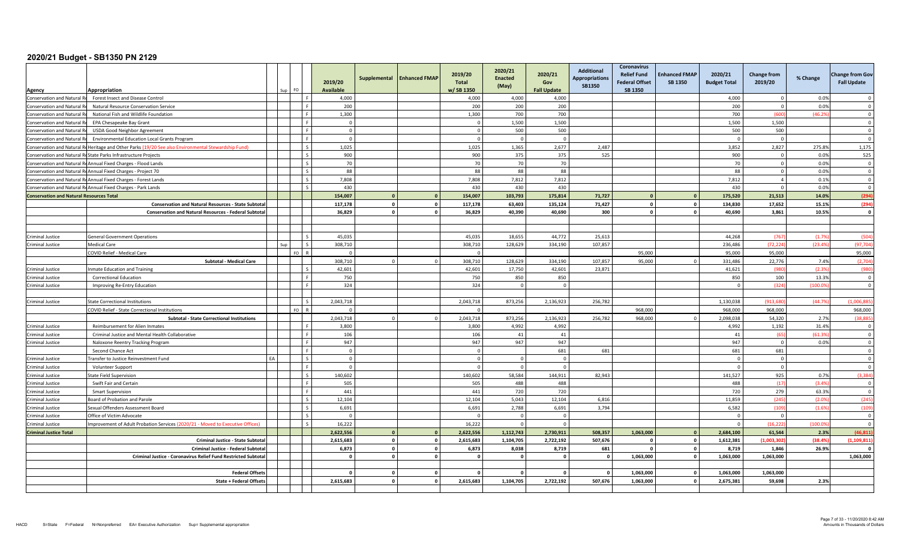|                                                                   |                                                                                                     |     |            | 2019/20<br>Available  | Supplemental            | <b>Enhanced FMAP</b> | 2019/20<br>Total<br>w/SB 1350 | 2020/21<br><b>Enacted</b><br>(May) | 2020/21<br>Gov<br><b>Fall Update</b> | <b>Additional</b><br><b>Appropriations</b><br><b>SB1350</b> | <b>Coronavirus</b><br><b>Relief Fund</b><br><b>Enhanced FMAP</b><br><b>Federal Offset</b><br><b>SB 1350</b><br><b>SB 1350</b> | 2020/21<br><b>Budget Total</b> | Change from<br>2019/20 | % Change       | <b>Change from Gov</b><br><b>Fall Update</b> |
|-------------------------------------------------------------------|-----------------------------------------------------------------------------------------------------|-----|------------|-----------------------|-------------------------|----------------------|-------------------------------|------------------------------------|--------------------------------------|-------------------------------------------------------------|-------------------------------------------------------------------------------------------------------------------------------|--------------------------------|------------------------|----------------|----------------------------------------------|
| Agency                                                            | Appropriation<br>Forest Insect and Disease Control                                                  | FO. |            | 4,000                 |                         |                      | 4,000                         | 4,000                              | 4,000                                |                                                             |                                                                                                                               |                                | $\Omega$               | 0.0%           | $\Omega$                                     |
| Conservation and Natural Re<br><b>Conservation and Natural Re</b> | Natural Resource Conservation Service                                                               |     |            | 200                   |                         |                      | 200                           | 200                                | 200                                  |                                                             |                                                                                                                               | 4,000<br>200                   | $\Omega$               | 0.0%           | $\Omega$                                     |
| Conservation and Natural F                                        | National Fish and Wildlife Foundation                                                               |     |            | 1,300                 |                         |                      | 1,300                         | 700                                | 700                                  |                                                             |                                                                                                                               | 700                            | (600)                  | (46.29)        | $\overline{0}$                               |
| Conservation and Natural I                                        | EPA Chesapeake Bay Grant                                                                            |     |            | $\overline{0}$        |                         |                      |                               | 1,500                              | 1,500                                |                                                             |                                                                                                                               | 1,500                          | 1,500                  |                | $\overline{0}$                               |
| Conservation and Natural F                                        | <b>USDA Good Neighbor Agreement</b>                                                                 |     |            | $\overline{0}$        |                         |                      | $\Omega$                      | 500                                | 500                                  |                                                             |                                                                                                                               | 500                            | 500                    |                | $\Omega$                                     |
| Conservation and Natural R                                        | Environmental Education Local Grants Program                                                        |     |            | $\Omega$              |                         |                      | $\Omega$                      | $\Omega$                           | $\Omega$                             |                                                             |                                                                                                                               |                                | $\overline{0}$         |                | $\overline{0}$                               |
|                                                                   | Conservation and Natural ReHeritage and Other Parks (19/20 See also Environmental Stewardship Fund) |     |            | 1,025                 |                         |                      | 1,025                         | 1,365                              | 2,677                                | 2,487                                                       |                                                                                                                               | 3,852                          | 2,827                  | 275.8%         | 1,175                                        |
|                                                                   | Conservation and Natural ReState Parks Infrastructure Projects                                      |     |            | 900                   |                         |                      | 900                           | 375                                | 375                                  | 525                                                         |                                                                                                                               | 900                            | $\Omega$               | 0.0%           | 525                                          |
|                                                                   | Conservation and Natural ReAnnual Fixed Charges - Flood Lands                                       |     |            | 70                    |                         |                      | 70                            | 70                                 | 70                                   |                                                             |                                                                                                                               | 70                             | $\overline{0}$         | 0.0%           | $\mathbf 0$                                  |
|                                                                   | Conservation and Natural ReAnnual Fixed Charges - Project 70                                        |     |            | 88                    |                         |                      | 88                            | 88                                 | 88                                   |                                                             |                                                                                                                               | 88                             | $\overline{0}$         | 0.0%           | $\overline{0}$                               |
|                                                                   | Conservation and Natural ReAnnual Fixed Charges - Forest Lands                                      |     |            | 7,808                 |                         |                      | 7,808                         | 7,812                              | 7,812                                |                                                             |                                                                                                                               | 7,812                          | $\overline{a}$         | 0.1%           | $\Omega$                                     |
|                                                                   | Conservation and Natural ReAnnual Fixed Charges - Park Lands                                        |     |            | 430                   |                         |                      | 430                           | 430                                | 430                                  |                                                             |                                                                                                                               | 430                            | $\overline{0}$         | 0.0%           | $\overline{0}$                               |
| <b>Conservation and Natural Resources Total</b>                   |                                                                                                     |     |            | 154,007               | $\Omega$                | $\Omega$             | 154,007                       | 103,793                            | 175,814                              | 71,727                                                      | $\Omega$                                                                                                                      | 175,520<br>$\mathbf{0}$        | 21,513                 | 14.0%          | (294)                                        |
|                                                                   | <b>Conservation and Natural Resources - State Subtotal</b>                                          |     |            | 117,178               | $\mathbf{0}$            | $\mathbf{0}$         | 117,178                       | 63,403                             | 135,124                              | 71,427                                                      | $\mathbf{0}$                                                                                                                  | 134,830<br>$\mathbf{0}$        | 17,652                 | 15.1%          | (294)                                        |
|                                                                   | <b>Conservation and Natural Resources - Federal Subtotal</b>                                        |     |            | 36.829                | $\mathbf{0}$            | $\mathbf{0}$         | 36.829                        | 40.390                             | 40.690                               | 300                                                         | $\Omega$                                                                                                                      | $\circ$<br>40.690              | 3.861                  | 10.5%          | $\mathbf{0}$                                 |
|                                                                   |                                                                                                     |     |            |                       |                         |                      |                               |                                    |                                      |                                                             |                                                                                                                               |                                |                        |                |                                              |
|                                                                   |                                                                                                     |     |            |                       |                         |                      |                               |                                    |                                      |                                                             |                                                                                                                               |                                |                        |                |                                              |
| <b>Criminal Justice</b>                                           | <b>General Government Operations</b>                                                                |     |            | 45.035                |                         |                      | 45.035                        | 18.655                             | 44.772                               | 25,613                                                      |                                                                                                                               | 44.268                         | (767)                  | (1.79)         | (504)                                        |
| Criminal Justice                                                  | <b>Medical Care</b>                                                                                 |     | $F \cap R$ | 308,710<br>$\sqrt{ }$ |                         |                      | 308,710                       | 128,629                            | 334,190                              | 107,857                                                     |                                                                                                                               | 236,486                        | (72, 224)<br>95.000    | (23.4%         | (97, 704)                                    |
|                                                                   | COVID Relief - Medical Care                                                                         |     |            | 308.710               | $\Omega$                |                      | 308.710                       | 128.629                            |                                      |                                                             | 95.000                                                                                                                        | 95.000                         | 22.776                 |                | 95,000                                       |
|                                                                   | <b>Subtotal - Medical Care</b>                                                                      |     |            |                       |                         |                      |                               |                                    | 334.190                              | 107.857                                                     | 95,000                                                                                                                        | 331.486                        |                        | 7.4%           | (2,704)                                      |
| Criminal Justice                                                  | nmate Education and Training                                                                        |     |            | 42,601<br>750         |                         |                      | 42,601<br>750                 | 17,750<br>850                      | 42,601<br>850                        | 23,871                                                      |                                                                                                                               | 41,621<br>850                  | (980<br>100            | (2.3%<br>13.3% | (980<br>$\overline{0}$                       |
| Criminal Justice                                                  | <b>Correctional Education</b>                                                                       |     |            | 324                   |                         |                      | 324                           | $\overline{0}$                     | $\circ$                              |                                                             |                                                                                                                               | - 0                            | (324)                  | (100.09)       | $\overline{0}$                               |
| Criminal Justice                                                  | Improving Re-Entry Education                                                                        |     |            |                       |                         |                      |                               |                                    |                                      |                                                             |                                                                                                                               |                                |                        |                |                                              |
| Criminal Justice                                                  | State Correctional Institutions                                                                     |     |            | 2,043,718             |                         |                      | 2,043,718                     | 873,256                            | 2,136,923                            | 256,782                                                     |                                                                                                                               | 1,130,038                      | (913, 680)             | (44.7%         | (1,006,885)                                  |
|                                                                   | COVID Relief - State Correctional Institutions                                                      |     | FO.        | $\Omega$              |                         |                      |                               |                                    |                                      |                                                             | 968,000                                                                                                                       | 968,000                        | 968.000                |                | 968,000                                      |
|                                                                   | <b>Subtotal - State Correctional Institutions</b>                                                   |     |            | 2,043,718             | $\Omega$                |                      | 2,043,718                     | 873,256                            | 2,136,923                            | 256,782                                                     | 968,000                                                                                                                       | 2,098,038                      | 54,320                 | 2.7%           | (38, 885)                                    |
| Criminal Justice                                                  | Reimbursement for Alien Inmates                                                                     |     |            | 3,800                 |                         |                      | 3,800                         | 4,992                              | 4,992                                |                                                             |                                                                                                                               | 4,992                          | 1,192                  | 31.4%          | $\overline{0}$                               |
| Criminal Justice                                                  | Criminal Justice and Mental Health Collaborative                                                    |     |            | 106                   |                         |                      | 106                           | 41                                 | 41                                   |                                                             |                                                                                                                               | 41                             | (65)                   | (61.3%         | $\Omega$                                     |
| Criminal Justice                                                  | Naloxone Reentry Tracking Program                                                                   |     |            | 947                   |                         |                      | 947                           | 947                                | 947                                  |                                                             |                                                                                                                               | 947                            | $\overline{0}$         | 0.0%           | $\overline{0}$                               |
|                                                                   | Second Chance Act                                                                                   |     |            | $\overline{0}$        |                         |                      |                               |                                    | 681                                  | 681                                                         |                                                                                                                               | 681                            | 681                    |                | $\Omega$                                     |
| Criminal Justice                                                  | ransfer to Justice Reinvestment Fund                                                                |     |            | $\overline{0}$        |                         |                      |                               | $\Omega$                           | $\Omega$                             |                                                             |                                                                                                                               |                                | $\Omega$               |                | $\Omega$                                     |
| Criminal Justice                                                  | Volunteer Support                                                                                   |     |            | $\Omega$              |                         |                      |                               | $\Omega$                           | $\Omega$                             |                                                             |                                                                                                                               |                                | $\overline{0}$         |                | $\overline{0}$                               |
| <b>Criminal Justice</b>                                           | <b>State Field Supervision</b>                                                                      |     | $\sim$     | 140,602               |                         |                      | 140,602                       | 58,584                             | 144,911                              | 82,943                                                      |                                                                                                                               | 141,527                        | 925                    | 0.7%           | (3, 384)                                     |
| <b>Criminal Justice</b>                                           | Swift Fair and Certain                                                                              |     |            | 505                   |                         |                      | 505                           | 488                                | 488                                  |                                                             |                                                                                                                               | 488                            | (17)                   | (3.4%          | $\overline{0}$                               |
| <b>Criminal Justice</b>                                           | <b>Smart Supervision</b>                                                                            |     |            | 441                   |                         |                      | 441                           | 720                                | 720                                  |                                                             |                                                                                                                               | 720                            | 279                    | 63.3%          | $\overline{0}$                               |
| Criminal Justice                                                  | Board of Probation and Parole                                                                       |     |            | 12,104                |                         |                      | 12,104                        | 5,043                              | 12,104                               | 6,816                                                       |                                                                                                                               | 11,859                         | (245)                  | (2.0%          | (245)                                        |
| Criminal Justice                                                  | Sexual Offenders Assessment Board                                                                   |     |            | 6,691                 |                         |                      | 6,691                         | 2,788                              | 6,691                                | 3,794                                                       |                                                                                                                               | 6,582                          | (109)                  | (1.6%          | (109)                                        |
| Criminal Justice                                                  | Office of Victim Advocate                                                                           |     |            | $\Omega$              |                         |                      |                               | $\Omega$                           | $\mathbf 0$                          |                                                             |                                                                                                                               |                                | $\Omega$               |                | $\overline{0}$                               |
| Criminal Justice                                                  | mprovement of Adult Probation Services (2020/21 - Moved to Executive Offices)                       |     |            | 16,222                |                         |                      | 16,222                        | $\Omega$                           | $\circ$                              |                                                             |                                                                                                                               | $\sqrt{ }$                     | (16, 222)              | (100.0)        | $\Omega$                                     |
| <b>Criminal Justice Total</b>                                     |                                                                                                     |     |            | 2,622,556             | $\mathbf{0}$            |                      | 2,622,556                     | 1,112,743                          | 2,730,911                            | 508,357                                                     | 1,063,000                                                                                                                     | 2,684,100<br>$\Omega$          | 61,544                 | 2.3%           | (46, 811)                                    |
|                                                                   | <b>Criminal Justice - State Subtotal</b>                                                            |     |            | 2.615.683             | $\overline{\mathbf{0}}$ | $\mathbf{0}$         | 2.615.683                     | 1.104.705                          | 2,722,192                            | 507,676                                                     | $\mathbf{0}$                                                                                                                  | 1,612,381<br>$\mathbf{0}$      | (1.003.302)            | (38.4%         | (1.109.811)                                  |
|                                                                   | Criminal Justice - Federal Subtotal                                                                 |     |            | 6,873                 | $\circ$                 | $\mathbf{0}$         | 6,873                         | 8,038                              | 8,719                                | 681                                                         | $\mathbf{0}$                                                                                                                  | $\mathbf{0}$<br>8,719          | 1,846                  | 26.9%          | $\sqrt{2}$                                   |
|                                                                   | Criminal Justice - Coronavirus Relief Fund Restricted Subtotal                                      |     |            | - 0                   | $\mathbf{0}$            | $\mathbf{0}$         |                               | $\sqrt{2}$                         | $\mathbf{0}$                         | $\sqrt{2}$                                                  | 1,063,000                                                                                                                     | $\mathbf{0}$<br>1,063,000      | 1,063,000              |                | 1,063,000                                    |
|                                                                   |                                                                                                     |     |            |                       |                         |                      |                               |                                    |                                      |                                                             |                                                                                                                               |                                |                        |                |                                              |
|                                                                   | <b>Federal Offset:</b>                                                                              |     |            | $\Omega$              | $\mathbf{0}$            | $\Omega$             |                               | $\mathbf{0}$                       | $\mathbf{0}$                         |                                                             | 1,063,000                                                                                                                     | $\mathbf{0}$<br>1,063,000      | 1,063,000              |                |                                              |
|                                                                   | State + Federal Offset:                                                                             |     |            | 2,615,683             | $\Omega$                | $\Omega$             | 2,615,683                     | 1,104,705                          | 2,722,192                            | 507,676                                                     | 1,063,000                                                                                                                     | $\circ$<br>2,675,381           | 59,698                 | 2.3%           |                                              |
|                                                                   |                                                                                                     |     |            |                       |                         |                      |                               |                                    |                                      |                                                             |                                                                                                                               |                                |                        |                |                                              |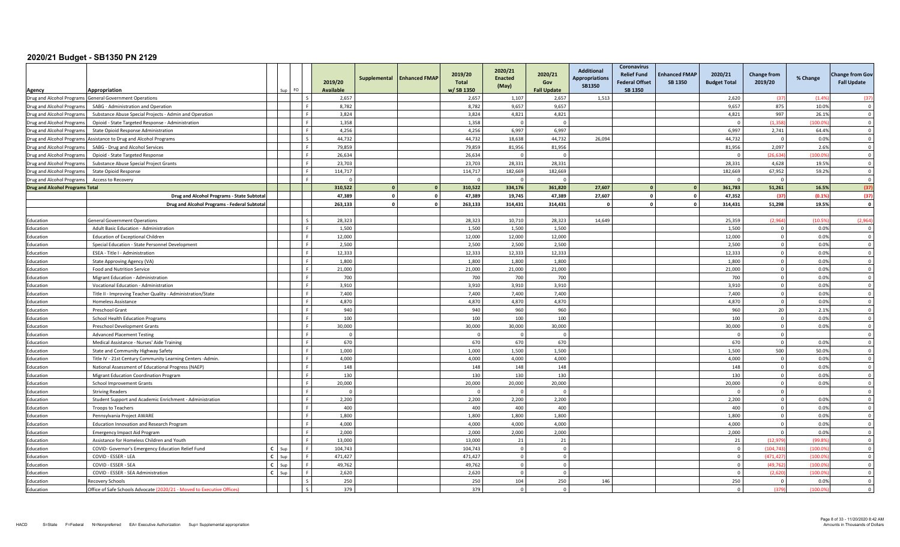|                                        |                                                                                                                            |              | FO. |              | 2019/20<br><b>Available</b> |          | Supplemental   Enhanced FMAP | 2019/20<br>Total<br>w/SB 1350 | 2020/21<br><b>Enacted</b><br>(May) | 2020/21<br>Gov<br><b>Fall Update</b> | Additional<br><b>Appropriations</b><br><b>SB1350</b> | <b>Coronavirus</b><br><b>Relief Fund</b><br><b>Federal Offset</b><br><b>SB 1350</b> | <b>Enhanced FMAP</b><br><b>SB 1350</b> | 2020/21<br><b>Budget Total</b> | <b>Change from</b><br>2019/20 | % Change | <b>Change from Gov</b><br><b>Fall Update</b> |
|----------------------------------------|----------------------------------------------------------------------------------------------------------------------------|--------------|-----|--------------|-----------------------------|----------|------------------------------|-------------------------------|------------------------------------|--------------------------------------|------------------------------------------------------|-------------------------------------------------------------------------------------|----------------------------------------|--------------------------------|-------------------------------|----------|----------------------------------------------|
| Agency                                 | Appropriation                                                                                                              |              |     | ΙS           | 2,657                       |          |                              | 2,657                         | 1,107                              | 2,657                                |                                                      |                                                                                     |                                        | 2,620                          | -637                          | (1.49)   | (37)                                         |
|                                        | Drug and Alcohol Programs General Government Operations<br>Drug and Alcohol Programs   SABG - Administration and Operation |              |     |              | 8,782                       |          |                              | 8,782                         | 9,657                              | 9,657                                | 1,513                                                |                                                                                     |                                        | 9,657                          | 875                           | 10.0%    | $\Omega$                                     |
| Drug and Alcohol Programs              | Substance Abuse Special Projects - Admin and Operation                                                                     |              |     | l c          | 3,824                       |          |                              | 3,824                         | 4,821                              | 4,821                                |                                                      |                                                                                     |                                        | 4,821                          | 997                           | 26.1%    | $\Omega$                                     |
| Drug and Alcohol Programs              | Opioid - State Targeted Response - Administration                                                                          |              |     | l c          | 1,358                       |          |                              | 1,358                         | $\sqrt{ }$                         | $\Omega$                             |                                                      |                                                                                     |                                        | $\Omega$                       | (1.358)                       | (100.09) | $\overline{\mathbf{0}}$                      |
| Drug and Alcohol Programs              | State Opioid Response Administration                                                                                       |              |     | Lε           | 4,256                       |          |                              | 4,256                         | 6,997                              | 6,997                                |                                                      |                                                                                     |                                        | 6,997                          | 2,741                         | 64.4%    | $\Omega$                                     |
|                                        | Drug and Alcohol Programs Assistance to Drug and Alcohol Programs                                                          |              |     | Ιs           | 44,732                      |          |                              | 44,732                        | 18,638                             | 44,732                               | 26,094                                               |                                                                                     |                                        | 44,732                         | $\Omega$                      | 0.0%     | $\Omega$                                     |
| Drug and Alcohol Programs              | SABG - Drug and Alcohol Services                                                                                           |              |     |              | 79,859                      |          |                              | 79,859                        | 81,956                             | 81,956                               |                                                      |                                                                                     |                                        | 81,956                         | 2,097                         | 2.6%     | $\Omega$                                     |
| Drug and Alcohol Programs              | Opioid - State Targeted Response                                                                                           |              |     |              | 26,634                      |          |                              | 26,634                        | $\Omega$                           |                                      |                                                      |                                                                                     |                                        | $\sqrt{ }$                     | (26.634)                      | (100.09) | $\Omega$                                     |
| Drug and Alcohol Programs              | Substance Abuse Special Project Grants                                                                                     |              |     | ΙF           | 23,703                      |          |                              | 23,703                        | 28,331                             | 28,331                               |                                                      |                                                                                     |                                        | 28,331                         | 4,628                         | 19.5%    | $\overline{0}$                               |
| Drug and Alcohol Programs              | <b>State Opioid Response</b>                                                                                               |              |     | l F          | 114,717                     |          |                              | 114,717                       | 182,669                            | 182,669                              |                                                      |                                                                                     |                                        | 182,669                        | 67,952                        | 59.2%    | $\overline{0}$                               |
| Drug and Alcohol Programs              | Access to Recovery                                                                                                         |              |     | Lε           |                             |          |                              |                               | $\Omega$                           |                                      |                                                      |                                                                                     |                                        | $\sqrt{ }$                     | - 0                           |          | $\overline{0}$                               |
| <b>Drug and Alcohol Programs Total</b> |                                                                                                                            |              |     |              | 310,522                     |          | $\mathbf{0}$                 | 310,522                       | 334,176                            | 361,820                              | 27,607                                               |                                                                                     |                                        | 361,783                        | 51,261                        | 16.5%    | (37)                                         |
|                                        | Drug and Alcohol Programs - State Subtota                                                                                  |              |     |              | 47,389                      | $\Omega$ | $\overline{\mathbf{0}}$      | 47,389                        | 19,745                             | 47,389                               | 27,607                                               |                                                                                     |                                        | 47,352                         | 737                           | (0.1%    | (37)                                         |
|                                        | Drug and Alcohol Programs - Federal Subtotal                                                                               |              |     |              | 263,133                     | $\Omega$ | $\circ$                      | 263,133                       | 314,431                            | 314,431                              | $\Omega$                                             |                                                                                     |                                        | 314,431                        | 51,298                        | 19.5%    | $\Omega$                                     |
|                                        |                                                                                                                            |              |     |              |                             |          |                              |                               |                                    |                                      |                                                      |                                                                                     |                                        |                                |                               |          |                                              |
| Education                              | <b>General Government Operations</b>                                                                                       |              |     | $\mathsf{I}$ | 28,323                      |          |                              | 28,323                        | 10,710                             | 28,323                               | 14,649                                               |                                                                                     |                                        | 25,359                         | (2,964)                       | (10.59)  | (2,964)                                      |
| Education                              | Adult Basic Education - Administration                                                                                     |              |     | Iя           | 1,500                       |          |                              | 1,500                         | 1,500                              | 1,500                                |                                                      |                                                                                     |                                        | 1,500                          | $\Omega$                      | 0.0%     | - 0                                          |
| Education                              | <b>Education of Exceptional Children</b>                                                                                   |              |     | ΙF           | 12,000                      |          |                              | 12,000                        | 12,000                             | 12,000                               |                                                      |                                                                                     |                                        | 12,000                         | $\Omega$                      | 0.0%     | $\overline{\mathbf{0}}$                      |
| Education                              | Special Education - State Personnel Development                                                                            |              |     |              | 2,500                       |          |                              | 2,500                         | 2,500                              | 2,500                                |                                                      |                                                                                     |                                        | 2,500                          | $\Omega$                      | 0.0%     | $\Omega$                                     |
| Education                              | ESEA - Title I - Administration                                                                                            |              |     |              | 12,333                      |          |                              | 12,333                        | 12,333                             | 12,333                               |                                                      |                                                                                     |                                        | 12,333                         | $\Omega$                      | 0.0%     | $\Omega$                                     |
| Education                              | State Approving Agency (VA)                                                                                                |              |     |              | 1.800                       |          |                              | 1.800                         | 1.800                              | 1.800                                |                                                      |                                                                                     |                                        | 1.800                          |                               | 0.0%     | $\Omega$                                     |
| Education                              | Food and Nutrition Service                                                                                                 |              |     | l F          | 21,000                      |          |                              | 21,000                        | 21,000                             | 21,000                               |                                                      |                                                                                     |                                        | 21,000                         | $\overline{0}$                | 0.0%     | $\overline{\mathbf{0}}$                      |
| Education                              | Migrant Education - Administration                                                                                         |              |     | Lε           | 700                         |          |                              | 700                           | 700                                | 700                                  |                                                      |                                                                                     |                                        | 700                            | $\Omega$                      | 0.0%     | $\overline{\mathbf{0}}$                      |
| Education                              | Vocational Education - Administration                                                                                      |              |     | ΙF           | 3,910                       |          |                              | 3,910                         | 3,910                              | 3,910                                |                                                      |                                                                                     |                                        | 3,910                          | $\overline{0}$                | 0.0%     | $\overline{0}$                               |
| Education                              | Title II - Improving Teacher Quality - Administration/State                                                                |              |     | l F          | 7,400                       |          |                              | 7,400                         | 7,400                              | 7,400                                |                                                      |                                                                                     |                                        | 7,400                          | $\Omega$                      | 0.0%     | $\overline{0}$                               |
| Education                              | Homeless Assistance                                                                                                        |              |     |              | 4,870                       |          |                              | 4,870                         | 4,870                              | 4,870                                |                                                      |                                                                                     |                                        | 4,870                          | $\Omega$                      | 0.0%     | $\Omega$                                     |
| Education                              | Preschool Grant                                                                                                            |              |     |              | 940                         |          |                              | 940                           | 960                                | 960                                  |                                                      |                                                                                     |                                        | 960                            | 20                            | 2.1%     | $\Omega$                                     |
| ducation                               | School Health Education Programs                                                                                           |              |     | l c          | 100                         |          |                              | 100                           | 100                                | 100                                  |                                                      |                                                                                     |                                        | 100                            | $\Omega$                      | 0.0%     | $\overline{0}$                               |
| Education                              | Preschool Development Grants                                                                                               |              |     | Iг           | 30,000                      |          |                              | 30,000                        | 30,000                             | 30,000                               |                                                      |                                                                                     |                                        | 30,000                         | $\Omega$                      | 0.0%     | $\overline{\mathbf{0}}$                      |
| Education                              | <b>Advanced Placement Testing</b>                                                                                          |              |     | Lε           | $\Omega$                    |          |                              | $\Omega$                      | $\Omega$                           | $\Omega$                             |                                                      |                                                                                     |                                        | $\Omega$                       | $\Omega$                      |          | $\mathbf{0}$                                 |
| Education                              | Medical Assistance - Nurses' Aide Training                                                                                 |              |     | ΙF           | 670                         |          |                              | 670                           | 670                                | 670                                  |                                                      |                                                                                     |                                        | 670                            | $\overline{0}$                | 0.0%     | $\overline{0}$                               |
| Education                              | State and Community Highway Safety                                                                                         |              |     |              | 1.000                       |          |                              | 1,000                         | 1,500                              | 1.500                                |                                                      |                                                                                     |                                        | 1,500                          | 500                           | 50.0%    | $\Omega$                                     |
| Education                              | Title IV - 21st Century Community Learning Centers -Admin.                                                                 |              |     |              | 4.000                       |          |                              | 4,000                         | 4,000                              | 4,000                                |                                                      |                                                                                     |                                        | 4,000                          | $\Omega$                      | 0.0%     | $\Omega$                                     |
| ducation                               | National Assessment of Educational Progress (NAEP)                                                                         |              |     | ΙF           | 148                         |          |                              | 148                           | 148                                | 148                                  |                                                      |                                                                                     |                                        | 148                            | $\overline{0}$                | 0.0%     | $\overline{\mathbf{0}}$                      |
| Education                              | Migrant Education Coordination Program                                                                                     |              |     | ΙF           | 130                         |          |                              | 130                           | 130                                | 130                                  |                                                      |                                                                                     |                                        | 130                            | $\Omega$                      | 0.0%     | $\overline{0}$                               |
| Education                              | <b>School Improvement Grants</b>                                                                                           |              |     | l F          | 20,000                      |          |                              | 20,000                        | 20,000                             | 20,000                               |                                                      |                                                                                     |                                        | 20,000                         | $\overline{0}$                | 0.0%     | $\overline{0}$                               |
| Education                              | <b>Striving Readers</b>                                                                                                    |              |     | l F          |                             |          |                              | $\Omega$                      | $\Omega$                           |                                      |                                                      |                                                                                     |                                        | $\Omega$                       | $\Omega$                      |          | $\overline{\mathbf{0}}$                      |
| Education                              | Student Support and Academic Enrichment - Administration                                                                   |              |     | l F          | 2,200                       |          |                              | 2,200                         | 2,200                              | 2,200                                |                                                      |                                                                                     |                                        | 2,200                          | $\Omega$                      | 0.0%     | $\Omega$                                     |
| Education                              | Troops to Teachers                                                                                                         |              |     | Iя           | 400                         |          |                              | 400                           | 400                                | 400                                  |                                                      |                                                                                     |                                        | 400                            | $\overline{0}$                | 0.0%     | $\overline{0}$                               |
| Education                              | Pennsylvania Project AWARE                                                                                                 |              |     | l c          | 1,800                       |          |                              | 1,800                         | 1,800                              | 1,800                                |                                                      |                                                                                     |                                        | 1,800                          | $\Omega$                      | 0.0%     | $\overline{0}$                               |
| Education                              | Education Innovation and Research Program                                                                                  |              |     | Iя           | 4,000                       |          |                              | 4,000                         | 4,000                              | 4,000                                |                                                      |                                                                                     |                                        | 4,000                          | $\overline{0}$                | 0.0%     | $\overline{0}$                               |
| Education                              | Emergency Impact Aid Program                                                                                               |              |     | Lε           | 2,000                       |          |                              | 2,000                         | 2,000                              | 2,000                                |                                                      |                                                                                     |                                        | 2,000                          | $\Omega$                      | 0.0%     | $\overline{0}$                               |
| Education                              | Assistance for Homeless Children and Youth                                                                                 |              |     |              | 13,000                      |          |                              | 13,000                        | 21                                 | 21                                   |                                                      |                                                                                     |                                        | 21                             | (12.979)                      | (99.89)  | $\Omega$                                     |
| Education                              | COVID- Governor's Emergency Education Relief Fund                                                                          | $C$ Sup      |     | l F          | 104,743                     |          |                              | 104,743                       | $\Omega$                           | $\Omega$                             |                                                      |                                                                                     |                                        | $\Omega$                       | (104, 743)                    | (100.09) | $\Omega$                                     |
| Education                              | COVID - ESSER - LEA                                                                                                        |              | Sun |              | 471,427                     |          |                              | 471,427                       | $\Omega$                           |                                      |                                                      |                                                                                     |                                        | $\Omega$                       | (471, 42)                     | (100.0)  | $\Omega$                                     |
| Education                              | COVID - ESSER - SEA                                                                                                        | $\mathbf{c}$ | Sur | Iя<br>Iя     | 49,762                      |          |                              | 49,762                        | $\Omega$                           | $\Omega$                             |                                                      |                                                                                     |                                        | $\overline{0}$                 | (49, 76)                      | (100.0)  | $\Omega$                                     |
| Education                              | COVID - ESSER - SEA Administration                                                                                         | $C$ Sup      |     | I۰           | 2,620                       |          |                              | 2,620                         | $\Omega$                           | $\Omega$                             |                                                      |                                                                                     |                                        | $\Omega$                       | (2,620)                       | (100.0)  | $\overline{\mathbf{0}}$                      |
| Education                              | <b>Recovery Schools</b>                                                                                                    |              |     |              | 250                         |          |                              | 250                           | 104                                | 250                                  | 146                                                  |                                                                                     |                                        | 250                            | $\Omega$                      | 0.0%     | $\Omega$                                     |
| Education                              | Office of Safe Schools Advocate (2020/21 - Moved to Executive Offices)                                                     |              |     |              | 379                         |          |                              | 379                           | $\Omega$                           | $\Omega$                             |                                                      |                                                                                     |                                        | $\Omega$                       | (379                          | (100.0)  | $\Omega$                                     |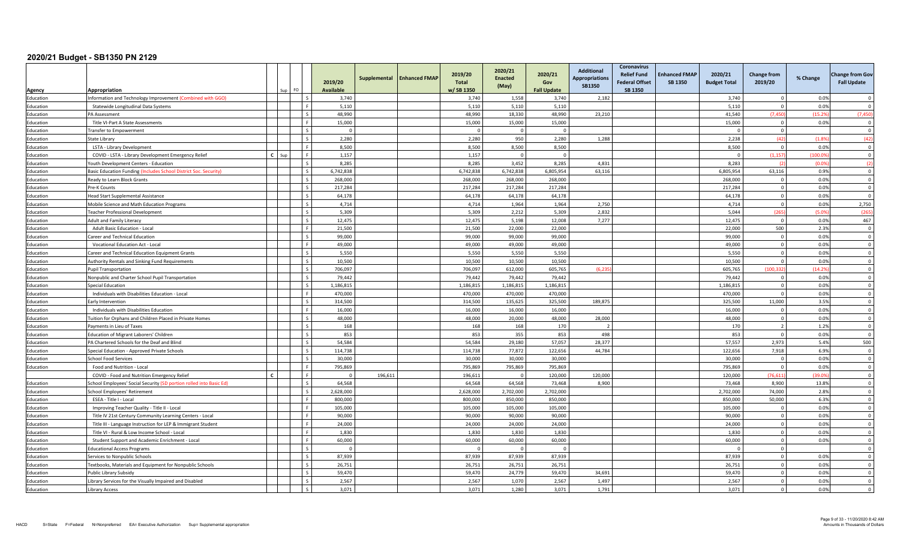| <b>Agency</b> | Appropriation                                                       |   | Sun<br>- FO |                          | 2019/20<br><b>Available</b> | Supplemental | <b>Enhanced FMAF</b> | 2019/20<br><b>Total</b><br>w/SB 1350 | 2020/21<br><b>Enacted</b><br>(May) | 2020/21<br>Gov<br><b>Fall Update</b> | <b>Additional</b><br><b>Appropriations</b><br><b>SB1350</b> | <b>Coronavirus</b><br><b>Relief Fund</b><br><b>Federal Offset</b><br><b>SB 1350</b> | <b>Enhanced FMAP</b><br>SB 1350 | 2020/21<br><b>Budget Total</b> | <b>Change from</b><br>2019/20 | % Change | <b>Change from Gov</b><br><b>Fall Update</b> |
|---------------|---------------------------------------------------------------------|---|-------------|--------------------------|-----------------------------|--------------|----------------------|--------------------------------------|------------------------------------|--------------------------------------|-------------------------------------------------------------|-------------------------------------------------------------------------------------|---------------------------------|--------------------------------|-------------------------------|----------|----------------------------------------------|
| Education     | Information and Technology Improvement (Combined with GGO)          |   |             |                          | 3,740                       |              |                      | 3,740                                | 1,558                              | 3,740                                | 2,182                                                       |                                                                                     |                                 | 3,740                          | $\Omega$                      | 0.0%     | $\Omega$                                     |
| Education     | Statewide Longitudinal Data Systems                                 |   |             |                          | 5,110                       |              |                      | 5,110                                | 5,110                              | 5,110                                |                                                             |                                                                                     |                                 | 5,110                          | $\Omega$                      | 0.0%     | $\Omega$                                     |
| Education     | <b>PA Assessment</b>                                                |   |             |                          | 48.990                      |              |                      | 48.990                               | 18.330                             | 48.990                               | 23,210                                                      |                                                                                     |                                 | 41.540                         | (7, 450)                      | (15.29)  | (7, 450)                                     |
| Education     | Title VI-Part A State Assessments                                   |   |             |                          | 15,000                      |              |                      | 15,000                               | 15,000                             | 15,000                               |                                                             |                                                                                     |                                 | 15,000                         | $\overline{0}$                | 0.0%     | $\Omega$                                     |
| Education     | Transfer to Empowerment                                             |   |             |                          | $\mathbf 0$                 |              |                      | $\overline{0}$                       | $\overline{0}$                     | $\overline{0}$                       |                                                             |                                                                                     |                                 | $\overline{0}$                 | $\overline{0}$                |          | $\Omega$                                     |
| Education     | State Library                                                       |   |             |                          | 2.280                       |              |                      | 2.280                                | 950                                | 2.280                                | 1.288                                                       |                                                                                     |                                 | 2.238                          | (42)                          | (1.89)   | (42)                                         |
| Education     | LSTA - Library Development                                          |   |             |                          | 8,500                       |              |                      | 8,500                                | 8,500                              | 8,500                                |                                                             |                                                                                     |                                 | 8,500                          | $\Omega$                      | 0.0%     | $\Omega$                                     |
| Education     | COVID - LSTA - Library Development Emergency Relief                 | C | Sun         |                          | 1.157                       |              |                      | 1,157                                | $\overline{0}$                     | $\Omega$                             |                                                             |                                                                                     |                                 | $\overline{0}$                 | (1, 157)                      | (100.09) | $\Omega$                                     |
| Education     | Youth Development Centers - Education                               |   |             |                          | 8.285                       |              |                      | 8,285                                | 3,452                              | 8,285                                | 4.831                                                       |                                                                                     |                                 | 8,283                          |                               | (0.09)   | (2)                                          |
| Education     | Basic Education Funding (Includes School District Soc. Security)    |   |             | $\sim$                   | 6,742,838                   |              |                      | 6,742,838                            | 6,742,838                          | 6,805,954                            | 63,116                                                      |                                                                                     |                                 | 6,805,954                      | 63,116                        | 0.9%     | $\overline{\mathbf{0}}$                      |
| Education     | Ready to Learn Block Grants                                         |   |             |                          | 268,000                     |              |                      | 268,000                              | 268,000                            | 268,000                              |                                                             |                                                                                     |                                 | 268,000                        | $\Omega$                      | 0.0%     | $\mathbf 0$                                  |
| Education     | Pre-K Counts                                                        |   |             |                          | 217,284                     |              |                      | 217.284                              | 217.284                            | 217.284                              |                                                             |                                                                                     |                                 | 217.284                        | $\overline{0}$                | 0.0%     | $\Omega$                                     |
| Education     | Head Start Supplemental Assistance                                  |   |             |                          | 64.178                      |              |                      | 64,178                               | 64,178                             | 64,178                               |                                                             |                                                                                     |                                 | 64,178                         | $\overline{0}$                | 0.0%     | $\Omega$                                     |
| Education     | Mobile Science and Math Education Programs                          |   |             |                          | 4.714                       |              |                      | 4,714                                | 1,964                              | 1,964                                | 2,750                                                       |                                                                                     |                                 | 4.714                          | $\Omega$                      | 0.0%     | 2,750                                        |
| Education     | Teacher Professional Development                                    |   |             |                          | 5,309                       |              |                      | 5,309                                | 2,212                              | 5,309                                | 2,832                                                       |                                                                                     |                                 | 5,044                          | (265)                         | (5.0%    | (265)                                        |
| Education     | <b>Adult and Family Literacy</b>                                    |   |             | $\sim$                   | 12,475                      |              |                      | 12,475                               | 5,198                              | 12,008                               | 7,277                                                       |                                                                                     |                                 | 12,475                         | $\Omega$                      | 0.0%     | 467                                          |
| Education     | Adult Basic Education - Local                                       |   |             |                          | 21,500                      |              |                      | 21,500                               | 22,000                             | 22,000                               |                                                             |                                                                                     |                                 | 22,000                         | 500                           | 2.3%     | $\Omega$                                     |
| Education     | Career and Technical Education                                      |   |             |                          | 99.000                      |              |                      | 99,000                               | 99.000                             | 99.000                               |                                                             |                                                                                     |                                 | 99.000                         | $\Omega$                      | 0.0%     | $\Omega$                                     |
| Education     | <b>Vocational Education Act - Local</b>                             |   |             |                          | 49.000                      |              |                      | 49,000                               | 49,000                             | 49,000                               |                                                             |                                                                                     |                                 | 49.000                         | $\Omega$                      | 0.0%     | $\Omega$                                     |
| Education     | Career and Technical Education Equipment Grants                     |   |             |                          | 5,550                       |              |                      | 5,550                                | 5,550                              | 5,550                                |                                                             |                                                                                     |                                 | 5.550                          | $\Omega$                      | 0.0%     | $\Omega$                                     |
| Education     | Authority Rentals and Sinking Fund Requirements                     |   |             |                          | 10,500                      |              |                      | 10,500                               | 10,500                             | 10,500                               |                                                             |                                                                                     |                                 | 10.500                         | $\Omega$                      | 0.0%     | $\Omega$                                     |
| Education     | <b>Pupil Transportation</b>                                         |   |             | $\overline{\phantom{a}}$ | 706,097                     |              |                      | 706,097                              | 612,000                            | 605,765                              | (6, 23)                                                     |                                                                                     |                                 | 605,765                        | (100, 332)                    | (14.2%   | $\overline{\mathbf{0}}$                      |
| Education     | Nonpublic and Charter School Pupil Transportation                   |   |             |                          | 79,442                      |              |                      | 79,442                               | 79,442                             | 79,442                               |                                                             |                                                                                     |                                 | 79,442                         | $\Omega$                      | 0.0%     | $\Omega$                                     |
| Education     | Special Education                                                   |   |             |                          | 1.186.815                   |              |                      | 1.186.815                            | 1,186,815                          | 1.186.815                            |                                                             |                                                                                     |                                 | 1.186.815                      | $\Omega$                      | 0.0%     | $\Omega$                                     |
| Education     | Individuals with Disabilities Education - Local                     |   |             |                          | 470,000                     |              |                      | 470,000                              | 470,000                            | 470,000                              |                                                             |                                                                                     |                                 | 470.000                        | $\Omega$                      | 0.0%     | $\Omega$                                     |
| Education     | Early Intervention                                                  |   |             |                          | 314,500                     |              |                      | 314,500                              | 135,625                            | 325,500                              | 189,875                                                     |                                                                                     |                                 | 325,500                        | 11,000                        | 3.5%     | $\Omega$                                     |
| Education     | Individuals with Disabilities Education                             |   |             |                          | 16,000                      |              |                      | 16,000                               | 16,000                             | 16,000                               |                                                             |                                                                                     |                                 | 16.000                         | $\overline{0}$                | 0.0%     | $\Omega$                                     |
| Education     | Tuition for Orphans and Children Placed in Private Homes            |   |             | $\sim$                   | 48,000                      |              |                      | 48,000                               | 20,000                             | 48,000                               | 28,000                                                      |                                                                                     |                                 | 48.000                         | $\overline{0}$                | 0.0%     | $\overline{0}$                               |
| Education     | Payments in Lieu of Taxes                                           |   |             |                          | 168                         |              |                      | 168                                  | 168                                | 170                                  | $\overline{2}$                                              |                                                                                     |                                 | 170                            | $\overline{2}$                | 1.2%     | $\overline{0}$                               |
| Education     | Education of Migrant Laborers' Children                             |   |             |                          | 853                         |              |                      | 853                                  | 355                                | 853                                  | 498                                                         |                                                                                     |                                 | 853                            | $\Omega$                      | 0.0%     | $\Omega$                                     |
| Education     | PA Chartered Schools for the Deaf and Blind                         |   |             |                          | 54,584                      |              |                      | 54,584                               | 29,180                             | 57,057                               | 28,377                                                      |                                                                                     |                                 | 57,557                         | 2,973                         | 5.4%     | 500                                          |
| Education     | Special Education - Approved Private Schools                        |   |             | $\overline{\phantom{a}}$ | 114,738                     |              |                      | 114,738                              | 77,872                             | 122,656                              | 44,784                                                      |                                                                                     |                                 | 122,656                        | 7,918                         | 6.9%     | $\overline{\mathbf{0}}$                      |
| Education     | <b>School Food Services</b>                                         |   |             |                          | 30,000                      |              |                      | 30,000                               | 30,000                             | 30,000                               |                                                             |                                                                                     |                                 | 30,000                         | $\Omega$                      | 0.0%     | $\Omega$                                     |
| Education     | Food and Nutrition - Local                                          |   |             | <b>F</b>                 | 795,869                     |              |                      | 795,869                              | 795,869                            | 795,869                              |                                                             |                                                                                     |                                 | 795,869                        | $\Omega$                      | 0.0%     | $\overline{\mathbf{0}}$                      |
|               | COVID - Food and Nutrition Emergency Relief                         |   |             |                          |                             | 196,611      |                      | 196,611                              | $\Omega$                           | 120,000                              | 120,000                                                     |                                                                                     |                                 | 120,000                        | (76, 611)                     | (39.09)  | $\overline{0}$                               |
| Education     | School Employees' Social Security (SD portion rolled into Basic Ed) |   |             |                          | 64,568                      |              |                      | 64.568                               | 64.568                             | 73.468                               | 8,900                                                       |                                                                                     |                                 | 73,468                         | 8,900                         | 13.8%    | $\Omega$                                     |
| Education     | School Employees' Retirement                                        |   |             |                          | 2,628,000                   |              |                      | 2,628,000                            | 2,702,000                          | 2,702,000                            |                                                             |                                                                                     |                                 | 2,702,000                      | 74.000                        | 2.8%     | $\Omega$                                     |
| Education     | ESEA - Title I - Local                                              |   |             |                          | 800,000                     |              |                      | 800,000                              | 850,000                            | 850,000                              |                                                             |                                                                                     |                                 | 850,000                        | 50,000                        | 6.3%     | $\overline{0}$                               |
| Education     | Improving Teacher Quality - Title II - Local                        |   |             |                          | 105,000                     |              |                      | 105,000                              | 105,000                            | 105,000                              |                                                             |                                                                                     |                                 | 105,000                        | $\overline{0}$                | 0.0%     | $\Omega$                                     |
| Education     | Title IV 21st Century Community Learning Centers - Local            |   |             |                          | 90,000                      |              |                      | 90,000                               | 90,000                             | 90,000                               |                                                             |                                                                                     |                                 | 90.000                         | $\overline{0}$                | 0.0%     | $\overline{0}$                               |
| Education     | Title III - Language Instruction for LEP & Immigrant Student        |   |             |                          | 24,000                      |              |                      | 24,000                               | 24,000                             | 24,000                               |                                                             |                                                                                     |                                 | 24,000                         | $\mathbf 0$                   | 0.0%     | $\Omega$                                     |
| Education     | Title VI - Rural & Low Income School - Local                        |   |             |                          | 1.830                       |              |                      | 1.830                                | 1.830                              | 1.830                                |                                                             |                                                                                     |                                 | 1.830                          | $\Omega$                      | 0.0%     | $\Omega$                                     |
| Education     | Student Support and Academic Enrichment - Local                     |   |             |                          | 60,000                      |              |                      | 60,000                               | 60,000                             | 60,000                               |                                                             |                                                                                     |                                 | 60,000                         | $\Omega$                      | 0.0%     | $\Omega$                                     |
| Education     | <b>Educational Access Programs</b>                                  |   |             | $\zeta$                  | $\Omega$                    |              |                      |                                      | $\Omega$                           | $\Omega$                             |                                                             |                                                                                     |                                 | $\Omega$                       | $\mathbf 0$                   |          | $\Omega$                                     |
| Education     | Services to Nonpublic Schools                                       |   |             | $\epsilon$               | 87.939                      |              |                      | 87.939                               | 87,939                             | 87,939                               |                                                             |                                                                                     |                                 | 87.939                         | $\Omega$                      | 0.0%     | $\Omega$                                     |
| Education     | Textbooks, Materials and Equipment for Nonpublic Schools            |   |             | $\zeta$                  | 26,751                      |              |                      | 26,751                               | 26,751                             | 26,751                               |                                                             |                                                                                     |                                 | 26,751                         | $\overline{0}$                | 0.0%     | $\overline{0}$                               |
| Education     | Public Library Subsidy                                              |   |             | $\zeta$                  | 59,470                      |              |                      | 59,470                               | 24,779                             | 59,470                               | 34,691                                                      |                                                                                     |                                 | 59,470                         | $\Omega$                      | 0.0%     | $\Omega$                                     |
| Education     | Library Services for the Visually Impaired and Disabled             |   |             |                          | 2,567                       |              |                      | 2,567                                | 1,070                              | 2,567                                | 1,497                                                       |                                                                                     |                                 | 2,567                          | $\Omega$                      | 0.0%     | $\Omega$                                     |
| Education     | Library Access                                                      |   |             |                          | 3,071                       |              |                      | 3,071                                | 1,280                              | 3,071                                | 1,791                                                       |                                                                                     |                                 | 3,071                          |                               | 0.0%     | $\Omega$                                     |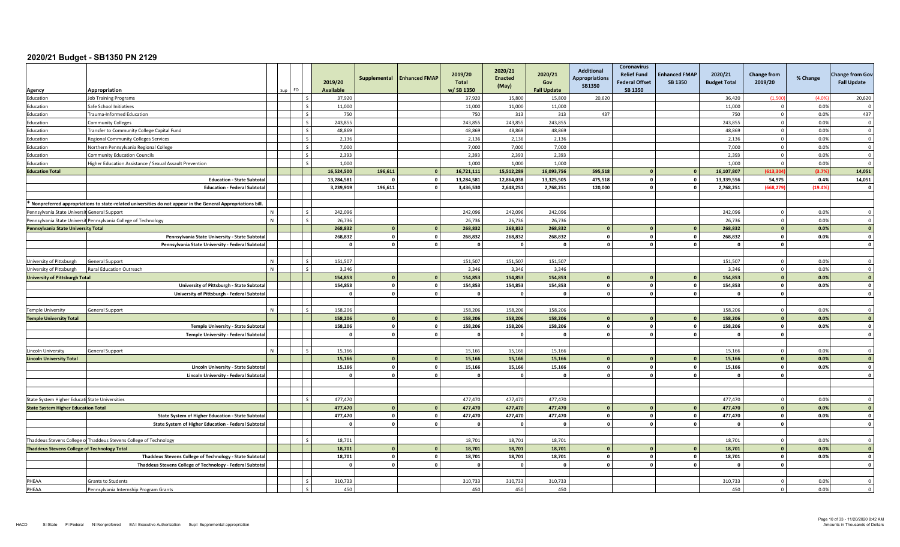|                                                     |                                                                                                             |   |           |                          | 2019/20<br><b>Available</b> | Supplemental | <b>Enhanced FMAP</b> | 2019/20<br><b>Total</b><br>w/SB 1350 | 2020/21<br><b>Enacted</b><br>(May) | 2020/21<br>Gov<br><b>Fall Update</b> | <b>Additional</b><br><b>Appropriations</b><br>SB1350 | <b>Coronavirus</b><br><b>Relief Fund</b><br><b>Federal Offset</b><br><b>SB 1350</b> | <b>Enhanced FMAP</b><br>SB 1350 | 2020/21<br><b>Budget Total</b> | <b>Change from</b><br>2019/20 | % Change       | <b>Change from Gov</b><br><b>Fall Update</b> |
|-----------------------------------------------------|-------------------------------------------------------------------------------------------------------------|---|-----------|--------------------------|-----------------------------|--------------|----------------------|--------------------------------------|------------------------------------|--------------------------------------|------------------------------------------------------|-------------------------------------------------------------------------------------|---------------------------------|--------------------------------|-------------------------------|----------------|----------------------------------------------|
| Agency                                              | Appropriation                                                                                               |   | FO<br>Sup |                          |                             |              |                      |                                      |                                    |                                      |                                                      |                                                                                     |                                 |                                |                               |                |                                              |
| Education<br>Education                              | <b>Job Training Programs</b><br>Safe School Initiatives                                                     |   |           |                          | 37,920<br>11,000            |              |                      | 37,920<br>11.000                     | 15,800<br>11.000                   | 15,800<br>11.000                     | 20,620                                               |                                                                                     |                                 | 36,420<br>11.000               | (1,500)                       | (4.09)<br>0.0% | 20,620                                       |
|                                                     | Trauma-Informed Education                                                                                   |   |           |                          | 750                         |              |                      | 750                                  | 313                                | 313                                  | 437                                                  |                                                                                     |                                 | 750                            | $\Omega$<br>$\mathbf 0$       | 0.0%           | 437                                          |
| Education                                           |                                                                                                             |   |           |                          |                             |              |                      | 243,855                              | 243,855                            | 243,855                              |                                                      |                                                                                     |                                 | 243,855                        | $\Omega$                      |                | $\Omega$                                     |
| Education<br>Education                              | <b>Community Colleges</b><br>Transfer to Community College Capital Fund                                     |   |           |                          | 243,855<br>48.869           |              |                      | 48.869                               | 48.869                             | 48.869                               |                                                      |                                                                                     |                                 | 48.869                         | $\mathbf{0}$                  | 0.0%<br>0.0%   | $\Omega$                                     |
|                                                     |                                                                                                             |   |           | $\overline{\phantom{a}}$ | 2,136                       |              |                      | 2,136                                | 2,136                              | 2,136                                |                                                      |                                                                                     |                                 | 2,136                          | $^{\circ}$                    | 0.0%           | $\overline{\mathbf{0}}$                      |
| Education<br>Education                              | <b>Regional Community Colleges Services</b><br>Northern Pennsylvania Regional College                       |   |           |                          | 7.000                       |              |                      | 7,000                                | 7,000                              | 7,000                                |                                                      |                                                                                     |                                 | 7.000                          | $\Omega$                      | 0.0%           | $\Omega$                                     |
| Education                                           | <b>Community Education Councils</b>                                                                         |   |           |                          | 2,393                       |              |                      | 2,393                                | 2,393                              | 2,393                                |                                                      |                                                                                     |                                 | 2.393                          | $\Omega$                      | 0.0%           | $\overline{0}$                               |
|                                                     | Higher Education Assistance / Sexual Assault Prevention                                                     |   |           |                          | 1,000                       |              |                      | 1.000                                | 1,000                              | 1.000                                |                                                      |                                                                                     |                                 | 1.000                          | $\Omega$                      | 0.0%           | $\overline{0}$                               |
| Education<br><b>Education Total</b>                 |                                                                                                             |   |           |                          | 16,524,500                  | 196,611      | $\Omega$             | 16,721,111                           | 15,512,289                         | 16,093,756                           | 595,518                                              |                                                                                     |                                 | 16,107,807                     | (613.30)                      | (3.7%          | 14,051                                       |
|                                                     | <b>Education - State Subtota</b>                                                                            |   |           |                          | 13,284,581                  |              | $\mathbf{0}$         | 13,284,581                           | 12,864,038                         | 13,325,505                           | 475,518                                              | $\mathbf{0}$                                                                        | <b>n</b>                        | 13,339,556                     | 54,975                        | 0.4%           | 14,051                                       |
|                                                     | <b>Education - Federal Subtota</b>                                                                          |   |           |                          | 3,239,919                   | 196,611      | $\mathbf{0}$         | 3,436,530                            | 2,648,251                          | 2,768,251                            | 120,000                                              | $\mathbf{0}$                                                                        | <sup>0</sup>                    | 2,768,251                      | (668.279                      | (19.4%         | $\mathbf{0}$                                 |
|                                                     |                                                                                                             |   |           |                          |                             |              |                      |                                      |                                    |                                      |                                                      |                                                                                     |                                 |                                |                               |                |                                              |
|                                                     | Nonpreferred appropriations to state-related universities do not appear in the General Appropriations bill. |   |           |                          |                             |              |                      |                                      |                                    |                                      |                                                      |                                                                                     |                                 |                                |                               |                |                                              |
| Pennsylvania State Universit General Support        |                                                                                                             |   |           |                          | 242,096                     |              |                      | 242,096                              | 242,096                            | 242,096                              |                                                      |                                                                                     |                                 | 242,096                        | $\Omega$                      | 0.0%           | $\Omega$                                     |
|                                                     | Pennsylvania State Universit Pennsylvania College of Technology                                             |   |           |                          | 26,736                      |              |                      | 26,736                               | 26,736                             | 26,736                               |                                                      |                                                                                     |                                 | 26,736                         | $\mathbf 0$                   | 0.0%           | $\Omega$                                     |
| Pennsylvania State University Total                 |                                                                                                             |   |           |                          | 268.832                     |              | $\Omega$             | 268.832                              | 268,832                            | 268,832                              | $\Omega$                                             |                                                                                     |                                 | 268.832                        | $\mathbf{0}$                  | 0.0%           | $\overline{0}$                               |
|                                                     | Pennsylvania State University - State Subtota                                                               |   |           |                          | 268,832                     | $\mathbf{0}$ | $\mathbf{o}$         | 268,832                              | 268,832                            | 268,832                              | $\mathbf{0}$                                         | $\Omega$                                                                            | $\overline{0}$                  | 268,832                        | $\mathbf 0$                   | 0.0%           | $\mathbf 0$                                  |
|                                                     | Pennsylvania State University - Federal Subtotal                                                            |   |           |                          | $\mathbf{0}$                | $\mathbf{0}$ | $\mathbf{o}$         | - 0                                  | $\Omega$                           | $\Omega$                             | $\Omega$                                             | $\Omega$                                                                            | $\mathbf{a}$                    | $\Omega$                       | $\mathbf{0}$                  |                | $\mathbf{0}$                                 |
|                                                     |                                                                                                             |   |           |                          |                             |              |                      |                                      |                                    |                                      |                                                      |                                                                                     |                                 |                                |                               |                |                                              |
| University of Pittsburgh                            | <b>General Support</b>                                                                                      |   |           |                          | 151,507                     |              |                      | 151,507                              | 151,507                            | 151,507                              |                                                      |                                                                                     |                                 | 151,507                        | $\Omega$                      | 0.0%           | $\Omega$                                     |
| University of Pittsburgh                            | <b>Rural Education Outreach</b>                                                                             | N |           | $\overline{\phantom{a}}$ | 3,346                       |              |                      | 3,346                                | 3,346                              | 3,346                                |                                                      |                                                                                     |                                 | 3,346                          | $\mathbf 0$                   | 0.0%           | $\overline{\mathbf{0}}$                      |
| <b>University of Pittsburgh Total</b>               |                                                                                                             |   |           |                          | 154,853                     |              | $\Omega$             | 154,853                              | 154,853                            | 154,853                              | $\mathbf{0}$                                         |                                                                                     |                                 | 154,853                        | $\mathbf{0}$                  | 0.0%           | $\overline{0}$                               |
|                                                     | University of Pittsburgh - State Subtota                                                                    |   |           |                          | 154.853                     | $\Omega$     | $\mathbf{0}$         | 154,853                              | 154.853                            | 154,853                              | $\mathbf{0}$                                         | $\Omega$                                                                            | $\mathbf{0}$                    | 154.853                        | $\mathbf 0$                   | 0.0%           | $\mathbf{0}$                                 |
|                                                     | University of Pittsburgh - Federal Subtotal                                                                 |   |           |                          | $\Omega$                    | $\Omega$     | $\mathbf{o}$         | $\Omega$                             | $\Omega$                           | $\Omega$                             | $\Omega$                                             | $\Omega$                                                                            | 0                               | $\Omega$                       | $\mathbf 0$                   |                | $\mathbf{0}$                                 |
|                                                     |                                                                                                             |   |           |                          |                             |              |                      |                                      |                                    |                                      |                                                      |                                                                                     |                                 |                                |                               |                |                                              |
| <b>Temple University</b>                            | <b>General Support</b>                                                                                      | N |           |                          | 158,206                     |              |                      | 158,206                              | 158,206                            | 158,206                              |                                                      |                                                                                     |                                 | 158.206                        | $\mathbf{0}$                  | 0.0%           | $\Omega$                                     |
| <b>Temple University Total</b>                      |                                                                                                             |   |           |                          | 158,206                     |              | $\mathbf{0}$         | 158,206                              | 158,206                            | 158,206                              | $\mathbf{0}$                                         |                                                                                     |                                 | 158,206                        | $\mathbf{0}$                  | 0.0%           | $\overline{\mathbf{0}}$                      |
|                                                     | Temple University - State Subtota                                                                           |   |           |                          | 158,206                     | $\Omega$     | $\bullet$            | 158,206                              | 158,206                            | 158,206                              | $\mathbf{0}$                                         | $\Omega$                                                                            | $\overline{0}$                  | 158,206                        | $\mathbf{o}$                  | 0.0%           | $\overline{\mathbf{0}}$                      |
|                                                     | Temple University - Federal Subtota                                                                         |   |           |                          | $\mathbf{0}$                | $\Omega$     | $\mathbf{0}$         | $\Omega$                             | $\Omega$                           | $\Omega$                             | $\mathbf{0}$                                         | $\Omega$                                                                            | n I                             | $\mathbf{0}$                   | $\mathbf{0}$                  |                | $\mathbf{0}$                                 |
|                                                     |                                                                                                             |   |           |                          |                             |              |                      |                                      |                                    |                                      |                                                      |                                                                                     |                                 |                                |                               |                |                                              |
| Lincoln University                                  | General Support                                                                                             |   |           |                          | 15.166                      |              |                      | 15,166                               | 15,166                             | 15,166                               |                                                      |                                                                                     |                                 | 15.166                         | $\Omega$                      | 0.0%           | $\Omega$                                     |
| <b>Lincoln University Total</b>                     |                                                                                                             |   |           |                          | 15,166                      |              | $\mathbf{0}$         | 15,166                               | 15,166                             | 15,166                               |                                                      |                                                                                     |                                 | 15.166                         | $\mathbf{0}$                  | 0.0%           | $\sqrt{2}$                                   |
|                                                     | Lincoln University - State Subtota                                                                          |   |           |                          | 15,166                      | $\mathbf{0}$ | $\mathbf{0}$         | 15,166                               | 15,166                             | 15,166                               | $\circ$                                              | $\Omega$                                                                            | $\circ$                         | 15,166                         | $\mathbf{0}$                  | 0.0%           | $\mathbf{0}$                                 |
|                                                     | Lincoln University - Federal Subtota                                                                        |   |           |                          | $\mathbf{0}$                | $\Omega$     | $\mathbf{0}$         | $\Omega$                             | $\Omega$                           | $\Omega$                             | $\mathbf{0}$                                         | $\Omega$                                                                            | $\mathbf{0}$                    | $\mathbf{0}$                   | $\mathbf{0}$                  |                | $\Omega$                                     |
|                                                     |                                                                                                             |   |           |                          |                             |              |                      |                                      |                                    |                                      |                                                      |                                                                                     |                                 |                                |                               |                |                                              |
|                                                     |                                                                                                             |   |           |                          |                             |              |                      |                                      |                                    |                                      |                                                      |                                                                                     |                                 |                                |                               |                |                                              |
| State System Higher Educati State Universities      |                                                                                                             |   |           |                          | 477,470                     |              |                      | 477,470                              | 477,470                            | 477,470                              |                                                      |                                                                                     |                                 | 477.470                        | $\Omega$                      | 0.0%           |                                              |
| <b>State System Higher Education Total</b>          |                                                                                                             |   |           |                          | 477,470                     |              | $\Omega$             | 477,470                              | 477,470                            | 477,470                              | $\Omega$                                             |                                                                                     |                                 | 477.470                        | $\Omega$                      | 0.0%           | $\overline{0}$                               |
|                                                     | State System of Higher Education - State Subtota                                                            |   |           |                          | 477,470                     | $\mathbf{0}$ | $\mathbf{o}$         | 477,470                              | 477,470                            | 477,470                              | $\circ$                                              | $\mathbf{0}$                                                                        | o l                             | 477,470                        | $\mathbf 0$                   | 0.0%           | $\mathbf{0}$                                 |
|                                                     | State System of Higher Education - Federal Subtota                                                          |   |           |                          | $\Omega$                    | $\Omega$     | $\mathbf{o}$         | - 0                                  | $\mathbf{0}$                       | $\Omega$                             | $\circ$                                              | $\Omega$                                                                            | $\Omega$                        | $\mathbf{0}$                   | $\mathbf 0$                   |                | $\mathbf{0}$                                 |
|                                                     |                                                                                                             |   |           |                          |                             |              |                      |                                      |                                    |                                      |                                                      |                                                                                     |                                 |                                |                               |                |                                              |
|                                                     | Thaddeus Stevens College of Thaddeus Stevens College of Technology                                          |   |           | $\sim$                   | 18,701                      |              |                      | 18,701                               | 18,701                             | 18,701                               |                                                      |                                                                                     |                                 | 18,701                         | $\mathbf 0$                   | 0.0%           | $\Omega$                                     |
| <b>Thaddeus Stevens College of Technology Total</b> |                                                                                                             |   |           |                          | 18,701                      |              | $\mathbf{0}$         | 18,701                               | 18,701                             | 18,701                               | $\mathbf{0}$                                         |                                                                                     |                                 | 18,701                         | $\mathbf{0}$                  | 0.0%           | $\mathbf{o}$                                 |
|                                                     | Thaddeus Stevens College of Technology - State Subtota                                                      |   |           |                          | 18,701                      | $\mathbf{0}$ | $\mathbf{0}$         | 18,701                               | 18,701                             | 18,701                               | $\Omega$                                             |                                                                                     |                                 | 18,701                         | $\Omega$                      | 0.0%           | $\mathbf{0}$                                 |
|                                                     | Thaddeus Stevens College of Technology - Federal Subtota                                                    |   |           |                          | $\Omega$                    |              | $\mathbf{0}$         |                                      | $\Omega$                           | $\Omega$                             | $\mathbf{a}$                                         |                                                                                     | n                               | $\Omega$                       | $\mathbf{0}$                  |                | $\Omega$                                     |
|                                                     |                                                                                                             |   |           |                          |                             |              |                      |                                      |                                    |                                      |                                                      |                                                                                     |                                 |                                |                               |                |                                              |
| PHEAA                                               | <b>Grants to Students</b>                                                                                   |   |           |                          | 310,733                     |              |                      | 310,733                              | 310,733                            | 310,733                              |                                                      |                                                                                     |                                 | 310,733                        | $\Omega$                      | 0.0%           | $\Omega$                                     |
| PHEAA                                               | Pennsylvania Internship Program Grants                                                                      |   |           |                          | 450                         |              |                      | 450                                  | 450                                | 450                                  |                                                      |                                                                                     |                                 | 450                            | $\mathbf{0}$                  | 0.0%           | $\overline{0}$                               |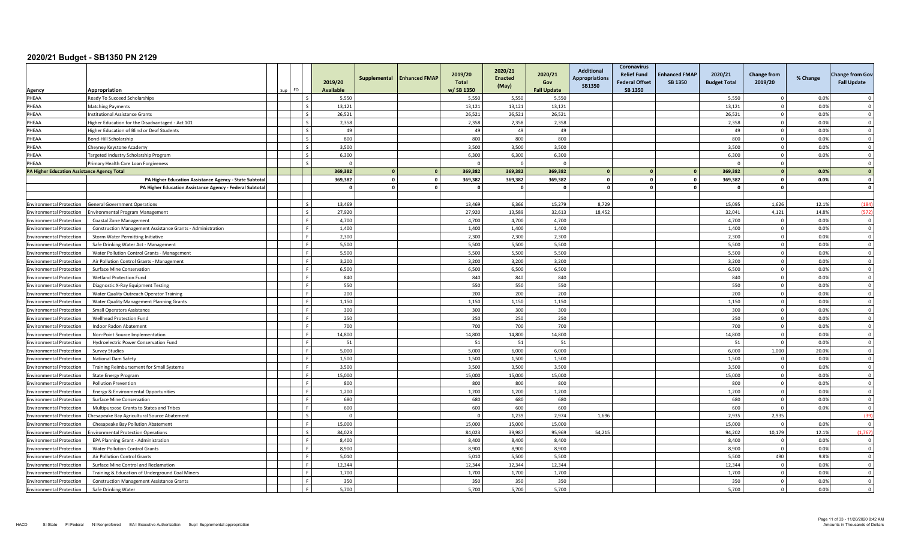| Agency                                                             | Appropriation                                                           | FO | 2019/20<br><b>Available</b> | Supplemental | <b>Enhanced FMAP</b> | 2019/20<br><b>Total</b><br>w/SB 1350 | 2020/21<br><b>Enacted</b><br>(May) | 2020/21<br>Gov<br><b>Fall Update</b> | <b>Additional</b><br><b>Appropriations</b><br><b>SB1350</b> | Coronavirus<br><b>Relief Fund</b><br><b>Federal Offset</b><br>SB 1350 | <b>Enhanced FMAP</b><br><b>SB 1350</b> | 2020/21<br><b>Budget Total</b> | <b>Change from</b><br>2019/20    | % Change     | <b>Change from Gov</b><br><b>Fall Update</b> |
|--------------------------------------------------------------------|-------------------------------------------------------------------------|----|-----------------------------|--------------|----------------------|--------------------------------------|------------------------------------|--------------------------------------|-------------------------------------------------------------|-----------------------------------------------------------------------|----------------------------------------|--------------------------------|----------------------------------|--------------|----------------------------------------------|
| PHEAA                                                              | Ready To Succeed Scholarships                                           |    | 5,550                       |              |                      | 5,550                                | 5,550                              | 5,550                                |                                                             |                                                                       |                                        | 5,550                          | $\Omega$                         | 0.0%         | $\cap$                                       |
| PHEAA                                                              | Matching Payments                                                       |    | 13.121                      |              |                      | 13.121                               | 13,121                             | 13,121                               |                                                             |                                                                       |                                        | 13.121                         | $\Omega$                         | 0.0%         | $\Omega$                                     |
| PHEAA                                                              | Institutional Assistance Grants                                         |    | 26,521                      |              |                      | 26,521                               | 26,521                             | 26,521                               |                                                             |                                                                       |                                        | 26,521                         | $\mathbf 0$                      | 0.0%         | $\overline{\mathbf{0}}$                      |
| PHEAA                                                              | Higher Education for the Disadvantaged - Act 101                        |    | 2,358                       |              |                      | 2,358                                | 2,358                              | 2,358                                |                                                             |                                                                       |                                        | 2,358                          | $\Omega$                         | 0.0%         | $\overline{0}$                               |
| PHEAA                                                              | Higher Education of Blind or Deaf Students                              |    | 49                          |              |                      | 49                                   | 49                                 | 49                                   |                                                             |                                                                       |                                        | 49                             | $\overline{0}$                   | 0.0%         | $\Omega$                                     |
| PHEAA                                                              | Bond-Hill Scholarship                                                   |    | 800                         |              |                      | 800                                  | 800                                | 800                                  |                                                             |                                                                       |                                        | 800                            | $\overline{0}$                   | 0.0%         | $\mathbf 0$                                  |
| <b>HEAA</b>                                                        | Cheyney Keystone Academy                                                |    | 3.500                       |              |                      | 3,500                                | 3,500                              | 3,500                                |                                                             |                                                                       |                                        | 3,500                          | $\overline{0}$                   | 0.0%         | $\Omega$                                     |
| PHEAA                                                              | Targeted Industry Scholarship Program                                   |    | 6.300                       |              |                      | 6,300                                | 6,300                              | 6,300                                |                                                             |                                                                       |                                        | 6.300                          | $\overline{0}$                   | 0.0%         | $\Omega$                                     |
| PHEAA                                                              | Primary Health Care Loan Forgiveness                                    |    | $\Omega$                    |              |                      |                                      |                                    | $\Omega$                             |                                                             |                                                                       |                                        | $\Omega$                       | $\mathbf 0$                      |              | $\overline{\mathbf{0}}$                      |
| PA Higher Education Assistance Agency Total                        |                                                                         |    | 369,382                     | $\Omega$     | $\mathbf{0}$         | 369,382                              | 369,382                            | 369,382                              | $\Omega$                                                    |                                                                       |                                        | 369,382                        | $\mathbf{0}$                     | 0.0%         | $\overline{\mathbf{0}}$                      |
|                                                                    | PA Higher Education Assistance Agency - State Subtotal                  |    | 369,382                     | $\circ$      | $\mathbf 0$          | 369,382                              | 369,382                            | 369,382                              | $\mathbf{0}$                                                |                                                                       | <sup>0</sup>                           | 369,382                        | $\mathbf{0}$                     | 0.0%         | $\mathbf 0$                                  |
|                                                                    | PA Higher Education Assistance Agency - Federal Subtotal                |    | $\mathbf{0}$                | $\circ$      | $\mathbf 0$          |                                      | $\Omega$                           | $\Omega$                             | $\mathbf{0}$                                                |                                                                       |                                        | $\Omega$                       | $\mathbf{0}$                     |              | $\mathbf{o}$                                 |
|                                                                    |                                                                         |    |                             |              |                      |                                      |                                    |                                      |                                                             |                                                                       |                                        |                                |                                  |              |                                              |
| <b>Environmental Protection</b>                                    | <b>General Government Operations</b>                                    |    | 13,469                      |              |                      | 13,469                               | 6,366                              | 15,279                               | 8,729                                                       |                                                                       |                                        | 15,095                         | 1,626                            | 12.1%        | (184)                                        |
| <b>Environmental Protection</b>                                    | Invironmental Program Management                                        |    | 27,920                      |              |                      | 27,920                               | 13,589                             | 32,613                               | 18,452                                                      |                                                                       |                                        | 32,041                         | 4,121                            | 14.8%        | (572)                                        |
| <b>Environmental Protection</b>                                    | <b>Coastal Zone Management</b>                                          |    | 4,700                       |              |                      | 4,700                                | 4,700                              | 4,700                                |                                                             |                                                                       |                                        | 4,700                          | $\overline{0}$                   | 0.0%         | $\overline{\mathbf{0}}$                      |
| <b>Environmental Protection</b>                                    | Construction Management Assistance Grants - Administration              |    | 1,400                       |              |                      | 1,400                                | 1,400                              | 1,400                                |                                                             |                                                                       |                                        | 1,400                          | $\overline{0}$                   | 0.0%         | $\overline{\mathbf{0}}$                      |
| <b>Environmental Protection</b>                                    | Storm Water Permitting Initiative                                       |    | 2,300                       |              |                      | 2,300                                | 2,300                              | 2,300                                |                                                             |                                                                       |                                        | 2,300                          | $\Omega$                         | 0.0%         | $\overline{0}$                               |
| <b>Environmental Protection</b>                                    | Safe Drinking Water Act - Management                                    |    | 5,500                       |              |                      | 5,500                                | 5,500                              | 5,500                                |                                                             |                                                                       |                                        | 5,500                          | $\Omega$                         | 0.0%         | $\Omega$                                     |
| <b>Environmental Protection</b>                                    | Water Pollution Control Grants - Management                             |    | 5.500                       |              |                      | 5,500                                | 5,500                              | 5,500                                |                                                             |                                                                       |                                        | 5,500                          | $\Omega$                         | 0.0%         | $\Omega$                                     |
| <b>Environmental Protection</b>                                    | Air Pollution Control Grants - Management                               |    | 3,200                       |              |                      | 3,200                                | 3,200                              | 3,200                                |                                                             |                                                                       |                                        | 3,200                          | $\Omega$                         | 0.0%         | $\overline{0}$                               |
| <b>Environmental Protection</b>                                    | <b>Surface Mine Conservation</b>                                        |    | 6,500<br><b>C</b>           |              |                      | 6,500                                | 6,500                              | 6,500                                |                                                             |                                                                       |                                        | 6,500                          | $\mathbf 0$                      | 0.0%         | $\mathbf 0$                                  |
| <b>Environmental Protection</b>                                    | Wetland Protection Fund                                                 |    | 840                         |              |                      | 840                                  | 840                                | 840                                  |                                                             |                                                                       |                                        | 840                            | $\Omega$                         | 0.0%         | $\overline{0}$                               |
| <b>Environmental Protection</b>                                    | Diagnostic X-Ray Equipment Testing                                      |    | 550                         |              |                      | 550                                  | 550                                | 550                                  |                                                             |                                                                       |                                        | 550                            | $\mathbf{0}$                     | 0.0%         | $\overline{0}$                               |
| <b>Environmental Protection</b>                                    | Water Quality Outreach Operator Training                                |    | 200                         |              |                      | 200                                  | 200                                | 200                                  |                                                             |                                                                       |                                        | 200                            | $\Omega$                         | 0.0%         | $\Omega$                                     |
| <b>Environmental Protection</b>                                    | Water Quality Management Planning Grants                                |    | 1,150                       |              |                      | 1,150                                | 1,150                              | 1,150                                |                                                             |                                                                       |                                        | 1,150                          | $\Omega$                         | 0.0%         | $\Omega$                                     |
| <b>Environmental Protection</b>                                    | <b>Small Operators Assistance</b>                                       |    | 300                         |              |                      | 300                                  | 300                                | 300                                  |                                                             |                                                                       |                                        | 300                            | $\mathbf 0$                      | 0.0%         | $\overline{0}$                               |
| <b>Environmental Protection</b>                                    | <b>Wellhead Protection Fund</b>                                         |    | 250                         |              |                      | 250                                  | 250                                | 250                                  |                                                             |                                                                       |                                        | 250                            | $\Omega$                         | 0.0%         | $\mathbf 0$                                  |
| <b>Invironmental Protection</b>                                    | Indoor Radon Abatement                                                  |    | 700                         |              |                      | 700                                  | 700                                | 700                                  |                                                             |                                                                       |                                        | 700                            | $\overline{0}$                   | 0.0%         | $\overline{\mathbf{0}}$                      |
| <b>Environmental Protection</b>                                    | Non-Point Source Implementation                                         |    | 14.800                      |              |                      | 14.800                               | 14.800                             | 14,800                               |                                                             |                                                                       |                                        | 14.800                         | $\overline{0}$                   | 0.0%         | $\overline{0}$                               |
| <b>Environmental Protection</b>                                    | Hydroelectric Power Conservation Fund                                   |    | 51                          |              |                      | 51                                   | 51                                 | 51                                   |                                                             |                                                                       |                                        | 51                             | $\overline{0}$                   | 0.0%         | $\overline{0}$                               |
| <b>Environmental Protection</b>                                    | <b>Survey Studies</b>                                                   |    | 5,000                       |              |                      | 5,000                                | 6,000                              | 6,000                                |                                                             |                                                                       |                                        | 6,000                          | 1,000                            | 20.0%        | $\Omega$                                     |
| <b>Environmental Protection</b>                                    | National Dam Safety                                                     |    | 1.500                       |              |                      | 1.500                                | 1,500                              | 1,500                                |                                                             |                                                                       |                                        | 1.500                          | $\Omega$                         | 0.0%         | $\Omega$                                     |
| nvironmental Protection                                            | Training Reimbursement for Small Systems                                |    | 3,500                       |              |                      | 3,500                                | 3,500                              | 3,500                                |                                                             |                                                                       |                                        | 3,500                          | $\mathbf 0$                      | 0.0%         | $\overline{0}$                               |
| <b>Environmental Protection</b>                                    | <b>State Energy Program</b>                                             |    | 15,000                      |              |                      | 15,000                               | 15,000                             | 15,000                               |                                                             |                                                                       |                                        | 15,000                         | $\Omega$                         | 0.0%         | $\overline{0}$                               |
| <b>Environmental Protection</b>                                    | <b>Pollution Prevention</b>                                             |    | 800                         |              |                      | 800                                  | 800                                | 800                                  |                                                             |                                                                       |                                        | 800                            | $\overline{0}$                   | 0.0%         | $\overline{0}$                               |
| <b>Environmental Protection</b>                                    | Energy & Environmental Opportunities                                    |    | 1,200                       |              |                      | 1,200                                | 1,200                              | 1,200                                |                                                             |                                                                       |                                        | 1,200                          | $\overline{0}$                   | 0.0%         | $\overline{0}$                               |
| <b>Environmental Protection</b>                                    | Surface Mine Conservation                                               |    | 680                         |              |                      | 680                                  | 680                                | 680                                  |                                                             |                                                                       |                                        | 680                            | $\overline{0}$                   | 0.0%         | $\Omega$                                     |
| <b>Environmental Protection</b>                                    | Multipurpose Grants to States and Tribes                                |    | 600                         |              |                      | 600                                  | 600                                | 600                                  |                                                             |                                                                       |                                        | 600                            | $\overline{0}$                   | 0.0%         | $\Omega$                                     |
| <b>Environmental Protection</b>                                    | Chesapeake Bay Agricultural Source Abatement                            |    | $\overline{\mathbf{0}}$     |              |                      |                                      | 1,239                              | 2,974                                | 1,696                                                       |                                                                       |                                        | 2,935                          | 2,935                            |              | (39)                                         |
| <b>Environmental Protection</b>                                    | Chesapeake Bay Pollution Abatement                                      |    | 15,000                      |              |                      | 15,000                               | 15,000                             | 15,000                               |                                                             |                                                                       |                                        | 15,000                         | $\Omega$                         | 0.0%         | $\Omega$                                     |
| <b>Environmental Protection</b>                                    | nvironmental Protection Operations                                      |    | 84,023                      |              |                      | 84,023                               | 39,987                             | 95,969                               | 54,215                                                      |                                                                       |                                        | 94,202                         | 10,179                           | 12.1%        | (1,767)                                      |
| <b>Environmental Protection</b>                                    | EPA Planning Grant - Administration                                     |    | 8,400                       |              |                      | 8,400                                | 8,400                              | 8,400                                |                                                             |                                                                       |                                        | 8,400                          | $\overline{0}$                   | 0.0%         | $\Omega$<br>$\overline{0}$                   |
| <b>Environmental Protection</b>                                    | <b>Water Pollution Control Grants</b>                                   |    | 8,900                       |              |                      | 8,900                                | 8,900                              | 8,900                                |                                                             |                                                                       |                                        | 8,900                          | $\overline{0}$                   | 0.0%         | $\Omega$                                     |
| <b>Environmental Protection</b>                                    | Air Pollution Control Grants                                            |    | 5,010                       |              |                      | 5,010                                | 5,500                              | 5,500                                |                                                             |                                                                       |                                        | 5,500                          | 490                              | 9.8%         | $\overline{0}$                               |
| <b>Environmental Protection</b>                                    | Surface Mine Control and Reclamation                                    |    | 12,344<br>1,700             |              |                      | 12,344<br>1,700                      | 12,344<br>1,700                    | 12,344                               |                                                             |                                                                       |                                        | 12,344                         | $\overline{0}$<br>$\overline{0}$ | 0.0%<br>0.0% | $\overline{0}$                               |
| <b>Environmental Protection</b><br><b>Environmental Protection</b> | Training & Education of Underground Coal Miners                         |    | 350                         |              |                      | 350                                  |                                    | 1,700                                |                                                             |                                                                       |                                        | 1,700                          | $\Omega$                         | 0.0%         | $\Omega$                                     |
| <b>Environmental Protection</b>                                    | <b>Construction Management Assistance Grants</b><br>Safe Drinking Water |    | 5,700                       |              |                      | 5,700                                | 350<br>5,700                       | 350<br>5,700                         |                                                             |                                                                       |                                        | 350<br>5,700                   | $\Omega$                         | 0.0%         | $\Omega$                                     |
|                                                                    |                                                                         |    |                             |              |                      |                                      |                                    |                                      |                                                             |                                                                       |                                        |                                |                                  |              |                                              |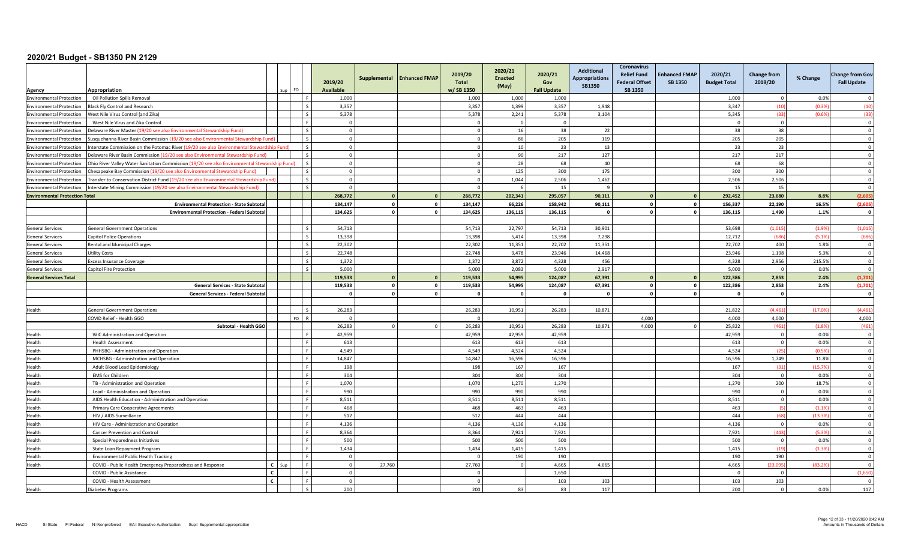| Agency                                | Appropriation                                                                                 |              | FO.                       | 2019/20<br><b>Available</b> | Supplemental            | <b>Enhanced FMAP</b> | 2019/20<br><b>Total</b><br>w/SB 1350 | 2020/21<br><b>Enacted</b><br>(May) | 2020/21<br>Gov<br><b>Fall Update</b> | Additional<br><b>Appropriations</b><br><b>SB1350</b> | <b>Coronavirus</b><br><b>Relief Fund</b><br><b>Federal Offset</b><br>SB 1350 | <b>Enhanced FMAP</b><br><b>SB 1350</b> | 2020/21<br><b>Budget Total</b> | <b>Change from</b><br>2019/20 | % Change      | <b>Change from Goy</b><br><b>Fall Update</b> |
|---------------------------------------|-----------------------------------------------------------------------------------------------|--------------|---------------------------|-----------------------------|-------------------------|----------------------|--------------------------------------|------------------------------------|--------------------------------------|------------------------------------------------------|------------------------------------------------------------------------------|----------------------------------------|--------------------------------|-------------------------------|---------------|----------------------------------------------|
| <b>Environmental Protection</b>       | Oil Pollution Spills Removal                                                                  |              |                           | 1,000                       |                         |                      | 1,000                                | 1,000                              | 1,000                                |                                                      |                                                                              |                                        | 1,000                          | - 0                           | 0.0%          |                                              |
| <b>Environmental Protection</b>       | <b>Black Fly Control and Research</b>                                                         |              |                           | 3,357                       |                         |                      | 3,357                                | 1,399                              | 3,357                                | 1,948                                                |                                                                              |                                        | 3,347                          | (10)                          | (0.3%         | (10)                                         |
| <b>Environmental Protection</b>       | West Nile Virus Control (and Zika)                                                            |              | $\epsilon$                | 5,378                       |                         |                      | 5,378                                | 2,241                              | 5,378                                | 3,104                                                |                                                                              |                                        | 5,345                          | (33)                          | (0.6%         | (33)                                         |
| <b>Environmental Protection</b>       | West Nile Virus and Zika Control                                                              |              |                           | $\overline{0}$              |                         |                      | $\Omega$                             | $\sqrt{ }$                         | $\overline{0}$                       |                                                      |                                                                              |                                        |                                | $\Omega$                      |               | $\overline{0}$                               |
| <b>Environmental Protection</b>       | Delaware River Master (19/20 see also Environmental Stewardship Fund)                         |              | $\zeta$                   | $\overline{0}$              |                         |                      | $\Omega$                             | 16                                 | 38                                   | 22                                                   |                                                                              |                                        | 38                             | 38                            |               | $\Omega$                                     |
| <b>Environmental Protection</b>       | Susquehanna River Basin Commission (19/20 see also Environmental Stewardship Fund             |              |                           | $\overline{0}$              |                         |                      |                                      | 86                                 | 205                                  | 119                                                  |                                                                              |                                        | 205                            | 205                           |               | $\Omega$                                     |
| <b>Environmental Protection</b>       | Interstate Commission on the Potomac River (19/20 see also Environmental Stewardship Fund)    |              | $\zeta$                   | $\overline{0}$              |                         |                      | $\Omega$                             | 10                                 | 23                                   | 13                                                   |                                                                              |                                        | 23                             | 23                            |               | $\sqrt{ }$                                   |
| <b>Environmental Protection</b>       | Delaware River Basin Commission (19/20 see also Environmental Stewardship Fund)               |              |                           | $\Omega$                    |                         |                      |                                      | 90                                 | 217                                  | 127                                                  |                                                                              |                                        | 217                            | 217                           |               | $\Omega$                                     |
| <b>Environmental Protection</b>       | Ohio River Valley Water Sanitation Commission (19/20 see also Environmental Stewardship Fund) |              | $\varsigma$               | $\overline{0}$              |                         |                      | $\Omega$                             | 28                                 | 68                                   | 40                                                   |                                                                              |                                        | 68                             | 68                            |               | $\overline{0}$                               |
| <b>Environmental Protection</b>       | Chesapeake Bay Commission (19/20 see also Environmental Stewardship Fund)                     |              | $\varsigma$               | $\overline{0}$              |                         |                      | $\Omega$                             | 125                                | 300                                  | 175                                                  |                                                                              |                                        | 300                            | 300                           |               | $\overline{0}$                               |
| <b>Environmental Protection</b>       | Fransfer to Conservation District Fund (19/20 see also Environmental Stewardship Fund         |              |                           | $\Omega$                    |                         |                      | $\Omega$                             | 1,044                              | 2.506                                | 1,462                                                |                                                                              |                                        | 2,506                          | 2,506                         |               | $\Omega$                                     |
| <b>Environmental Protection</b>       | Interstate Mining Commission (19/20 see also Environmental Stewardship Fund)                  |              |                           | $\overline{0}$              |                         |                      | $\Omega$                             |                                    | 15                                   |                                                      |                                                                              |                                        | 15                             | 15                            |               | $\overline{0}$                               |
| <b>Environmental Protection Total</b> |                                                                                               |              |                           | 268,772                     | $\mathbf{r}$            | $\mathbf{0}$         | 268,772                              | 202,341                            | 295,057                              | 90,111                                               | $\sqrt{2}$                                                                   |                                        | 292,452                        | 23.680                        | 8.8%          | (2,605)                                      |
|                                       | <b>Environmental Protection - State Subtota</b>                                               |              |                           | 134,147                     | $\Omega$                | $\mathbf{0}$         | 134,147                              | 66,226                             | 158,942                              | 90,111                                               | $\mathbf{0}$                                                                 |                                        | 156,337                        | 22,190                        | 16.5%         | (2,605)                                      |
|                                       | <b>Environmental Protection - Federal Subtota</b>                                             |              |                           | 134,625                     | $\mathbf{0}$            | $\mathbf 0$          | 134,625                              | 136,115                            | 136,115                              |                                                      | $\mathbf 0$                                                                  | $\Omega$                               | 136,115                        | 1,490                         | 1.1%          | $\mathbf{0}$                                 |
|                                       |                                                                                               |              |                           |                             |                         |                      |                                      |                                    |                                      |                                                      |                                                                              |                                        |                                |                               |               |                                              |
| <b>General Services</b>               | <b>General Government Operations</b>                                                          |              | $\mathsf{S}$              | 54,713                      |                         |                      | 54,713                               | 22,797                             | 54,713                               | 30,901                                               |                                                                              |                                        | 53,698                         | (1.015)                       | (1.9%         | (1,015)                                      |
| <b>General Services</b>               | <b>Capitol Police Operations</b>                                                              |              |                           | 13,398                      |                         |                      | 13,398                               | 5,414                              | 13,398                               | 7,298                                                |                                                                              |                                        | 12,712                         | (686)                         | (5.1%         | (686)                                        |
| <b>General Services</b>               | Rental and Municipal Charges                                                                  |              |                           | 22,302                      |                         |                      | 22,302                               | 11,351                             | 22,702                               | 11,351                                               |                                                                              |                                        | 22,702                         | 400                           | 1.8%          | $\overline{0}$                               |
| General Services                      | Utility Costs                                                                                 |              |                           | 22,748                      |                         |                      | 22,748                               | 9.478                              | 23.946                               | 14,468                                               |                                                                              |                                        | 23,946                         | 1,198                         | 5.3%          | $\Omega$                                     |
| <b>General Services</b>               | <b>Excess Insurance Coverage</b>                                                              |              |                           | 1.372                       |                         |                      | 1.372                                | 3.872                              | 4.328                                | 456                                                  |                                                                              |                                        | 4.328                          | 2.956                         | 215.5%        | $\overline{0}$                               |
| <b>General Services</b>               | Capitol Fire Protection                                                                       |              | $\mathbf{C}$              | 5,000                       |                         |                      | 5,000                                | 2,083                              | 5,000                                | 2,917                                                |                                                                              |                                        | 5,000                          | $\Omega$                      | 0.0%          | $\overline{0}$                               |
| <b>General Services Total</b>         |                                                                                               |              |                           | 119,533                     | $\Omega$                | $\mathbf{0}$         | 119,533                              | 54,995                             | 124,087                              | 67,391                                               |                                                                              |                                        | 122,386                        | 2,853                         | 2.4%          | (1,701)                                      |
|                                       | <b>General Services - State Subtota</b>                                                       |              |                           | 119.533                     | $\overline{\mathbf{0}}$ | $\mathbf{0}$         | 119,533                              | 54,995                             | 124.087                              | 67,391                                               | $\mathbf 0$                                                                  | $\Omega$                               | 122,386                        | 2.853                         | 2.4%          | (1,701)                                      |
|                                       | <b>General Services - Federal Subtotal</b>                                                    |              |                           | $\mathbf{0}$                | $\overline{0}$          | $\mathbf 0$          |                                      | $\mathbf{0}$                       | $\mathbf 0$                          |                                                      | $\Omega$                                                                     | $\mathbf{0}$                           | - 0                            | $\mathbf{0}$                  |               | $\mathbf{0}$                                 |
|                                       |                                                                                               |              |                           |                             |                         |                      |                                      |                                    |                                      |                                                      |                                                                              |                                        |                                |                               |               |                                              |
| Health                                | <b>General Government Operations</b>                                                          |              |                           | 26.283                      |                         |                      | 26.283                               | 10.951                             | 26.283                               | 10.871                                               |                                                                              |                                        | 21.822                         | (4.461)                       | (17.09)       | (4.461)                                      |
|                                       | COVID Relief - Health GGO                                                                     |              | <b>FO</b><br>$\mathbf{R}$ | $\overline{0}$              |                         |                      | $\Omega$                             |                                    |                                      |                                                      | 4,000                                                                        |                                        | 4,000                          | 4,000                         |               | 4,000                                        |
|                                       | Subtotal - Health GGO                                                                         |              |                           | 26,283                      | $\cap$                  | $\Omega$             | 26,283                               | 10,951                             | 26,283                               | 10,871                                               | 4,000                                                                        | $\Omega$                               | 25,822                         | (461)                         | (1.8%         | (461)                                        |
| Health                                | WIC Administration and Operation                                                              |              | F.                        | 42.959                      |                         |                      | 42,959                               | 42,959                             | 42.959                               |                                                      |                                                                              |                                        | 42,959                         | $\overline{0}$                | 0.0%          | $\overline{0}$                               |
| Health                                | <b>Health Assessment</b>                                                                      |              |                           | 613                         |                         |                      | 613                                  | 613                                | 613                                  |                                                      |                                                                              |                                        | 613                            | $\mathbf 0$                   | 0.0%          | $\overline{0}$                               |
| Health                                | PHHSBG - Administration and Operation                                                         |              |                           | 4.549                       |                         |                      | 4.549                                | 4.524                              | 4,524                                |                                                      |                                                                              |                                        | 4,524                          | (25)                          | (0.5%         | $\Omega$                                     |
| Health                                | MCHSBG - Administration and Operation                                                         |              | $\mathbf{E}$              | 14.847                      |                         |                      | 14.847                               | 16,596                             | 16.596                               |                                                      |                                                                              |                                        | 16,596                         | 1.749                         | 11.8%         | $\overline{0}$                               |
| Health                                | Adult Blood Lead Epidemiology                                                                 |              | $\mathbf{F}$              | 198                         |                         |                      | 198                                  | 167                                | 167                                  |                                                      |                                                                              |                                        | 167                            | (31)                          | (15.7%        | $\overline{0}$                               |
| Health                                | <b>EMS</b> for Children                                                                       |              | F.                        | 304                         |                         |                      | 304                                  | 304                                | 304                                  |                                                      |                                                                              |                                        | 304                            | $\Omega$<br>200               | 0.0%          | $\Omega$<br>$\overline{0}$                   |
| Health                                | TB - Administration and Operation                                                             |              |                           | 1,070<br>990                |                         |                      | 1,070<br>990                         | 1,270                              | 1,270<br>990                         |                                                      |                                                                              |                                        | 1,270<br>990                   |                               | 18.7%<br>0.0% |                                              |
| Health<br>Health                      | Lead - Administration and Operation<br>AIDS Health Education - Administration and Operation   |              |                           | 8,511                       |                         |                      | 8,511                                | 990<br>8,511                       | 8,511                                |                                                      |                                                                              |                                        | 8,511                          | $\overline{0}$<br>$\Omega$    | 0.0%          | $\mathbf 0$<br>$\Omega$                      |
| Health                                | Primary Care Cooperative Agreements                                                           |              | $\mathbf{E}$              | 468                         |                         |                      | 468                                  | 463                                | 463                                  |                                                      |                                                                              |                                        | 463                            | $\sqrt{5}$                    | (1.1%         | $\overline{0}$                               |
| Health                                | HIV / AIDS Surveillance                                                                       |              | $\mathbf{F}$              | 512                         |                         |                      | 512                                  | 444                                | 444                                  |                                                      |                                                                              |                                        | 444                            | (68)                          | (13.3%        | $\overline{0}$                               |
| Health                                | HIV Care - Administration and Operation                                                       |              | F.                        | 4,136                       |                         |                      | 4,136                                | 4,136                              | 4,136                                |                                                      |                                                                              |                                        | 4,136                          | $\overline{0}$                | 0.0%          | $\overline{0}$                               |
| Health                                | Cancer Prevention and Control                                                                 |              |                           | 8,364                       |                         |                      | 8,364                                | 7,921                              | 7,921                                |                                                      |                                                                              |                                        | 7,921                          | (443)                         | (5.3%         | $\overline{0}$                               |
| Health                                | Special Preparedness Initiatives                                                              |              |                           | 500                         |                         |                      | 500                                  | 500                                | 500                                  |                                                      |                                                                              |                                        | 500                            | $\overline{0}$                | 0.0%          | $\overline{0}$                               |
| Health                                | State Loan Repayment Program                                                                  |              |                           | 1,434                       |                         |                      | 1,434                                | 1,415                              | 1,415                                |                                                      |                                                                              |                                        | 1,415                          | (19)                          | (1.3%         | $\Omega$                                     |
| Health                                | <b>Environmental Public Health Tracking</b>                                                   |              |                           | $\Omega$                    |                         |                      |                                      | 190                                | 190                                  |                                                      |                                                                              |                                        | 190                            | 190                           |               | $\Omega$                                     |
| Health                                | COVID - Public Health Emergency Preparedness and Response                                     |              | $\mathbf{F}$              | $\overline{0}$              | 27,760                  |                      | 27,760                               | $\Omega$                           | 4,665                                | 4,665                                                |                                                                              |                                        | 4,665                          | (23,095)                      | (83.29)       | $\Omega$                                     |
|                                       | COVID - Public Assistance                                                                     | $\mathbf{c}$ | $\mathbf{E}$              | $\overline{0}$              |                         |                      | $\Omega$                             |                                    | 1,650                                |                                                      |                                                                              |                                        |                                | $\Omega$                      |               | (1,650)                                      |
|                                       | COVID - Health Assessment                                                                     | $\mathbf{C}$ |                           | $\Omega$                    |                         |                      | $\Omega$                             |                                    | 103                                  | 103                                                  |                                                                              |                                        | 103                            | 103                           |               | $\Omega$                                     |
| Health                                | Diabetes Programs                                                                             |              |                           | 200                         |                         |                      | 200                                  | 83                                 | 83                                   | 117                                                  |                                                                              |                                        | 200                            | $\overline{0}$                | 0.0%          | 117                                          |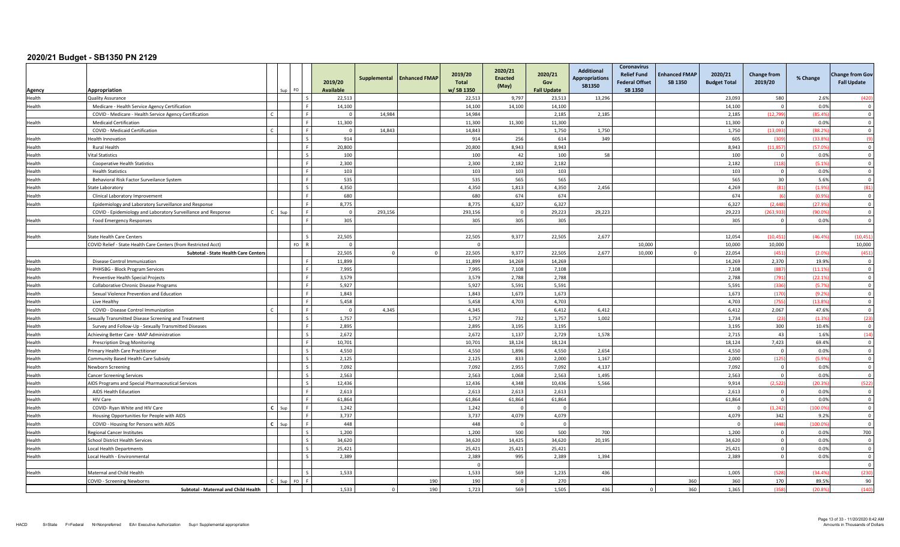| Agency        | Appropriation<br>Sup                                            | FO                      | 2019/20<br><b>Available</b> | Supplemental | <b>Enhanced FMAP</b> | 2019/20<br><b>Total</b><br>w/SB 1350 | 2020/21<br><b>Enacted</b><br>(May) | 2020/21<br>Gov<br><b>Fall Update</b> | <b>Additional</b><br><b>Appropriations</b><br><b>SB1350</b> | <b>Coronavirus</b><br><b>Relief Fund</b><br><b>Federal Offset</b><br><b>SB 1350</b> | <b>Enhanced FMAP</b><br>SB 1350 | 2020/21<br><b>Budget Total</b> | <b>Change from</b><br>2019/20 | % Change | <b>Change from Gov</b><br><b>Fall Update</b> |
|---------------|-----------------------------------------------------------------|-------------------------|-----------------------------|--------------|----------------------|--------------------------------------|------------------------------------|--------------------------------------|-------------------------------------------------------------|-------------------------------------------------------------------------------------|---------------------------------|--------------------------------|-------------------------------|----------|----------------------------------------------|
| Health        | <b>Quality Assurance</b>                                        |                         | 22,513                      |              |                      | 22,513                               | 9,797                              | 23,513                               | 13,296                                                      |                                                                                     |                                 | 23.093                         | 580                           | 2.6%     | (420)                                        |
| Health        | Medicare - Health Service Agency Certification                  |                         | 14,100                      |              |                      | 14,100                               | 14,100                             | 14,100                               |                                                             |                                                                                     |                                 | 14,100                         |                               | 0.0%     | $\Omega$                                     |
|               | COVID - Medicare - Health Service Agency Certification          |                         | $\Omega$                    | 14,984       |                      | 14,984                               |                                    | 2,185                                | 2,185                                                       |                                                                                     |                                 | 2,185                          | (12,79)                       | (85.4%   | $\overline{\mathbf{0}}$                      |
| Health        | <b>Medicaid Certification</b>                                   |                         | 11,300                      |              |                      | 11,300                               | 11,300                             | 11,300                               |                                                             |                                                                                     |                                 | 11,300                         |                               | 0.0%     | $\Omega$                                     |
|               | COVID - Medicaid Certification                                  |                         | $\overline{0}$              | 14.843       |                      | 14,843                               |                                    | 1.750                                | 1.750                                                       |                                                                                     |                                 | 1.750                          | (13.093)                      | (88.29)  | $\Omega$                                     |
| Health        | Health Innovation                                               |                         | 914                         |              |                      | 914                                  | 256                                | 614                                  | 349                                                         |                                                                                     |                                 | 605                            | (305)                         | (33.8)   | (9)                                          |
| Health        | <b>Rural Health</b>                                             |                         | 20,800                      |              |                      | 20,800                               | 8,943                              | 8,943                                |                                                             |                                                                                     |                                 | 8,943                          | (11, 85)                      | (57.09   | $\Omega$                                     |
| Health        | /ital Statistics                                                |                         | 100                         |              |                      | 100                                  | 42                                 | 100                                  | 58                                                          |                                                                                     |                                 | 100                            | $\overline{0}$                | 0.0%     | $\Omega$                                     |
| Health        | <b>Cooperative Health Statistics</b>                            |                         | 2,300                       |              |                      | 2,300                                | 2,182                              | 2,182                                |                                                             |                                                                                     |                                 | 2,182                          | (118)                         | (5.19)   | $\overline{0}$                               |
| Health        | <b>Health Statistics</b>                                        |                         | 103                         |              |                      | 103                                  | 103                                | 103                                  |                                                             |                                                                                     |                                 | 103                            | $\overline{0}$                | 0.0%     | $\overline{\mathbf{0}}$                      |
| Health        | Behavioral Risk Factor Surveilance System                       |                         | 535                         |              |                      | 535                                  | 565                                | 565                                  |                                                             |                                                                                     |                                 | 565                            | 30                            | 5.6%     | $\mathbf{0}$                                 |
| Health        | State Laboratory                                                |                         | 4,350                       |              |                      | 4,350                                | 1,813                              | 4,350                                | 2,456                                                       |                                                                                     |                                 | 4,269                          | (81)                          | (1.9%    | (81)                                         |
| Health        | Clinical Laboratory Improvement                                 |                         | 680                         |              |                      | 680                                  | 674                                | 674                                  |                                                             |                                                                                     |                                 | 674                            |                               | (0.99)   | $\Omega$                                     |
| Health        | Epidemiology and Laboratory Surveillance and Response           |                         | 8,775                       |              |                      | 8.775                                | 6,327                              | 6,327                                |                                                             |                                                                                     |                                 | 6.327                          | (2.448)                       | (27.9)   | $\Omega$                                     |
|               | COVID - Epidemiology and Laboratory Surveillance and Response   |                         | $\mathbf 0$                 | 293,156      |                      | 293,156                              | $\overline{\mathbf{0}}$            | 29,223                               | 29,223                                                      |                                                                                     |                                 | 29,223                         | (263, 93)                     | (90.0)   | $\overline{0}$                               |
| Health        | Food Emergency Responses                                        |                         | 305                         |              |                      | 305                                  | 305                                | 305                                  |                                                             |                                                                                     |                                 | 305                            | $\Omega$                      | 0.0%     | $\Omega$                                     |
|               |                                                                 |                         |                             |              |                      |                                      |                                    |                                      |                                                             |                                                                                     |                                 |                                |                               |          |                                              |
| Health        | <b>State Health Care Centers</b>                                | l s                     | 22,505                      |              |                      | 22,505                               | 9,377                              | 22,505                               | 2,677                                                       |                                                                                     |                                 | 12,054                         | (10, 45)                      | (46.49)  | (10, 451)                                    |
|               | COVID Relief - State Health Care Centers (from Restricted Acct) | $FQ$ R                  | $\Omega$                    |              |                      |                                      |                                    |                                      |                                                             | 10.000                                                                              |                                 | 10.000                         | 10.000                        |          | 10,000                                       |
|               | Subtotal - State Health Care Centers                            |                         | 22,505                      |              |                      | 22,505                               | 9.377                              | 22,505                               | 2,677                                                       | 10,000                                                                              |                                 | 22.054                         | (451)                         | (2.09)   | (451)                                        |
| <b>Health</b> | Disease Control Immunization                                    |                         | 11.899                      |              |                      | 11.899                               | 14.269                             | 14.269                               |                                                             |                                                                                     |                                 | 14.269                         | 2.370                         | 19.9%    | $\Omega$                                     |
| Health        | PHHSBG - Block Program Services                                 | ΙF                      | 7,995                       |              |                      | 7,995                                | 7,108                              | 7,108                                |                                                             |                                                                                     |                                 | 7,108                          | (887)                         | (11.19)  | $\overline{\mathbf{0}}$                      |
| Health        | Preventive Health Special Projects                              |                         | 3,579                       |              |                      | 3.579                                | 2,788                              | 2,788                                |                                                             |                                                                                     |                                 | 2,788                          | (791                          | (22.1)   | $\overline{0}$                               |
| Health        | Collaborative Chronic Disease Programs                          |                         | 5,927                       |              |                      | 5,927                                | 5,591                              | 5,591                                |                                                             |                                                                                     |                                 | 5,591                          | (336)                         | (5.79)   | $\Omega$                                     |
| Health        | Sexual Violence Prevention and Education                        |                         | 1.843                       |              |                      | 1,843                                | 1,673                              | 1,673                                |                                                             |                                                                                     |                                 | 1,673                          | (170)                         | (9.29)   | $\Omega$                                     |
| Health        | Live Healthy                                                    |                         | 5,458                       |              |                      | 5,458                                | 4,703                              | 4,703                                |                                                             |                                                                                     |                                 | 4,703                          | (755)                         | (13.89)  | $\Omega$                                     |
| Health        | COVID - Disease Control Immunization                            |                         | $\Omega$                    | 4.345        |                      | 4,345                                |                                    | 6,412                                | 6,412                                                       |                                                                                     |                                 | 6,412                          | 2,067                         | 47.6%    | $\Omega$                                     |
| Health        | Sexually Transmitted Disease Screening and Treatment            | Ιs                      | 1,757                       |              |                      | 1,757                                | 732                                | 1,757                                | 1,002                                                       |                                                                                     |                                 | 1,734                          | (23)                          | (1.39)   | (23)                                         |
| Health        | Survey and Follow-Up - Sexually Transmitted Diseases            |                         | 2,895                       |              |                      | 2,895                                | 3,195                              | 3,195                                |                                                             |                                                                                     |                                 | 3,195                          | 300                           | 10.4%    | $\overline{0}$                               |
| Health        | Achieving Better Care - MAP Administration                      | $\mathbf{s}$            | 2,672                       |              |                      | 2,672                                | 1,137                              | 2,729                                | 1,578                                                       |                                                                                     |                                 | 2,715                          | 43                            | 1.6%     | (14)                                         |
| Health        | <b>Prescription Drug Monitoring</b>                             |                         | 10,701                      |              |                      | 10,701                               | 18,124                             | 18,124                               |                                                             |                                                                                     |                                 | 18,124                         | 7,423                         | 69.4%    | $\Omega$                                     |
| Health        | <b>Primary Health Care Practitioner</b>                         |                         | 4.550                       |              |                      | 4.550                                | 1.896                              | 4.550                                | 2.654                                                       |                                                                                     |                                 | 4.550                          | $\Omega$                      | 0.0%     | $\Omega$                                     |
| Health        | Community Based Health Care Subsidy                             | $\zeta$                 | 2,125                       |              |                      | 2,125                                | 833                                | 2,000                                | 1,167                                                       |                                                                                     |                                 | 2,000                          | (125)                         | (5.99)   | $\overline{0}$                               |
| Health        | Newborn Screening                                               | $\sim$                  | 7,092                       |              |                      | 7,092                                | 2,955                              | 7,092                                | 4,137                                                       |                                                                                     |                                 | 7,092                          | $\Omega$                      | 0.0%     | $\Omega$                                     |
| Health        | <b>Cancer Screening Services</b>                                | l s                     | 2,563                       |              |                      | 2.563                                | 1.068                              | 2,563                                | 1,495                                                       |                                                                                     |                                 | 2.563                          | $\overline{0}$                | 0.0%     | $\overline{0}$                               |
| Health        | AIDS Programs and Special Pharmaceutical Services               | $\overline{\mathbf{s}}$ | 12,436                      |              |                      | 12,436                               | 4,348                              | 10,436                               | 5,566                                                       |                                                                                     |                                 | 9,914                          | (2,522)                       | (20.39)  | (522)                                        |
| Health        | AIDS Health Education                                           |                         | 2.613                       |              |                      | 2,613                                | 2.613                              | 2.613                                |                                                             |                                                                                     |                                 | 2,613                          | $\Omega$                      | 0.0%     | $\Omega$                                     |
| Health        | <b>HIV Care</b>                                                 |                         | 61.864                      |              |                      | 61,864                               | 61,864                             | 61,864                               |                                                             |                                                                                     |                                 | 61.864                         | $\Omega$                      | 0.0%     | $\Omega$                                     |
| Health        | $\mathbf{c}$<br>COVID- Ryan White and HIV Care<br>Sur           |                         | 1,242                       |              |                      | 1,242                                | $\overline{0}$                     | $\Omega$                             |                                                             |                                                                                     |                                 | $\Omega$                       | (1, 242)                      | (100.09) | $\overline{\mathbf{0}}$                      |
| Health        | Housing Opportunities for People with AIDS                      |                         | 3,737                       |              |                      | 3,737                                | 4,079                              | 4,079                                |                                                             |                                                                                     |                                 | 4,079                          | 342                           | 9.2%     | $\Omega$                                     |
| Health        | $\mathsf{c}$<br>COVID - Housing for Persons with AIDS<br>Sup    |                         | 448                         |              |                      | 448                                  | $\overline{0}$                     | $\overline{0}$                       |                                                             |                                                                                     |                                 | $\overline{0}$                 | (448)                         | (100.09) | $\overline{0}$                               |
| Health        | <b>Regional Cancer Institutes</b>                               | l s                     | 1,200                       |              |                      | 1,200                                | 500                                | 500                                  | 700                                                         |                                                                                     |                                 | 1,200                          | $\overline{0}$                | 0.0%     | 700                                          |
| Health        | <b>School District Health Services</b>                          |                         | 34,620                      |              |                      | 34,620                               | 14.425                             | 34,620                               | 20,195                                                      |                                                                                     |                                 | 34,620                         | $\overline{0}$                | 0.0%     | $\overline{0}$                               |
| Health        | Local Health Departments                                        |                         | 25,421                      |              |                      | 25,421                               | 25,421                             | 25,421                               |                                                             |                                                                                     |                                 | 25,421                         | $\Omega$                      | 0.0%     | $\Omega$                                     |
| Health        | Local Health - Environmental                                    |                         | 2.389                       |              |                      | 2.389                                | 995                                | 2.389                                | 1.394                                                       |                                                                                     |                                 | 2.389                          | $\Omega$                      | 0.0%     | $\Omega$                                     |
|               |                                                                 |                         |                             |              |                      |                                      |                                    |                                      |                                                             |                                                                                     |                                 |                                |                               |          | $\overline{0}$                               |
| Health        | Maternal and Child Health                                       | l s                     | 1,533                       |              |                      | 1,533                                | 569                                | 1,235                                | 436                                                         |                                                                                     |                                 | 1,005                          | (528)                         | (34.49)  | (230)                                        |
|               | <b>COVID - Screening Newborns</b><br>$S_{\text{HF}}$            | FO <sub>F</sub>         |                             |              | 190                  | 190                                  | $\Omega$                           | 270                                  |                                                             |                                                                                     | 360                             | 360                            | 170                           | 89.5%    | 90                                           |
|               | Subtotal - Maternal and Child Health                            |                         | 1,533                       |              | 190                  | 1,723                                | 569                                | 1,505                                | 436                                                         |                                                                                     | 360                             | 1,365                          | (358)                         | (20.89)  | (140)                                        |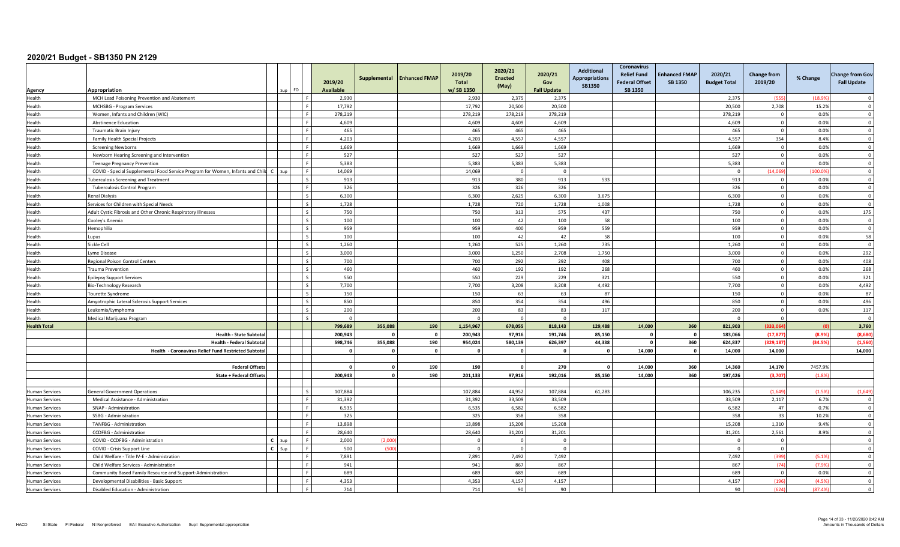|                       |                                                                                                       |                   |          |                          |                             | Supplemental    | <b>Enhanced FMAP</b>    | 2019/20                   | 2020/21<br><b>Enacted</b> | 2020/21                   | <b>Additional</b><br><b>Appropriations</b> | <b>Coronavirus</b><br><b>Relief Fund</b> | <b>Enhanced FMAP</b> | 2020/21                 | <b>Change from</b> | % Change         | <b>Change from Gov</b>                    |
|-----------------------|-------------------------------------------------------------------------------------------------------|-------------------|----------|--------------------------|-----------------------------|-----------------|-------------------------|---------------------------|---------------------------|---------------------------|--------------------------------------------|------------------------------------------|----------------------|-------------------------|--------------------|------------------|-------------------------------------------|
|                       | Appropriation                                                                                         |                   | $Sun$ FO |                          | 2019/20<br><b>Available</b> |                 |                         | <b>Total</b><br>w/SB 1350 | (May)                     | Gov<br><b>Fall Update</b> | <b>SB1350</b>                              | <b>Federal Offset</b><br><b>SB 1350</b>  | SB 1350              | <b>Budget Total</b>     | 2019/20            |                  | <b>Fall Update</b>                        |
| Agency<br>Health      | MCH Lead Poisoning Prevention and Abatement                                                           |                   |          |                          | 2,930                       |                 |                         | 2,930                     | 2,375                     | 2,375                     |                                            |                                          |                      | 2,375                   | (555)              | (18.9)           | $\Omega$                                  |
| Health                | MCHSBG - Program Services                                                                             |                   |          |                          | 17,792                      |                 |                         | 17,792                    | 20,500                    | 20,500                    |                                            |                                          |                      | 20,500                  | 2,708              | 15.2%            | $\Omega$                                  |
| Health                | Women, Infants and Children (WIC)                                                                     |                   |          |                          | 278,219                     |                 |                         | 278,219                   | 278,219                   | 278,219                   |                                            |                                          |                      | 278,219                 | $\mathbf 0$        | 0.0%             | $\overline{0}$                            |
| Health                | <b>Abstinence Education</b>                                                                           |                   |          |                          | 4,609                       |                 |                         | 4,609                     | 4,609                     | 4,609                     |                                            |                                          |                      | 4,609                   | $\overline{0}$     | 0.0%             | $\mathbf 0$                               |
| Health                | Traumatic Brain Injury                                                                                |                   |          |                          | 465                         |                 |                         | 465                       | 465                       | 465                       |                                            |                                          |                      | 465                     | $\Omega$           | 0.0%             | $\overline{0}$                            |
| Health                | Family Health Special Projects                                                                        |                   |          |                          | 4,203                       |                 |                         | 4,203                     | 4,557                     | 4,557                     |                                            |                                          |                      | 4,557                   | 354                | 8.4%             | $\overline{0}$                            |
| Health                | <b>Screening Newborns</b>                                                                             |                   |          |                          | 1,669                       |                 |                         | 1,669                     | 1,669                     | 1,669                     |                                            |                                          |                      | 1,669                   | $\Omega$           | 0.0%             | $\Omega$                                  |
| Health                | Newborn Hearing Screening and Intervention                                                            |                   |          |                          | 527                         |                 |                         | 527                       | 527                       | 527                       |                                            |                                          |                      | 527                     | $\Omega$           | 0.0%             | $\Omega$                                  |
| Health                | <b>Teenage Pregnancy Prevention</b>                                                                   |                   |          |                          | 5,383                       |                 |                         | 5,383                     | 5,383                     | 5,383                     |                                            |                                          |                      | 5,383                   | $\Omega$           | 0.0%             | $\overline{0}$                            |
| Health                | COVID - Special Supplemental Food Service Program for Women, Infants and Child                        |                   | Sup      |                          | 14,069                      |                 |                         | 14,069                    | $\overline{0}$            | $\overline{0}$            |                                            |                                          |                      | $\overline{\mathbf{0}}$ | (14,069)           | (100.09)         | $\overline{\mathbf{0}}$                   |
| Health                | <b>Tuberculosis Screening and Treatment</b>                                                           |                   |          |                          | 913                         |                 |                         | 913                       | 380                       | 913                       | 533                                        |                                          |                      | 913                     | $\Omega$           | 0.0%             | $\overline{0}$                            |
| Health                | <b>Tuberculosis Control Program</b>                                                                   |                   |          |                          | 326                         |                 |                         | 326                       | 326                       | 326                       |                                            |                                          |                      | 326                     | $\mathbf 0$        | 0.0%             | $\overline{0}$                            |
| Health                | <b>Renal Dialysis</b>                                                                                 |                   |          | $\zeta$                  | 6,300                       |                 |                         | 6,300                     | 2,625                     | 6,300                     | 3,675                                      |                                          |                      | 6.300                   | $\overline{0}$     | 0.0%             | $\Omega$                                  |
| Health                | Services for Children with Special Needs                                                              |                   |          |                          | 1,728                       |                 |                         | 1,728                     | 720                       | 1,728                     | 1,008                                      |                                          |                      | 1,728                   | $\Omega$           | 0.0%             | $\Omega$                                  |
| Health                | Adult Cystic Fibrosis and Other Chronic Respiratory Illnesses                                         |                   |          | $\zeta$                  | 750                         |                 |                         | 750                       | 313                       | 575                       | 437                                        |                                          |                      | 750                     | $\mathbf{0}$       | 0.0%             | 175                                       |
| Health                | Cooley's Anemia                                                                                       |                   |          | $\epsilon$               | 100                         |                 |                         | 100                       | 42                        | 100                       | 58                                         |                                          |                      | 100                     | $\Omega$           | 0.0%             | $\mathbf 0$                               |
| Health                | Hemophilia                                                                                            |                   |          | $\overline{\phantom{a}}$ | 959                         |                 |                         | 959                       | 400                       | 959                       | 559                                        |                                          |                      | 959                     | $\overline{0}$     | 0.0%             | $\overline{\mathbf{0}}$                   |
| Health                | Lupus                                                                                                 |                   |          | $\varsigma$              | 100                         |                 |                         | 100                       | 42                        | 42                        | 58                                         |                                          |                      | 100                     | $\mathbf{0}$       | 0.0%             | 58                                        |
| Health                | Sickle Cell                                                                                           |                   |          |                          | 1,260                       |                 |                         | 1,260                     | 525                       | 1,260                     | 735                                        |                                          |                      | 1,260                   | $\overline{0}$     | 0.0%             | $\Omega$                                  |
| Health                | Lyme Disease                                                                                          |                   |          |                          | 3,000                       |                 |                         | 3,000                     | 1,250                     | 2,708                     | 1,750                                      |                                          |                      | 3,000                   | $\Omega$           | 0.0%             | 292                                       |
| Health                | <b>Regional Poison Control Centers</b>                                                                |                   |          | $\overline{\phantom{a}}$ | 700                         |                 |                         | 700                       | 292                       | 292                       | 408                                        |                                          |                      | 700                     | $\Omega$           | 0.0%             | 408                                       |
| Health                | <b>Trauma Prevention</b>                                                                              |                   |          | $\overline{\phantom{a}}$ | 460                         |                 |                         | 460                       | 192                       | 192                       | 268                                        |                                          |                      | 460                     | $\mathbf 0$        | 0.0%             | 268                                       |
| Health                | <b>Epilepsy Support Services</b>                                                                      |                   |          | $\sim$                   | 550                         |                 |                         | 550                       | 229                       | 229                       | 321                                        |                                          |                      | 550                     | $\overline{0}$     | 0.0%             | 321                                       |
| Health                | <b>Bio-Technology Research</b>                                                                        |                   |          | $\varsigma$              | 7.700                       |                 |                         | 7,700                     | 3,208                     | 3,208                     | 4.492                                      |                                          |                      | 7.700                   | $\overline{0}$     | 0.0%             | 4,492                                     |
| Health                | <b>Tourette Syndrome</b>                                                                              |                   |          |                          | 150                         |                 |                         | 150                       | 63                        | 63                        | 87                                         |                                          |                      | 150                     | $\Omega$           | 0.0%             | 87                                        |
| Health                | Amyotrophic Lateral Sclerosis Support Services                                                        |                   |          |                          | 850                         |                 |                         | 850                       | 354                       | 354                       | 496                                        |                                          |                      | 850                     | $^{\circ}$         | 0.0%             | 496                                       |
| Health                | Leukemia/Lymphoma                                                                                     |                   |          | $\zeta$                  | 200                         |                 |                         | 200                       | 83                        | 83                        | 117                                        |                                          |                      | 200                     | $\overline{0}$     | 0.0%             | 117                                       |
| Health                | Medical Marijuana Program                                                                             |                   |          | $\epsilon$               | $\Omega$                    |                 |                         |                           | $\Omega$                  | $\Omega$                  |                                            |                                          |                      | $\Omega$                | $\Omega$           |                  | $\overline{\mathbf{0}}$                   |
| <b>Health Total</b>   |                                                                                                       |                   |          |                          | 799,689                     | 355,088         | 190                     | 1,154,967                 | 678,055                   | 818,143                   | 129,488                                    | 14,000                                   | 360                  | 821,903                 | (333,064)          |                  | 3,760                                     |
|                       | <b>Health - State Subtota</b>                                                                         |                   |          |                          | 200.943                     |                 | $\overline{\mathbf{0}}$ | 200.943                   | 97,916                    | 191.746                   | 85.150                                     | $\Omega$                                 | $\mathbf{0}$         | 183.066                 | (17.877            | (8.9%            | (8,680)                                   |
|                       | <b>Health - Federal Subtotal</b>                                                                      |                   |          |                          | 598,746                     | 355,088         | 190                     | 954,024                   | 580,139                   | 626,397                   | 44,338                                     | $^{\circ}$                               | 360                  | 624,837                 | (329, 187)         | (34.5)           | (1,560)                                   |
|                       | Health - Coronavirus Relief Fund Restricted Subtota                                                   |                   |          |                          | $\Omega$                    | - 0             | $\Omega$                | - 0                       | $\mathbf{0}$              | $\Omega$                  | $\Omega$                                   | 14,000                                   | $\mathbf{0}$         | 14,000                  | 14,000             |                  | 14,000                                    |
|                       |                                                                                                       |                   |          |                          |                             |                 |                         |                           |                           |                           |                                            |                                          |                      |                         |                    |                  |                                           |
|                       | <b>Federal Offset</b>                                                                                 |                   |          |                          | $\Omega$                    | $\Omega$        | 190                     | 190                       | $\Omega$                  | 270                       | $\Omega$                                   | 14,000                                   | 360                  | 14,360                  | 14,170             | 7457.9%          |                                           |
|                       | State + Federal Offset                                                                                |                   |          |                          | 200.943                     | $\Omega$        | 190                     | 201,133                   | 97,916                    | 192,016                   | 85,150                                     | 14,000                                   | 360                  | 197.426                 | (3.707             | (1.8)            |                                           |
|                       |                                                                                                       |                   |          |                          |                             |                 |                         |                           |                           |                           |                                            |                                          |                      |                         |                    |                  |                                           |
| <b>Human Services</b> | <b>General Government Operations</b>                                                                  |                   |          |                          | 107,884                     |                 |                         | 107,884                   | 44,952                    | 107,884                   | 61,283                                     |                                          |                      | 106,235                 | (1,649)            | (1.59)           | (1,649)                                   |
| Human Services        | Medical Assistance - Administration                                                                   |                   |          |                          | 31,392                      |                 |                         | 31,392                    | 33,509                    | 33,509                    |                                            |                                          |                      | 33,509                  | 2,117              | 6.7%             | $\Omega$<br>$\Omega$                      |
| <b>Human Services</b> | SNAP - Administration                                                                                 |                   |          |                          | 6,535                       |                 |                         | 6,535                     | 6,582                     | 6,582                     |                                            |                                          |                      | 6,582                   | 47                 | 0.7%             | $\Omega$                                  |
| <b>Human Services</b> | SSBG - Administration                                                                                 |                   |          |                          | 325                         |                 |                         | 325                       | 358                       | 358                       |                                            |                                          |                      | 358                     | 33                 | 10.2%            |                                           |
| <b>Human Services</b> | TANFBG - Administration                                                                               |                   |          |                          | 13,898                      |                 |                         | 13,898                    | 15,208                    | 15,208                    |                                            |                                          |                      | 15,208                  | 1,310              | 9.4%             | $\overline{\mathbf{0}}$<br>$\overline{0}$ |
| <b>Human Services</b> | <b>CCDFBG</b> - Administration                                                                        |                   |          |                          | 28,640<br>2,000             |                 |                         | 28,640                    | 31,201                    | 31,201<br>$\Omega$        |                                            |                                          |                      | 31,201                  | 2,561              | 8.9%             | $\Omega$                                  |
| <b>Human Services</b> | COVID - CCDFBG - Administration                                                                       | $\mathbf{c}$<br>C | Sun      |                          |                             | (2,000)<br>(500 |                         |                           | $\Omega$<br>$\Omega$      | $\Omega$                  |                                            |                                          |                      | $\Omega$<br>$\Omega$    | $\overline{0}$     |                  | $\Omega$                                  |
| <b>Human Services</b> | COVID - Crisis Support Line                                                                           |                   | Sup      |                          | 500                         |                 |                         |                           |                           |                           |                                            |                                          |                      |                         | $\overline{0}$     |                  | $\Omega$                                  |
| <b>Human Services</b> | Child Welfare - Title IV-E - Administration                                                           |                   |          |                          | 7,891<br>941                |                 |                         | 7,891<br>941              | 7,492<br>867              | 7,492<br>867              |                                            |                                          |                      | 7,492<br>867            | (399)<br>(74)      | (5.19)<br>(7.99) | $\overline{0}$                            |
| Human Services        | Child Welfare Services - Administration<br>Community Based Family Resource and Support-Administration |                   |          |                          | 689                         |                 |                         | 689                       | 689                       | 689                       |                                            |                                          |                      | 689                     | $\overline{0}$     | 0.0%             | $\overline{0}$                            |
| <b>Human Services</b> | Developmental Disabilities - Basic Support                                                            |                   |          |                          | 4,353                       |                 |                         | 4,353                     | 4,157                     | 4,157                     |                                            |                                          |                      | 4,157                   | (196)              | (4.59)           | $\Omega$                                  |
| <b>Human Services</b> | Disabled Education - Administration                                                                   |                   |          |                          | 714                         |                 |                         | 714                       | 90                        | 90                        |                                            |                                          |                      | 90                      | (624)              | (87.49)          | $\overline{0}$                            |
| <b>Human Services</b> |                                                                                                       |                   |          |                          |                             |                 |                         |                           |                           |                           |                                            |                                          |                      |                         |                    |                  |                                           |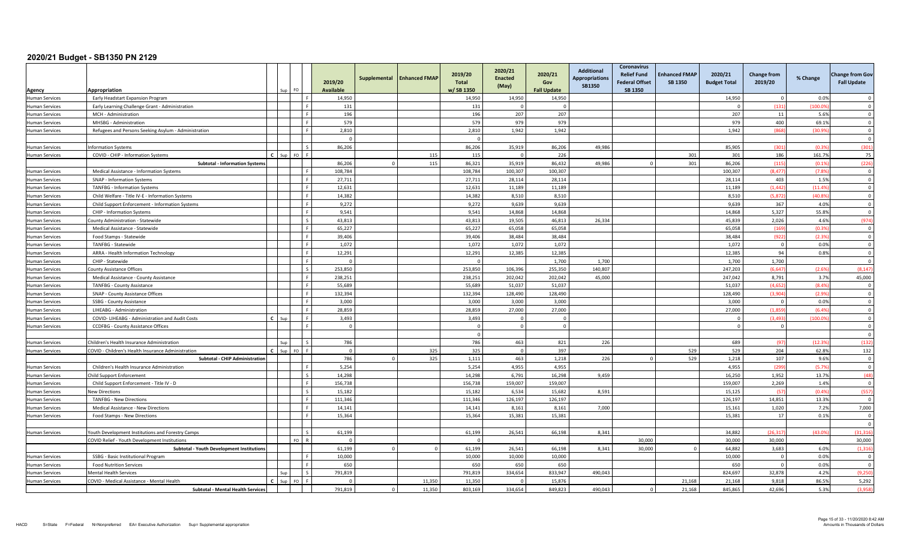| Agency                                  | Appropriation                                        |              | I FO             |         | 2019/20<br><b>Available</b> | Supplemental | <b>Enhanced FMAP</b> | 2019/20<br><b>Total</b><br>w/SB 1350 | 2020/21<br><b>Enacted</b><br>(May) | 2020/21<br>Gov<br><b>Fall Update</b> | <b>Additional</b><br><b>Appropriations</b><br><b>SB1350</b> | <b>Coronavirus</b><br><b>Relief Fund</b><br><b>Federal Offset</b><br><b>SB 1350</b> | <b>Enhanced FMAP</b><br><b>SB 1350</b> | 2020/21<br><b>Budget Total</b> | <b>Change from</b><br>2019/20 | % Change      | <b>Change from Gov</b><br><b>Fall Update</b> |
|-----------------------------------------|------------------------------------------------------|--------------|------------------|---------|-----------------------------|--------------|----------------------|--------------------------------------|------------------------------------|--------------------------------------|-------------------------------------------------------------|-------------------------------------------------------------------------------------|----------------------------------------|--------------------------------|-------------------------------|---------------|----------------------------------------------|
| <b>Human Services</b>                   | Early Headstart Expansion Program                    |              |                  |         | 14,950                      |              |                      | 14,950                               | 14,950                             | 14,950                               |                                                             |                                                                                     |                                        | 14,950                         | $\Omega$                      | 0.0%          | $\Omega$                                     |
| <b>Human Services</b>                   | Early Learning Challenge Grant - Administration      |              |                  |         | 131                         |              |                      | 131                                  |                                    | $\Omega$                             |                                                             |                                                                                     |                                        | - 0                            | (131)                         | (100.09)      | $\Omega$                                     |
| Iuman Services                          | MCH - Administration                                 |              |                  |         | 196                         |              |                      | 196                                  | 207                                | 207                                  |                                                             |                                                                                     |                                        | 207                            | 11                            | 5.6%          | $\overline{0}$                               |
| <b>Human Services</b>                   | MHSBG - Administration                               |              |                  |         | 579                         |              |                      | 579                                  | 979                                | 979                                  |                                                             |                                                                                     |                                        | 979                            | 400                           | 69.1%         | $\mathbf 0$                                  |
| <b>Human Services</b>                   | Refugees and Persons Seeking Asylum - Administration |              |                  |         | 2,810                       |              |                      | 2,810                                | 1,942                              | 1,942                                |                                                             |                                                                                     |                                        | 1,942                          | (868)                         | (30.9%        | $\overline{0}$                               |
|                                         |                                                      |              |                  |         | $\Omega$                    |              |                      |                                      |                                    |                                      |                                                             |                                                                                     |                                        |                                |                               |               | $\Omega$                                     |
| Human Services                          | nformation Systems                                   |              |                  |         | 86,206                      |              |                      | 86,206                               | 35,919                             | 86,206                               | 49,986                                                      |                                                                                     |                                        | 85,905                         | (301)                         | (0.39)        | (301)                                        |
| <b>Human Services</b>                   | COVID - CHIP - Information Systems                   | $\mathbf{c}$ | Sup FO           |         |                             |              | 115                  | 115                                  |                                    | 226                                  |                                                             |                                                                                     | 301                                    | 301                            | 186                           | 161.7%        | 75                                           |
|                                         | <b>Subtotal - Information Systems</b>                |              |                  |         | 86,206                      | $\Omega$     | 115                  | 86,321                               | 35,919                             | 86,432                               | 49.986                                                      |                                                                                     | 301                                    | 86,206                         | (115)                         | (0.19)        | (226)                                        |
| <b>Human Services</b>                   | Medical Assistance - Information Systems             |              |                  |         | 108,784                     |              |                      | 108,784                              | 100,307                            | 100,307                              |                                                             |                                                                                     |                                        | 100,307                        | (8.477)                       | (7.8%         | $\overline{0}$                               |
| <b>Human Services</b>                   | SNAP - Information Systems                           |              |                  |         | 27,711                      |              |                      | 27,711                               | 28,114                             | 28,114                               |                                                             |                                                                                     |                                        | 28,114                         | 403                           | 1.5%          | $\overline{0}$                               |
| Human Services                          | <b>TANFBG - Information Systems</b>                  |              |                  |         | 12,631                      |              |                      | 12,631                               | 11,189                             | 11,189                               |                                                             |                                                                                     |                                        | 11,189                         | (1.442)                       | (11.49)       | $\Omega$                                     |
| Human Services                          | Child Welfare - Title IV-E - Information Systems     |              |                  |         | 14,382                      |              |                      | 14,382                               | 8,510                              | 8,510                                |                                                             |                                                                                     |                                        | 8,510                          | (5, 872)                      | (40.89)       | $\Omega$                                     |
| Human Services                          | Child Support Enforcement - Information Systems      |              |                  |         | 9,272                       |              |                      | 9,272                                | 9,639                              | 9,639                                |                                                             |                                                                                     |                                        | 9,639                          | 367                           | 4.0%          | $\Omega$                                     |
| Iuman Services                          | CHIP - Information Systems                           |              |                  |         | 9,541                       |              |                      | 9,541                                | 14.868                             | 14.868                               |                                                             |                                                                                     |                                        | 14.868                         | 5,327                         | 55.8%         | $\Omega$                                     |
| <b>Human Services</b>                   | County Administration - Statewide                    |              |                  | $\zeta$ | 43,813                      |              |                      | 43,813                               | 19,505                             | 46,813                               | 26,334                                                      |                                                                                     |                                        | 45,839                         | 2,026                         | 4.6%          | (974)                                        |
| Human Services                          | Medical Assistance - Statewide                       |              |                  |         | 65,227                      |              |                      | 65,227                               | 65,058                             | 65,058                               |                                                             |                                                                                     |                                        | 65,058                         | (169)                         | (0.3%         | $\overline{0}$                               |
| Human Services                          | Food Stamps - Statewide                              |              |                  |         | 39,406                      |              |                      | 39,406                               | 38.484                             | 38,484                               |                                                             |                                                                                     |                                        | 38,484                         | (922)                         | (2.39)        | $\Omega$                                     |
| <b>Human Services</b>                   | TANFBG - Statewide                                   |              |                  |         | 1,072                       |              |                      | 1,072                                | 1,072                              | 1,072                                |                                                             |                                                                                     |                                        | 1,072                          | $\overline{0}$                | 0.0%          | $\Omega$                                     |
| Human Services                          | ARRA - Health Information Technology                 |              |                  |         | 12,291                      |              |                      | 12,291                               | 12,385                             | 12,385                               |                                                             |                                                                                     |                                        | 12,385                         | 94                            | 0.8%          | $\Omega$                                     |
| Human Services                          | CHIP - Statewide                                     |              |                  |         | $\Omega$                    |              |                      |                                      |                                    | 1,700                                | 1,700                                                       |                                                                                     |                                        | 1,700                          | 1.700                         |               | $\Omega$                                     |
| Human Services                          | County Assistance Offices                            |              |                  |         | 253,850                     |              |                      | 253,850                              | 106,396                            | 255,350                              | 140,807                                                     |                                                                                     |                                        | 247,203                        | (6.647)                       | (2.6%         | (8, 147)                                     |
| Human Services                          | Medical Assistance - County Assistance               |              |                  |         | 238,251                     |              |                      | 238,251                              | 202,042                            | 202,042                              | 45,000                                                      |                                                                                     |                                        | 247,042                        | 8,791                         | 3.7%          | 45,000                                       |
| <b>Human Services</b>                   | <b>TANFBG - County Assistance</b>                    |              |                  |         | 55.689                      |              |                      | 55,689                               | 51,037                             | 51,037                               |                                                             |                                                                                     |                                        | 51,037                         | (4.652)                       | (8.4%         | $\Omega$                                     |
| <b>Human Services</b>                   | SNAP - County Assistance Offices                     |              |                  |         | 132,394                     |              |                      | 132,394                              | 128,490                            | 128,490                              |                                                             |                                                                                     |                                        | 128,490                        | (3.904)                       | (2.9%         | $\Omega$                                     |
| <b>Human Services</b>                   | SSBG - County Assistance                             |              |                  |         | 3,000                       |              |                      | 3,000                                | 3,000                              | 3,000                                |                                                             |                                                                                     |                                        | 3,000                          | $\overline{0}$                | 0.0%          | $\Omega$                                     |
| uman Services                           | LIHEABG - Administration                             |              |                  |         | 28.859                      |              |                      | 28,859                               | 27.000                             | 27,000                               |                                                             |                                                                                     |                                        | 27,000                         | (1.859)                       | (6.49)        | $\Omega$                                     |
| Human Services                          | COVID- LIHEABG - Administration and Audit Costs      | $\mathbf{c}$ | Sur              |         | 3,493                       |              |                      | 3,493                                | $\Omega$                           | $\Omega$                             |                                                             |                                                                                     |                                        | $\Omega$                       | (3.493)                       | (100.09)      | $\overline{\mathbf{0}}$                      |
| <b>Human Services</b>                   | <b>CCDFBG</b> - County Assistance Offices            |              |                  |         | $\overline{0}$              |              |                      | $\Omega$                             | $\Omega$                           | $\Omega$                             |                                                             |                                                                                     |                                        | $\overline{0}$                 | $\overline{0}$                |               | $\Omega$                                     |
|                                         |                                                      |              |                  |         |                             |              |                      |                                      |                                    |                                      |                                                             |                                                                                     |                                        |                                |                               |               | $\Omega$                                     |
| <b>Human Services</b>                   | Children's Health Insurance Administration           |              | Sur              |         | 786                         |              |                      | 786                                  | 463                                | 821                                  | 226                                                         |                                                                                     |                                        | 689                            | (97)                          | (12.39)       | (132)                                        |
| <b>Human Services</b>                   | COVID - Children's Health Insurance Administration   | $\mathbf{c}$ | Sup<br><b>FO</b> |         | $\overline{0}$              |              | 325                  | 325                                  | $\Omega$                           | 397                                  |                                                             |                                                                                     | 529                                    | 529                            | 204                           | 62.8%         | 132                                          |
|                                         | <b>Subtotal - CHIP Administration</b>                |              |                  |         | 786                         | $\Omega$     | 325                  | 1,111                                | 463                                | 1,218                                | 226                                                         |                                                                                     | 529                                    | 1,218                          | 107                           | 9.6%          | $\Omega$                                     |
| <b>Human Services</b>                   | Children's Health Insurance Administration           |              |                  |         | 5,254                       |              |                      | 5,254                                | 4,955                              | 4,955                                |                                                             |                                                                                     |                                        | 4,955                          | (299)                         | (5.7%         | $\overline{\mathbf{0}}$<br>(48)              |
| <b>Human Services</b>                   | Child Support Enforcement                            |              |                  |         | 14,298                      |              |                      | 14,298                               | 6,791                              | 16,298                               | 9,459                                                       |                                                                                     |                                        | 16,250                         | 1,952                         | 13.7%         |                                              |
| <b>Human Services</b>                   | Child Support Enforcement - Title IV - D             |              |                  |         | 156,738                     |              |                      | 156,738                              | 159.007                            | 159,007                              |                                                             |                                                                                     |                                        | 159,007                        | 2,269<br>157                  | 1.4%<br>(0.4% | $\Omega$                                     |
| <b>Human Services</b>                   | <b>New Directions</b>                                |              |                  |         | 15,182                      |              |                      | 15,182                               | 6.534<br>126,197                   | 15,682                               | 8.591                                                       |                                                                                     |                                        | 15,125                         | 14,851                        | 13.3%         | (557)<br>$\overline{\mathbf{0}}$             |
| <b>Human Services</b>                   | <b>TANFBG - New Directions</b>                       |              |                  |         | 111,346<br>14,141           |              |                      | 111,346<br>14,141                    | 8,161                              | 126,197<br>8,161                     | 7,000                                                       |                                                                                     |                                        | 126,197<br>15,161              | 1,020                         | 7.2%          | 7,000                                        |
| Human Services<br><b>Human Services</b> | Medical Assistance - New Directions                  |              |                  |         | 15,364                      |              |                      | 15,364                               | 15,381                             | 15,381                               |                                                             |                                                                                     |                                        | 15,381                         | 17                            | 0.1%          | $\overline{\mathbf{0}}$                      |
|                                         | Food Stamps - New Directions                         |              |                  |         |                             |              |                      |                                      |                                    |                                      |                                                             |                                                                                     |                                        |                                |                               |               | $\Omega$                                     |
| Human Services                          | Youth Development Institutions and Forestry Camps    |              |                  |         | 61,199                      |              |                      | 61,199                               | 26,541                             | 66,198                               | 8.341                                                       |                                                                                     |                                        | 34.882                         | (26.317)                      | (43.09)       | (31.316)                                     |
|                                         | COVID Relief - Youth Development Institutions        |              | FO.              |         | $\Omega$                    |              |                      |                                      |                                    |                                      |                                                             | 30,000                                                                              |                                        | 30,000                         | 30,000                        |               | 30,000                                       |
|                                         | <b>Subtotal - Youth Development Institutions</b>     |              |                  |         | 61,199                      | $\Omega$     |                      | 61,199                               | 26,541                             | 66,198                               | 8,341                                                       | 30,000                                                                              |                                        | 64,882                         | 3,683                         | 6.0%          | (1, 316)                                     |
| Human Services                          | SSBG - Basic Institutional Program                   |              |                  |         | 10,000                      |              |                      | 10,000                               | 10,000                             | 10,000                               |                                                             |                                                                                     |                                        | 10,000                         | $\overline{0}$                | 0.0%          | $\overline{\mathbf{0}}$                      |
| Human Services                          | <b>Food Nutrition Services</b>                       |              |                  |         | 650                         |              |                      | 650                                  | 650                                | 650                                  |                                                             |                                                                                     |                                        | 650                            | $\overline{0}$                | 0.0%          | $\overline{0}$                               |
| <b>Human Services</b>                   | <b>Mental Health Services</b>                        |              | Sun              |         | 791,819                     |              |                      | 791,819                              | 334,654                            | 833,947                              | 490,043                                                     |                                                                                     |                                        | 824,697                        | 32,878                        | 4.2%          | (9,250)                                      |
| <b>Human Services</b>                   | COVID - Medical Assistance - Mental Health           |              | EO.              |         | $\Omega$                    |              | 11.350               | 11.350                               |                                    | 15.876                               |                                                             |                                                                                     | 21.168                                 | 21.168                         | 9.818                         | 86.5%         | 5,292                                        |
|                                         | <b>Subtotal - Mental Health Services</b>             |              |                  |         | 791,819                     | <sup>0</sup> | 11,350               | 803,169                              | 334,654                            | 849,823                              | 490,043                                                     |                                                                                     | 21,168                                 | 845,865                        | 42.696                        | 5.3%          | (3,958)                                      |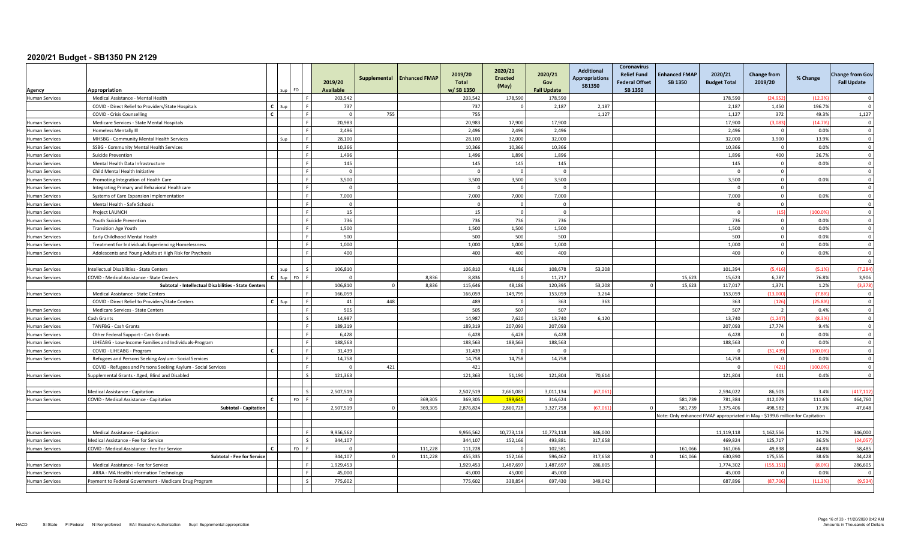| Agency                | Appropriation                                                                                      |              | FO        |             | 2019/20<br><b>Available</b> | Supplemental   | <b>Enhanced FMAP</b> | 2019/20<br><b>Total</b><br>w/SB 1350 | 2020/21<br><b>Enacted</b><br>(May) | 2020/21<br>Gov<br><b>Fall Update</b> | <b>Additional</b><br><b>Appropriations</b><br><b>SB1350</b> | Coronavirus<br><b>Relief Fund</b><br><b>Federal Offset</b><br><b>SB 1350</b> | <b>Enhanced FMAP</b><br><b>SB 1350</b> | 2020/21<br><b>Budget Total</b> | <b>Change from</b><br>2019/20                                                 | % Change      | <b>Change from Gov</b><br><b>Fall Update</b> |
|-----------------------|----------------------------------------------------------------------------------------------------|--------------|-----------|-------------|-----------------------------|----------------|----------------------|--------------------------------------|------------------------------------|--------------------------------------|-------------------------------------------------------------|------------------------------------------------------------------------------|----------------------------------------|--------------------------------|-------------------------------------------------------------------------------|---------------|----------------------------------------------|
| <b>Human Services</b> | Medical Assistance - Mental Health                                                                 |              |           |             | 203,542                     |                |                      | 203,542                              | 178,590                            | 178,590                              |                                                             |                                                                              |                                        | 178,590                        | (24, 952)                                                                     | (12.39)       | $\Omega$                                     |
|                       | COVID - Direct Relief to Providers/State Hospitals                                                 | $\mathbf{c}$ | Sun       |             | 737                         |                |                      | 737                                  |                                    | 2,187                                | 2.187                                                       |                                                                              |                                        | 2.187                          | 1.450                                                                         | 196.7%        | $\Omega$                                     |
|                       | COVID - Crisis Counselling                                                                         | $\mathbf{c}$ |           |             | $\overline{0}$              | 755            |                      | 755                                  |                                    |                                      | 1,127                                                       |                                                                              |                                        | 1,127                          | 372                                                                           | 49.3%         | 1,127                                        |
| <b>Human Services</b> | Medicare Services - State Mental Hospitals                                                         |              |           |             | 20,983                      |                |                      | 20,983                               | 17,900                             | 17,900                               |                                                             |                                                                              |                                        | 17,900                         | (3.083)                                                                       | (14.7%        | $\Omega$                                     |
| <b>Human Services</b> | <b>Homeless Mentally III</b>                                                                       |              |           |             | 2,496                       |                |                      | 2,496                                | 2,496                              | 2.496                                |                                                             |                                                                              |                                        | 2,496                          | $\overline{0}$                                                                | 0.0%          | $\Omega$                                     |
| <b>Human Services</b> | MHSBG - Community Mental Health Services                                                           |              |           |             | 28,100                      |                |                      | 28,100                               | 32,000                             | 32,000                               |                                                             |                                                                              |                                        | 32,000                         | 3,900                                                                         | 13.9%         | $\overline{0}$                               |
| <b>Human Services</b> | SSBG - Community Mental Health Services                                                            |              |           |             | 10.366                      |                |                      | 10.366                               | 10,366                             | 10.366                               |                                                             |                                                                              |                                        | 10.366                         | $\overline{0}$                                                                | 0.0%          | $\Omega$                                     |
| <b>Human Services</b> | Suicide Prevention                                                                                 |              |           |             | 1.496                       |                |                      | 1,496                                | 1,896                              | 1,896                                |                                                             |                                                                              |                                        | 1.896                          | 400                                                                           | 26.7%         | $\Omega$                                     |
| <b>Human Services</b> | Mental Health Data Infrastructure                                                                  |              |           |             | 145                         |                |                      | 145                                  | 145                                | 145                                  |                                                             |                                                                              |                                        | 145                            | $\overline{0}$                                                                | 0.0%          | $\overline{0}$                               |
| Human Services        | Child Mental Health Initiative                                                                     |              |           |             | $\overline{0}$              |                |                      | $\sqrt{ }$                           | $\Omega$                           | $\Omega$                             |                                                             |                                                                              |                                        | $\Omega$                       | $\overline{0}$                                                                |               | $\overline{\mathbf{0}}$                      |
| <b>Human Services</b> | Promoting Integration of Health Care                                                               |              |           |             | 3,500                       |                |                      | 3,500                                | 3,500                              | 3,500                                |                                                             |                                                                              |                                        | 3,500                          | $\overline{0}$                                                                | 0.0%          | $\overline{0}$                               |
| <b>Human Services</b> | Integrating Primary and Behavioral Healthcare                                                      |              |           |             | $\overline{0}$              |                |                      |                                      | $\Omega$                           | $\Omega$                             |                                                             |                                                                              |                                        | $\Omega$                       | $\mathbf 0$                                                                   |               | $\Omega$                                     |
| <b>Human Services</b> | Systems of Care Expansion Implementation                                                           |              |           |             | 7,000                       |                |                      | 7,000                                | 7,000                              | 7,000                                |                                                             |                                                                              |                                        | 7,000                          | $\overline{0}$                                                                | 0.0%          | $\Omega$                                     |
| <b>Human Services</b> | Mental Health - Safe Schools                                                                       |              |           |             | $\Omega$                    |                |                      |                                      | $\Omega$                           | $\Omega$                             |                                                             |                                                                              |                                        | - 0                            | $\Omega$                                                                      |               | $\Omega$                                     |
| <b>Human Services</b> | Project LAUNCH                                                                                     |              |           |             | 15                          |                |                      | 15                                   | $\Omega$                           | $\Omega$                             |                                                             |                                                                              |                                        | $\overline{0}$                 | (15)                                                                          | (100.09)      | $\overline{0}$                               |
| <b>Human Services</b> | Youth Suicide Prevention                                                                           |              |           |             | 736                         |                |                      | 736                                  | 736                                | 736                                  |                                                             |                                                                              |                                        | 736                            | $\overline{0}$                                                                | 0.0%          | $\overline{0}$                               |
| <b>Human Services</b> | <b>Transition Age Youth</b>                                                                        |              |           |             | 1,500                       |                |                      | 1,500                                | 1,500                              | 1,500                                |                                                             |                                                                              |                                        | 1,500                          | $\overline{0}$                                                                | 0.0%          | $\overline{0}$                               |
| <b>Human Services</b> | Early Childhood Mental Health                                                                      |              |           |             | 500                         |                |                      | 500                                  | 500                                | 500                                  |                                                             |                                                                              |                                        | 500                            | $\mathbf 0$                                                                   | 0.0%          | $\overline{0}$                               |
| <b>Human Services</b> | Treatment for Individuals Experiencing Homelessness                                                |              |           |             | 1.000                       |                |                      | 1,000                                | 1,000                              | 1,000                                |                                                             |                                                                              |                                        | 1,000                          | $\overline{0}$                                                                | 0.0%          | $\Omega$                                     |
| <b>Human Services</b> | Adolescents and Young Adults at High Risk for Psychosis                                            |              |           |             | 400                         |                |                      | 400                                  | 400                                | 400                                  |                                                             |                                                                              |                                        | 400                            | $\Omega$                                                                      | 0.0%          | $\Omega$                                     |
|                       |                                                                                                    |              |           |             |                             |                |                      |                                      |                                    |                                      |                                                             |                                                                              |                                        |                                |                                                                               |               | $\Omega$                                     |
| <b>Human Services</b> | Intellectual Disabilities - State Centers                                                          |              |           |             | 106,810<br>$\Omega$         |                |                      | 106,810                              | 48,186                             | 108,678                              | 53,208                                                      |                                                                              |                                        | 101,394                        | (5, 416)                                                                      | (5.1%         | (7, 284)                                     |
| <b>Human Services</b> | COVID - Medical Assistance - State Centers<br>Subtotal - Intellectual Disabilities - State Centers |              | FO.       |             | 106.810                     | $\overline{0}$ | 8.836<br>8,836       | 8.836<br>115.646                     | 48.186                             | 11.717<br>120,395                    | 53,208                                                      |                                                                              | 15.623<br>15,623                       | 15.623<br>117,017              | 6.787<br>1,371                                                                | 76.8%<br>1.2% | 3,906<br>(3, 378)                            |
| Human Services        | Medical Assistance - State Centers                                                                 |              |           |             | 166,059                     |                |                      | 166,059                              | 149,795                            | 153,059                              | 3,264                                                       |                                                                              |                                        | 153,059                        | (13,000)                                                                      | (7.8%         | $\overline{0}$                               |
|                       | COVID - Direct Relief to Providers/State Centers                                                   | $\epsilon$   | Sun       |             | 41                          | 448            |                      | 489                                  | $\Omega$                           | 363                                  | 363                                                         |                                                                              |                                        | 363                            | (126)                                                                         | (25.8%        | $\Omega$                                     |
| <b>Human Services</b> | Medicare Services - State Centers                                                                  |              |           |             | 505                         |                |                      | 505                                  | 507                                | 507                                  |                                                             |                                                                              |                                        | 507                            | $\overline{2}$                                                                | 0.4%          | $\Omega$                                     |
| Human Services        | Cash Grants                                                                                        |              |           |             | 14,987                      |                |                      | 14,987                               | 7,620                              | 13,740                               | 6,120                                                       |                                                                              |                                        | 13,740                         | (1, 247)                                                                      | (8.3%         | $\overline{\mathbf{0}}$                      |
| Human Services        | TANFBG - Cash Grants                                                                               |              |           |             | 189,319                     |                |                      | 189,319                              | 207,093                            | 207,093                              |                                                             |                                                                              |                                        | 207,093                        | 17,774                                                                        | 9.4%          | $\overline{\mathbf{0}}$                      |
| <b>Human Services</b> | Other Federal Support - Cash Grants                                                                |              |           |             | 6,428                       |                |                      | 6,428                                | 6,428                              | 6,428                                |                                                             |                                                                              |                                        | 6,428                          | $\overline{0}$                                                                | 0.0%          | $\overline{0}$                               |
| <b>Human Services</b> | LIHEABG - Low-Income Families and Individuals-Program                                              |              |           |             | 188.563                     |                |                      | 188.563                              | 188.563                            | 188.563                              |                                                             |                                                                              |                                        | 188.563                        | $\overline{0}$                                                                | 0.0%          | $\Omega$                                     |
| <b>Human Services</b> | COVID - LIHEABG - Program                                                                          |              |           |             | 31.439                      |                |                      | 31,439                               |                                    | $\Omega$                             |                                                             |                                                                              |                                        | $\Omega$                       | (31, 439)                                                                     | (100.0%       | $\Omega$                                     |
| <b>Human Services</b> | Refugees and Persons Seeking Asylum - Social Services                                              |              |           |             | 14,758                      |                |                      | 14,758                               | 14,758                             | 14,758                               |                                                             |                                                                              |                                        | 14,758                         | $\overline{0}$                                                                | 0.0%          | $\Omega$                                     |
|                       | COVID - Refugees and Persons Seeking Asylum - Social Services                                      |              |           |             | $\Omega$                    | 421            |                      | 421                                  |                                    |                                      |                                                             |                                                                              |                                        |                                | (421)                                                                         | (100.09)      | $\overline{\mathbf{0}}$                      |
| <b>Human Services</b> | Supplemental Grants - Aged, Blind and Disabled                                                     |              |           |             | 121,363                     |                |                      | 121,363                              | 51,190                             | 121,804                              | 70,614                                                      |                                                                              |                                        | 121,804                        | 441                                                                           | 0.4%          | $\overline{0}$                               |
|                       |                                                                                                    |              |           |             |                             |                |                      |                                      |                                    |                                      |                                                             |                                                                              |                                        |                                |                                                                               |               |                                              |
| <b>Human Services</b> | Medical Assistance - Capitation                                                                    |              |           |             | 2,507,519                   |                |                      | 2,507,519                            | 2,661,083                          | 3,011,134                            | (67,06)                                                     |                                                                              |                                        | 2,594,022                      | 86,503                                                                        | 3.4%          | (417, 112)                                   |
| <b>Human Services</b> | COVID - Medical Assistance - Capitation                                                            |              | FO.       |             | $\Omega$                    |                | 369,305              | 369,305                              | 199.645                            | 316,624                              |                                                             |                                                                              | 581.739                                | 781.384                        | 412,079                                                                       | 111.6%        | 464,760                                      |
|                       | <b>Subtotal - Capitation</b>                                                                       |              |           |             | 2,507,519                   |                | 369,305              | 2,876,824                            | 2,860,728                          | 3,327,758                            | (67.06)                                                     |                                                                              | 581.739                                | 3.375.406                      | 498.582                                                                       | 17.3%         | 47,648                                       |
|                       |                                                                                                    |              |           |             |                             |                |                      |                                      |                                    |                                      |                                                             |                                                                              |                                        |                                | Vote: Only enhanced FMAP appropriated in May - \$199.6 million for Capitation |               |                                              |
|                       |                                                                                                    |              |           |             |                             |                |                      |                                      |                                    |                                      |                                                             |                                                                              |                                        |                                |                                                                               |               |                                              |
| <b>Human Services</b> | Medical Assistance - Capitation                                                                    |              |           |             | 9,956,562                   |                |                      | 9,956,562                            | 10,773,118                         | 10,773,118                           | 346,000                                                     |                                                                              |                                        | 11,119,118                     | 1,162,556                                                                     | 11.7%         | 346,000                                      |
| <b>Human Services</b> | Medical Assistance - Fee for Service                                                               |              |           | $\varsigma$ | 344,107                     |                |                      | 344,107                              | 152,166                            | 493,881                              | 317,658                                                     |                                                                              |                                        | 469,824                        | 125,717                                                                       | 36.5%         | (24,057)                                     |
| <b>Human Services</b> | COVID - Medical Assistance - Fee For Service                                                       | $\mathbf{r}$ | <b>FO</b> |             | $\Omega$                    |                | 111,228              | 111,228                              | $\Omega$                           | 102,581                              |                                                             |                                                                              | 161.066                                | 161.066                        | 49.838                                                                        | 44.8%         | 58,485                                       |
|                       | <b>Subtotal - Fee for Service</b>                                                                  |              |           |             | 344,107                     | <sup>0</sup>   | 111,228              | 455,335                              | 152,166                            | 596,462                              | 317,658                                                     |                                                                              | 161,066                                | 630.890                        | 175,555                                                                       | 38.6%         | 34,428                                       |
| <b>Human Services</b> | Medical Assistance - Fee for Service                                                               |              |           |             | 1.929.453                   |                |                      | 1.929.453                            | 1.487.697                          | 1.487.697                            | 286.605                                                     |                                                                              |                                        | 1.774.302                      | (155.151                                                                      | (8.0%         | 286,605                                      |
| <b>Human Services</b> | ARRA - MA Health Information Technology                                                            |              |           |             | 45,000                      |                |                      | 45,000                               | 45,000                             | 45,000                               |                                                             |                                                                              |                                        | 45,000                         | $\Omega$                                                                      | 0.0%          | $\Omega$                                     |
| <b>Human Services</b> | Payment to Federal Government - Medicare Drug Program                                              |              |           |             | 775,602                     |                |                      | 775,602                              | 338,854                            | 697,430                              | 349,042                                                     |                                                                              |                                        | 687,896                        | (87, 706)                                                                     | (11.3%        | (9,534)                                      |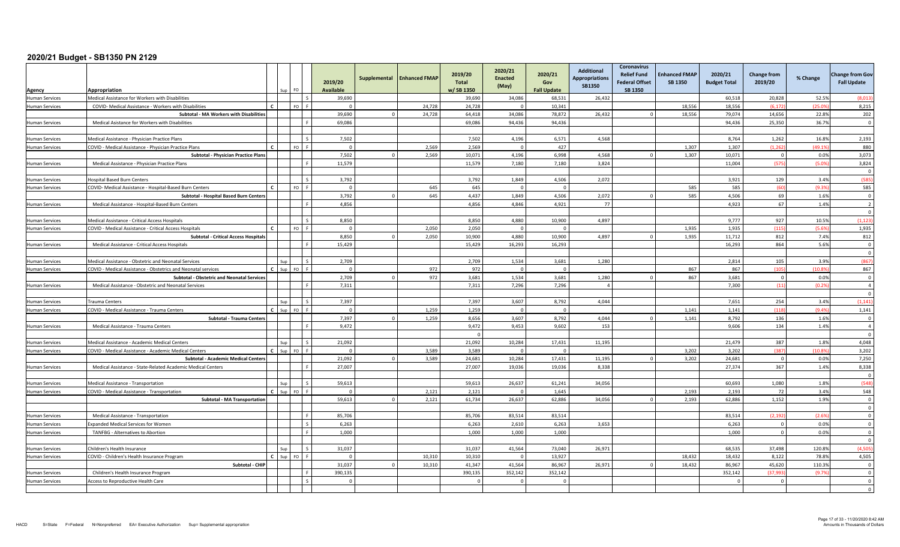| Agency                                         | Appropriation                                                                                          |              |            | FO.                      | 2019/20<br><b>Available</b> | Supplemental | <b>Enhanced FMAP</b> | 2019/20<br><b>Total</b><br>w/SB 1350 | 2020/21<br><b>Enacted</b><br>(May) | 2020/21<br>Gov<br><b>Fall Update</b> | <b>Additional</b><br><b>Appropriations</b><br><b>SB1350</b> | Coronavirus<br><b>Relief Fund</b><br><b>Federal Offset</b><br><b>SB 1350</b> | <b>Enhanced FMAP</b><br>SB 1350 | 2020/21<br><b>Budget Total</b> | <b>Change from</b><br>2019/20 | % Change | <b>Change from Gov</b><br><b>Fall Update</b> |
|------------------------------------------------|--------------------------------------------------------------------------------------------------------|--------------|------------|--------------------------|-----------------------------|--------------|----------------------|--------------------------------------|------------------------------------|--------------------------------------|-------------------------------------------------------------|------------------------------------------------------------------------------|---------------------------------|--------------------------------|-------------------------------|----------|----------------------------------------------|
| Human Services                                 | Medical Assistance for Workers with Disabilities                                                       |              |            |                          | 39,690                      |              |                      | 39,690                               | 34,086                             | 68,531                               | 26,432                                                      |                                                                              |                                 | 60,518                         | 20,828                        | 52.5%    | (8,01)                                       |
| <b>Human Services</b>                          | COVID- Medical Assistance - Workers with Disabilities                                                  |              |            | FO <sub>F</sub>          |                             |              | 24.728               | 24.728                               | $\Omega$                           | 10.341                               |                                                             |                                                                              | 18.556                          | 18.556                         | (6.17)                        | (25.09)  | 8,215                                        |
|                                                | Subtotal - MA Workers with Disabilities                                                                |              |            |                          | 39,690                      |              | 24,728               | 64,418                               | 34,086                             | 78,872                               | 26,432                                                      |                                                                              | 18,556                          | 79,074                         | 14,656                        | 22.8%    | 202                                          |
| Human Services                                 | Medical Asistance for Workers with Disabilities                                                        |              |            |                          | 69,086                      |              |                      | 69,086                               | 94,436                             | 94,436                               |                                                             |                                                                              |                                 | 94,436                         | 25,350                        | 36.7%    | $\overline{0}$                               |
|                                                |                                                                                                        |              |            |                          |                             |              |                      |                                      |                                    |                                      |                                                             |                                                                              |                                 |                                |                               |          |                                              |
| <b>Human Services</b>                          | Medical Assistance - Physician Practice Plans                                                          |              |            |                          | 7,502                       |              |                      | 7,502                                | 4,196                              | 6,571                                | 4,568                                                       |                                                                              |                                 | 8,764                          | 1,262                         | 16.8%    | 2,193                                        |
| <b>Human Services</b>                          | COVID - Medical Assistance - Physician Practice Plans                                                  |              |            | F <sub>O</sub>           | $\Omega$                    |              | 2.569                | 2.569                                | $\Omega$                           | 427                                  |                                                             |                                                                              | 1.307                           | 1.307                          | (1.262)                       | (49.1%   | 880                                          |
|                                                | <b>Subtotal - Physician Practice Plans</b>                                                             |              |            |                          | 7.502                       |              | 2,569                | 10,071                               | 4.196                              | 6,998                                | 4.568                                                       |                                                                              | 1,307                           | 10.071                         | $\overline{0}$                | 0.0%     | 3,073                                        |
| Human Services                                 | Medical Assistance - Physician Practice Plans                                                          |              |            |                          | 11,579                      |              |                      | 11.579                               | 7.180                              | 7.180                                | 3,824                                                       |                                                                              |                                 | 11.004                         | (575                          | (5.0%    | 3,824                                        |
|                                                |                                                                                                        |              |            |                          |                             |              |                      |                                      |                                    |                                      |                                                             |                                                                              |                                 |                                |                               |          | $\overline{0}$                               |
| Human Services                                 | <b>Hospital Based Burn Centers</b>                                                                     |              |            |                          | 3,792                       |              |                      | 3,792                                | 1,849                              | 4,506                                | 2,072                                                       |                                                                              |                                 | 3,921                          | 129                           | 3.4%     | (585                                         |
| <b>Human Services</b>                          | COVID- Medical Assistance - Hospital-Based Burn Centers                                                |              |            |                          | $\mathbf 0$                 |              | 645                  | 645                                  | $\Omega$                           | $\overline{0}$                       |                                                             |                                                                              | 585                             | 585                            | (60)                          | (9.3%    | 585                                          |
|                                                | <b>Subtotal - Hospital Based Burn Centers</b>                                                          |              |            |                          | 3,792                       |              | 645                  | 4,437                                | 1,849                              | 4,506                                | 2,072                                                       |                                                                              | 585                             | 4,506                          | 69                            | 1.6%     | $\Omega$                                     |
| <b>Human Services</b>                          | Medical Assistance - Hospital-Based Burn Centers                                                       |              |            |                          | 4,856                       |              |                      | 4,856                                | 4.846                              | 4.921                                | 77                                                          |                                                                              |                                 | 4,923                          | 67                            | 1.4%     | $\overline{2}$                               |
|                                                |                                                                                                        |              |            |                          |                             |              |                      |                                      |                                    |                                      |                                                             |                                                                              |                                 |                                |                               |          | $\Omega$                                     |
| Human Services                                 | Medical Assistance - Critical Access Hospitals                                                         |              |            | $\overline{\phantom{a}}$ | 8,850                       |              |                      | 8,850                                | 4,880                              | 10,900                               | 4,897                                                       |                                                                              |                                 | 9,777                          | 927                           | 10.5%    | (1, 12)                                      |
| <b>Human Services</b>                          | COVID - Medical Assistance - Critical Access Hospitals                                                 |              |            |                          | $\Omega$                    |              | 2.050                | 2.050                                | $\Omega$                           | $\Omega$                             |                                                             |                                                                              | 1.935                           | 1.935                          | (115)                         | (5.6%    | 1,935                                        |
|                                                | <b>Subtotal - Critical Access Hospitals</b>                                                            |              |            |                          | 8,850                       |              | 2,050                | 10,900                               | 4,880                              | 10,900                               | 4,897                                                       |                                                                              | 1,935                           | 11,712                         | 812                           | 7.4%     | 812                                          |
| Human Services                                 | Medical Assistance - Critical Access Hospitals                                                         |              |            |                          | 15.429                      |              |                      | 15,429                               | 16.293                             | 16.293                               |                                                             |                                                                              |                                 | 16,293                         | 864                           | 5.6%     | $\Omega$                                     |
|                                                |                                                                                                        |              |            |                          |                             |              |                      |                                      |                                    |                                      |                                                             |                                                                              |                                 |                                |                               |          | $\Omega$                                     |
| <b>Human Services</b>                          | Medical Assistance - Obstetric and Neonatal Services                                                   |              |            |                          | 2,709                       |              |                      | 2,709                                | 1,534                              | 3,681                                | 1,280                                                       |                                                                              |                                 | 2,814                          | 105                           | 3.9%     | (867)                                        |
| <b>Human Services</b>                          | COVID - Medical Assistance - Obstetrics and Neonatal services                                          | $\mathbf{c}$ | Sup        | FO <sub>F</sub>          | $\Omega$                    |              | 972                  | 972                                  | $\overline{0}$                     | $\Omega$                             |                                                             |                                                                              | 867                             | 867                            | (105)                         | (10.8%   | 867                                          |
|                                                | <b>Subtotal - Obstetric and Neonatal Services</b>                                                      |              |            |                          | 2,709                       |              | 972                  | 3,681                                | 1,534                              | 3,681                                | 1,280                                                       |                                                                              | 867                             | 3,681                          | $\overline{0}$                | 0.0%     | $\overline{\mathbf{0}}$                      |
| <b>Human Services</b>                          | Medical Assistance - Obstetric and Neonatal Services                                                   |              |            |                          | 7.311                       |              |                      | 7,311                                | 7,296                              | 7,296                                | $\overline{a}$                                              |                                                                              |                                 | 7.300                          | (11)                          | (0.2%    | $\overline{4}$                               |
|                                                |                                                                                                        |              |            |                          |                             |              |                      |                                      |                                    |                                      |                                                             |                                                                              |                                 |                                |                               |          | $\Omega$                                     |
| Human Services                                 | <b>Trauma Centers</b>                                                                                  |              | Sun        |                          | 7,397                       |              |                      | 7,397                                | 3,607                              | 8,792                                | 4,044                                                       |                                                                              |                                 | 7,651                          | 254                           | 3.4%     | (1, 141)                                     |
| <b>Human Services</b>                          | COVID - Medical Assistance - Trauma Centers                                                            | $\epsilon$   | Sun        | FO <sub>F</sub>          | $\mathbf 0$                 |              | 1.259                | 1.259                                | $\Omega$                           | $\Omega$                             |                                                             |                                                                              | 1.141                           | 1.141                          | (118)                         | (9.4%    | 1,141                                        |
|                                                | Subtotal - Trauma Centers                                                                              |              |            | l c                      | 7,397                       |              | 1,259                | 8,656                                | 3,607                              | 8,792                                | 4,044                                                       |                                                                              | 1,141                           | 8,792                          | 136                           | 1.6%     | $\overline{\mathbf{0}}$                      |
| <b>Human Services</b>                          | Medical Assistance - Trauma Centers                                                                    |              |            |                          | 9,472                       |              |                      | 9,472<br>$\Omega$                    | 9.453                              | 9,602                                | 153                                                         |                                                                              |                                 | 9,606                          | 134                           | 1.4%     | $\overline{4}$<br>$\overline{\mathbf{0}}$    |
|                                                |                                                                                                        |              |            |                          | 21.092                      |              |                      |                                      | 10.284                             |                                      |                                                             |                                                                              |                                 | 21.479                         | 387                           | 1.8%     | 4,048                                        |
| <b>Human Services</b><br><b>Human Services</b> | Medical Assistance - Academic Medical Centers<br>COVID - Medical Assistance - Academic Medical Centers | $\mathbf{c}$ | Sup<br>Sun | FO.                      | $\Omega$                    |              | 3.589                | 21,092<br>3.589                      | $\Omega$                           | 17,431<br>$\Omega$                   | 11,195                                                      |                                                                              | 3,202                           | 3.202                          | (387)                         | (10.8%   | 3,202                                        |
|                                                | <b>Subtotal - Academic Medical Centers</b>                                                             |              |            |                          | 21,092                      |              | 3,589                | 24,681                               | 10,284                             | 17,431                               | 11,195                                                      |                                                                              | 3,202                           | 24,681                         | $\mathbf{0}$                  | 0.0%     | 7,250                                        |
| <b>Human Services</b>                          | Medical Assistance - State-Related Academic Medical Centers                                            |              |            |                          | 27,007                      |              |                      | 27,007                               | 19,036                             | 19,036                               | 8,338                                                       |                                                                              |                                 | 27,374                         | 367                           | 1.4%     | 8,338                                        |
|                                                |                                                                                                        |              |            |                          |                             |              |                      |                                      |                                    |                                      |                                                             |                                                                              |                                 |                                |                               |          | $\overline{\mathbf{0}}$                      |
| <b>Human Services</b>                          | Medical Assistance - Transportation                                                                    |              | Sup        |                          | 59,613                      |              |                      | 59,613                               | 26,637                             | 61,241                               | 34,056                                                      |                                                                              |                                 | 60.693                         | 1,080                         | 1.8%     | (548)                                        |
| <b>Human Services</b>                          | COVID - Medical Assistance - Transportation                                                            | $\mathbf{c}$ | Sup        | FO <sub>F</sub>          | $\Omega$                    |              | 2,121                | 2.121                                | $\Omega$                           | 1.645                                |                                                             |                                                                              | 2,193                           | 2.193                          | 72                            | 3.4%     | 548                                          |
|                                                | Subtotal - MA Transportation                                                                           |              |            |                          | 59,613                      |              | 2,121                | 61,734                               | 26,637                             | 62,886                               | 34,056                                                      |                                                                              | 2,193                           | 62,886                         | 1,152                         | 1.9%     | $\Omega$                                     |
|                                                |                                                                                                        |              |            |                          |                             |              |                      |                                      |                                    |                                      |                                                             |                                                                              |                                 |                                |                               |          | $\Omega$                                     |
| Human Services                                 | Medical Assistance - Transportation                                                                    |              |            |                          | 85,706                      |              |                      | 85,706                               | 83,514                             | 83,514                               |                                                             |                                                                              |                                 | 83,514                         | (2, 192)                      | (2.6%    | $\overline{\mathbf{0}}$                      |
| Human Services                                 | <b>Expanded Medical Services for Women</b>                                                             |              |            | $\sim$                   | 6,263                       |              |                      | 6,263                                | 2,610                              | 6,263                                | 3,653                                                       |                                                                              |                                 | 6,263                          | $\mathbf{0}$                  | 0.0%     | $\overline{\mathbf{0}}$                      |
| Human Services                                 | TANFBG - Alternatives to Abortion                                                                      |              |            |                          | 1,000                       |              |                      | 1,000                                | 1,000                              | 1,000                                |                                                             |                                                                              |                                 | 1,000                          | $\Omega$                      | 0.0%     | $\overline{0}$                               |
|                                                |                                                                                                        |              |            |                          |                             |              |                      |                                      |                                    |                                      |                                                             |                                                                              |                                 |                                |                               |          | $\Omega$                                     |
| <b>Human Services</b>                          | Children's Health Insurance                                                                            |              | Sup        |                          | 31,037                      |              |                      | 31,037                               | 41,564                             | 73,040                               | 26,971                                                      |                                                                              |                                 | 68,535                         | 37,498                        | 120.8%   | (4,505)                                      |
| Human Services                                 | COVID - Children's Health Insurance Program                                                            |              |            |                          | $\Omega$                    |              | 10,310               | 10.310                               | $\Omega$                           | 13.927                               |                                                             |                                                                              | 18.432                          | 18.432                         | 8.122                         | 78.8%    | 4,505                                        |
|                                                | Subtotal - CHIP                                                                                        |              |            |                          | 31.037                      |              | 10.310               | 41.347                               | 41.564                             | 86.967                               | 26.971                                                      |                                                                              | 18.432                          | 86.967                         | 45.620                        | 110.3%   | $\Omega$                                     |
| <b>Human Services</b>                          | Children's Health Insurance Program                                                                    |              |            |                          | 390,135                     |              |                      | 390,135                              | 352,142                            | 352,142                              |                                                             |                                                                              |                                 | 352,142                        | (37, 99)                      | (9.7%    | $\overline{\mathbf{0}}$                      |
| Human Services                                 | Access to Reproductive Health Care                                                                     |              |            |                          | $\mathbf 0$                 |              |                      | $\bigcap$                            | $\Omega$                           | $\Omega$                             |                                                             |                                                                              |                                 | $\Omega$                       | $\mathbf 0$                   |          | $\Omega$                                     |
|                                                |                                                                                                        |              |            |                          |                             |              |                      |                                      |                                    |                                      |                                                             |                                                                              |                                 |                                |                               |          | $\overline{0}$                               |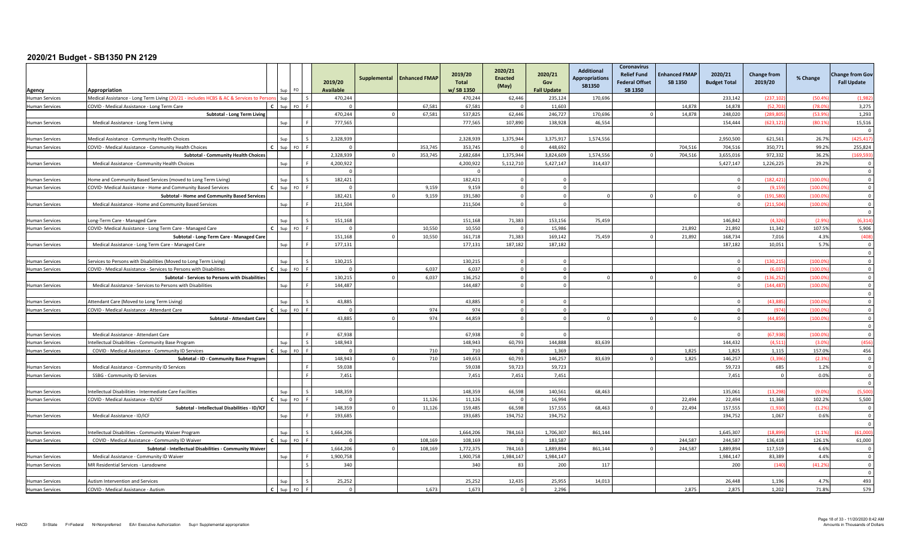| Agency                | Appropriation                                                                          |              |         |                          | 2019/20<br><b>Available</b> | Supplemental | <b>Enhanced FMAP</b> | 2019/20<br>Total<br>w/SB 1350 | 2020/21<br><b>Enacted</b><br>(May) | 2020/21<br>Gov<br><b>Fall Update</b> | <b>Additional</b><br><b>Appropriations</b><br><b>SB1350</b> | <b>Coronavirus</b><br><b>Relief Fund</b><br><b>Federal Offset</b><br>SB 1350 | <b>Enhanced FMAP</b><br><b>SB 1350</b> | 2020/21<br><b>Budget Total</b> | <b>Change from</b><br>2019/20 | % Change | <b>Change from Gov</b><br><b>Fall Update</b> |
|-----------------------|----------------------------------------------------------------------------------------|--------------|---------|--------------------------|-----------------------------|--------------|----------------------|-------------------------------|------------------------------------|--------------------------------------|-------------------------------------------------------------|------------------------------------------------------------------------------|----------------------------------------|--------------------------------|-------------------------------|----------|----------------------------------------------|
| <b>Human Services</b> | Medical Assistance - Long Term Living (20/21 - includes HCBS & AC & Services to Person |              | Sup     | ΙS                       | 470,244                     |              |                      | 470,244                       | 62,446                             | 235,124                              | 170,696                                                     |                                                                              |                                        | 233.142                        | (237, 102)                    | (50.49)  | (1,98)                                       |
| <b>Human Services</b> | COVID - Medical Assistance - Long Term Care                                            |              |         | FO <sub>F</sub>          |                             |              | 67,581               | 67,581                        | $\Omega$                           | 11,603                               |                                                             |                                                                              | 14,878                                 | 14,878                         | (52,7)                        | (78.0)   | 3,275                                        |
|                       | Subtotal - Long Term Living                                                            |              |         |                          | 470,244                     |              | 67,581               | 537,825                       | 62,446                             | 246,727                              | 170,696                                                     |                                                                              | 14,878                                 | 248,020                        | (289.80)                      | (53.9)   | 1,293                                        |
| <b>Human Services</b> | Medical Assistance - Long Term Living                                                  |              | Sun     | Lε                       | 777,565                     |              |                      | 777.565                       | 107,890                            | 138,928                              | 46,554                                                      |                                                                              |                                        | 154,444                        | (623.121)                     | (80.19)  | 15,516                                       |
|                       |                                                                                        |              |         |                          |                             |              |                      |                               |                                    |                                      |                                                             |                                                                              |                                        |                                |                               |          | $\Omega$                                     |
| <b>Human Services</b> | Medical Assistance - Community Health Choices                                          |              | Sup     | l s                      | 2,328,939                   |              |                      | 2,328,939                     | 1,375,944                          | 3,375,917                            | 1,574,556                                                   |                                                                              |                                        | 2,950,500                      | 621,561                       | 26.7%    | (425, 417)                                   |
| <b>Human Services</b> | COVID - Medical Assistance - Community Health Choices                                  |              | Sun     | FO <sub>F</sub>          | $\Omega$                    |              | 353,745              | 353.745                       | $\Omega$                           | 448.692                              |                                                             |                                                                              | 704.516                                | 704.516                        | 350.771                       | 99.2%    | 255,824                                      |
|                       | <b>Subtotal - Community Health Choices</b>                                             |              |         |                          | 2.328.939                   |              | 353.745              | 2.682.684                     | 1.375.944                          | 3.824.609                            | 1.574.556                                                   |                                                                              | 704.516                                | 3.655.016                      | 972.332                       | 36.2%    | (169, 593)                                   |
| <b>Human Services</b> | Medical Assistance - Community Health Choices                                          |              | Sup     |                          | 4,200,922                   |              |                      | 4,200,922                     | 5,112,710                          | 5,427,147                            | 314,437                                                     |                                                                              |                                        | 5,427,147                      | 1,226,225                     | 29.2%    | $\overline{\mathbf{0}}$                      |
|                       |                                                                                        |              |         |                          | $\bigcap$                   |              |                      | $\sqrt{ }$                    |                                    |                                      |                                                             |                                                                              |                                        |                                |                               |          | $\overline{0}$                               |
| <b>Human Services</b> | Home and Community Based Services (moved to Long Term Living)                          |              | Sup     | l s                      | 182.421                     |              |                      | 182.421                       | $\Omega$                           | $\Omega$                             |                                                             |                                                                              |                                        | $\Omega$                       | (182.421)                     | (100.09) | $\overline{0}$                               |
| Human Services        | COVID- Medical Assistance - Home and Community Based Services                          |              | Sup     | $FO$ $F$                 | $\Omega$                    |              | 9,159                | 9,159                         | $\overline{0}$                     | $\Omega$                             |                                                             |                                                                              |                                        | $\Omega$                       | (9.159                        | (100.0)  | $\overline{0}$                               |
|                       | Subtotal - Home and Community Based Services                                           |              |         |                          | 182.421                     |              | 9.159                | 191.580                       | $\overline{0}$                     | $\Omega$                             | $\Omega$                                                    |                                                                              |                                        | $\Omega$                       | (191.58)                      | (100.09) | $\Omega$                                     |
| <b>Human Services</b> | Medical Assistance - Home and Community Based Services                                 |              | Sup     |                          | 211,504                     |              |                      | 211.504                       | $\Omega$                           | $\Omega$                             |                                                             |                                                                              |                                        | $\Omega$                       | (211,504)                     | (100.09) | $\Omega$                                     |
|                       |                                                                                        |              |         |                          |                             |              |                      |                               |                                    |                                      |                                                             |                                                                              |                                        |                                |                               |          | $\overline{\mathbf{0}}$                      |
| <b>Human Services</b> | Long-Term Care - Managed Care                                                          |              | Sup     | $\overline{\phantom{a}}$ | 151,168                     |              |                      | 151,168                       | 71,383                             | 153,156                              | 75,459                                                      |                                                                              |                                        | 146.842                        | (4.32)                        | (2.99)   | (6, 314)                                     |
| <b>Human Services</b> | COVID- Medical Assistance - Long Term Care - Managed Care                              |              |         | $FO$ $F$                 |                             |              | 10.550               | 10.550                        | $\Omega$                           | 15.986                               |                                                             |                                                                              | 21.892                                 | 21.892                         | 11.342                        | 107.5%   | 5,906                                        |
|                       | Subtotal - Long-Term Care - Managed Care                                               |              |         |                          | 151,168                     |              | 10,550               | 161,718                       | 71,383                             | 169,142                              | 75,459                                                      |                                                                              | 21,892                                 | 168,734                        | 7,016                         | 4.3%     | (408)                                        |
| <b>Human Services</b> | Medical Assistance - Long Term Care - Managed Care                                     |              | Sup     |                          | 177.131                     |              |                      | 177,131                       | 187.182                            | 187.182                              |                                                             |                                                                              |                                        | 187,182                        | 10,051                        | 5.7%     | $\Omega$                                     |
|                       |                                                                                        |              |         |                          |                             |              |                      |                               |                                    |                                      |                                                             |                                                                              |                                        |                                |                               |          | $\Omega$                                     |
| Human Services        | Services to Persons with Disabilities (Moved to Long Term Living)                      |              |         | Ιc                       | 130.215                     |              |                      | 130.215                       | $\Omega$                           | $\Omega$                             |                                                             |                                                                              |                                        | $\overline{0}$                 | (130.21)                      | (100.0)  | $\Omega$                                     |
| Human Services        | COVID - Medical Assistance - Services to Persons with Disabilities                     |              | $C$ Sun | FO <sub>F</sub>          | $\Omega$                    |              | 6.037                | 6.037                         | $\Omega$                           | $\Omega$                             |                                                             |                                                                              |                                        | $\Omega$                       | (6.037)                       | (100.0)  | $\overline{0}$                               |
|                       | Subtotal - Services to Persons with Disabilities                                       |              |         |                          | 130,215                     |              | 6,037                | 136,252                       | $\overline{0}$                     | $\Omega$                             | $\Omega$                                                    |                                                                              |                                        | $\overline{0}$                 | (136.25                       | (100.0)  | $\overline{0}$                               |
| Human Services        | Medical Assistance - Services to Persons with Disabilities                             |              | Sur     | l F                      | 144,487                     |              |                      | 144,487                       | $\Omega$                           | $\Omega$                             |                                                             |                                                                              |                                        | $\Omega$                       | (144.487)                     | (100.0)  | $\Omega$                                     |
|                       |                                                                                        |              |         |                          |                             |              |                      |                               |                                    |                                      |                                                             |                                                                              |                                        |                                |                               |          | $\Omega$                                     |
| Human Services        | Attendant Care (Moved to Long Term Living)                                             |              | Sun     |                          | 43,885                      |              |                      | 43,885                        |                                    |                                      |                                                             |                                                                              |                                        |                                | (43.88)                       | (100.0)  | $\Omega$                                     |
| Human Services        | COVID - Medical Assistance - Attendant Care                                            |              |         | FO <sub>F</sub>          |                             |              | 974                  | 974                           | $\Omega$                           | $\Omega$                             |                                                             |                                                                              |                                        | $\overline{0}$                 | (974)                         | (100.0)  | $\Omega$                                     |
|                       | Subtotal - Attendant Care                                                              |              |         |                          | 43,885                      |              | 974                  | 44,859                        | $\Omega$                           | $\Omega$                             | $\Omega$                                                    |                                                                              |                                        | $\Omega$                       | (44, 859)                     | (100.09) | $\overline{0}$                               |
|                       |                                                                                        |              |         |                          |                             |              |                      |                               |                                    |                                      |                                                             |                                                                              |                                        |                                |                               |          | $\overline{0}$                               |
| Human Services        | Medical Assistance - Attendant Care                                                    |              |         | Lε                       | 67,938                      |              |                      | 67,938                        | $\Omega$                           |                                      |                                                             |                                                                              |                                        | $\Omega$                       | (67.938                       | (100.0)  | $\Omega$                                     |
| Human Services        | Intellectual Disabilities - Community Base Program                                     |              | Sur     | l s                      | 148,943                     |              |                      | 148,943                       | 60,793                             | 144,888                              | 83,639                                                      |                                                                              |                                        | 144,432                        | (4, 511)                      | (3.09)   | (456)                                        |
| <b>Human Services</b> | COVID - Medical Assistance - Community ID Services                                     |              | Sun     | $FO$ $F$                 | $\Omega$                    |              | 710                  | 710                           | $\Omega$                           | 1.369                                |                                                             |                                                                              | 1.825                                  | 1.825                          | 1.115                         | 157.0%   | 456                                          |
|                       | Subtotal - ID - Community Base Program                                                 |              |         |                          | 148,943                     |              | 710                  | 149,653                       | 60.793                             | 146,257                              | 83,639                                                      |                                                                              | 1,825                                  | 146,257                        | (3.396)                       | (2.39)   | $\overline{\mathbf{0}}$                      |
| <b>Human Services</b> | Medical Assistance - Community ID Services                                             |              |         | l F                      | 59,038                      |              |                      | 59,038                        | 59,723                             | 59,723                               |                                                             |                                                                              |                                        | 59,723                         | 685                           | 1.2%     | $\overline{0}$                               |
| Human Services        | SSBG - Community ID Services                                                           |              |         | IЕ                       | 7.451                       |              |                      | 7.451                         | 7.451                              | 7,451                                |                                                             |                                                                              |                                        | 7.451                          | $\overline{0}$                | 0.0%     | $\Omega$                                     |
|                       |                                                                                        |              |         |                          |                             |              |                      |                               |                                    |                                      |                                                             |                                                                              |                                        |                                |                               |          | $\Omega$                                     |
| Human Services        | Intellectual Disabilities - Intermediate Care Facilities                               |              | Sun     | l s                      | 148,359                     |              |                      | 148.359                       | 66.598                             | 140,561                              | 68.463                                                      |                                                                              |                                        | 135.061                        | (13.29)                       | (9.09)   | (5,500)                                      |
| Human Services        | COVID - Medical Assistance - ID/ICF                                                    |              | Sun     | FO <sub>F</sub>          |                             |              | 11.126               | 11.126                        | $\Omega$                           | 16.994                               |                                                             |                                                                              | 22.494                                 | 22.494                         | 11.368                        | 102.2%   | 5,500                                        |
|                       | Subtotal - Intellectual Disabilities - ID/ICF                                          |              |         |                          | 148,359                     |              | 11,126               | 159,485                       | 66,598                             | 157,555                              | 68,463                                                      |                                                                              | 22,494                                 | 157,555                        | (1,930)                       | (1.2%    | $\overline{\mathbf{0}}$                      |
| Human Services        | Medical Assistance - ID/ICF                                                            |              | Sup     | l c                      | 193,685                     |              |                      | 193.685                       | 194.752                            | 194.752                              |                                                             |                                                                              |                                        | 194.752                        | 1,067                         | 0.6%     | $\Omega$                                     |
|                       |                                                                                        |              |         |                          |                             |              |                      |                               |                                    |                                      |                                                             |                                                                              |                                        |                                |                               |          | $\Omega$                                     |
| Human Services        | Intellectual Disabilities - Community Waiver Program                                   |              | Sup     | l s                      | 1,664,206                   |              |                      | 1,664,206                     | 784,163                            | 1,706,307                            | 861,144                                                     |                                                                              |                                        | 1,645,307                      | (18.89)                       | (1.1%    | (61,000)                                     |
| <b>Human Services</b> | COVID - Medical Assistance - Community ID Waiver                                       |              | $C$ Sun | $F \cap F$               | $\Omega$                    |              | 108.169              | 108.169                       | $\sqrt{ }$                         | 183.587                              |                                                             |                                                                              | 244.587                                | 244,587                        | 136,418                       | 126.1%   | 61,000                                       |
|                       | Subtotal - Intellectual Disabilities - Community Waiver                                |              |         |                          | 1,664,206                   |              | 108,169              | 1,772,375                     | 784,163                            | 1,889,894                            | 861,144                                                     |                                                                              | 244,587                                | 1,889,894                      | 117,519                       | 6.6%     | $\Omega$                                     |
| Human Services        | Medical Assistance - Community ID Waiver                                               |              | Sun     |                          | 1.900.758                   |              |                      | 1.900.758                     | 1.984.147                          | 1.984.147                            |                                                             |                                                                              |                                        | 1.984.147                      | 83.389                        | 4.4%     | $\Omega$                                     |
| <b>Human Services</b> | MR Residential Services - Lansdowne                                                    |              |         | $\sim$                   | 340                         |              |                      | 340                           | 83                                 | 200                                  | 117                                                         |                                                                              |                                        | 200                            | (140)                         | (41.29)  | $\overline{\mathbf{0}}$                      |
|                       |                                                                                        |              |         |                          |                             |              |                      |                               |                                    |                                      |                                                             |                                                                              |                                        |                                |                               |          | $\overline{0}$                               |
| Human Services        | Autism Intervention and Services                                                       |              |         |                          | 25.252                      |              |                      | 25.252                        | 12.435                             | 25.955                               | 14.013                                                      |                                                                              |                                        | 26.448                         | 1.196                         | 4.7%     | 493                                          |
| <b>Human Services</b> | COVID - Medical Assistance - Autism                                                    | $\mathbf{c}$ | Sup     | FO <sub>F</sub>          | $\Omega$                    |              | 1,673                | 1,673                         | $\overline{0}$                     | 2,296                                |                                                             |                                                                              | 2,875                                  | 2.875                          | 1,202                         | 71.8%    | 579                                          |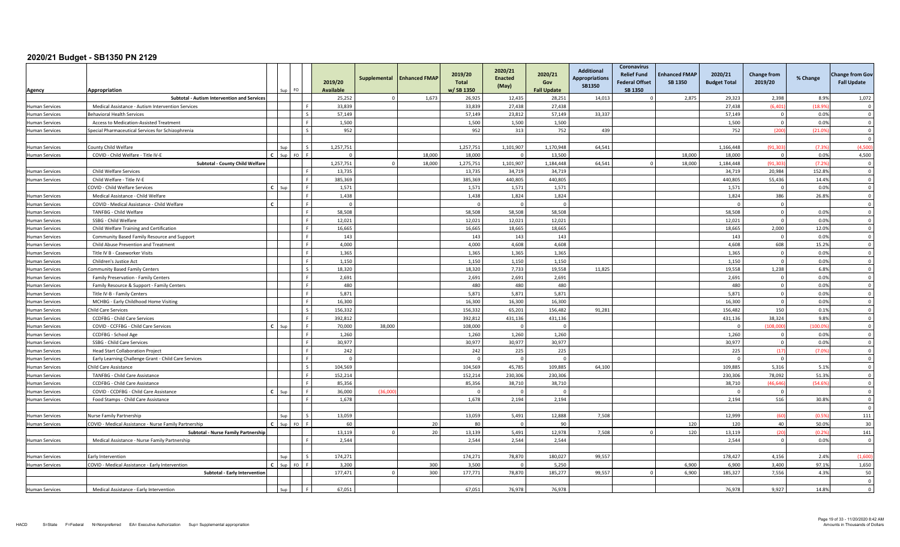| Agency                                         | Appropriation                                                                       |              | <b>FO</b> |         | 2019/20<br><b>Available</b> | Supplemental | <b>Enhanced FMAP</b> | 2019/20<br><b>Total</b><br>w/SB 1350 | 2020/21<br><b>Enacted</b><br>(May) | 2020/21<br>Gov<br><b>Fall Update</b> | <b>Additional</b><br><b>Appropriations</b><br><b>SB1350</b> | Coronavirus<br><b>Relief Fund</b><br><b>Federal Offset</b><br>SB 1350 | <b>Enhanced FMAP</b><br><b>SB 1350</b> | 2020/21<br><b>Budget Total</b> | <b>Change from</b><br>2019/20 | % Change      | <b>Change from Gov</b><br><b>Fall Update</b> |
|------------------------------------------------|-------------------------------------------------------------------------------------|--------------|-----------|---------|-----------------------------|--------------|----------------------|--------------------------------------|------------------------------------|--------------------------------------|-------------------------------------------------------------|-----------------------------------------------------------------------|----------------------------------------|--------------------------------|-------------------------------|---------------|----------------------------------------------|
|                                                | Subtotal - Autism Intervention and Services                                         |              |           |         | 25,252                      |              | 1,673                | 26,925                               | 12,435                             | 28,251                               | 14,013                                                      |                                                                       | 2,875                                  | 29,323                         | 2,398                         | 8.9%          | 1,072                                        |
| <b>Human Services</b>                          | Medical Assistance - Autism Intervention Services                                   |              |           |         | 33,839                      |              |                      | 33,839                               | 27,438                             | 27,438                               |                                                             |                                                                       |                                        | 27,438                         | (6, 401)                      | (18.99)       | $\mathbf 0$                                  |
| <b>Human Services</b>                          | <b>Behavioral Health Services</b>                                                   |              |           |         | 57,149                      |              |                      | 57,149                               | 23,812                             | 57,149                               | 33,337                                                      |                                                                       |                                        | 57,149                         | $\mathbf 0$                   | 0.0%          | $\mathbf 0$                                  |
| <b>Human Services</b>                          | Access to Medication-Assisted Treatment                                             |              |           |         | 1.500                       |              |                      | 1.500                                | 1,500                              | 1,500                                |                                                             |                                                                       |                                        | 1.500                          | $\Omega$                      | 0.0%          | $\overline{0}$                               |
| <b>Human Services</b>                          | Special Pharmaceutical Services for Schizophrenia                                   |              |           |         | 952                         |              |                      | 952                                  | 313                                | 752                                  | 439                                                         |                                                                       |                                        | 752                            | (200)                         | (21.0%        | $\Omega$<br>$\Omega$                         |
| <b>Human Services</b>                          | County Child Welfare                                                                |              |           |         | 1,257,751                   |              |                      | 1,257,751                            | 1,101,907                          | 1,170,948                            | 64,541                                                      |                                                                       |                                        | 1,166,448                      | (91, 30)                      | (7.39)        | (4,500)                                      |
| <b>Human Services</b>                          | COVID - Child Welfare - Title IV-E                                                  | $\mathbf{r}$ |           |         | $\Omega$                    |              | 18.000               | 18,000                               |                                    | 13.500                               |                                                             |                                                                       | 18,000                                 | 18,000                         | $\overline{0}$                | 0.0%          | 4.500                                        |
|                                                | Subtotal - County Child Welfare                                                     |              |           |         | 1,257,751                   | $\Omega$     | 18,000               | 1,275,751                            | 1,101,907                          | 1,184,448                            | 64,541                                                      |                                                                       | 18,000                                 | 1,184,448                      | (91, 30)                      | (7.2%         | $\overline{\mathbf{0}}$                      |
| <b>Human Services</b>                          | Child Welfare Services                                                              |              |           |         | 13,735                      |              |                      | 13,735                               | 34,719                             | 34,719                               |                                                             |                                                                       |                                        | 34,719                         | 20,984                        | 152.8%        | $\overline{0}$                               |
| <b>Human Services</b>                          | Child Welfare - Title IV-E                                                          |              |           |         | 385.369                     |              |                      | 385.369                              | 440.805                            | 440.805                              |                                                             |                                                                       |                                        | 440.805                        | 55.436                        | 14.4%         | $\overline{0}$                               |
|                                                | COVID - Child Welfare Services                                                      | $\mathbf{c}$ | Sur       |         | 1,571                       |              |                      | 1,571                                | 1,571                              | 1,571                                |                                                             |                                                                       |                                        | 1,571                          | $\overline{0}$                | 0.0%          | $\Omega$                                     |
| <b>Human Services</b>                          | Medical Assistance - Child Welfare                                                  |              |           |         | 1,438                       |              |                      | 1,438                                | 1,824                              | 1,824                                |                                                             |                                                                       |                                        | 1,824                          | 386                           | 26.8%         | $\overline{0}$                               |
| <b>Human Services</b>                          | COVID - Medical Assistance - Child Welfare                                          | $\epsilon$   |           |         | $\overline{0}$              |              |                      |                                      | $\Omega$                           | $\Omega$                             |                                                             |                                                                       |                                        | $\Omega$                       | $\overline{0}$                |               | $\Omega$                                     |
| <b>Human Services</b>                          | TANFBG - Child Welfare                                                              |              |           |         | 58,508                      |              |                      | 58,508                               | 58,508                             | 58,508                               |                                                             |                                                                       |                                        | 58,508                         | $\mathbf 0$                   | 0.0%          | $\mathbf 0$                                  |
| <b>Human Services</b>                          | SSBG - Child Welfare                                                                |              |           |         | 12,021<br>16.665            |              |                      | 12,021<br>16.665                     | 12,021<br>18.665                   | 12,021<br>18.665                     |                                                             |                                                                       |                                        | 12,021<br>18.665               | $\overline{0}$<br>2.000       | 0.0%<br>12.0% | $\overline{0}$<br>$\overline{0}$             |
| <b>Human Services</b>                          | Child Welfare Training and Certification                                            |              |           |         | 143                         |              |                      | 143                                  | 143                                | 143                                  |                                                             |                                                                       |                                        | 143                            | $\Omega$                      | 0.0%          | $\overline{\mathbf{0}}$                      |
| <b>Human Services</b><br><b>Human Services</b> | Community Based Family Resource and Support<br>Child Abuse Prevention and Treatment |              |           |         | 4,000                       |              |                      | 4,000                                | 4,608                              | 4,608                                |                                                             |                                                                       |                                        | 4,608                          | 608                           | 15.2%         | $\Omega$                                     |
| <b>Human Services</b>                          | Title IV B - Caseworker Visits                                                      |              |           |         | 1.365                       |              |                      | 1.365                                | 1.365                              | 1.365                                |                                                             |                                                                       |                                        | 1.365                          | $\overline{0}$                | 0.0%          | $\Omega$                                     |
| <b>Human Services</b>                          | Children's Justice Act                                                              |              |           |         | 1,150                       |              |                      | 1,150                                | 1,150                              | 1,150                                |                                                             |                                                                       |                                        | 1,150                          | $\mathbf 0$                   | 0.0%          | $\overline{0}$                               |
| <b>Human Services</b>                          | Community Based Family Centers                                                      |              |           | $\zeta$ | 18,320                      |              |                      | 18,320                               | 7.733                              | 19,558                               | 11.825                                                      |                                                                       |                                        | 19,558                         | 1,238                         | 6.8%          | $\overline{0}$                               |
| <b>Human Services</b>                          | Family Preservation - Family Centers                                                |              |           |         | 2.691                       |              |                      | 2.691                                | 2.691                              | 2,691                                |                                                             |                                                                       |                                        | 2.691                          | $\overline{0}$                | 0.0%          | $\mathbf{0}$                                 |
| <b>Human Services</b>                          | Family Resource & Support - Family Centers                                          |              |           |         | 480                         |              |                      | 480                                  | 480                                | 480                                  |                                                             |                                                                       |                                        | 480                            | $\mathbf 0$                   | 0.0%          | $\overline{0}$                               |
| Human Services                                 | Title IV-B - Family Centers                                                         |              |           |         | 5,871                       |              |                      | 5,871                                | 5.871                              | 5.871                                |                                                             |                                                                       |                                        | 5,871                          | $\Omega$                      | 0.0%          | $\Omega$                                     |
| <b>Human Services</b>                          | MCHBG - Early Childhood Home Visiting                                               |              |           |         | 16.300                      |              |                      | 16.300                               | 16.300                             | 16.300                               |                                                             |                                                                       |                                        | 16.300                         | $\overline{0}$                | 0.0%          | $\Omega$                                     |
| <b>Human Services</b>                          | <b>Child Care Services</b>                                                          |              |           |         | 156,332                     |              |                      | 156,332                              | 65,201                             | 156,482                              | 91,281                                                      |                                                                       |                                        | 156,482                        | 150                           | 0.1%          | $\overline{0}$                               |
| <b>Human Services</b>                          | CCDFBG - Child Care Services                                                        |              |           |         | 392,812                     |              |                      | 392,812                              | 431,136                            | 431,136                              |                                                             |                                                                       |                                        | 431,136                        | 38.324                        | 9.8%          | $\overline{0}$                               |
| <b>Human Services</b>                          | COVID - CCFFBG - Child Care Services                                                | $\mathbf{c}$ |           |         | 70,000                      | 38,000       |                      | 108,000                              | $\Omega$                           | $\Omega$                             |                                                             |                                                                       |                                        | $\Omega$                       | (108.000                      | (100.0%       | $\Omega$                                     |
| <b>Human Services</b>                          | CCDFBG - School Age                                                                 |              |           |         | 1,260                       |              |                      | 1,260                                | 1,260                              | 1,260                                |                                                             |                                                                       |                                        | 1,260                          | $^{\circ}$                    | 0.0%          | $\overline{0}$                               |
| <b>Human Services</b>                          | SSBG - Child Care Services                                                          |              |           |         | 30,977                      |              |                      | 30,977                               | 30,977                             | 30.977                               |                                                             |                                                                       |                                        | 30,977                         | $\overline{0}$                | 0.0%          | $\Omega$                                     |
| <b>Human Services</b>                          | <b>Head Start Collaboration Project</b>                                             |              |           |         | 242                         |              |                      | 242                                  | 225                                | 225                                  |                                                             |                                                                       |                                        | 225                            | (17)                          | (7.0%         | $\overline{0}$                               |
| <b>Human Services</b>                          | Early Learning Challenge Grant - Child Care Services                                |              |           |         | $\overline{0}$              |              |                      |                                      |                                    | $\Omega$                             |                                                             |                                                                       |                                        | $\sqrt{ }$                     | $\overline{0}$                |               | $\overline{0}$                               |
| <b>Human Services</b>                          | Child Care Assistance                                                               |              |           |         | 104,569                     |              |                      | 104,569                              | 45,785                             | 109,885                              | 64,100                                                      |                                                                       |                                        | 109,885                        | 5,316                         | 5.1%          | $\overline{0}$                               |
| <b>Human Services</b>                          | TANFBG - Child Care Assistance                                                      |              |           |         | 152,214                     |              |                      | 152,214                              | 230,306                            | 230,306                              |                                                             |                                                                       |                                        | 230,306                        | 78,092                        | 51.3%         | $\overline{0}$                               |
| <b>Human Services</b>                          | CCDFBG - Child Care Assistance                                                      |              |           |         | 85,356                      |              |                      | 85,356                               | 38,710                             | 38,710                               |                                                             |                                                                       |                                        | 38,710                         | (46, 646)                     | (54.69)       | $\Omega$                                     |
| <b>Human Services</b>                          | COVID - CCDFBG - Child Care Assistance                                              | $\mathbf{c}$ | Sun       |         | 36,000                      | (36.00)      |                      |                                      | $\sqrt{ }$                         | $\Omega$                             |                                                             |                                                                       |                                        | $\Omega$                       | $\Omega$                      |               | $\Omega$                                     |
| <b>Human Services</b>                          | Food Stamps - Child Care Assistance                                                 |              |           |         | 1,678                       |              |                      | 1,678                                | 2,194                              | 2,194                                |                                                             |                                                                       |                                        | 2,194                          | 516                           | 30.8%         | $\overline{0}$<br>$\Omega$                   |
| <b>Human Services</b>                          | Nurse Family Partnership                                                            |              | Sun       |         | 13,059                      |              |                      | 13,059                               | 5,491                              | 12,888                               | 7,508                                                       |                                                                       |                                        | 12,999                         | (60)                          | (0.5%         | 111                                          |
| <b>Human Services</b>                          | COVID - Medical Assistance - Nurse Family Partnership                               | $\mathbf{c}$ | Sup FO    |         | 60                          |              | 20                   | 80                                   | $\Omega$                           | 90                                   |                                                             |                                                                       | 120                                    | 120                            | 40                            | 50.0%         | 30                                           |
|                                                | Subtotal - Nurse Family Partnership                                                 |              |           |         | 13.119                      |              | 20                   | 13,139                               | 5,491                              | 12,978                               | 7.508                                                       |                                                                       | 120                                    | 13,119                         | (20)                          | (0.2%         | 141                                          |
| <b>Human Services</b>                          | Medical Assistance - Nurse Family Partnership                                       |              |           |         | 2,544                       |              |                      | 2,544                                | 2,544                              | 2,544                                |                                                             |                                                                       |                                        | 2,544                          | $\overline{0}$                | 0.0%          | $\Omega$                                     |
|                                                | Early Intervention                                                                  |              |           |         | 174,271                     |              |                      | 174,271                              | 78,870                             | 180,027                              | 99,557                                                      |                                                                       |                                        | 178,427                        | 4.156                         | 2.4%          | (1,600)                                      |
| <b>Human Services</b><br><b>Human Services</b> | COVID - Medical Assistance - Early Intervention                                     | $\mathbf{c}$ | $Sun$ FO  |         | 3.200                       |              | 300                  | 3.500                                | $\Omega$                           | 5.250                                |                                                             |                                                                       | 6.900                                  | 6.900                          | 3.400                         | 97.1%         | 1,650                                        |
|                                                | Subtotal - Early Intervention                                                       |              |           |         | 177,471                     | <sup>n</sup> | 300                  | 177,771                              | 78,870                             | 185,277                              | 99,557                                                      |                                                                       | 6,900                                  | 185,327                        | 7,556                         | 4.3%          | 50                                           |
|                                                |                                                                                     |              |           |         |                             |              |                      |                                      |                                    |                                      |                                                             |                                                                       |                                        |                                |                               |               | $\Omega$                                     |
| <b>Human Services</b>                          | Medical Assistance - Early Intervention                                             |              |           |         | 67,051                      |              |                      | 67,051                               | 76,978                             | 76,978                               |                                                             |                                                                       |                                        | 76.978                         | 9,927                         | 14.8%         | $\Omega$                                     |
|                                                |                                                                                     |              |           |         |                             |              |                      |                                      |                                    |                                      |                                                             |                                                                       |                                        |                                |                               |               |                                              |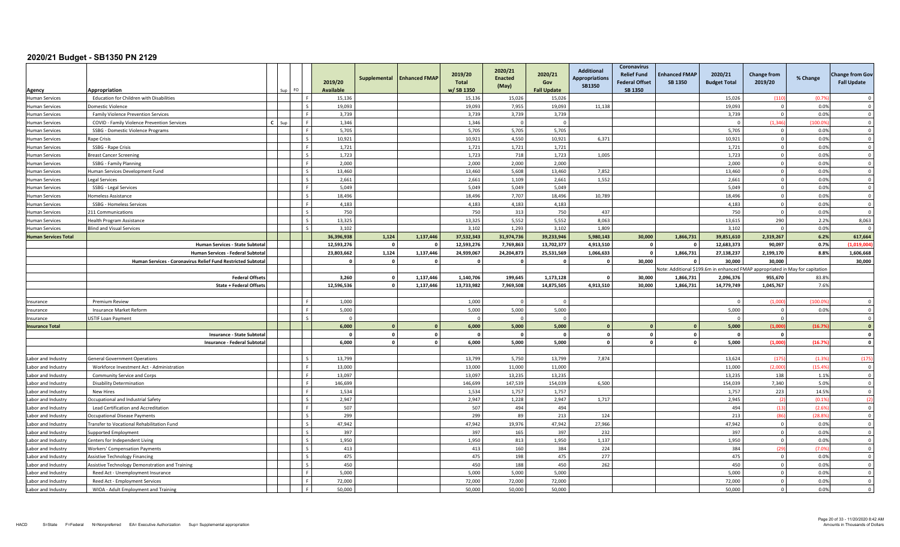|                                 | Appropriation                                               |   | FO |                          | 2019/20<br><b>Available</b> | Supplemental            | <b>Enhanced FMAP</b>    | 2019/20<br><b>Total</b><br>w/SB 1350 | 2020/21<br><b>Enacted</b><br>(May) | 2020/21<br>Gov<br><b>Fall Update</b> | Additional<br><b>Appropriations</b><br><b>SB1350</b> | <b>Coronavirus</b><br><b>Relief Fund</b><br><b>Federal Offset</b><br><b>SB 1350</b> | <b>Enhanced FMAP</b><br><b>SB 1350</b> | 2020/21<br><b>Budget Total</b> | <b>Change from</b><br>2019/20                                                 | % Change | <b>Change from Gov</b><br><b>Fall Update</b> |
|---------------------------------|-------------------------------------------------------------|---|----|--------------------------|-----------------------------|-------------------------|-------------------------|--------------------------------------|------------------------------------|--------------------------------------|------------------------------------------------------|-------------------------------------------------------------------------------------|----------------------------------------|--------------------------------|-------------------------------------------------------------------------------|----------|----------------------------------------------|
| Agency<br><b>Human Services</b> | Education for Children with Disabilities                    |   |    | - F                      | 15,136                      |                         |                         | 15,136                               | 15,026                             | 15,026                               |                                                      |                                                                                     |                                        | 15,026                         | (110)                                                                         | (0.79)   | $\Omega$                                     |
| <b>Human Services</b>           | Domestic Violence                                           |   |    | $\zeta$                  | 19,093                      |                         |                         | 19,093                               | 7,955                              | 19,093                               | 11,138                                               |                                                                                     |                                        | 19,093                         | $\Omega$                                                                      | 0.0%     | $\Omega$                                     |
| <b>Human Services</b>           | <b>Family Violence Prevention Services</b>                  |   |    | l F.                     | 3,739                       |                         |                         | 3,739                                | 3,739                              | 3,739                                |                                                      |                                                                                     |                                        | 3,739                          | $\overline{0}$                                                                | 0.0%     | $\overline{0}$                               |
| <b>Human Services</b>           | COVID - Family Violence Prevention Services                 | r |    | l F.                     | 1,346                       |                         |                         | 1,346                                | $\sqrt{ }$                         | $\Omega$                             |                                                      |                                                                                     |                                        | $\Omega$                       | (1.346)                                                                       | (100.09) | $\mathbf 0$                                  |
| <b>Human Services</b>           | SSBG - Domestic Violence Programs                           |   |    | l F.                     | 5,705                       |                         |                         | 5,705                                | 5,705                              | 5,705                                |                                                      |                                                                                     |                                        | 5,705                          | $\mathbf 0$                                                                   | 0.0%     | $\mathbf 0$                                  |
| <b>Human Services</b>           | Rape Crisis                                                 |   |    | $\overline{\phantom{a}}$ | 10.921                      |                         |                         | 10,921                               | 4.550                              | 10,921                               | 6.371                                                |                                                                                     |                                        | 10,921                         | $\Omega$                                                                      | 0.0%     | $\Omega$                                     |
| <b>Human Services</b>           | SSBG - Rape Crisis                                          |   |    | -F                       | 1,721                       |                         |                         | 1,721                                | 1,721                              | 1,721                                |                                                      |                                                                                     |                                        | 1,721                          | $\Omega$                                                                      | 0.0%     | $\Omega$                                     |
| <b>Human Services</b>           | <b>Sreast Cancer Screening</b>                              |   |    | $\overline{s}$           | 1,723                       |                         |                         | 1,723                                | 718                                | 1,723                                | 1,005                                                |                                                                                     |                                        | 1,723                          | $\overline{0}$                                                                | 0.0%     | $\Omega$                                     |
| <b>Human Services</b>           | SSBG - Family Planning                                      |   |    | l F.                     | 2,000                       |                         |                         | 2,000                                | 2,000                              | 2,000                                |                                                      |                                                                                     |                                        | 2,000                          | $\Omega$                                                                      | 0.0%     | $\overline{0}$                               |
| <b>Human Services</b>           | Iuman Services Development Fund                             |   |    | $\overline{\phantom{a}}$ | 13,460                      |                         |                         | 13,460                               | 5,608                              | 13,460                               | 7,852                                                |                                                                                     |                                        | 13,460                         | $\overline{0}$                                                                | 0.0%     | $\overline{0}$                               |
| <b>Human Services</b>           | egal Services                                               |   |    | $\mathsf{I}$             | 2,661                       |                         |                         | 2,661                                | 1,109                              | 2,661                                | 1,552                                                |                                                                                     |                                        | 2,661                          | $\overline{0}$                                                                | 0.0%     | $\overline{0}$                               |
| <b>Human Services</b>           | SSBG - Legal Services                                       |   |    | $\mathsf{F}$             | 5,049                       |                         |                         | 5,049                                | 5,049                              | 5,049                                |                                                      |                                                                                     |                                        | 5,049                          | $\Omega$                                                                      | 0.0%     | $\Omega$                                     |
| <b>Human Services</b>           | <b>Homeless Assistance</b>                                  |   |    | $\zeta$                  | 18.496                      |                         |                         | 18,496                               | 7,707                              | 18,496                               | 10,789                                               |                                                                                     |                                        | 18,496                         | $\Omega$                                                                      | 0.0%     | $\Omega$                                     |
| <b>Human Services</b>           | SSBG - Homeless Services                                    |   |    | -F                       | 4,183                       |                         |                         | 4,183                                | 4,183                              | 4,183                                |                                                      |                                                                                     |                                        | 4,183                          | $\Omega$                                                                      | 0.0%     | $\Omega$                                     |
| <b>Human Services</b>           | 211 Communications                                          |   |    | $\overline{s}$           | 750                         |                         |                         | 750                                  | 313                                | 750                                  | 437                                                  |                                                                                     |                                        | 750                            | $\overline{0}$                                                                | 0.0%     | $\Omega$                                     |
| <b>Human Services</b>           | <b>Health Program Assistance</b>                            |   |    | $\mathsf{L}$             | 13,325                      |                         |                         | 13,325                               | 5,552                              | 5,552                                | 8,063                                                |                                                                                     |                                        | 13,615                         | 290                                                                           | 2.2%     | 8,063                                        |
| <b>Human Services</b>           | Ilind and Visual Services                                   |   |    | Ιs                       | 3,102                       |                         |                         | 3,102                                | 1,293                              | 3,102                                | 1,809                                                |                                                                                     |                                        | 3,102                          | $\overline{0}$                                                                | 0.0%     | $\Omega$                                     |
| <b>Human Services Total</b>     |                                                             |   |    |                          | 36,396,938                  | 1,124                   | 1,137,446               | 37,532,343                           | 31,974,736                         | 39,233,946                           | 5,980,143                                            | 30,000                                                                              | 1,866,731                              | 39,851,610                     | 2,319,267                                                                     | 6.2%     | 617,664                                      |
|                                 | Human Services - State Subtota                              |   |    |                          | 12,593,276                  | $\mathbf{0}$            | $\Omega$                | 12,593,276                           | 7,769,863                          | 13,702,377                           | 4,913,510                                            | - 0                                                                                 |                                        | 12,683,373                     | 90,097                                                                        | 0.7%     | (1,019,004)                                  |
|                                 | Human Services - Federal Subtota                            |   |    |                          | 23,803,662                  | 1,124                   | 1,137,446               | 24,939,067                           | 24,204,873                         | 25,531,569                           | 1,066,633                                            | - 0                                                                                 | 1,866,731                              | 27,138,237                     | 2,199,170                                                                     | 8.8%     | 1,606,668                                    |
|                                 | Human Services - Coronavirus Relief Fund Restricted Subtota |   |    |                          |                             | $\mathbf{o}$            | $\Omega$                | <sup>o</sup>                         |                                    |                                      | $\mathbf{0}$                                         | 30,000                                                                              |                                        | 30.000                         | 30.000                                                                        |          | 30,000                                       |
|                                 |                                                             |   |    |                          |                             |                         |                         |                                      |                                    |                                      |                                                      |                                                                                     |                                        |                                | Vote: Additional \$199.6m in enhanced FMAP appropriated in May for capitation |          |                                              |
|                                 | <b>Federal Offset:</b>                                      |   |    |                          | 3,260                       | $\overline{\mathbf{0}}$ | 1,137,446               | 1,140,706                            | 199,645                            | 1,173,128                            | $\Omega$                                             | 30,000                                                                              | 1,866,731                              | 2,096,376                      | 955,670                                                                       | 83.8%    |                                              |
|                                 | State + Federal Offset:                                     |   |    |                          | 12,596,536                  | $\circ$                 | 1,137,446               | 13,733,982                           | 7,969,508                          | 14,875,505                           | 4,913,510                                            | 30,000                                                                              | 1,866,731                              | 14,779,749                     | 1,045,767                                                                     | 7.6%     |                                              |
|                                 |                                                             |   |    |                          |                             |                         |                         |                                      |                                    |                                      |                                                      |                                                                                     |                                        |                                |                                                                               |          |                                              |
| Insurance                       | <b>Premium Review</b>                                       |   |    | - F                      | 1.000                       |                         |                         | 1,000                                |                                    |                                      |                                                      |                                                                                     |                                        | $\Omega$                       | (1,000)                                                                       | (100.09) | $\Omega$                                     |
| surance                         | Insurance Market Reform                                     |   |    | l F                      | 5,000                       |                         |                         | 5,000                                | 5,000                              | 5,000                                |                                                      |                                                                                     |                                        | 5,000                          | $\overline{0}$                                                                | 0.0%     | $\Omega$                                     |
| Insurance                       | <b>JSTIF Loan Payment</b>                                   |   |    | l s                      | $\Omega$                    |                         |                         | $\Omega$                             | $\Omega$                           | $\Omega$                             |                                                      |                                                                                     |                                        | $\Omega$                       | $\Omega$                                                                      |          | $\overline{0}$                               |
| <b>Insurance Total</b>          |                                                             |   |    |                          | 6,000                       | $\mathbf{0}$            | $\mathbf{0}$            | 6,000                                | 5,000                              | 5,000                                | $\mathbf{0}$                                         |                                                                                     |                                        | 5,000                          | (1.000)                                                                       | (16.7%   | $\mathbf{0}$                                 |
|                                 | Insurance - State Subtota                                   |   |    |                          | $\Omega$                    | $\mathbf{o}$            | $\mathbf{0}$            | $\Omega$                             | $\Omega$                           |                                      | $\mathbf{0}$                                         |                                                                                     |                                        | - 0                            | $\mathbf{0}$                                                                  |          | $\mathbf{o}$                                 |
|                                 | <b>Insurance - Federal Subtota</b>                          |   |    |                          | 6,000                       | $\circ$                 | $\overline{\mathbf{0}}$ | 6,000                                | 5,000                              | 5,000                                | $\Omega$                                             |                                                                                     |                                        | 5,000                          | (1,000)                                                                       | (16.79)  | $\mathbf{o}$                                 |
|                                 |                                                             |   |    |                          |                             |                         |                         |                                      |                                    |                                      |                                                      |                                                                                     |                                        |                                |                                                                               |          |                                              |
| Labor and Industry              | <b>Seneral Government Operations</b>                        |   |    | Ιs                       | 13,799                      |                         |                         | 13,799                               | 5,750                              | 13,799                               | 7,874                                                |                                                                                     |                                        | 13.624                         | (175)                                                                         | (1.39)   | (175)                                        |
| Labor and Industry              | Workforce Investment Act - Administration                   |   |    | l F.                     | 13,000                      |                         |                         | 13,000                               | 11,000                             | 11,000                               |                                                      |                                                                                     |                                        | 11,000                         | (2.000)                                                                       | (15.49)  | $\overline{\mathbf{0}}$                      |
| Labor and Industry              | Community Service and Corps                                 |   |    | l F                      | 13,097                      |                         |                         | 13,097                               | 13,235                             | 13,235                               |                                                      |                                                                                     |                                        | 13,235                         | 138                                                                           | 1.1%     | $\mathbf 0$                                  |
| Labor and Industry              | <b>Disability Determination</b>                             |   |    | -F                       | 146,699                     |                         |                         | 146,699                              | 147,539                            | 154,039                              | 6,500                                                |                                                                                     |                                        | 154,039                        | 7,340                                                                         | 5.0%     | $\Omega$                                     |
| Labor and Industry              | <b>New Hires</b>                                            |   |    | F                        | 1,534                       |                         |                         | 1,534                                | 1,757                              | 1,757                                |                                                      |                                                                                     |                                        | 1,757                          | 223                                                                           | 14.5%    | $\Omega$                                     |
| Labor and Industry              | Occupational and Industrial Safety                          |   |    | l s                      | 2,947                       |                         |                         | 2,947                                | 1,228                              | 2,947                                | 1,717                                                |                                                                                     |                                        | 2,945                          | $\sqrt{2}$                                                                    | (0.1%    | (2)                                          |
| Labor and Industry              | Lead Certification and Accreditation                        |   |    | l F.                     | 507                         |                         |                         | 507                                  | 494                                | 494                                  |                                                      |                                                                                     |                                        | 494                            | (13)                                                                          | (2.69)   | $\overline{\mathbf{0}}$                      |
| Labor and Industry              | Occupational Disease Payments                               |   |    | $\mathsf{L}$             | 299                         |                         |                         | 299                                  | 89                                 | 213                                  | 124                                                  |                                                                                     |                                        | 213                            | (86)                                                                          | (28.89)  | $\overline{0}$                               |
| Labor and Industry              | Fransfer to Vocational Rehabilitation Fund                  |   |    | Ιs                       | 47,942                      |                         |                         | 47,942                               | 19,976                             | 47,942                               | 27,966                                               |                                                                                     |                                        | 47,942                         | $\overline{0}$                                                                | 0.0%     | $\Omega$                                     |
| Labor and Industry              | supported Employment                                        |   |    | $\zeta$                  | 397                         |                         |                         | 397                                  | 165                                | 397                                  | 232                                                  |                                                                                     |                                        | 397                            | $\Omega$                                                                      | 0.0%     | $\Omega$                                     |
| Labor and Industry              | Centers for Independent Living                              |   |    |                          | 1,950                       |                         |                         | 1,950                                | 813                                | 1,950                                | 1,137                                                |                                                                                     |                                        | 1,950                          | $\Omega$                                                                      | 0.0%     | $\Omega$                                     |
| Labor and Industry              | <b>Norkers' Compensation Payments</b>                       |   |    | $\mathsf{L}$             | 413                         |                         |                         | 413                                  | 160                                | 384                                  | 224                                                  |                                                                                     |                                        | 384                            | (29)                                                                          | (7.0%    | $\overline{\mathbf{0}}$                      |
| Labor and Industry              | ssistive Technology Financing                               |   |    | Ιs.                      | 475                         |                         |                         | 475                                  | 198                                | 475                                  | 277                                                  |                                                                                     |                                        | 475                            | $\Omega$                                                                      | 0.0%     | $\overline{\mathbf{0}}$                      |
| Labor and Industry              | Assistive Technology Demonstration and Training             |   |    | $\overline{\phantom{a}}$ | 450                         |                         |                         | 450                                  | 188                                | 450                                  | 262                                                  |                                                                                     |                                        | 450                            | $\overline{0}$                                                                | 0.0%     | $\overline{0}$                               |
| Labor and Industry              | Reed Act - Unemployment Insurance                           |   |    | l F                      | 5,000                       |                         |                         | 5,000                                | 5,000                              | 5,000                                |                                                      |                                                                                     |                                        | 5,000                          | $\Omega$                                                                      | 0.0%     | $\Omega$                                     |
| Labor and Industry              | Reed Act - Employment Services                              |   |    | -F                       | 72,000                      |                         |                         | 72,000                               | 72,000                             | 72,000                               |                                                      |                                                                                     |                                        | 72,000                         | $\Omega$                                                                      | 0.0%     | $\Omega$                                     |
| Labor and Industry              | WIOA - Adult Employment and Training                        |   |    |                          | 50.000                      |                         |                         | 50,000                               | 50,000                             | 50,000                               |                                                      |                                                                                     |                                        | 50,000                         | $\Omega$                                                                      | 0.0%     | $\Omega$                                     |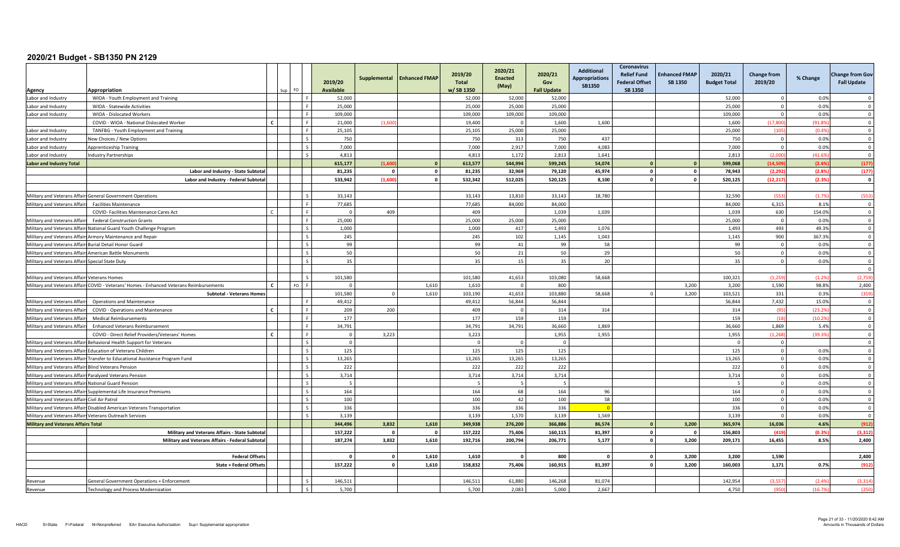| Appropriation<br>Agency                                                 | FO.<br>Sun                                                                                                      | 2019/20<br>Available |                         | Supplemental Enhanced FMAP | 2019/20<br><b>Total</b><br>w/SB 1350 | 2020/21<br><b>Enacted</b><br>(May) | 2020/21<br>Gov<br><b>Fall Update</b> | <b>Additional</b><br><b>Appropriations</b><br><b>SB1350</b> | Coronavirus<br><b>Relief Fund</b><br><b>Federal Offset</b><br>SB 1350 | <b>Enhanced FMAP</b><br><b>SB 1350</b> | 2020/21<br><b>Budget Total</b> | <b>Change from</b><br>2019/20 | % Change | <b>Change from Gov</b><br><b>Fall Update</b> |
|-------------------------------------------------------------------------|-----------------------------------------------------------------------------------------------------------------|----------------------|-------------------------|----------------------------|--------------------------------------|------------------------------------|--------------------------------------|-------------------------------------------------------------|-----------------------------------------------------------------------|----------------------------------------|--------------------------------|-------------------------------|----------|----------------------------------------------|
| Labor and Industry                                                      | WIOA - Youth Employment and Training                                                                            | 52,000               |                         |                            | 52,000                               | 52,000                             | 52,000                               |                                                             |                                                                       |                                        | 52,000                         | $\mathbf{0}$                  | 0.0%     | $\Omega$                                     |
| Labor and Industry<br>WIOA - Statewide Activities                       |                                                                                                                 | 25,000               |                         |                            | 25,000                               | 25,000                             | 25,000                               |                                                             |                                                                       |                                        | 25,000                         | $\circ$                       | 0.0%     | $\overline{\mathbf{0}}$                      |
| WIOA - Dislocated Workers<br>Labor and Industry                         |                                                                                                                 | 109,000              |                         |                            | 109,000                              | 109,000                            | 109,000                              |                                                             |                                                                       |                                        | 109,000                        | $\overline{0}$                | 0.0%     | $\overline{\mathbf{0}}$                      |
|                                                                         | $\epsilon$<br>COVID - WIOA - National Dislocated Worker                                                         | 21,000               | (1.60)                  |                            | 19,400                               | $\sqrt{ }$                         | 1.600                                | 1.600                                                       |                                                                       |                                        | 1.600                          | (17.800)                      | (91.89)  | $\Omega$                                     |
| Labor and Industry                                                      | TANFBG - Youth Employment and Training                                                                          | 25,105               |                         |                            | 25,105                               | 25,000                             | 25,000                               |                                                             |                                                                       |                                        | 25,000                         | (105)                         | (0.4%    | $\mathbf 0$                                  |
| Labor and Industry<br>New Choices / New Options                         |                                                                                                                 | 750                  |                         |                            | 750                                  | 313                                | 750                                  | 437                                                         |                                                                       |                                        | 750                            | $\mathbf 0$                   | 0.0%     | $\overline{0}$                               |
| Labor and Industry<br><b>Apprenticeship Training</b>                    |                                                                                                                 | 7.000                |                         |                            | 7.000                                | 2,917                              | 7,000                                | 4.083                                                       |                                                                       |                                        | 7.000                          | $\mathbf{0}$                  | 0.0%     | $\overline{0}$                               |
| Labor and Industry<br>ndustry Partnerships                              |                                                                                                                 | 4,813                |                         |                            | 4,813                                | 1,172                              | 2,813                                | 1,641                                                       |                                                                       |                                        | 2,813                          | (2.000)                       | (41.69)  | $\overline{\mathbf{0}}$                      |
| <b>Labor and Industry Total</b>                                         |                                                                                                                 | 615,177              | (1.60)                  | $\overline{0}$             | 613,577                              | 544,994                            | 599,245                              | 54,074                                                      |                                                                       |                                        | 599,068                        | (14.509                       | (2.49)   | (177)                                        |
|                                                                         | Labor and Industry - State Subtota                                                                              | 81,235               | $\Omega$                | $\mathbf{0}$               | 81,235                               | 32,969                             | 79,120                               | 45,974                                                      | $\mathbf{0}$                                                          |                                        | 78,943                         | (2, 292)                      | (2.8%    | (177)                                        |
|                                                                         | Labor and Industry - Federal Subtotal                                                                           | 533,942              | (1,600)                 | $\mathbf 0$                | 532,342                              | 512,025                            | 520,125                              | 8,100                                                       | $\mathbf{0}$                                                          | <sup>0</sup>                           | 520,125                        | (12, 217)                     | (2.39)   | $\overline{\mathbf{0}}$                      |
|                                                                         |                                                                                                                 |                      |                         |                            |                                      |                                    |                                      |                                                             |                                                                       |                                        |                                |                               |          |                                              |
| Military and Veterans Affairs General Government Operations             |                                                                                                                 | 33,143               |                         |                            | 33,143                               | 13,810                             | 33,143                               | 18,780                                                      |                                                                       |                                        | 32,590                         | (553)                         | (1.79)   | (553)                                        |
| Military and Veterans Affair<br><b>Facilities Maintenance</b>           |                                                                                                                 | 77.685               |                         |                            | 77.685                               | 84,000                             | 84.000                               |                                                             |                                                                       |                                        | 84.000                         | 6,315                         | 8.1%     | $\Omega$                                     |
|                                                                         | COVID- Facilities Maintenance Cares Act                                                                         | $\overline{0}$       | 409                     |                            | 409                                  |                                    | 1,039                                | 1,039                                                       |                                                                       |                                        | 1,039                          | 630                           | 154.0%   | $\overline{\mathbf{0}}$                      |
| <b>Federal Construction Grants</b><br>Military and Veterans Affairs     |                                                                                                                 | 25,000               |                         |                            | 25,000                               | 25,000                             | 25,000                               |                                                             |                                                                       |                                        | 25,000                         | $\Omega$                      | 0.0%     | $\overline{0}$                               |
| Military and Veterans Affairs National Guard Youth Challenge Program    |                                                                                                                 | 1,000                |                         |                            | 1.000                                | 417                                | 1,493                                | 1,076                                                       |                                                                       |                                        | 1,493                          | 493                           | 49.3%    | $\overline{0}$                               |
| Military and Veterans Affairs Armory Maintenance and Repair             |                                                                                                                 | 245                  |                         |                            | 245                                  | 102                                | 1,145                                | 1,043                                                       |                                                                       |                                        | 1,145                          | 900                           | 367.3%   | $\overline{\mathbf{0}}$                      |
| Military and Veterans Affairs Burial Detail Honor Guard                 |                                                                                                                 | 99                   |                         |                            | 99                                   | 41                                 | 99                                   | 58                                                          |                                                                       |                                        | 99                             | $\circ$                       | 0.0%     | $\Omega$                                     |
| Military and Veterans Affairs American Battle Monuments                 |                                                                                                                 | 50                   |                         |                            | 50                                   | 21                                 | 50                                   | 29                                                          |                                                                       |                                        | 50                             | $\circ$                       | 0.0%     | $\Omega$                                     |
| Military and Veterans Affairs<br>Special State Duty                     |                                                                                                                 | 35                   |                         |                            | 35                                   | 15                                 | 35                                   | 20                                                          |                                                                       |                                        | 35                             | $\Omega$                      | 0.0%     | $\Omega$                                     |
|                                                                         |                                                                                                                 |                      |                         |                            |                                      |                                    |                                      |                                                             |                                                                       |                                        |                                |                               |          | $^{\circ}$                                   |
| Military and Veterans Affairs Veterans Homes                            |                                                                                                                 | 101,580              |                         |                            | 101,580                              | 41,653                             | 103,080                              | 58,668                                                      |                                                                       |                                        | 100,321                        | (1.259)                       | (1.29)   | (2,759)                                      |
|                                                                         | Military and Veterans Affairs COVID - Veterans' Homes - Enhanced Veterans Reimbursements<br>$\mathbf{r}$<br>F∩. | $\Omega$             |                         | 1,610                      | 1.610                                | $\Omega$                           | 800                                  |                                                             |                                                                       | 3.200                                  | 3.200                          | 1.590                         | 98.8%    | 2,400                                        |
|                                                                         | <b>Subtotal - Veterans Homes</b>                                                                                | 101,580              | $\Omega$                | 1,610                      | 103,190                              | 41,653                             | 103,880                              | 58,668                                                      |                                                                       | 3,200                                  | 103,521                        | 331                           | 0.3%     | (359)                                        |
| Military and Veterans Affair<br><b>Operations and Maintenance</b>       |                                                                                                                 | 49,412               |                         |                            | 49,412                               | 56.844                             | 56.844                               |                                                             |                                                                       |                                        | 56,844                         | 7,432                         | 15.0%    | $\Omega$                                     |
| Military and Veterans Affai                                             | $\mathbf{c}$<br>COVID - Operations and Maintenance                                                              | 209                  | 200                     |                            | 409                                  | $\Omega$                           | 314                                  | 314                                                         |                                                                       |                                        | 314                            | (95)                          | (23.29)  | $\overline{\mathbf{0}}$                      |
| Military and Veterans Affair<br><b>Medical Reimbursements</b>           |                                                                                                                 | 177                  |                         |                            | 177                                  | 159                                | 159                                  |                                                             |                                                                       |                                        | 159                            | (18)                          | (10.29)  | $\mathbf 0$                                  |
| Military and Veterans Affair                                            | <b>Enhanced Veterans Reimbursement</b>                                                                          | 34,791               |                         |                            | 34.791                               | 34,791                             | 36.660                               | 1,869                                                       |                                                                       |                                        | 36,660                         | 1.869                         | 5.4%     | $\overline{0}$                               |
|                                                                         | <b>C</b><br>COVID - Direct Relief Providers/Veterans' Homes                                                     | $\mathbf 0$          | 3,223                   |                            | 3,223                                |                                    | 1,955                                | 1,955                                                       |                                                                       |                                        | 1,955                          | (1, 268)                      | (39.39)  | $\overline{\mathbf{0}}$                      |
| Military and Veterans Affairs Behavioral Health Support for Veterans    |                                                                                                                 | $\mathbf{0}$         |                         |                            |                                      | $\Omega$                           | $\Omega$                             |                                                             |                                                                       |                                        | - 0                            | $\overline{0}$                |          | $\Omega$                                     |
| Military and Veterans Affairs<br><b>Education of Veterans Children</b>  |                                                                                                                 | 125                  |                         |                            | 125                                  | 125                                | 125                                  |                                                             |                                                                       |                                        | 125                            | $\Omega$                      | 0.0%     | $\Omega$                                     |
| Military and Veterans Affairs                                           | Transfer to Educational Assistance Program Fund                                                                 | 13,265               |                         |                            | 13,265                               | 13,265                             | 13,265                               |                                                             |                                                                       |                                        | 13,265                         | $\mathbf{0}$                  | 0.0%     | $\overline{\mathbf{0}}$                      |
| Military and Veterans Affair<br><b>Blind Veterans Pension</b>           |                                                                                                                 | 222                  |                         |                            | 222                                  | 222                                | 222                                  |                                                             |                                                                       |                                        | 222                            | $\overline{0}$                | 0.0%     | $\overline{\mathbf{0}}$                      |
| Military and Veterans Affairs Paralyzed Veterans Pension                |                                                                                                                 | 3,714                |                         |                            | 3,714                                | 3,714                              | 3,714                                |                                                             |                                                                       |                                        | 3,714                          | $\overline{0}$                | 0.0%     | $\overline{0}$                               |
| Military and Veterans Affairs National Guard Pension                    |                                                                                                                 | $\overline{5}$       |                         |                            |                                      | -5                                 | $\overline{5}$                       |                                                             |                                                                       |                                        | - 5                            | $\circ$                       | 0.0%     | $\overline{0}$                               |
| Military and Veterans Affairs Supplemental Life Insurance Premiums      |                                                                                                                 | 164                  |                         |                            | 164                                  | 68                                 | 164                                  | 96                                                          |                                                                       |                                        | 164                            | $\mathbf 0$                   | 0.0%     | $\overline{\mathbf{0}}$                      |
| Military and Veterans Affairs<br>Civil Air Patrol                       |                                                                                                                 | 100                  |                         |                            | 100                                  | 42                                 | 100                                  | 58                                                          |                                                                       |                                        | 100                            | $\Omega$                      | 0.0%     | $\Omega$                                     |
| Military and Veterans Affairs Disabled American Veterans Transportation |                                                                                                                 | 336                  |                         |                            | 336                                  | 336                                | 336                                  |                                                             |                                                                       |                                        | 336                            | $\mathbf{0}$                  | 0.0%     | $\overline{0}$                               |
| Military and Veterans Affairs Veterans Outreach Services                |                                                                                                                 | 3,139                |                         |                            | 3,139                                | 1,570                              | 3,139                                | 1,569                                                       |                                                                       |                                        | 3,139                          | $\mathbf 0$                   | 0.0%     | $\overline{\mathbf{0}}$                      |
| <b>Military and Veterans Affairs Total</b>                              |                                                                                                                 | 344,496              | 3,832                   | 1,610                      | 349,938                              | 276,200                            | 366.886                              | 86,574                                                      | $\Omega$                                                              | 3,200                                  | 365,974                        | 16,036                        | 4.6%     | (912)                                        |
|                                                                         | Military and Veterans Affairs - State Subtotal                                                                  | 157,222              | $\Omega$                | $\mathbf{0}$               | 157,222                              | 75,406                             | 160,115                              | 81,397                                                      | $\mathbf{0}$                                                          | $\Omega$                               | 156,803                        | (419)                         | (0.3%    | (3, 312)                                     |
|                                                                         | Military and Veterans Affairs - Federal Subtotal                                                                | 187,274              | 3,832                   | 1,610                      | 192,716                              | 200,794                            | 206,771                              | 5,177                                                       | $\mathbf{o}$                                                          | 3,200                                  | 209,171                        | 16,455                        | 8.5%     | 2,400                                        |
|                                                                         |                                                                                                                 |                      |                         |                            |                                      |                                    |                                      |                                                             |                                                                       |                                        |                                |                               |          |                                              |
|                                                                         | <b>Federal Offsets</b>                                                                                          | $\mathbf{0}$         | $\mathbf{0}$            | 1,610                      | 1,610                                | - 0                                | 800                                  |                                                             | $\mathbf{0}$                                                          | 3,200                                  | 3,200                          | 1,590                         |          | 2,400                                        |
|                                                                         | <b>State + Federal Offsets</b>                                                                                  | 157,222              | $\overline{\mathbf{0}}$ | 1,610                      | 158,832                              | 75,406                             | 160,915                              | 81,397                                                      | $\mathbf{o}$                                                          | 3,200                                  | 160,003                        | 1,171                         | 0.7%     | (912)                                        |
|                                                                         |                                                                                                                 |                      |                         |                            |                                      |                                    |                                      |                                                             |                                                                       |                                        |                                |                               |          |                                              |
| Revenue                                                                 | General Government Operations + Enforcement                                                                     | 146.511              |                         |                            | 146,511                              | 61.880                             | 146.268                              | 81.074                                                      |                                                                       |                                        | 142,954                        | (3.557)                       | (2.49)   | (3, 31)                                      |
| Revenue                                                                 | <b>Technology and Process Modernization</b>                                                                     | 5,700                |                         |                            | 5,700                                | 2,083                              | 5,000                                | 2,667                                                       |                                                                       |                                        | 4,750                          | (950)                         | (16.79)  | (250)                                        |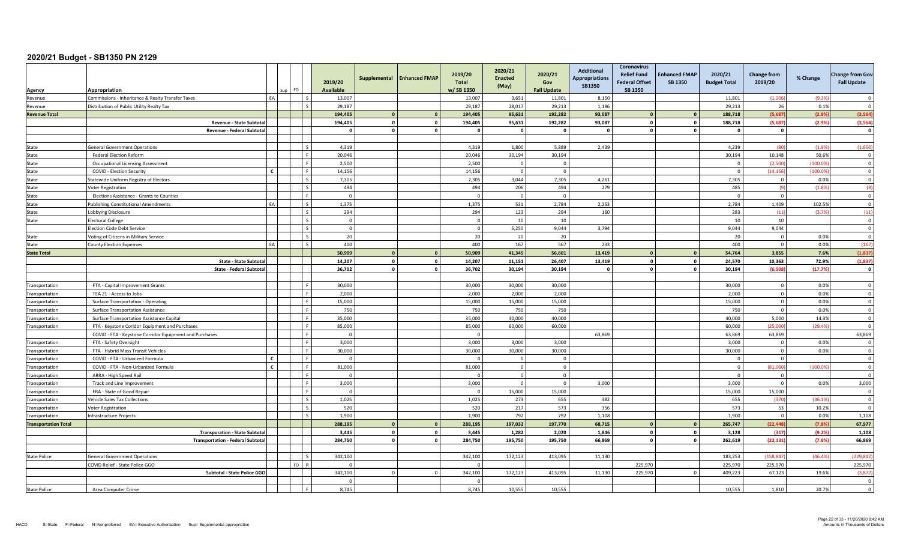| Agency                      | Appropriation<br>Sup                                    | FO.                      | 2019/20<br>Available | Supplemental | <b>Enhanced FMAP</b> | 2019/20<br><b>Total</b><br>w/SB 1350 | 2020/21<br><b>Enacted</b><br>(May) | 2020/21<br>Gov<br><b>Fall Update</b> | <b>Additional</b><br><b>Appropriations</b><br>SB1350 | Coronavirus<br><b>Relief Fund</b><br><b>Federal Offset</b><br><b>SB 1350</b> | <b>Enhanced FMAP</b><br>SB 1350 | 2020/21<br><b>Budget Total</b> | <b>Change from</b><br>2019/20 | % Change | <b>Change from Gov</b><br><b>Fall Update</b> |
|-----------------------------|---------------------------------------------------------|--------------------------|----------------------|--------------|----------------------|--------------------------------------|------------------------------------|--------------------------------------|------------------------------------------------------|------------------------------------------------------------------------------|---------------------------------|--------------------------------|-------------------------------|----------|----------------------------------------------|
| Revenue                     | EA<br>Commissions - Inheritance & Realty Transfer Taxes |                          | 13,007               |              |                      | 13,007                               | 3,651                              | 11,801                               | 8,150                                                |                                                                              |                                 | 11.801                         | (1, 206)                      | (9.39)   | $\Omega$                                     |
| Revenue                     | Distribution of Public Utility Realty Tax               |                          | 29.187               |              |                      | 29.187                               | 28,017                             | 29,213                               | 1,196                                                |                                                                              |                                 | 29.213                         | 26                            | 0.1%     | $\Omega$                                     |
| <b>Revenue Total</b>        |                                                         |                          | 194.405              | $\mathbf{0}$ |                      | 194,405                              | 95,631                             | 192,282                              | 93,087                                               | $\Omega$                                                                     |                                 | 188.718                        | (5.687)                       | (2.9%    | (3, 564)                                     |
|                             | Revenue - State Subtotal                                |                          | 194,405              | $\mathbf 0$  | $\mathbf{0}$         | 194,405                              | 95,631                             | 192,282                              | 93,087                                               | $^{\circ}$                                                                   | $\Omega$                        | 188.718                        | (5.687)                       | (2.9%    | (3,564)                                      |
|                             | Revenue - Federal Subtotal                              |                          | $\mathbf{0}$         | $\Omega$     | $\Omega$             |                                      | $\mathbf{0}$                       | $\mathbf{0}$                         | $\Omega$                                             | $\Omega$                                                                     |                                 | $\mathbf{0}$                   | $\mathbf{0}$                  |          | $\mathbf{o}$                                 |
|                             |                                                         |                          |                      |              |                      |                                      |                                    |                                      |                                                      |                                                                              |                                 |                                |                               |          |                                              |
| State                       | <b>General Government Operations</b>                    | $\zeta$                  | 4,319                |              |                      | 4,319                                | 1,800                              | 5,889                                | 2,439                                                |                                                                              |                                 | 4,239                          |                               | (1.99)   | (1,650)                                      |
| State                       | <b>Federal Election Reform</b>                          |                          | 20,046               |              |                      | 20,046                               | 30,194                             | 30,194                               |                                                      |                                                                              |                                 | 30,194                         | 10,148                        | 50.6%    | $\overline{\mathbf{0}}$                      |
| State                       | <b>Occupational Licensing Assessment</b>                | ΙF                       | 2,500                |              |                      | 2,500                                | $\Omega$                           | $\overline{0}$                       |                                                      |                                                                              |                                 | $\overline{0}$                 | (2.50)                        | (100.0)  | $\overline{\mathbf{0}}$                      |
| State                       | COVID - Election Security<br>$\mathbf{C}$               |                          | 14.156               |              |                      | 14,156                               | $\Omega$                           | $\overline{0}$                       |                                                      |                                                                              |                                 | $\overline{0}$                 | (14.156)                      | (100.09) | $\overline{0}$                               |
| State                       | Statewide Uniform Registry of Electors                  |                          | 7,305                |              |                      | 7,305                                | 3,044                              | 7,305                                | 4,261                                                |                                                                              |                                 | 7,305                          | $\Omega$                      | 0.0%     | $\overline{\mathbf{0}}$                      |
| State                       | Voter Registration                                      |                          | 494                  |              |                      | 494                                  | 206                                | 494                                  | 279                                                  |                                                                              |                                 | 485                            | (9)                           | (1.89)   | (9)                                          |
| State                       | Elections Assistance - Grants to Counties               |                          | $\overline{0}$       |              |                      |                                      | $\overline{0}$                     | $\Omega$                             |                                                      |                                                                              |                                 | $\overline{0}$                 | $\overline{0}$                |          | $\overline{0}$                               |
| State                       | EA<br><b>Publishing Constitutional Amendments</b>       | $\overline{\phantom{a}}$ | 1,375                |              |                      | 1,375                                | 531                                | 2,784                                | 2,253                                                |                                                                              |                                 | 2,784                          | 1,409                         | 102.5%   | $\overline{\mathbf{0}}$                      |
| State                       | Lobbying Disclosure                                     | $\sim$                   | 294                  |              |                      | 294                                  | 123                                | 294                                  | 160                                                  |                                                                              |                                 | 283                            | (11)                          | (3.79)   | (11)                                         |
| State                       | <b>Electoral College</b>                                | l s                      | $\overline{0}$       |              |                      |                                      | 10                                 | 10                                   |                                                      |                                                                              |                                 | 10                             | 10                            |          | $\overline{0}$                               |
|                             | <b>Election Code Debt Service</b>                       | $\mathcal{S}$            | $\mathbf 0$          |              |                      | $\Omega$                             | 5,250                              | 9,044                                | 3,794                                                |                                                                              |                                 | 9,044                          | 9,044                         |          | $\overline{\mathbf{0}}$                      |
| State                       | Voting of Citizens in Military Service                  |                          | 20                   |              |                      | 20                                   | 20                                 | 20                                   |                                                      |                                                                              |                                 | 20                             | $\Omega$                      | 0.0%     | $\Omega$                                     |
| State                       | EA<br><b>County Election Expenses</b>                   | $\overline{\phantom{a}}$ | 400                  |              |                      | 400                                  | 167                                | 567                                  | 233                                                  |                                                                              |                                 | 400                            | $\overline{0}$                | 0.0%     | (167)                                        |
| <b>State Total</b>          |                                                         |                          | 50,909               |              |                      | 50,909                               | 41,345                             | 56,601                               | 13,419                                               |                                                                              |                                 | 54,764                         | 3,855                         | 7.6%     | (1, 837)                                     |
|                             | State - State Subtotal                                  |                          | 14,207               | $\mathbf{o}$ | $\mathbf{o}$         | 14,207                               | 11,151                             | 26,407                               | 13,419                                               | $\mathbf{0}$                                                                 | $\mathbf{r}$                    | 24,570                         | 10.363                        | 72.9%    | (1,837)                                      |
|                             | State - Federal Subtotal                                |                          | 36,702               | $\mathbf 0$  | $\mathbf{0}$         | 36,702                               | 30,194                             | 30,194                               | $\mathbf{0}$                                         | $\mathbf 0$                                                                  | $\Omega$                        | 30,194                         | (6.508                        | (17.7%   | $\mathbf 0$                                  |
|                             |                                                         |                          |                      |              |                      |                                      |                                    |                                      |                                                      |                                                                              |                                 |                                |                               |          |                                              |
| ransportation               | FTA - Capital Improvement Grants                        |                          | 30,000               |              |                      | 30,000                               | 30,000                             | 30,000                               |                                                      |                                                                              |                                 | 30,000                         | $\Omega$                      | 0.0%     | $\Omega$                                     |
| Transportation              | TEA 21 - Access to Jobs                                 |                          | 2.000                |              |                      | 2.000                                | 2,000                              | 2,000                                |                                                      |                                                                              |                                 | 2.000                          | $\overline{0}$                | 0.0%     | $\Omega$                                     |
| Transportation              | Surface Transportation - Operating                      |                          | 15,000               |              |                      | 15,000                               | 15,000                             | 15,000                               |                                                      |                                                                              |                                 | 15,000                         | $\overline{0}$                | 0.0%     | $\Omega$                                     |
| ransportation               | <b>Surface Transportation Assistance</b>                | ء ا                      | 750                  |              |                      | 750                                  | 750                                | 750                                  |                                                      |                                                                              |                                 | 750                            | $\overline{0}$                | 0.0%     | $\mathbf 0$                                  |
| Transportation              | Surface Transportation Assistance Capital               | l c                      | 35,000               |              |                      | 35,000                               | 40,000                             | 40,000                               |                                                      |                                                                              |                                 | 40.000                         | 5,000                         | 14.3%    | $\overline{\mathbf{0}}$                      |
| Transportation              | FTA - Keystone Coridor Equipment and Purchases          |                          | 85,000               |              |                      | 85,000                               | 60.000                             | 60.000                               |                                                      |                                                                              |                                 | 60.000                         | (25.000)                      | (29.49)  | $\Omega$                                     |
|                             | COVID - FTA - Keystone Corridor Equipment and Purchases |                          | $\Omega$             |              |                      |                                      |                                    |                                      | 63,869                                               |                                                                              |                                 | 63,869                         | 63,869                        |          | 63,869                                       |
| Transportation              | FTA - Safety Oversight                                  |                          | 3.000                |              |                      | 3,000                                | 3,000                              | 3,000                                |                                                      |                                                                              |                                 | 3.000                          | $\Omega$                      | 0.0%     | $\Omega$                                     |
| Transportation              | FTA - Hybrid Mass Transit Vehicles                      |                          | 30,000               |              |                      | 30,000                               | 30,000                             | 30,000                               |                                                      |                                                                              |                                 | 30,000                         | $\overline{0}$                | 0.0%     | $\overline{\mathbf{0}}$                      |
| Transportation              | $\mathbf{c}$<br>COVID - FTA - Urbanized Formula         |                          | $\Omega$             |              |                      |                                      | $\Omega$                           | $\overline{0}$                       |                                                      |                                                                              |                                 | $\Omega$                       | $\Omega$                      |          | $\mathbf 0$                                  |
| Transportation              | $\mathbf{c}$<br>COVID - FTA - Non-Urbanized Formula     | ΙF                       | 81.000               |              |                      | 81,000                               | $\Omega$                           | $\Omega$                             |                                                      |                                                                              |                                 | $\Omega$                       | (81,000                       | (100.09) | $\overline{0}$                               |
| Transportation              | ARRA - High Speed Rail                                  |                          | $\Omega$             |              |                      |                                      | $\Omega$                           | $\Omega$                             |                                                      |                                                                              |                                 | $\Omega$                       | $\Omega$                      |          | $\overline{\mathbf{0}}$                      |
| ransportation               | Track and Line Improvement                              |                          | 3,000                |              |                      | 3,000                                | $\Omega$                           | $\Omega$                             | 3,000                                                |                                                                              |                                 | 3,000                          | $\mathbf{0}$                  | 0.0%     | 3,000                                        |
| Transportation              | FRA - State of Good Repair                              |                          | $\Omega$             |              |                      |                                      | 15,000                             | 15,000                               |                                                      |                                                                              |                                 | 15,000                         | 15,000                        |          | $\Omega$                                     |
| ransportation               | <b>Vehicle Sales Tax Collections</b>                    | $\zeta$                  | 1,025                |              |                      | 1,025                                | 273                                | 655                                  | 382                                                  |                                                                              |                                 | 655                            | (370)                         | (36.19)  | $\overline{\mathbf{0}}$                      |
| Transportation              | Voter Registration                                      | l s                      | 520                  |              |                      | 520                                  | 217                                | 573                                  | 356                                                  |                                                                              |                                 | 573                            | 53                            | 10.2%    | $\overline{\mathbf{0}}$                      |
| Transportation              | <b>Infrastructure Projects</b>                          | $\overline{\phantom{a}}$ | 1.900                |              |                      | 1.900                                | 792                                | 792                                  | 1,108                                                |                                                                              |                                 | 1.900                          | $\Omega$                      | 0.0%     | 1,108                                        |
| <b>Transportation Total</b> |                                                         |                          | 288,195              |              |                      | 288,195                              | 197,032                            | 197,770                              | 68,715                                               |                                                                              |                                 | 265,747                        | (22, 448)                     | (7.8%    | 67,977                                       |
|                             | <b>Transporation - State Subtotal</b>                   |                          | 3,445                | $\Omega$     | $^{\circ}$           | 3,445                                | 1,282                              | 2,020                                | 1,846                                                | $\Omega$                                                                     |                                 | 3,128                          | (317)                         | (9.2%    | 1,108                                        |
|                             | <b>Transportation - Federal Subtotal</b>                |                          | 284.750              |              |                      | 284,750                              | 195,750                            | 195,750                              | 66,869                                               | $\Omega$                                                                     |                                 | 262,619                        | (22, 131)                     | (7.8%    | 66,869                                       |
|                             |                                                         |                          |                      |              |                      |                                      |                                    |                                      |                                                      |                                                                              |                                 |                                |                               |          |                                              |
| <b>State Police</b>         | <b>General Government Operations</b>                    |                          | 342,100              |              |                      | 342,100                              | 172,123                            | 413,095                              | 11,130                                               |                                                                              |                                 | 183.253                        | (158.84)                      | (46.49)  | (229.84)                                     |
|                             | COVID Relief - State Police GGO                         | $FO$ R                   | $\Omega$             |              |                      |                                      |                                    |                                      |                                                      | 225.970                                                                      |                                 | 225.970                        | 225.970                       |          | 225,970                                      |
|                             | Subtotal - State Police GGO                             |                          | 342,100              |              |                      | 342,100                              | 172,123                            | 413,095                              | 11,130                                               | 225,970                                                                      |                                 | 409,223                        | 67,123                        | 19.6%    | (3,872)                                      |
|                             |                                                         |                          | $\Omega$             |              |                      |                                      |                                    |                                      |                                                      |                                                                              |                                 |                                |                               |          | $\Omega$                                     |
| <b>State Police</b>         | Area Computer Crime                                     |                          | 8,745                |              |                      | 8,745                                | 10,555                             | 10,555                               |                                                      |                                                                              |                                 | 10,555                         | 1,810                         | 20.7%    | $\Omega$                                     |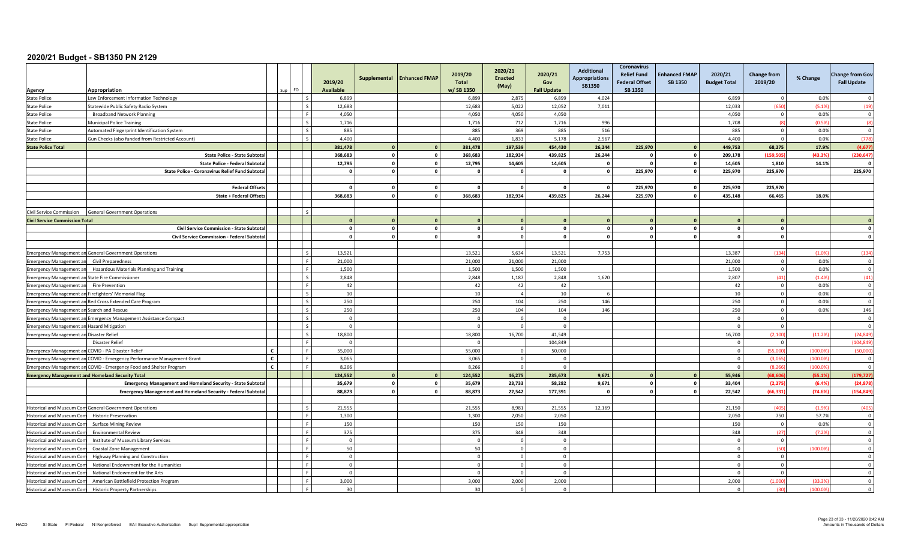| Agency                                                               | Appropriation                                                                         | FO.<br>sun. | 2019/20<br>Available         | Supplemental | <b>Enhanced FMAP</b> | 2019/20<br>Total<br>w/SB 1350 | 2020/21<br><b>Enacted</b><br>(May) | 2020/21<br>Gov<br><b>Fall Update</b> | <b>Additional</b><br><b>Appropriations</b><br><b>SB1350</b> | Coronavirus<br><b>Relief Fund</b><br><b>Federal Offset</b><br>SB 1350 | <b>Enhanced FMAP</b><br><b>SB 1350</b> | 2020/21<br><b>Budget Total</b> | <b>Change from</b><br>2019/20 | % Change      | <b>Change from Gov</b><br><b>Fall Update</b> |
|----------------------------------------------------------------------|---------------------------------------------------------------------------------------|-------------|------------------------------|--------------|----------------------|-------------------------------|------------------------------------|--------------------------------------|-------------------------------------------------------------|-----------------------------------------------------------------------|----------------------------------------|--------------------------------|-------------------------------|---------------|----------------------------------------------|
| <b>State Police</b>                                                  | Law Enforcement Information Technology                                                |             | 6,899                        |              |                      | 6,899                         | 2,875                              | 6,899                                | 4,024                                                       |                                                                       |                                        | 6,899                          | $\Omega$                      | 0.0%          | $\overline{0}$                               |
| <b>State Police</b>                                                  | Statewide Public Safety Radio System                                                  |             | 12,683                       |              |                      | 12,683                        | 5,022                              | 12,052                               | 7,011                                                       |                                                                       |                                        | 12,033                         | (650                          | (5.1%         | (19)                                         |
| <b>State Police</b>                                                  | <b>Broadband Network Planning</b>                                                     |             | 4,050                        |              |                      | 4,050                         | 4,050                              | 4,050                                |                                                             |                                                                       |                                        | 4,050                          | $\overline{0}$                | 0.0%          | $\overline{0}$                               |
| <b>State Police</b>                                                  | <b>Municipal Police Training</b>                                                      |             | 1.716                        |              |                      | 1.716                         | 712                                | 1.716                                | 996                                                         |                                                                       |                                        | 1.708                          | $\overline{18}$               | (0.5%         | (8)                                          |
| <b>State Police</b>                                                  | Automated Fingerprint Identification System                                           |             | 885                          |              |                      | 885                           | 369                                | 885                                  | 516                                                         |                                                                       |                                        | 885                            | $\overline{0}$                | 0.0%          | $\overline{0}$                               |
| <b>State Police</b>                                                  | Gun Checks (also funded from Restricted Account)                                      |             | 4,400                        |              |                      | 4,400                         | 1,833                              | 5,178                                | 2,567                                                       |                                                                       |                                        | 4,400                          | $\overline{0}$                | 0.0%          | (778)                                        |
| <b>State Police Total</b>                                            |                                                                                       |             | 381.478                      |              | $\mathbf{0}$         | 381.478                       | 197.539                            | 454.430                              | 26,244                                                      | 225,970                                                               |                                        | 449.753                        | 68.275                        | 17.9%         | (4, 677)                                     |
|                                                                      | <b>State Police - State Subtotal</b>                                                  |             | 368,683                      | $\mathbf{o}$ | $\mathbf 0$          | 368,683                       | 182.934                            | 439,825                              | 26,244                                                      | $\mathbf{0}$                                                          | $\mathbf{0}$                           | 209,178                        | (159,505                      | (43.3%        | (230, 647)                                   |
|                                                                      | <b>State Police - Federal Subtotal</b>                                                |             | 12,795                       | $\mathbf{0}$ | $\mathbf 0$          | 12,795                        | 14,605                             | 14.605                               | $\Omega$                                                    | $\mathbf{0}$                                                          | $\circ$                                | 14,605                         | 1,810                         | 14.1%         | $\Omega$                                     |
|                                                                      | State Police - Coronavirus Relief Fund Subtotal                                       |             | $\mathbf 0$                  | $\mathbf{0}$ | $\mathbf 0$          | $\Omega$                      | $\mathbf{0}$                       | $\mathbf{0}$                         | $\Omega$                                                    | 225,970                                                               | $\circ$                                | 225,970                        | 225,970                       |               | 225,970                                      |
|                                                                      |                                                                                       |             |                              |              |                      |                               |                                    |                                      |                                                             |                                                                       |                                        |                                |                               |               |                                              |
|                                                                      | <b>Federal Offsets</b>                                                                |             | $\Omega$                     | $\Omega$     | $\mathbf{0}$         | $\mathbf{r}$                  | $\Omega$                           | $\mathbf{0}$                         | $\Omega$                                                    | 225,970                                                               | $\mathbf{0}$                           | 225,970                        | 225,970                       |               |                                              |
|                                                                      | <b>State + Federal Offsets</b>                                                        |             | 368,683                      | $\mathbf{0}$ | $\mathbf{0}$         | 368.683                       | 182,934                            | 439,825                              | 26,244                                                      | 225,970                                                               | $\mathbf{0}$                           | 435,148                        | 66,465                        | 18.0%         |                                              |
|                                                                      |                                                                                       |             |                              |              |                      |                               |                                    |                                      |                                                             |                                                                       |                                        |                                |                               |               |                                              |
| Civil Service Commission                                             | <b>General Government Operations</b>                                                  |             |                              |              |                      |                               |                                    |                                      |                                                             |                                                                       |                                        |                                |                               |               |                                              |
| <b>Civil Service Commission Total</b>                                |                                                                                       |             | $\Omega$                     | $\mathbf{r}$ | $\Omega$             | $\mathbf{r}$                  | $\Omega$                           | $\Omega$                             |                                                             |                                                                       | $\sqrt{2}$                             |                                | $\sqrt{2}$                    |               |                                              |
|                                                                      | Civil Service Commission - State Subtota                                              |             | $\mathbf 0$                  | $\mathbf 0$  | $\mathbf{0}$         | $\Omega$                      | $\mathbf{0}$                       | $\mathbf{0}$                         | $\Omega$                                                    | $\mathbf{0}$                                                          | $\mathbf{0}$                           | $\mathbf{0}$                   | $\mathbf 0$                   |               | $\mathbf{0}$                                 |
|                                                                      | Civil Service Commission - Federal Subtotal                                           |             | $\mathbf 0$                  | $\mathbf{0}$ | $\mathbf{0}$         | $\Omega$                      | $\mathbf{0}$                       | $\mathbf{0}$                         |                                                             | $\Omega$                                                              | $\mathbf{0}$                           |                                | $\mathbf{0}$                  |               | $\mathbf{0}$                                 |
|                                                                      |                                                                                       |             |                              |              |                      |                               | 5.634                              |                                      |                                                             |                                                                       |                                        |                                | (134)                         |               |                                              |
|                                                                      | <b>Emergency Management an General Government Operations</b>                          |             | 13.521                       |              |                      | 13,521                        | 21.000                             | 13.521<br>21.000                     | 7,753                                                       |                                                                       |                                        | 13,387                         | $\Omega$                      | (1.0%<br>0.0% | (134)                                        |
| <b>Emergency Management an</b><br><b>Emergency Management an</b>     | Civil Preparedness<br>Hazardous Materials Planning and Training                       |             | 21,000<br>1,500              |              |                      | 21,000<br>1,500               | 1,500                              | 1,500                                |                                                             |                                                                       |                                        | 21,000<br>1,500                | $\overline{0}$                | 0.0%          | $\overline{0}$<br>$\overline{0}$             |
| <b>Emergency Management an State Fire Commissioner</b>               |                                                                                       |             | 2,848                        |              |                      | 2,848                         | 1,187                              | 2,848                                | 1,620                                                       |                                                                       |                                        | 2,807                          | (41)                          | (1.4%         | (41)                                         |
| <b>Emergency Management an</b>                                       | Fire Prevention                                                                       |             | 42                           |              |                      | 42                            | 42                                 | 42                                   |                                                             |                                                                       |                                        | 42                             | $\overline{0}$                | 0.0%          | $\overline{0}$                               |
| Emergency Management an Firefighters' Memorial Flag                  |                                                                                       |             | 10                           |              |                      | 10                            | $\overline{a}$                     | 10                                   |                                                             |                                                                       |                                        | 10                             | $\overline{0}$                | 0.0%          | $\overline{0}$                               |
|                                                                      | Emergency Management an Red Cross Extended Care Program                               |             | 250                          |              |                      | 250                           | 104                                | 250                                  | 146                                                         |                                                                       |                                        | 250                            | $\Omega$                      | 0.0%          | $\Omega$                                     |
| <b>Emergency Management an Search and Rescue</b>                     |                                                                                       |             | 250                          |              |                      | 250                           | 104                                | 104                                  | 146                                                         |                                                                       |                                        | 250                            | $\overline{0}$                | 0.0%          | 146                                          |
|                                                                      | Emergency Management an Emergency Management Assistance Compact                       |             | $\mathbf 0$                  |              |                      | $\Omega$                      | $\Omega$                           | $\mathbf 0$                          |                                                             |                                                                       |                                        |                                | $\Omega$                      |               | $\overline{0}$                               |
| <b>Emergency Management an Hazard Mitigation</b>                     |                                                                                       |             | $\Omega$                     |              |                      | $\Omega$                      | $\Omega$                           | $\Omega$                             |                                                             |                                                                       |                                        | - 0                            | $\Omega$                      |               | $\Omega$                                     |
| <b>Emergency Management an Disaster Relief</b>                       |                                                                                       |             | 18,800                       |              |                      | 18,800                        | 16,700                             | 41,549                               |                                                             |                                                                       |                                        | 16,700                         | (2.100)                       | (11.2)        | (24, 849)                                    |
|                                                                      | Disaster Relief                                                                       |             | $\Omega$                     |              |                      |                               |                                    | 104.849                              |                                                             |                                                                       |                                        |                                | $\Omega$                      |               | (104.849)                                    |
| Emergency Management an COVID - PA Disaster Relief                   | $\mathbf{c}$                                                                          |             | 55,000                       |              |                      | 55,000                        | $\Omega$                           | 50,000                               |                                                             |                                                                       |                                        | $\Omega$                       | (55.000                       | (100.09)      | (50,000)                                     |
|                                                                      | $\mathbf c$<br>Emergency Management an COVID - Emergency Performance Management Grant |             | 3,065                        |              |                      | 3,065                         | $\Omega$                           | $\mathbf 0$                          |                                                             |                                                                       |                                        |                                | (3,065)                       | (100.09)      | $\mathbf 0$                                  |
|                                                                      | $\mathbf{c}$<br>Emergency Management an COVID - Emergency Food and Shelter Program    |             | 8,266                        |              |                      | 8,266                         | $\overline{0}$                     | $\Omega$                             |                                                             |                                                                       |                                        | - 0                            | (8.266)                       | (100.0)       | $\Omega$                                     |
| <b>Emergency Management and Homeland Security Total</b>              |                                                                                       |             | 124,552                      | $\Omega$     | $\mathbf{0}$         | 124,552                       | 46,275                             | 235,673                              | 9,671                                                       |                                                                       |                                        | 55,946                         | (68.606                       | (55.1%        | (179, 727)                                   |
|                                                                      | <b>Emergency Management and Homeland Security - State Subtotal</b>                    |             | 35,679                       | $\mathbf 0$  | $\mathbf 0$          | 35.679                        | 23.733                             | 58.282                               | 9,671                                                       | $\mathbf{0}$                                                          | $\mathbf{0}$                           | 33.404                         | (2.275)                       | (6.4%         | (24.878                                      |
|                                                                      | <b>Emergency Management and Homeland Security - Federal Subtotal</b>                  |             | 88,873                       | $\Omega$     | $\mathbf{0}$         | 88,873                        | 22,542                             | 177,391                              | $\sqrt{2}$                                                  | $\Omega$                                                              | $\mathbf{0}$                           | 22,542                         | (66, 331)                     | (74.6%        | (154, 849)                                   |
|                                                                      |                                                                                       |             |                              |              |                      |                               |                                    |                                      |                                                             |                                                                       |                                        |                                |                               |               |                                              |
|                                                                      | Historical and Museum Com General Government Operations                               |             | 21.555                       |              |                      | 21.555                        | 8.981                              | 21.555                               | 12,169                                                      |                                                                       |                                        | 21,150                         | (405                          | (1.9%         | (405                                         |
| <b>Historical and Museum Com</b>                                     | <b>Historic Preservation</b>                                                          |             | 1,300                        |              |                      | 1,300                         | 2,050                              | 2,050                                |                                                             |                                                                       |                                        | 2,050                          | 750                           | 57.7%         | $\overline{0}$                               |
| <b>Historical and Museum Con</b>                                     | <b>Surface Mining Review</b>                                                          |             | 150                          |              |                      | 150                           | 150                                | 150                                  |                                                             |                                                                       |                                        | 150                            | $\overline{0}$                | 0.0%          | $\overline{0}$                               |
| <b>Historical and Museum Con</b>                                     | <b>Environmental Review</b>                                                           |             | 375                          |              |                      | 375                           | 348                                | 348                                  |                                                             |                                                                       |                                        | 348                            | (27)                          | (7.2%         | $\overline{0}$                               |
| Historical and Museum Con                                            | Institute of Museum Library Services                                                  |             | $\mathbf{0}$                 |              |                      | $\Omega$                      | $\Omega$                           | $\Omega$                             |                                                             |                                                                       |                                        |                                | $\overline{0}$                |               | $\overline{0}$                               |
| <b>Historical and Museum Com</b>                                     | Coastal Zone Management                                                               |             | 50                           |              |                      | 50                            | $\Omega$                           | $\Omega$                             |                                                             |                                                                       |                                        |                                | (50)                          | (100.09)      | $\Omega$                                     |
| <b>Historical and Museum Com</b>                                     | Highway Planning and Construction                                                     |             | $\mathbf{0}$                 |              |                      | $\Omega$                      | $\Omega$<br>$\Omega$               | $\Omega$<br>$\Omega$                 |                                                             |                                                                       |                                        |                                | $\overline{0}$<br>$\Omega$    |               | $\overline{0}$                               |
| <b>Historical and Museum Con</b>                                     | National Endownment for the Humanities<br>National Endowment for the Arts             |             | $\mathbf{0}$<br>$\mathbf{0}$ |              |                      | $\Omega$                      | $\Omega$                           | $\circ$                              |                                                             |                                                                       |                                        |                                | $\Omega$                      |               | $\overline{0}$<br>$\Omega$                   |
| <b>Historical and Museum Con</b><br><b>Historical and Museum Com</b> |                                                                                       |             |                              |              |                      |                               | 2.000                              | 2.000                                |                                                             |                                                                       |                                        | 2.000                          | (1.000)                       | (33.39)       | $\Omega$                                     |
|                                                                      | American Battlefield Protection Program<br><b>Historic Property Partnerships</b>      |             | 3,000<br>30                  |              |                      | 3,000<br>30                   | $\Omega$                           | $\Omega$                             |                                                             |                                                                       |                                        |                                | (30)                          | (100.0)       | $\overline{0}$                               |
| <b>Historical and Museum Com</b>                                     |                                                                                       |             |                              |              |                      |                               |                                    |                                      |                                                             |                                                                       |                                        |                                |                               |               |                                              |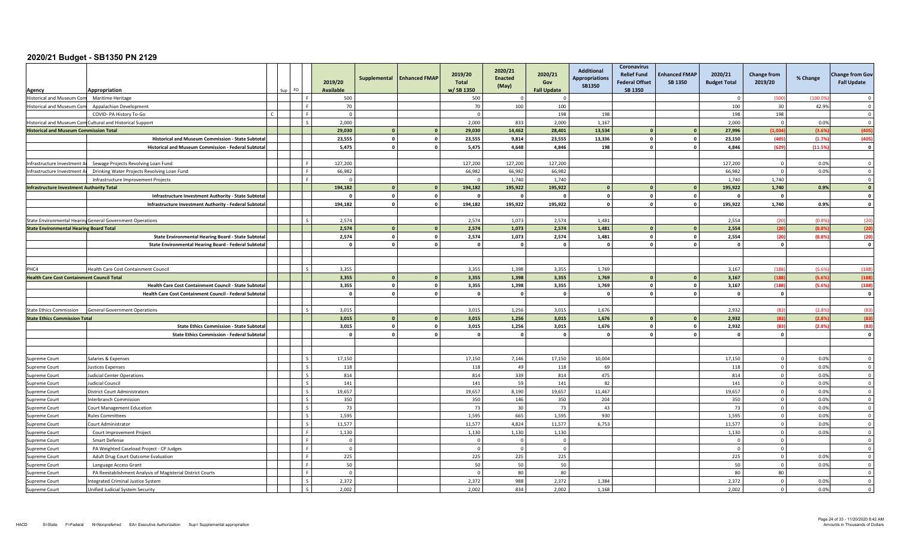| Agency                                            | Appropriation                                              |  | FO.                      | 2019/20<br><b>Available</b> | Supplemental | <b>Enhanced FMAP</b>    | 2019/20<br>Total<br>w/SB 1350 | 2020/21<br><b>Enacted</b><br>(May) | 2020/21<br>Gov<br><b>Fall Update</b> | <b>Additional</b><br><b>Appropriations</b><br><b>SB1350</b> | <b>Coronavirus</b><br><b>Relief Fund</b><br><b>Federal Offset</b><br>SB 1350 | <b>Enhanced FMAP</b><br><b>SB 1350</b> | 2020/21<br><b>Budget Total</b> | <b>Change from</b><br>2019/20 | % Change | <b>Change from Gov</b><br><b>Fall Update</b> |
|---------------------------------------------------|------------------------------------------------------------|--|--------------------------|-----------------------------|--------------|-------------------------|-------------------------------|------------------------------------|--------------------------------------|-------------------------------------------------------------|------------------------------------------------------------------------------|----------------------------------------|--------------------------------|-------------------------------|----------|----------------------------------------------|
| Historical and Museum Com                         | Maritime Heritage                                          |  | l F                      | 500                         |              |                         | 500                           |                                    |                                      |                                                             |                                                                              |                                        | $\sqrt{ }$                     | (500                          | (100.09) | $\Omega$                                     |
| <b>Historical and Museum Com</b>                  | Appalachian Development                                    |  |                          | 70                          |              |                         | 70                            | 100                                | 100                                  |                                                             |                                                                              |                                        | 100                            | 30                            | 42.9%    | $\Omega$                                     |
|                                                   | COVID- PA History To-Go                                    |  | Iя                       | $\overline{0}$              |              |                         | $\Omega$                      |                                    | 198                                  | 198                                                         |                                                                              |                                        | 198                            | 198                           |          | $\overline{0}$                               |
|                                                   | Historical and Museum Com Cultural and Historical Support  |  | $\mathsf{I}$             | 2,000                       |              |                         | 2,000                         | 833                                | 2,000                                | 1,167                                                       |                                                                              |                                        | 2,000                          | $\Omega$                      | 0.0%     | $\overline{0}$                               |
| <b>Historical and Museum Commission Total</b>     |                                                            |  |                          | 29,030                      | $\mathbf{0}$ | $\overline{\mathbf{0}}$ | 29,030                        | 14,462                             | 28,401                               | 13,534                                                      |                                                                              | $\Omega$                               | 27,996                         | (1,034)                       | (3.6%    | (405)                                        |
|                                                   | Historical and Museum Commission - State Subtota           |  |                          | 23.555                      | $\Omega$     | $\circ$                 | 23.555                        | 9.814                              | 23.555                               | 13,336                                                      |                                                                              | $\Omega$                               | 23.150                         | (405)                         | (1.7%    | (405)                                        |
|                                                   | Historical and Museum Commission - Federal Subtotal        |  |                          | 5,475                       | $\Omega$     | $\circ$                 | 5,475                         | 4,648                              | 4,846                                | 198                                                         | $\Omega$                                                                     |                                        | 4,846                          | (629)                         | (11.5%   | $\mathbf{0}$                                 |
|                                                   |                                                            |  |                          |                             |              |                         |                               |                                    |                                      |                                                             |                                                                              |                                        |                                |                               |          |                                              |
| Infrastructure Investment Ar                      | Sewage Projects Revolving Loan Fund                        |  | Iя                       | 127,200                     |              |                         | 127,200                       | 127,200                            | 127,200                              |                                                             |                                                                              |                                        | 127.200                        | $\overline{0}$                | 0.0%     | $\Omega$                                     |
| Infrastructure Investment A                       | Drinking Water Projects Revolving Loan Fund                |  | l F                      | 66,982                      |              |                         | 66,982                        | 66,982                             | 66,982                               |                                                             |                                                                              |                                        | 66,982                         | $\Omega$                      | 0.0%     | $\overline{\mathbf{0}}$                      |
|                                                   | Infrastructure Improvement Projects                        |  | Iя                       | $\Omega$                    |              |                         | $\Omega$                      | 1,740                              | 1,740                                |                                                             |                                                                              |                                        | 1.740                          | 1,740                         |          | $\overline{0}$                               |
| <b>Infrastructure Investment Authority Total</b>  |                                                            |  |                          | 194,182                     | $\Omega$     | $\circ$                 | 194,182                       | 195,922                            | 195,922                              | $\mathbf{0}$                                                |                                                                              |                                        | 195,922                        | 1,740                         | 0.9%     | $\mathbf{o}$                                 |
|                                                   | Infrastructure Investment Authority - State Subtota        |  |                          |                             | $\Omega$     | $\mathbf 0$             |                               | $\Omega$                           |                                      | $\Omega$                                                    |                                                                              |                                        | - 0                            | $\Omega$                      |          | $\mathbf 0$                                  |
|                                                   | Infrastructure Investment Authority - Federal Subtotal     |  |                          | 194,182                     | $\Omega$     | $\circ$                 | 194,182                       | 195,922                            | 195,922                              | $\mathbf{0}$                                                |                                                                              |                                        | 195,922                        | 1,740                         | 0.9%     | $\mathbf{o}$                                 |
|                                                   |                                                            |  |                          |                             |              |                         |                               |                                    |                                      |                                                             |                                                                              |                                        |                                |                               |          |                                              |
|                                                   | State Environmental Hearing General Government Operations  |  | l s                      | 2,574                       |              |                         | 2,574                         | 1,073                              | 2,574                                | 1,481                                                       |                                                                              |                                        | 2,554                          | (20)                          | (0.89)   | (20)                                         |
| <b>State Environmental Hearing Board Total</b>    |                                                            |  |                          | 2,574                       | $\mathbf{0}$ | $\mathbf{0}$            | 2,574                         | 1,073                              | 2,574                                | 1,481                                                       |                                                                              |                                        | 2,554                          | (20)                          | (0.8%    | (20)                                         |
|                                                   | State Environmental Hearing Board - State Subtota          |  |                          | 2,574                       | $\mathbf{0}$ | $\circ$                 | 2,574                         | 1,073                              | 2,574                                | 1,481                                                       |                                                                              | $\Omega$                               | 2,554                          | (20)                          | (0.89)   | (20)                                         |
|                                                   | State Environmental Hearing Board - Federal Subtotal       |  |                          | $\mathbf{0}$                | $\Omega$     | $\circ$                 | $\Omega$                      | $\Omega$                           | $\Omega$                             | $\mathbf{0}$                                                |                                                                              |                                        | $\Omega$                       | $\mathbf{0}$                  |          | $\Omega$                                     |
|                                                   |                                                            |  |                          |                             |              |                         |                               |                                    |                                      |                                                             |                                                                              |                                        |                                |                               |          |                                              |
|                                                   |                                                            |  |                          |                             |              |                         |                               |                                    |                                      |                                                             |                                                                              |                                        |                                |                               |          |                                              |
| PHC4                                              | Health Care Cost Containment Council                       |  | $\overline{\phantom{a}}$ | 3,355                       |              |                         | 3,355                         | 1,398                              | 3,355                                | 1,769                                                       |                                                                              |                                        | 3,167                          | (188)                         | (5.69)   | (188)                                        |
| <b>Health Care Cost Containment Council Total</b> |                                                            |  |                          | 3,355                       | $\Omega$     | $\mathbf{0}$            | 3,355                         | 1,398                              | 3,355                                | 1,769                                                       |                                                                              |                                        | 3,167                          | (188)                         | (5.69)   | (188)                                        |
|                                                   | Health Care Cost Containment Council - State Subtota       |  |                          | 3,355                       | $\mathbf{0}$ | $\circ$                 | 3,355                         | 1,398                              | 3,355                                | 1,769                                                       | $\Omega$                                                                     |                                        | 3,167                          | (188)                         | (5.6%    | (188)                                        |
|                                                   | Health Care Cost Containment Council - Federal Subtotal    |  |                          | $\Omega$                    | $\Omega$     | $\mathbf 0$             | $\Omega$                      | $\Omega$                           | $\Omega$                             | $\Omega$                                                    | $\Omega$                                                                     |                                        | $\Omega$                       | $\mathbf 0$                   |          | $\mathbf 0$                                  |
|                                                   |                                                            |  |                          |                             |              |                         |                               |                                    |                                      |                                                             |                                                                              |                                        |                                |                               |          |                                              |
| <b>State Ethics Commission</b>                    | <b>General Government Operations</b>                       |  | $\overline{\phantom{a}}$ | 3,015                       |              |                         | 3.015                         | 1.256                              | 3.015                                | 1,676                                                       |                                                                              |                                        | 2,932                          | (83)                          | (2.89)   | (83)                                         |
| <b>State Ethics Commission Total</b>              |                                                            |  |                          | 3,015                       |              | $\mathbf{0}$            | 3,015                         | 1,256                              | 3,015                                | 1,676                                                       |                                                                              |                                        | 2,932                          | (83)                          | (2.89)   | (83)                                         |
|                                                   | <b>State Ethics Commission - State Subtota</b>             |  |                          | 3,015                       | $\mathbf{0}$ | $\circ$                 | 3,015                         | 1,256                              | 3,015                                | 1,676                                                       |                                                                              |                                        | 2,932                          | (83)                          | (2.8%    | (83)                                         |
|                                                   | <b>State Ethics Commission - Federal Subtota</b>           |  |                          | $\Omega$                    | $\Omega$     | $\circ$                 | $\Omega$                      | $\Omega$                           |                                      | $\mathbf{0}$                                                |                                                                              |                                        | $\Omega$                       | $\mathbf{0}$                  |          | $\mathbf 0$                                  |
|                                                   |                                                            |  |                          |                             |              |                         |                               |                                    |                                      |                                                             |                                                                              |                                        |                                |                               |          |                                              |
|                                                   |                                                            |  |                          |                             |              |                         |                               |                                    |                                      |                                                             |                                                                              |                                        |                                |                               |          |                                              |
| <b>Supreme Court</b>                              | Salaries & Expenses                                        |  | $\overline{\phantom{a}}$ | 17,150                      |              |                         | 17,150                        | 7,146                              | 17,150                               | 10,004                                                      |                                                                              |                                        | 17,150                         | $\Omega$                      | 0.0%     | $\Omega$                                     |
| Supreme Court                                     | <b>Justices Expenses</b>                                   |  | l s                      | 118                         |              |                         | 118                           | 49                                 | 118                                  | 69                                                          |                                                                              |                                        | 118                            | $\overline{0}$                | 0.0%     | $\overline{\mathbf{0}}$                      |
| Supreme Court                                     | <b>Judicial Center Operations</b>                          |  | l s                      | 814                         |              |                         | 814                           | 339                                | 814                                  | 475                                                         |                                                                              |                                        | 814                            | $\mathbf{0}$                  | 0.0%     | $\mathbf 0$                                  |
| Supreme Court                                     | <b>Judicial Council</b>                                    |  | I۶                       | 141                         |              |                         | 141                           | 59                                 | 141                                  | 82                                                          |                                                                              |                                        | 141                            | $\Omega$                      | 0.0%     | $\Omega$                                     |
| Supreme Court                                     | <b>District Court Administrators</b>                       |  | I۶                       | 19,657                      |              |                         | 19,657                        | 8,190                              | 19,657                               | 11,467                                                      |                                                                              |                                        | 19,657                         | $\overline{0}$                | 0.0%     | $\Omega$                                     |
| Supreme Court                                     | <b>Interbranch Commission</b>                              |  | Ιs                       | 350                         |              |                         | 350                           | 146                                | 350                                  | 204                                                         |                                                                              |                                        | 350                            | $\mathbf{0}$                  | 0.0%     | $\overline{0}$                               |
| Supreme Court                                     | Court Management Education                                 |  | l s                      | 73                          |              |                         | 73                            | 30                                 | 73                                   | 43                                                          |                                                                              |                                        | 73                             | $\overline{0}$                | 0.0%     | $\overline{\mathbf{0}}$                      |
| Supreme Court                                     | <b>Rules Committees</b>                                    |  | l s                      | 1,595                       |              |                         | 1,595                         | 665                                | 1,595                                | 930                                                         |                                                                              |                                        | 1,595                          | $\overline{0}$                | 0.0%     | $\overline{0}$                               |
| Supreme Court                                     | Court Administrator                                        |  | l s                      | 11,577                      |              |                         | 11,577                        | 4,824                              | 11,577                               | 6,753                                                       |                                                                              |                                        | 11,577                         | $\overline{0}$                | 0.0%     | $\Omega$                                     |
| Supreme Court                                     | Court Improvement Project                                  |  | l F                      | 1,130                       |              |                         | 1,130                         | 1,130                              | 1,130                                |                                                             |                                                                              |                                        | 1,130                          | $\Omega$                      | 0.0%     | $\Omega$                                     |
| Supreme Court                                     | Smart Defense                                              |  |                          | $\Omega$                    |              |                         |                               | $\Omega$                           | $\Omega$                             |                                                             |                                                                              |                                        | - 0                            | $\Omega$                      |          | $\Omega$                                     |
| Supreme Court                                     | PA Weighted Caseload Project - CP Judges                   |  | Iя                       | $\overline{0}$              |              |                         | $\Omega$                      | $\Omega$                           | $\Omega$                             |                                                             |                                                                              |                                        | $\overline{\mathbf{0}}$        | $\overline{0}$                |          | $\overline{\mathbf{0}}$                      |
| Supreme Court                                     | Adult Drug Court Outcome Evaluation                        |  | ΙF                       | 225                         |              |                         | 225                           | 225                                | 225                                  |                                                             |                                                                              |                                        | 225                            | $\mathbf 0$                   | 0.0%     | $\mathbf 0$                                  |
| Supreme Court                                     | Language Access Grant                                      |  | I F                      | 50                          |              |                         | 50                            | 50                                 | 50                                   |                                                             |                                                                              |                                        | 50                             | $\overline{0}$                | 0.0%     | $\overline{\mathbf{0}}$                      |
| Supreme Court                                     | PA Reestablishment Analysis of Magisterial District Courts |  | l F                      | $\Omega$                    |              |                         | $\Omega$                      | 80                                 | 80                                   |                                                             |                                                                              |                                        | 80                             | 80                            |          | $\mathbf 0$                                  |
| Supreme Court                                     | Integrated Criminal Justice System                         |  | I۶                       | 2,372                       |              |                         | 2,372                         | 988                                | 2,372                                | 1,384                                                       |                                                                              |                                        | 2,372                          | $\Omega$                      | 0.0%     | $\Omega$                                     |
| Supreme Court                                     | Unified Judicial System Security                           |  |                          | 2,002                       |              |                         | 2,002                         | 834                                | 2,002                                | 1,168                                                       |                                                                              |                                        | 2,002                          | $\Omega$                      | 0.0%     | $\Omega$                                     |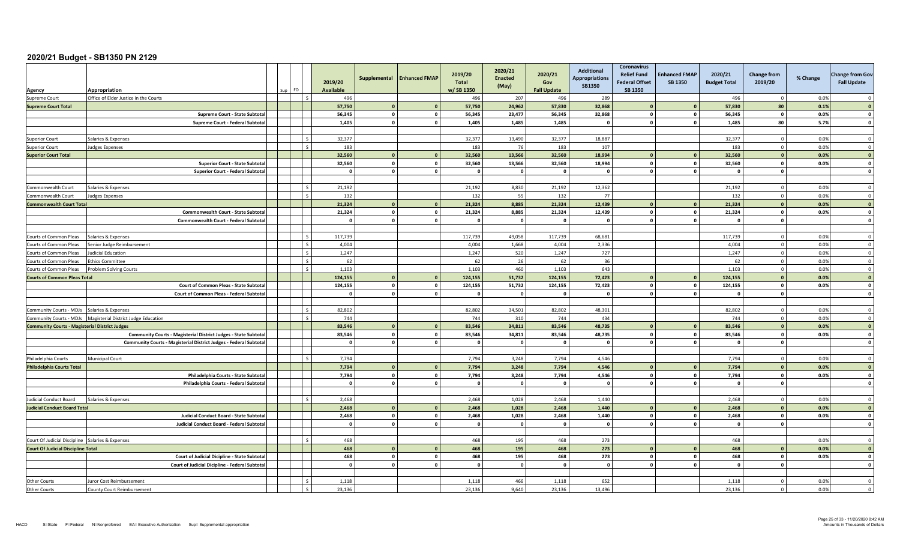| Agency                                                | Appropriation                                                           | FO. |        | 2019/20<br><b>Available</b> | Supplemental            | <b>Enhanced FMAP</b> | 2019/20<br><b>Total</b><br>w/SB 1350 | 2020/21<br><b>Enacted</b><br>(May) | 2020/21<br>Gov<br><b>Fall Update</b> | <b>Additional</b><br><b>Appropriations</b><br>SB1350 | <b>Coronavirus</b><br><b>Relief Fund</b><br><b>Federal Offset</b><br>SB 1350 | <b>Enhanced FMAP</b><br>SB 1350 | 2020/21<br><b>Budget Total</b> | <b>Change from</b><br>2019/20 | % Change | <b>Change from Gov</b><br><b>Fall Update</b> |
|-------------------------------------------------------|-------------------------------------------------------------------------|-----|--------|-----------------------------|-------------------------|----------------------|--------------------------------------|------------------------------------|--------------------------------------|------------------------------------------------------|------------------------------------------------------------------------------|---------------------------------|--------------------------------|-------------------------------|----------|----------------------------------------------|
| Supreme Court                                         | Office of Elder Justice in the Courts                                   |     | ΙS     | 496                         |                         |                      | 496                                  | 207                                | 496                                  | 289                                                  |                                                                              |                                 | 496                            | $\Omega$                      | 0.0%     | $\Omega$                                     |
| <b>Supreme Court Total</b>                            |                                                                         |     |        | 57.750                      |                         | $\mathbf{0}$         | 57.750                               | 24.962                             | 57.830                               | 32.868                                               |                                                                              |                                 | 57.830                         | 80                            | 0.1%     | $\mathbf{0}$                                 |
|                                                       | Supreme Court - State Subtota                                           |     |        | 56,345                      | $\mathbf{o}$            | $\mathbf 0$          | 56,345                               | 23,477                             | 56,345                               | 32,868                                               |                                                                              | $\Omega$                        | 56,345                         | $\mathbf 0$                   | 0.0%     | $\mathbf 0$                                  |
|                                                       | Supreme Court - Federal Subtota                                         |     |        | 1,405                       | $\sqrt{2}$              | $\circ$              | 1,405                                | 1,485                              | 1,485                                | - 0                                                  |                                                                              | $\sqrt{2}$                      | 1,485                          | 80                            | 5.7%     | $\Omega$                                     |
|                                                       |                                                                         |     |        |                             |                         |                      |                                      |                                    |                                      |                                                      |                                                                              |                                 |                                |                               |          |                                              |
| <b>Superior Court</b>                                 | Salaries & Expenses                                                     |     | l s    | 32,377                      |                         |                      | 32,377                               | 13,490                             | 32,377                               | 18,887                                               |                                                                              |                                 | 32,377                         | $\overline{0}$                | 0.0%     | $\overline{\mathbf{0}}$                      |
| uperior Court                                         | Judges Expenses                                                         |     | $\sim$ | 183                         |                         |                      | 183                                  | 76                                 | 183                                  | 107                                                  |                                                                              |                                 | 183                            | $\overline{0}$                | 0.0%     | $\Omega$                                     |
| <b>Superior Court Total</b>                           |                                                                         |     |        | 32,560                      | $\Omega$                | $\mathbf{0}$         | 32,560                               | 13.566                             | 32,560                               | 18.994                                               |                                                                              |                                 | 32.560                         | $\mathbf{0}$                  | 0.0%     | $\overline{0}$                               |
|                                                       | Superior Court - State Subtota                                          |     |        | 32.560                      | $\mathbf{0}$            | $\circ$              | 32.560                               | 13.566                             | 32,560                               | 18,994                                               |                                                                              | $\mathbf{r}$                    | 32.560                         | $\mathbf{0}$                  | 0.0%     | $\mathbf{0}$                                 |
|                                                       | <b>Superior Court - Federal Subtota</b>                                 |     |        | $\Omega$                    | $\mathbf{0}$            | $\mathbf{0}$         | $\mathbf{0}$                         | $\overline{\mathbf{0}}$            | $\Omega$                             | $\mathbf{0}$                                         | $\Omega$                                                                     | $\Omega$                        | $\mathbf{0}$                   | $\mathbf 0$                   |          | $\overline{\mathbf{0}}$                      |
|                                                       |                                                                         |     |        |                             |                         |                      |                                      |                                    |                                      |                                                      |                                                                              |                                 |                                |                               |          |                                              |
| Commonwealth Court                                    | Salaries & Expenses                                                     |     | l s    | 21,192                      |                         |                      | 21,192                               | 8,830                              | 21,192                               | 12,362                                               |                                                                              |                                 | 21,192                         | $\overline{0}$                | 0.0%     | $\Omega$                                     |
| Commonwealth Court                                    | <b>Judges Expenses</b>                                                  |     | l s    | 132                         |                         |                      | 132                                  | 55                                 | 132                                  | 77                                                   |                                                                              |                                 | 132                            | $\overline{0}$                | 0.0%     | $\Omega$                                     |
| <b>Commonwealth Court Total</b>                       |                                                                         |     |        | 21.324                      |                         | $\mathbf{0}$         | 21.324                               | 8.885                              | 21.324                               | 12.439                                               |                                                                              |                                 | 21.324                         | $\Omega$                      | 0.0%     | $\overline{0}$                               |
|                                                       | Commonwealth Court - State Subtota                                      |     |        | 21,324                      | $\mathbf{0}$            | $\circ$              | 21,324                               | 8,885                              | 21,324                               | 12,439                                               |                                                                              | $\Omega$                        | 21,324                         | $\mathbf{0}$                  | 0.0%     | $\mathbf{0}$                                 |
|                                                       | Commonwealth Court - Federal Subtota                                    |     |        | $\Omega$                    | $\mathbf{r}$            | $\mathbf 0$          | $\mathbf{r}$                         | $\sqrt{2}$                         | $\mathbf{a}$                         | $\Omega$                                             |                                                                              |                                 | $\Omega$                       | $\Omega$                      |          | $\mathbf{0}$                                 |
|                                                       |                                                                         |     |        |                             |                         |                      |                                      |                                    |                                      |                                                      |                                                                              |                                 |                                |                               |          |                                              |
| Courts of Common Pleas                                | Salaries & Expenses                                                     |     | l s    | 117,739                     |                         |                      | 117,739                              | 49,058                             | 117,739                              | 68,681                                               |                                                                              |                                 | 117,739                        | $\Omega$                      | 0.0%     | $\overline{0}$                               |
| Courts of Common Pleas                                | Senior Judge Reimbursement                                              |     | l s    | 4,004                       |                         |                      | 4,004                                | 1.668                              | 4.004                                | 2.336                                                |                                                                              |                                 | 4.004                          | $\overline{0}$                | 0.0%     | $\Omega$                                     |
| Courts of Common Pleas                                | Judicial Education                                                      |     | I۰     | 1,247                       |                         |                      | 1,247                                | 520                                | 1,247                                | 727                                                  |                                                                              |                                 | 1,247                          | $\overline{0}$                | 0.0%     | $\Omega$                                     |
| Courts of Common Pleas                                | <b>Ethics Committee</b>                                                 |     | l s    | 62                          |                         |                      | 62                                   | 26                                 | 62                                   | 36                                                   |                                                                              |                                 | 62                             | $\overline{0}$                | 0.0%     | $\Omega$                                     |
| Courts of Common Pleas                                | <b>Problem Solving Courts</b>                                           |     | l s    | 1,103                       |                         |                      | 1,103                                | 460                                | 1,103                                | 643                                                  |                                                                              |                                 | 1,103                          | $\mathbf 0$                   | 0.0%     | $\mathbf 0$                                  |
| <b>Courts of Common Pleas Total</b>                   |                                                                         |     |        | 124,155                     |                         | $\mathbf{0}$         | 124,155                              | 51,732                             | 124,155                              | 72,423                                               |                                                                              |                                 | 124,155                        | $\Omega$                      | 0.0%     | $\bullet$                                    |
|                                                       | Court of Common Pleas - State Subtota                                   |     |        | 124,155                     | $\mathbf{0}$            | $\circ$              | 124.155                              | 51.732                             | 124.155                              | 72,423                                               |                                                                              | $\Omega$                        | 124.155                        | $\mathbf{0}$                  | 0.0%     | $\mathbf{o}$                                 |
|                                                       | Court of Common Pleas - Federal Subtotal                                |     |        | $\Omega$                    | $\Omega$                | $\circ$              | $^{\circ}$                           | $\Omega$                           | $\Omega$                             | $\mathbf{0}$                                         |                                                                              |                                 | $\mathbf{0}$                   | $\mathbf{0}$                  |          | $\mathbf{o}$                                 |
|                                                       |                                                                         |     |        |                             |                         |                      |                                      |                                    |                                      |                                                      |                                                                              |                                 |                                |                               |          |                                              |
| Community Courts - MDJs Salaries & Expenses           |                                                                         |     | l s    | 82.802                      |                         |                      | 82.802                               | 34.501                             | 82.802                               | 48.301                                               |                                                                              |                                 | 82.802                         | $\overline{0}$                | 0.0%     | $\Omega$                                     |
|                                                       | Community Courts - MDJs   Magisterial District Judge Education          |     | Ιc     | 744                         |                         |                      | 744                                  | 310                                | 744                                  | 434                                                  |                                                                              |                                 | 744                            | $\mathbf 0$                   | 0.0%     | $\overline{\mathbf{0}}$                      |
| <b>Community Courts - Magisterial District Judges</b> |                                                                         |     |        | 83,546                      | $\sqrt{2}$              | $\mathbf{0}$         | 83,546                               | 34,811                             | 83,546                               | 48,735                                               |                                                                              |                                 | 83,546                         | $\mathbf{0}$                  | 0.0%     | $\overline{\mathbf{0}}$                      |
|                                                       | <b>Community Courts - Magisterial District Judges - State Subtota</b>   |     |        | 83,546                      | $\overline{\mathbf{0}}$ | $\mathbf{0}$         | 83,546                               | 34,811                             | 83,546                               | 48,735                                               | $\Omega$                                                                     | $\Omega$                        | 83,546                         | $\mathbf 0$                   | 0.0%     | $\mathbf{o}$                                 |
|                                                       | <b>Community Courts - Magisterial District Judges - Federal Subtota</b> |     |        | $\Omega$                    | $\Omega$                | $\circ$              | $\Omega$                             | $\Omega$                           | $\Omega$                             | $\mathbf{0}$                                         |                                                                              |                                 | $\Omega$                       | $\mathbf{0}$                  |          | $\mathbf{o}$                                 |
|                                                       |                                                                         |     |        |                             |                         |                      |                                      |                                    |                                      |                                                      |                                                                              |                                 |                                |                               |          |                                              |
| Philadelphia Courts                                   | <b>Municipal Court</b>                                                  |     |        | 7,794                       |                         |                      | 7,794                                | 3,248                              | 7,794                                | 4,546                                                |                                                                              |                                 | 7.794                          | $\Omega$                      | 0.0%     | $\Omega$                                     |
| <b>Philadelphia Courts Total</b>                      |                                                                         |     |        | 7,794                       | $\mathbf{0}$            | $\mathbf{0}$         | 7,794                                | 3,248                              | 7,794                                | 4,546                                                |                                                                              |                                 | 7,794                          | $\mathbf{0}$                  | 0.0%     | $\overline{0}$                               |
|                                                       | Philadelphia Courts - State Subtota                                     |     |        | 7,794                       | $\mathbf 0$             | $\mathbf{0}$         | 7,794                                | 3,248                              | 7,794                                | 4,546                                                | $\Omega$                                                                     | $\Omega$                        | 7,794                          | $\mathbf 0$                   | 0.0%     | $\mathbf 0$                                  |
|                                                       | Philadelphia Courts - Federal Subtota                                   |     |        | $\Omega$                    | $\mathbf{0}$            | $\circ$              | $\Omega$                             | $\mathbf{0}$                       | $\Omega$                             | $\Omega$                                             |                                                                              | $\sqrt{2}$                      | - 0                            | $\Omega$                      |          | $\Omega$                                     |
|                                                       |                                                                         |     |        |                             |                         |                      |                                      |                                    |                                      |                                                      |                                                                              |                                 |                                |                               |          |                                              |
| Judicial Conduct Board                                | Salaries & Expenses                                                     |     | $\sim$ | 2,468                       |                         |                      | 2,468                                | 1,028                              | 2,468                                | 1,440                                                |                                                                              |                                 | 2,468                          | $^{\circ}$                    | 0.0%     | $\Omega$                                     |
| <b>Judicial Conduct Board Total</b>                   |                                                                         |     |        | 2,468                       | $\Omega$                | $\mathbf{0}$         | 2,468                                | 1,028                              | 2,468                                | 1,440                                                |                                                                              |                                 | 2,468                          | $\Omega$                      | 0.0%     | $\mathbf{0}$                                 |
|                                                       | Judicial Conduct Board - State Subtota                                  |     |        | 2,468                       | $\mathbf{0}$            | $\circ$              | 2,468                                | 1,028                              | 2,468                                | 1,440                                                |                                                                              |                                 | 2,468                          | $\mathbf 0$                   | 0.0%     | $\mathbf{0}$                                 |
|                                                       | Judicial Conduct Board - Federal Subtota                                |     |        | $\mathbf{0}$                | $\mathbf{0}$            | $\circ$              | $\mathbf{o}$                         | $\mathbf{0}$                       | $\Omega$                             | $\mathbf{0}$                                         | $\Omega$                                                                     | $\mathbf{r}$                    | $\mathbf{0}$                   | $\mathbf{0}$                  |          | $\mathbf 0$                                  |
|                                                       |                                                                         |     |        |                             |                         |                      |                                      |                                    |                                      |                                                      |                                                                              |                                 |                                |                               |          |                                              |
| Court Of Judicial Discipline Salaries & Expenses      |                                                                         |     | l s    | 468                         |                         |                      | 468                                  | 195                                | 468                                  | 273                                                  |                                                                              |                                 | 468                            |                               | 0.0%     | $\Omega$                                     |
| <b>Court Of Judicial Discipline Total</b>             |                                                                         |     |        | 468                         | $\sqrt{2}$              | $\mathbf{0}$         | 468                                  | 195                                | 468                                  | 273                                                  |                                                                              |                                 | 468                            | $\Omega$                      | 0.0%     | $\overline{0}$                               |
|                                                       | Court of Judicial Dicipline - State Subtota                             |     |        | 468                         | $\mathbf{0}$            | $\mathbf 0$          | 468                                  | 195                                | 468                                  | 273                                                  |                                                                              |                                 | 468                            | $\mathbf{0}$                  | 0.0%     | $\mathbf{0}$                                 |
|                                                       | Court of Judicial Dicipline - Federal Subtota                           |     |        | $\mathbf{0}$                | $\Omega$                | $\mathbf 0$          | $\Omega$                             | $\mathbf{0}$                       |                                      | $\mathbf 0$                                          |                                                                              |                                 | $\Omega$                       | $\Omega$                      |          | $\Omega$                                     |
|                                                       |                                                                         |     |        |                             |                         |                      |                                      |                                    |                                      |                                                      |                                                                              |                                 |                                |                               |          |                                              |
| <b>Other Courts</b>                                   | Juror Cost Reimbursement                                                |     |        | 1,118                       |                         |                      | 1,118                                | 466                                | 1,118                                | 652                                                  |                                                                              |                                 | 1,118                          | $\Omega$                      | 0.0%     | $\Omega$                                     |
| Other Courts                                          | <b>County Court Reimbursement</b>                                       |     | $\sim$ | 23.136                      |                         |                      | 23.136                               | 9.640                              | 23.136                               | 13.496                                               |                                                                              |                                 | 23.136                         | $\overline{0}$                | 0.0%     | $\overline{0}$                               |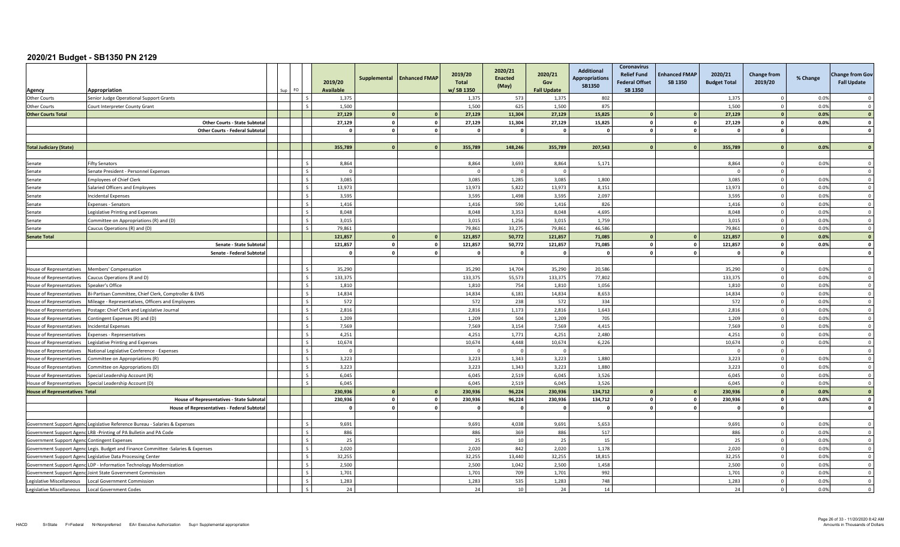| Agency                                       | Appropriation                                                                     | ≘∩                       | 2019/20<br><b>Available</b> | Supplemental   | <b>Enhanced FMAP</b> | 2019/20<br>Total<br>w/SB 1350 | 2020/21<br><b>Enacted</b><br>(May) | 2020/21<br>Gov<br><b>Fall Update</b> | <b>Additional</b><br><b>Appropriations</b><br><b>SB1350</b> | Coronavirus<br><b>Relief Fund</b><br><b>Federal Offset</b><br>SB 1350 | <b>Enhanced FMAP</b><br><b>SB 1350</b> | 2020/21<br><b>Budget Total</b> | <b>Change from</b><br>2019/20 | % Change | <b>Change from Gov</b><br><b>Fall Update</b> |
|----------------------------------------------|-----------------------------------------------------------------------------------|--------------------------|-----------------------------|----------------|----------------------|-------------------------------|------------------------------------|--------------------------------------|-------------------------------------------------------------|-----------------------------------------------------------------------|----------------------------------------|--------------------------------|-------------------------------|----------|----------------------------------------------|
| <b>Other Courts</b>                          | Senior Judge Operational Support Grants                                           |                          | 1,375                       |                |                      | 1,375                         | 573                                | 1,375                                | 802                                                         |                                                                       |                                        | 1,375                          | $\overline{0}$                | 0.0%     | $\Omega$                                     |
| <b>Other Courts</b>                          | Court Interpreter County Grant                                                    | $\zeta$                  | 1,500                       |                |                      | 1.500                         | 625                                | 1,500                                | 875                                                         |                                                                       |                                        | 1.500                          | $\overline{0}$                | 0.0%     | $\Omega$                                     |
| <b>Other Courts Total</b>                    |                                                                                   |                          | 27,129                      | $\mathbf{0}$   | $\mathbf{0}$         | 27,129                        | 11,304                             | 27,129                               | 15,825                                                      |                                                                       | $\mathbf{a}$                           | 27,129                         | $\mathbf{0}$                  | 0.0%     | $\overline{\mathbf{0}}$                      |
|                                              | Other Courts - State Subtota                                                      |                          | 27,129                      | $\circ$        | $\mathbf{0}$         | 27,129                        | 11,304                             | 27,129                               | 15,825                                                      |                                                                       | $\Omega$                               | 27,129                         | $\mathbf{0}$                  | 0.0%     | $\mathbf{0}$                                 |
|                                              | <b>Other Courts - Federal Subtota</b>                                             |                          | $\mathbf{0}$                | $\mathbf{o}$   | $\mathbf{o}$         | <sup>o</sup>                  | $\Omega$                           | n                                    | $\mathbf{0}$                                                |                                                                       |                                        | $\Omega$                       | $\mathbf{0}$                  |          | $\Omega$                                     |
|                                              |                                                                                   |                          |                             |                |                      |                               |                                    |                                      |                                                             |                                                                       |                                        |                                |                               |          |                                              |
| <b>Total Judiciary (State)</b>               |                                                                                   |                          | 355,789                     | $\mathbf{r}$   | $\mathbf{0}$         | 355,789                       | 148,246                            | 355,789                              | 207,543                                                     |                                                                       |                                        | 355,789                        |                               | 0.0%     |                                              |
|                                              |                                                                                   |                          |                             |                |                      |                               |                                    |                                      |                                                             |                                                                       |                                        |                                |                               |          |                                              |
| Senate                                       | <b>Fifty Senators</b>                                                             | $\overline{\mathsf{s}}$  | 8,864                       |                |                      | 8,864                         | 3,693                              | 8,864                                | 5,171                                                       |                                                                       |                                        | 8,864                          | $\Omega$                      | 0.0%     | $\overline{0}$                               |
| Senate                                       | Senate President - Personnel Expenses                                             | $\overline{\phantom{a}}$ | $\overline{0}$              |                |                      | $\Omega$                      | $\overline{0}$                     | $\Omega$                             |                                                             |                                                                       |                                        | $\Omega$                       | $\overline{0}$                |          | $\overline{0}$                               |
| Senate                                       | <b>Employees of Chief Clerk</b>                                                   | l s                      | 3,085                       |                |                      | 3,085                         | 1,285                              | 3,085                                | 1,800                                                       |                                                                       |                                        | 3,085                          | $\Omega$                      | 0.0%     | $\overline{0}$                               |
| Senate                                       | Salaried Officers and Employees                                                   | $\zeta$                  | 13,973                      |                |                      | 13,973                        | 5,822                              | 13,973                               | 8,151                                                       |                                                                       |                                        | 13,973                         | $\Omega$                      | 0.0%     | $\Omega$                                     |
| Senate                                       | ncidental Expenses                                                                | $\overline{\mathbf{s}}$  | 3.595                       |                |                      | 3.595                         | 1.498                              | 3.595                                | 2.097                                                       |                                                                       |                                        | 3.595                          | $\overline{0}$                | 0.0%     | $\Omega$                                     |
| Senate                                       | Expenses - Senators                                                               | l s                      | 1,416                       |                |                      | 1,416                         | 590                                | 1,416                                | 826                                                         |                                                                       |                                        | 1,416                          | $\Omega$                      | 0.0%     | $\mathbf 0$                                  |
| Senate                                       | egislative Printing and Expenses                                                  | $\mathsf{S}$             | 8,048                       |                |                      | 8,048                         | 3,353                              | 8,048                                | 4,695                                                       |                                                                       |                                        | 8,048                          | $\mathbf 0$                   | 0.0%     | $\mathbf 0$                                  |
| Senate                                       | Committee on Appropriations (R) and (D)                                           | $\mathsf{I}$             | 3,015                       |                |                      | 3.015                         | 1.256                              | 3,015                                | 1,759                                                       |                                                                       |                                        | 3.015                          | $\overline{0}$                | 0.0%     | $\mathbf{0}$                                 |
| Senate                                       | Caucus Operations (R) and (D)                                                     | l s                      | 79,861                      |                |                      | 79,861                        | 33,275                             | 79,861                               | 46,586                                                      |                                                                       |                                        | 79,861                         | $\mathbf 0$                   | 0.0%     | $\overline{0}$                               |
| <b>Senate Total</b>                          |                                                                                   |                          | 121,857                     | $\sqrt{2}$     | $\mathbf{0}$         | 121,857                       | 50,772                             | 121,857                              | 71,085                                                      |                                                                       |                                        | 121,857                        | $\Omega$                      | 0.0%     | $\mathbf{o}$                                 |
|                                              | Senate - State Subtota                                                            |                          | 121,857                     | $\mathbf{o}$   | $\mathbf{0}$         | 121,857                       | 50,772                             | 121,857                              | 71,085                                                      |                                                                       |                                        | 121,857                        | $\mathbf{0}$                  | 0.0%     | $\mathbf{o}$                                 |
|                                              | Senate - Federal Subtota                                                          |                          | $\mathbf{0}$                | $\circ$        | $\mathbf 0$          | 0                             | $\mathbf{0}$                       | $\Omega$                             | $\mathbf{0}$                                                |                                                                       |                                        | $\mathbf{0}$                   | $\mathbf{0}$                  |          | $\mathbf{0}$                                 |
|                                              |                                                                                   |                          |                             |                |                      |                               |                                    |                                      |                                                             |                                                                       |                                        |                                |                               |          |                                              |
| House of Representatives                     | Members' Compensation                                                             | $\overline{\mathsf{s}}$  | 35,290                      |                |                      | 35,290                        | 14,704                             | 35,290                               | 20,586                                                      |                                                                       |                                        | 35,290                         | $\overline{0}$                | 0.0%     | $\overline{0}$                               |
| House of Representatives                     | Caucus Operations (R and D)                                                       | l s                      | 133,375                     |                |                      | 133,375                       | 55,573                             | 133,375                              | 77,802                                                      |                                                                       |                                        | 133,375                        | $\mathbf{0}$                  | 0.0%     | $\overline{0}$                               |
| House of Representatives                     | Speaker's Office                                                                  | $\overline{\mathbf{s}}$  | 1,810                       |                |                      | 1,810                         | 754                                | 1,810                                | 1,056                                                       |                                                                       |                                        | 1,810                          | $\mathbf 0$                   | 0.0%     | $\Omega$                                     |
| <b>House of Representatives</b>              | 3i-Partisan Committee, Chief Clerk, Comptroller & EMS                             | l s                      | 14,834                      |                |                      | 14,834                        | 6,181                              | 14,834                               | 8,653                                                       |                                                                       |                                        | 14,834                         | $\overline{0}$                | 0.0%     | $\Omega$                                     |
| House of Representatives                     | Mileage - Representatives, Officers and Employees                                 | l s                      | 572                         |                |                      | 572                           | 238                                | 572                                  | 334                                                         |                                                                       |                                        | 572                            | $\Omega$                      | 0.0%     | $\Omega$                                     |
| <b>House of Representatives</b>              | 'ostage: Chief Clerk and Legislative Journal                                      | $\overline{\phantom{a}}$ | 2,816                       |                |                      | 2,816                         | 1,173                              | 2,816                                | 1,643                                                       |                                                                       |                                        | 2,816                          | $\mathbf 0$                   | 0.0%     | $\mathbf 0$                                  |
| <b>House of Representatives</b>              | Contingent Expenses (R) and (D)                                                   | $\mathsf{S}$             | 1,209                       |                |                      | 1,209                         | 504                                | 1,209                                | 705                                                         |                                                                       |                                        | 1,209                          | $\overline{0}$                | 0.0%     | $\overline{0}$                               |
| <b>House of Representatives</b>              | ncidental Expenses                                                                | $\overline{\phantom{a}}$ | 7.569                       |                |                      | 7.569                         | 3.154                              | 7.569                                | 4.415                                                       |                                                                       |                                        | 7.569                          | $\overline{0}$                | 0.0%     | $\Omega$                                     |
| House of Representatives                     | xpenses - Representatives                                                         | $\zeta$                  | 4,251                       |                |                      | 4,251                         | 1,771                              | 4,251                                | 2,480                                                       |                                                                       |                                        | 4,251                          | $\Omega$                      | 0.0%     | $\overline{0}$                               |
| House of Representatives                     | egislative Printing and Expenses                                                  | $\zeta$                  | 10,674                      |                |                      | 10,674                        | 4,448                              | 10,674                               | 6,226                                                       |                                                                       |                                        | 10,674                         | $\overline{0}$                | 0.0%     | $\Omega$                                     |
| <b>House of Representatives</b>              | <b>National Legislative Conference - Expenses</b>                                 | $\overline{s}$           | $\overline{0}$              |                |                      | $\Omega$                      | $\Omega$                           | $\Omega$                             |                                                             |                                                                       |                                        | $\Omega$                       | $\overline{0}$                |          | $\overline{0}$                               |
| House of Representatives                     | ommittee on Appropriations (R)                                                    | l s                      | 3,223                       |                |                      | 3,223                         | 1,343                              | 3,223                                | 1,880                                                       |                                                                       |                                        | 3,223                          | $\mathbf 0$                   | 0.0%     | $\overline{0}$                               |
| <b>House of Representatives</b>              | Committee on Appropriations (D)                                                   | $\mathsf{L}$             | 3,223                       |                |                      | 3,223                         | 1.343                              | 3,223                                | 1,880                                                       |                                                                       |                                        | 3,223                          | $\overline{0}$                | 0.0%     | $\overline{0}$                               |
| <b>House of Representatives</b>              | Special Leadership Account (R)                                                    | l s                      | 6,045                       |                |                      | 6,045                         | 2,519                              | 6,045                                | 3,526                                                       |                                                                       |                                        | 6,045                          | $\overline{0}$                | 0.0%     | $\overline{0}$                               |
| House of Representatives                     | Special Leadership Account (D)                                                    |                          | 6,045                       |                |                      | 6,045                         | 2,519                              | 6,045                                | 3,526                                                       |                                                                       |                                        | 6,045                          | $\mathbf{0}$                  | 0.0%     | $\overline{0}$                               |
| <b>House of Representatives Total</b>        |                                                                                   |                          | 230.936                     | $\Omega$       | $\mathbf{0}$         | 230,936                       | 96.224                             | 230,936                              | 134,712                                                     |                                                                       |                                        | 230,936                        | $\Omega$                      | 0.0%     | $\overline{0}$                               |
|                                              | House of Representatives - State Subtota                                          |                          | 230,936                     | $\overline{0}$ | $\mathbf 0$          | 230,936                       | 96,224                             | 230,936                              | 134,712                                                     |                                                                       | $\mathbf{a}$                           | 230,936                        | $\mathbf{0}$                  | 0.0%     | $\mathbf{0}$                                 |
|                                              | House of Representatives - Federal Subtota                                        |                          | $\mathbf 0$                 | $\circ$        | $\mathbf 0$          | $\mathbf{0}$                  | $\mathbf{0}$                       | $\mathbf{0}$                         | $\mathbf 0$                                                 |                                                                       | $\sqrt{2}$                             | $\mathbf 0$                    | $\mathbf 0$                   |          | $\mathbf 0$                                  |
|                                              |                                                                                   |                          |                             |                |                      |                               |                                    |                                      |                                                             |                                                                       |                                        |                                |                               |          |                                              |
|                                              | Government Support Agenc Legislative Reference Bureau - Salaries & Expenses       | $\mathcal{S}$            | 9,691                       |                |                      | 9,691                         | 4,038                              | 9,691                                | 5,653                                                       |                                                                       |                                        | 9,691                          | $\mathbf{0}$                  | 0.0%     | $\mathbf 0$                                  |
|                                              | Government Support Agenc LRB -Printing of PA Bulletin and PA Code                 | $\sim$                   | 886                         |                |                      | 886                           | 369                                | 886                                  | 517                                                         |                                                                       |                                        | 886                            | $\Omega$                      | 0.0%     | $\Omega$                                     |
| Government Support Agenc Contingent Expenses |                                                                                   |                          | 25                          |                |                      | 25                            | 10                                 | 25                                   | 15                                                          |                                                                       |                                        | 25                             | $\Omega$                      | 0.0%     | $\Omega$                                     |
|                                              | Government Support Agenc Legis. Budget and Finance Committee -Salaries & Expenses | $\mathsf{I}$ s           | 2,020                       |                |                      | 2,020                         | 842                                | 2,020                                | 1,178                                                       |                                                                       |                                        | 2,020                          | $\mathbf 0$                   | 0.0%     | $\overline{0}$                               |
|                                              | Government Support Agenc Legislative Data Processing Center                       | $\overline{\phantom{a}}$ | 32.255                      |                |                      | 32.255                        | 13.440                             | 32,255                               | 18,815                                                      |                                                                       |                                        | 32,255                         | $\Omega$                      | 0.0%     | $\Omega$                                     |
|                                              | Government Support Agenc LDP - Information Technology Modernization               | $\overline{\phantom{a}}$ | 2,500                       |                |                      | 2,500                         | 1,042                              | 2,500                                | 1,458                                                       |                                                                       |                                        | 2,500                          | $\overline{0}$                | 0.0%     | $\overline{0}$                               |
|                                              | Government Support Agenc Joint State Government Commission                        | $\mathsf{I}$ s           | 1,701                       |                |                      | 1,701                         | 709                                | 1,701                                | 992                                                         |                                                                       |                                        | 1,701                          | $\mathbf{0}$                  | 0.0%     | $\overline{0}$                               |
| Legislative Miscellaneous                    | Local Government Commission                                                       | $\zeta$                  | 1,283                       |                |                      | 1,283                         | 535                                | 1.283                                | 748                                                         |                                                                       |                                        | 1,283                          | $\Omega$                      | 0.0%     | $\Omega$                                     |
| Legislative Miscellaneous                    | <b>Local Government Codes</b>                                                     |                          | 24                          |                |                      | 24                            | 10                                 | 24                                   | 14                                                          |                                                                       |                                        | 24                             | $\Omega$                      | 0.0%     | $\Omega$                                     |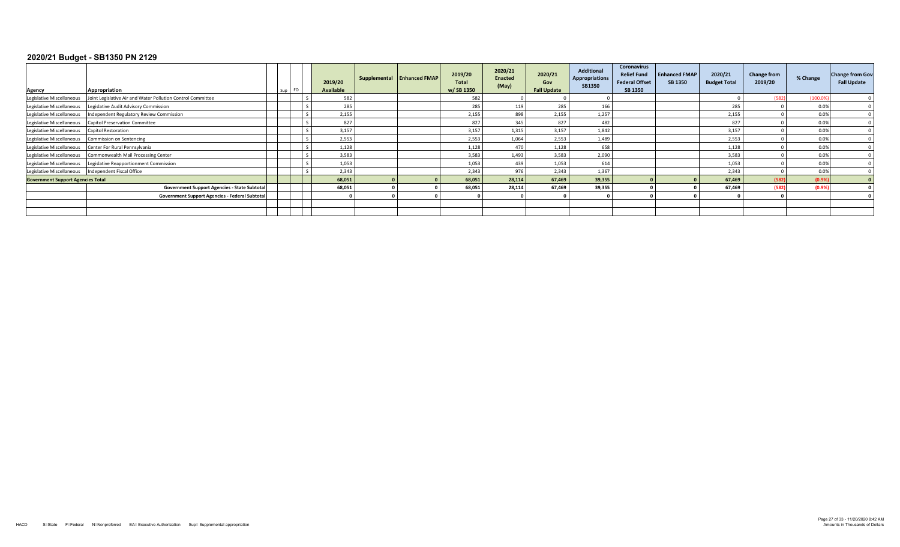| Agency                                               | Appropriation                                               | Sup | 2019/20<br><b>Available</b> | Supplemental Enhanced FMAP | 2019/20<br><b>Total</b><br>w/ SB 1350 | 2020/21<br>Enacted<br>(May) | 2020/21<br>Gov<br><b>Fall Update</b> | <b>Additional</b><br><b>Appropriations</b><br><b>SB1350</b> | Coronavirus<br><b>Relief Fund</b><br><b>Federal Offset</b><br>SB 1350 | <b>Enhanced FMAP</b><br><b>SB 1350</b> | 2020/21<br><b>Budget Total</b> | <b>Change from</b><br>2019/20 | % Change | <b>Change from Gov</b><br><b>Fall Update</b> |
|------------------------------------------------------|-------------------------------------------------------------|-----|-----------------------------|----------------------------|---------------------------------------|-----------------------------|--------------------------------------|-------------------------------------------------------------|-----------------------------------------------------------------------|----------------------------------------|--------------------------------|-------------------------------|----------|----------------------------------------------|
| Legislative Miscellaneous                            | Joint Legislative Air and Water Pollution Control Committee |     | 582                         |                            | 582                                   |                             |                                      |                                                             |                                                                       |                                        |                                | (582)                         | (100.09) |                                              |
| Legislative Miscellaneous                            | Legislative Audit Advisory Commission                       |     | 285                         |                            | 285                                   | 119                         | 285                                  | 166                                                         |                                                                       |                                        | 285                            |                               | 0.0%     |                                              |
| Legislative Miscellaneous                            | Independent Regulatory Review Commission                    |     | 2,155                       |                            | 2,155                                 |                             | 2,155                                | 1,257                                                       |                                                                       |                                        | 2,155                          |                               | 0.0%     |                                              |
| Legislative Miscellaneous                            | <b>Capitol Preservation Committee</b>                       |     | 827                         |                            | 827                                   | 345                         | 827                                  | 482                                                         |                                                                       |                                        | 827                            |                               | 0.0%     |                                              |
| Legislative Miscellaneous                            | <b>Capitol Restoration</b>                                  |     | 3,157                       |                            | 3,157                                 | 1,315                       | 3,157                                | 1,842                                                       |                                                                       |                                        | 3,157                          |                               | 0.0%     |                                              |
| Legislative Miscellaneous                            | Commission on Sentencing                                    |     | 2,553                       |                            | 2,553                                 | 1,064                       | 2.553                                | 1,489                                                       |                                                                       |                                        | 2,553                          |                               | 0.0%     |                                              |
| Legislative Miscellaneous                            | Center For Rural Pennsylvania                               |     | 1,128                       |                            | 1,128                                 | 470                         | 1,128                                | 658                                                         |                                                                       |                                        | 1,128                          |                               | 0.0%     |                                              |
| Legislative Miscellaneous                            | Commonwealth Mail Processing Center                         |     | 3,583                       |                            | 3,583                                 | 1,493                       | 3.583                                | 2,090                                                       |                                                                       |                                        | 3,583                          |                               | 0.0%     |                                              |
| Legislative Miscellaneous                            | Legislative Reapportionment Commission                      |     | 1,053                       |                            | 1,053                                 | 439                         | 1,053                                | 614                                                         |                                                                       |                                        | 1,053                          |                               | 0.0%     |                                              |
| Legislative Miscellaneous  Independent Fiscal Office |                                                             |     | 2,343                       |                            | 2,343                                 | 976                         | 2.343                                | 1,367                                                       |                                                                       |                                        | 2,343                          |                               | 0.0%     |                                              |
| <b>Government Support Agencies Total</b>             |                                                             |     | 68,051                      |                            | 68,051                                | 28,114                      | 67.469                               | 39,355                                                      |                                                                       |                                        | 67,469                         | (582)                         | (0.9%    |                                              |
|                                                      | <b>Government Support Agencies - State Subtotal</b>         |     | 68,051                      |                            | 68,051                                | 28,114                      | 67.469                               | 39,355                                                      |                                                                       |                                        | 67,469                         | (582)                         | (0.9%    |                                              |
|                                                      | Government Support Agencies - Federal Subtotal              |     |                             |                            |                                       |                             |                                      |                                                             |                                                                       |                                        |                                |                               |          |                                              |
|                                                      |                                                             |     |                             |                            |                                       |                             |                                      |                                                             |                                                                       |                                        |                                |                               |          |                                              |
|                                                      |                                                             |     |                             |                            |                                       |                             |                                      |                                                             |                                                                       |                                        |                                |                               |          |                                              |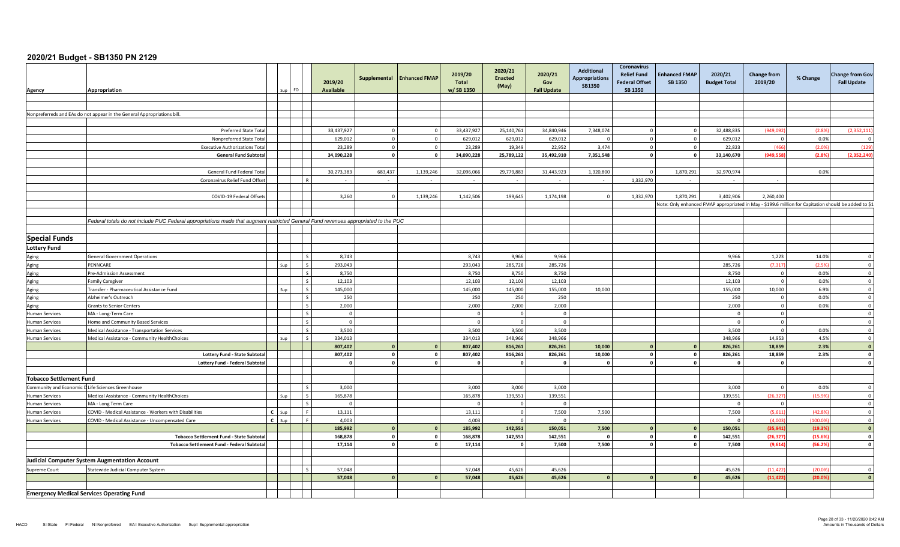| Agency                                           | Appropriation                                                                                                                       |              |     | FO.            | 2019/20<br><b>Available</b> | Supplemental            | <b>Enhanced FMAP</b> | 2019/20<br><b>Total</b><br>w/SB 1350 | 2020/21<br><b>Enacted</b><br>(May) | 2020/21<br>Gov<br><b>Fall Update</b> | <b>Additional</b><br><b>Appropriations</b><br><b>SB1350</b> | <b>Coronavirus</b><br><b>Relief Fund</b><br><b>Federal Offset</b><br>SB 1350 | <b>Enhanced FMAP</b><br><b>SB 1350</b> | 2020/21<br><b>Budget Total</b>                                                                       | <b>Change from</b><br>2019/20 | % Change | <b>Change from Gov</b><br><b>Fall Update</b> |
|--------------------------------------------------|-------------------------------------------------------------------------------------------------------------------------------------|--------------|-----|----------------|-----------------------------|-------------------------|----------------------|--------------------------------------|------------------------------------|--------------------------------------|-------------------------------------------------------------|------------------------------------------------------------------------------|----------------------------------------|------------------------------------------------------------------------------------------------------|-------------------------------|----------|----------------------------------------------|
|                                                  |                                                                                                                                     |              |     |                |                             |                         |                      |                                      |                                    |                                      |                                                             |                                                                              |                                        |                                                                                                      |                               |          |                                              |
|                                                  |                                                                                                                                     |              |     |                |                             |                         |                      |                                      |                                    |                                      |                                                             |                                                                              |                                        |                                                                                                      |                               |          |                                              |
|                                                  | Nonpreferreds and EAs do not appear in the General Appropriations bill.                                                             |              |     |                |                             |                         |                      |                                      |                                    |                                      |                                                             |                                                                              |                                        |                                                                                                      |                               |          |                                              |
|                                                  |                                                                                                                                     |              |     |                |                             |                         |                      |                                      |                                    |                                      |                                                             |                                                                              |                                        |                                                                                                      |                               |          |                                              |
|                                                  | <b>Preferred State Total</b>                                                                                                        |              |     |                | 33,437,927                  | $\Omega$                | $\overline{0}$       | 33,437,927                           | 25,140,761                         | 34,840,946                           | 7,348,074                                                   |                                                                              |                                        | 32,488,835                                                                                           | (949,092                      | (2.8%    | (2, 352, 11)                                 |
|                                                  | Nonpreferred State Total                                                                                                            |              |     |                | 629,012                     | $\circ$                 | $\mathbf 0$          | 629,012                              | 629,012                            | 629,012                              |                                                             |                                                                              |                                        | 629,012                                                                                              | $\Omega$                      | 0.0%     |                                              |
|                                                  | <b>Executive Authorizations Tota</b>                                                                                                |              |     |                | 23,289                      | $\circ$                 | $\mathbf 0$          | 23,289                               | 19,349                             | 22,952                               | 3,474                                                       | $\Omega$                                                                     | $\Omega$                               | 22,823                                                                                               | (466)                         | (2.09)   | (129)                                        |
|                                                  | <b>General Fund Subtota</b>                                                                                                         |              |     |                | 34,090,228                  | $\overline{\mathbf{0}}$ | $\mathbf 0$          | 34,090,228                           | 25,789,122                         | 35,492,910                           | 7,351,548                                                   | $\mathbf{0}$                                                                 | $\Omega$                               | 33,140,670                                                                                           | (949, 558)                    | (2.8%    | (2, 352, 240)                                |
|                                                  |                                                                                                                                     |              |     |                |                             |                         |                      |                                      |                                    |                                      |                                                             |                                                                              |                                        |                                                                                                      |                               |          |                                              |
|                                                  | General Fund Federal Tota                                                                                                           |              |     |                | 30,273,383                  | 683,437                 | 1,139,246            | 32,096,066                           | 29,779,883                         | 31,443,923                           | 1,320,800                                                   |                                                                              | 1,870,291                              | 32,970,974                                                                                           |                               | 0.0%     |                                              |
|                                                  | Coronavirus Relief Fund Offset                                                                                                      |              |     |                |                             |                         |                      |                                      |                                    |                                      |                                                             | 1,332,970                                                                    | $\sim$                                 |                                                                                                      |                               |          |                                              |
|                                                  |                                                                                                                                     |              |     |                |                             |                         |                      |                                      |                                    |                                      |                                                             |                                                                              |                                        |                                                                                                      |                               |          |                                              |
|                                                  | COVID-19 Federal Offsets                                                                                                            |              |     |                | 3,260                       | $\overline{0}$          | 1,139,246            | 1,142,506                            | 199,645                            | 1,174,198                            |                                                             | 1,332,970                                                                    | 1,870,291                              | 3,402,906                                                                                            | 2,260,400                     |          |                                              |
|                                                  |                                                                                                                                     |              |     |                |                             |                         |                      |                                      |                                    |                                      |                                                             |                                                                              |                                        | 1\$ Note: Only enhanced FMAP appropriated in May - \$199.6 million for Capitation should be added to |                               |          |                                              |
|                                                  |                                                                                                                                     |              |     |                |                             |                         |                      |                                      |                                    |                                      |                                                             |                                                                              |                                        |                                                                                                      |                               |          |                                              |
|                                                  | Federal totals do not include PUC Federal appropriations made that augment restricted General Fund revenues appropriated to the PUC |              |     |                |                             |                         |                      |                                      |                                    |                                      |                                                             |                                                                              |                                        |                                                                                                      |                               |          |                                              |
|                                                  |                                                                                                                                     |              |     |                |                             |                         |                      |                                      |                                    |                                      |                                                             |                                                                              |                                        |                                                                                                      |                               |          |                                              |
| <b>Special Funds</b>                             |                                                                                                                                     |              |     |                |                             |                         |                      |                                      |                                    |                                      |                                                             |                                                                              |                                        |                                                                                                      |                               |          |                                              |
| <b>Lottery Fund</b>                              |                                                                                                                                     |              |     |                |                             |                         |                      |                                      |                                    |                                      |                                                             |                                                                              |                                        |                                                                                                      |                               |          |                                              |
|                                                  | <b>General Government Operations</b>                                                                                                |              |     |                | 8.743                       |                         |                      | 8,743                                | 9,966                              | 9,966                                |                                                             |                                                                              |                                        | 9.966                                                                                                | 1,223                         | 14.0%    | $\Omega$                                     |
| Aging<br>Aging                                   | PENNCARE                                                                                                                            |              |     |                | 293,043                     |                         |                      | 293,043                              | 285,726                            | 285,726                              |                                                             |                                                                              |                                        | 285,726                                                                                              | (7, 317)                      | (2.5%    | $\overline{\mathbf{0}}$                      |
| Aging                                            | Pre-Admission Assessment                                                                                                            |              |     |                | 8,750                       |                         |                      | 8,750                                | 8,750                              | 8,750                                |                                                             |                                                                              |                                        | 8,750                                                                                                | $\overline{0}$                | 0.0%     | $\overline{\mathbf{0}}$                      |
| Aging                                            | amily Caregiver                                                                                                                     |              |     | $\zeta$        | 12,103                      |                         |                      | 12,103                               | 12,103                             | 12,103                               |                                                             |                                                                              |                                        | 12,103                                                                                               | $\mathsf 0$                   | 0.0%     | $\overline{0}$                               |
| Aging                                            | Transfer - Pharmaceutical Assistance Fund                                                                                           |              |     | $\varsigma$    | 145,000                     |                         |                      | 145,000                              | 145,000                            | 155,000                              | 10,000                                                      |                                                                              |                                        | 155,000                                                                                              | 10,000                        | 6.9%     | $\mathbf 0$                                  |
| Aging                                            | Alzheimer's Outreach                                                                                                                |              |     |                | 250                         |                         |                      | 250                                  | 250                                | 250                                  |                                                             |                                                                              |                                        | 250                                                                                                  | $\overline{0}$                | 0.0%     | $\overline{0}$                               |
| Aging                                            | <b>Grants to Senior Centers</b>                                                                                                     |              |     |                | 2,000                       |                         |                      | 2,000                                | 2,000                              | 2,000                                |                                                             |                                                                              |                                        | 2,000                                                                                                | $\overline{0}$                | 0.0%     | $\overline{0}$                               |
| <b>Human Services</b>                            | MA - Long-Term Care                                                                                                                 |              |     |                | $\overline{0}$              |                         |                      | $\Omega$                             | $\sqrt{ }$                         | $\Omega$                             |                                                             |                                                                              |                                        | $\Omega$                                                                                             | $\overline{0}$                |          | $\Omega$                                     |
| <b>Human Services</b>                            | <b>Home and Community Based Services</b>                                                                                            |              |     |                | $\overline{0}$              |                         |                      |                                      | $\Omega$                           | $\Omega$                             |                                                             |                                                                              |                                        | $\Omega$                                                                                             | $\mathsf 0$                   |          | $\overline{\mathbf{0}}$                      |
| <b>Human Services</b>                            | Medical Assistance - Transportation Services                                                                                        |              |     | $\zeta$        | 3,500                       |                         |                      | 3,500                                | 3,500                              | 3,500                                |                                                             |                                                                              |                                        | 3,500                                                                                                | $\overline{0}$                | 0.0%     | $\overline{\mathbf{0}}$                      |
| <b>Human Services</b>                            | Medical Assistance - Community HealthChoices                                                                                        |              | Sun | $\varsigma$    | 334,013                     |                         |                      | 334,013                              | 348,966                            | 348,966                              |                                                             |                                                                              |                                        | 348,966                                                                                              | 14,953                        | 4.5%     | $\overline{\mathbf{0}}$                      |
|                                                  |                                                                                                                                     |              |     |                | 807,402                     | $\mathbf{0}$            | $\mathbf{0}$         | 807,402                              | 816,261                            | 826,261                              | 10,000                                                      |                                                                              |                                        | 826,261                                                                                              | 18,859                        | 2.3%     | $\mathbf{0}$                                 |
|                                                  | Lottery Fund - State Subtota                                                                                                        |              |     |                | 807,402                     | $\overline{0}$          | $\pmb{0}$            | 807,402                              | 816,261                            | 826,261                              | 10,000                                                      | $\Omega$                                                                     | $\mathbf{a}$                           | 826,261                                                                                              | 18,859                        | 2.3%     | $\mathbf{0}$                                 |
|                                                  | <b>Lottery Fund - Federal Subtotal</b>                                                                                              |              |     |                | $\mathbf{0}$                | $\circ$                 | $\mathbf 0$          |                                      |                                    | $\mathbf{o}$                         |                                                             | $\Omega$                                                                     |                                        |                                                                                                      | $\mathbf{0}$                  |          | $\mathbf 0$                                  |
|                                                  |                                                                                                                                     |              |     |                |                             |                         |                      |                                      |                                    |                                      |                                                             |                                                                              |                                        |                                                                                                      |                               |          |                                              |
| <b>Tobacco Settlement Fund</b>                   |                                                                                                                                     |              |     |                |                             |                         |                      |                                      |                                    |                                      |                                                             |                                                                              |                                        |                                                                                                      |                               |          |                                              |
| Community and Economic D                         | Life Sciences Greenhouse                                                                                                            |              |     | $\varsigma$    | 3,000                       |                         |                      | 3.000                                | 3.000                              | 3,000                                |                                                             |                                                                              |                                        | 3.000                                                                                                | $\overline{0}$                | 0.0%     | $\overline{0}$                               |
| <b>Human Services</b>                            | Medical Assistance - Community HealthChoices                                                                                        |              |     |                | 165,878                     |                         |                      | 165,878                              | 139,551                            | 139,551                              |                                                             |                                                                              |                                        | 139,551                                                                                              | (26, 327)                     | (15.99)  | $\overline{\mathbf{0}}$                      |
| <b>Human Services</b>                            | MA - Long Term Care                                                                                                                 |              |     |                | $\Omega$                    |                         |                      |                                      |                                    | $\Omega$                             |                                                             |                                                                              |                                        | $\Omega$                                                                                             | $\overline{0}$                |          | $\Omega$                                     |
| <b>Human Services</b>                            | COVID - Medical Assistance - Workers with Disabilities                                                                              | $\epsilon$   |     | $\blacksquare$ | 13,111                      |                         |                      | 13,111                               | $\Omega$                           | 7,500                                | 7,500                                                       |                                                                              |                                        | 7,500                                                                                                | (5,611)                       | (42.8)   | $\Omega$                                     |
| <b>Human Services</b>                            | COVID - Medical Assistance - Uncompensated Care                                                                                     | $\mathbf{c}$ | Sup | $\mathbf{F}$   | 4,003                       |                         |                      | 4,003                                |                                    | $\Omega$                             |                                                             |                                                                              |                                        | $\Omega$                                                                                             | (4.003)                       | (100.09) | $\overline{0}$                               |
|                                                  |                                                                                                                                     |              |     |                | 185,992                     | $\mathbf{0}$            | $\mathbf{0}$         | 185,992                              | 142,551                            | 150,051                              | 7,500                                                       |                                                                              |                                        | 150,051                                                                                              | (35, 941)                     | (19.39)  | $\mathbf{0}$                                 |
|                                                  | <b>Tobacco Settlement Fund - State Subtotal</b>                                                                                     |              |     |                | 168,878                     | $\circ$                 | $\mathbf 0$          | 168,878                              | 142,551                            | 142,551                              | $\Omega$                                                    | $\mathbf{0}$                                                                 |                                        | 142,551                                                                                              | (26, 327)                     | (15.69)  | $\mathbf 0$                                  |
|                                                  | Tobacco Settlement Fund - Federal Subtotal                                                                                          |              |     |                | 17,114                      | $\mathbf{o}$            | $\mathbf 0$          | 17,114                               | $\mathbf{0}$                       | 7,500                                | 7,500                                                       | $\mathbf{0}$                                                                 |                                        | 7,500                                                                                                | (9,614)                       | (56.2%   | $\mathbf{0}$                                 |
|                                                  |                                                                                                                                     |              |     |                |                             |                         |                      |                                      |                                    |                                      |                                                             |                                                                              |                                        |                                                                                                      |                               |          |                                              |
|                                                  | <b>Judicial Computer System Augmentation Account</b>                                                                                |              |     |                |                             |                         |                      |                                      |                                    |                                      |                                                             |                                                                              |                                        |                                                                                                      |                               |          |                                              |
| Supreme Court                                    | Statewide Judicial Computer System                                                                                                  |              |     |                | 57,048                      |                         |                      | 57,048                               | 45,626                             | 45,626                               |                                                             |                                                                              |                                        | 45,626                                                                                               | (11, 422)                     | (20.0)   | $\overline{0}$                               |
|                                                  |                                                                                                                                     |              |     |                | 57,048                      | $\mathbf{r}$            | $\mathbf{o}$         | 57,048                               | 45,626                             | 45,626                               |                                                             |                                                                              |                                        | 45,626                                                                                               | (11, 422)                     | (20.0)   | $\mathbf{0}$                                 |
|                                                  |                                                                                                                                     |              |     |                |                             |                         |                      |                                      |                                    |                                      |                                                             |                                                                              |                                        |                                                                                                      |                               |          |                                              |
| <b>Emergency Medical Services Operating Fund</b> |                                                                                                                                     |              |     |                |                             |                         |                      |                                      |                                    |                                      |                                                             |                                                                              |                                        |                                                                                                      |                               |          |                                              |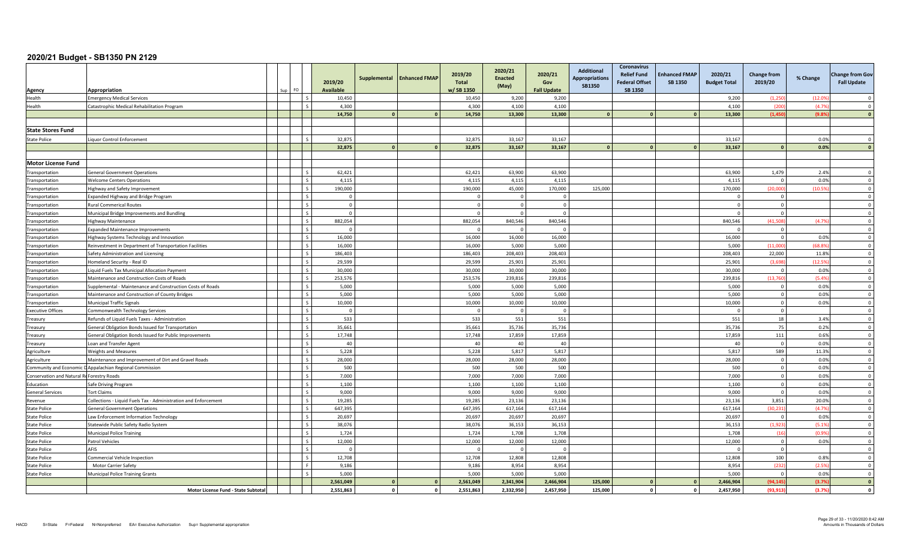| Agency                                     | Appropriation                                                   | FO. | 2019/20<br><b>Available</b> | Supplemental | <b>Enhanced FMAP</b> | 2019/20<br><b>Total</b><br>w/SB 1350 | 2020/21<br><b>Enacted</b><br>(May) | 2020/21<br>Gov<br><b>Fall Update</b> | <b>Additional</b><br><b>Appropriations</b><br><b>SB1350</b> | Coronavirus<br><b>Relief Fund</b><br><b>Federal Offset</b><br><b>SB 1350</b> | <b>Enhanced FMAP</b><br><b>SB 1350</b> | 2020/21<br><b>Budget Total</b> | <b>Change from</b><br>2019/20 | % Change      | <b>Change from Gov</b><br><b>Fall Update</b> |
|--------------------------------------------|-----------------------------------------------------------------|-----|-----------------------------|--------------|----------------------|--------------------------------------|------------------------------------|--------------------------------------|-------------------------------------------------------------|------------------------------------------------------------------------------|----------------------------------------|--------------------------------|-------------------------------|---------------|----------------------------------------------|
| Health                                     | mergency Medical Services                                       |     | 10,450                      |              |                      | 10,450                               | 9,200                              | 9,200                                |                                                             |                                                                              |                                        | 9,200                          | (1,250)                       | (12.09)       | $\Omega$                                     |
| Health                                     | Catastrophic Medical Rehabilitation Program                     |     | 4,300                       |              |                      | 4,300                                | 4,100                              | 4,100                                |                                                             |                                                                              |                                        | 4,100                          | (200)                         | (4.79)        | $\Omega$                                     |
|                                            |                                                                 |     | 14,750                      | $\mathbf{a}$ | $\Omega$             | 14,750                               | 13,300                             | 13,300                               |                                                             |                                                                              |                                        | 13,300                         | (1.450)                       | (9.89)        | $\Omega$                                     |
|                                            |                                                                 |     |                             |              |                      |                                      |                                    |                                      |                                                             |                                                                              |                                        |                                |                               |               |                                              |
| <b>State Stores Fund</b>                   |                                                                 |     |                             |              |                      |                                      |                                    |                                      |                                                             |                                                                              |                                        |                                |                               |               |                                              |
| <b>State Police</b>                        | iquor Control Enforcement                                       |     | 32,875                      |              |                      | 32,875                               | 33,167                             | 33,167                               |                                                             |                                                                              |                                        | 33,167                         |                               | 0.0%          | $\Omega$                                     |
|                                            |                                                                 |     | 32,875                      |              | $\Omega$             | 32,875                               | 33,167                             | 33,167                               |                                                             |                                                                              |                                        | 33,167                         |                               | 0.0%          | $\mathbf{0}$                                 |
|                                            |                                                                 |     |                             |              |                      |                                      |                                    |                                      |                                                             |                                                                              |                                        |                                |                               |               |                                              |
| Motor License Fund                         |                                                                 |     |                             |              |                      |                                      |                                    |                                      |                                                             |                                                                              |                                        |                                |                               |               |                                              |
| Transportation                             | <b>General Government Operations</b>                            |     | 62,421                      |              |                      | 62,421                               | 63.900                             | 63.900                               |                                                             |                                                                              |                                        | 63,900                         | 1,479                         | 2.4%          | $\Omega$                                     |
| Transportation                             | <b>Nelcome Centers Operations</b>                               |     | 4,115                       |              |                      | 4,115                                | 4,115                              | 4,115                                |                                                             |                                                                              |                                        | 4,115                          | $\Omega$                      | 0.0%          | $\overline{\mathbf{0}}$                      |
| Transportation                             | lighway and Safety Improvement                                  |     | 190,000                     |              |                      | 190,000                              | 45,000                             | 170,000                              | 125,000                                                     |                                                                              |                                        | 170,000                        | (20.000)                      | (10.5%        | $\overline{0}$                               |
| Transportation                             | xpanded Highway and Bridge Program                              |     | $\Omega$                    |              |                      |                                      | $\Omega$                           | $\Omega$                             |                                                             |                                                                              |                                        | $\Omega$                       | $\Omega$                      |               | $\Omega$                                     |
| Transportation                             | Rural Commerical Routes                                         |     | $\mathbf{0}$                |              |                      |                                      |                                    | $\Omega$                             |                                                             |                                                                              |                                        | - 0                            | $\overline{0}$                |               | $\Omega$                                     |
| Transportation                             | Municipal Bridge Improvements and Bundling                      |     | $\Omega$                    |              |                      |                                      |                                    | $\Omega$                             |                                                             |                                                                              |                                        |                                | $\overline{0}$                |               | $\Omega$                                     |
| Transportation                             | Highway Maintenance                                             |     | 882,054                     |              |                      | 882,054                              | 840,546                            | 840,546                              |                                                             |                                                                              |                                        | 840,546                        | (41, 508)                     | (4.79)        | $\Omega$                                     |
| Transportation                             | <b>Expanded Maintenance Improvements</b>                        |     | $\Omega$                    |              |                      | $\sqrt{ }$                           | $\Omega$                           | $\Omega$                             |                                                             |                                                                              |                                        | $\Omega$                       | $\overline{0}$                |               | $\overline{0}$                               |
| Transportation                             | Highway Systems Technology and Innovation                       |     | 16,000                      |              |                      | 16,000                               | 16,000                             | 16,000                               |                                                             |                                                                              |                                        | 16,000                         | $\overline{0}$                | 0.0%          | $\overline{0}$                               |
| Transportation                             | Reinvestment in Department of Transportation Facilities         |     | 16,000                      |              |                      | 16,000                               | 5,000                              | 5,000                                |                                                             |                                                                              |                                        | 5,000                          | (11,000)                      | (68.89)       | $\Omega$                                     |
| Transportation                             | Safety Administration and Licensing                             |     | 186,403                     |              |                      | 186,403                              | 208,403                            | 208,403                              |                                                             |                                                                              |                                        | 208,403                        | 22.000                        | 11.8%         | $\Omega$                                     |
| Transportation                             | Iomeland Security - Real ID                                     |     | 29.599                      |              |                      | 29.599                               | 25.901                             | 25.901                               |                                                             |                                                                              |                                        | 25.901                         | (3.698)                       | (12.5%        | $\Omega$                                     |
| Transportation                             | iquid Fuels Tax Municipal Allocation Payment                    |     | 30,000                      |              |                      | 30,000                               | 30,000                             | 30,000                               |                                                             |                                                                              |                                        | 30,000                         | $\mathbf 0$                   | 0.0%          | $\overline{0}$                               |
| Transportation                             | Maintenance and Construction Costs of Roads                     |     | 253,576                     |              |                      | 253,576                              | 239,816                            | 239,816                              |                                                             |                                                                              |                                        | 239,816                        | (13, 760)                     | (5.4%         | $\overline{0}$                               |
| Transportation                             | Supplemental - Maintenance and Construction Costs of Roads      |     | 5,000                       |              |                      | 5,000                                | 5,000                              | 5,000                                |                                                             |                                                                              |                                        | 5,000                          | $\overline{0}$                | 0.0%          | $\overline{0}$                               |
| Transportation                             | Maintenance and Construction of County Bridges                  |     | 5,000                       |              |                      | 5,000                                | 5,000                              | 5,000                                |                                                             |                                                                              |                                        | 5,000                          | $\overline{0}$                | 0.0%          | $\overline{0}$                               |
| Transportation                             | <b>Municipal Traffic Signals</b>                                |     | 10,000                      |              |                      | 10,000                               | 10,000                             | 10,000                               |                                                             |                                                                              |                                        | 10,000                         | $\overline{0}$                | 0.0%          | $\Omega$                                     |
| <b>Executive Offices</b>                   | Commonwealth Technology Services                                |     | $\Omega$                    |              |                      |                                      | $\Omega$                           | $\Omega$                             |                                                             |                                                                              |                                        | - 0                            | $\overline{0}$                |               | $\overline{0}$                               |
| Treasury                                   | Refunds of Liquid Fuels Taxes - Administration                  |     | 533                         |              |                      | 533                                  | 551                                | 551                                  |                                                             |                                                                              |                                        | 551                            | 18                            | 3.4%          | $\overline{\mathbf{0}}$                      |
| Treasury                                   | General Obligation Bonds Issued for Transportation              |     | 35,661                      |              |                      | 35,661                               | 35,736                             | 35,736                               |                                                             |                                                                              |                                        | 35,736                         | 75                            | 0.2%          | $\overline{0}$                               |
| Treasury                                   | General Obligation Bonds Issued for Public Improvements         |     | 17,748                      |              |                      | 17,748                               | 17,859                             | 17,859                               |                                                             |                                                                              |                                        | 17,859                         | 111                           | 0.6%          | $\overline{0}$                               |
| Treasury                                   | oan and Transfer Agent                                          |     | 40                          |              |                      | 40                                   | 40                                 | 40                                   |                                                             |                                                                              |                                        | 40                             | $\overline{0}$                | 0.0%          | $\mathbf 0$                                  |
| Agriculture                                | <b>Neights and Measures</b>                                     |     | 5,228                       |              |                      | 5,228                                | 5,817                              | 5,817                                |                                                             |                                                                              |                                        | 5,817                          | 589                           | 11.3%         | $\Omega$                                     |
| Agriculture                                | Maintenance and Improvement of Dirt and Gravel Roads            |     | 28,000                      |              |                      | 28,000                               | 28,000                             | 28,000                               |                                                             |                                                                              |                                        | 28,000                         | $\mathbf 0$                   | 0.0%          | $\mathbf 0$                                  |
|                                            | Community and Economic D Appalachian Regional Commission        |     | 500                         |              |                      | 500                                  | 500                                | 500                                  |                                                             |                                                                              |                                        | 500                            | $\overline{0}$                | 0.0%          | $\overline{0}$                               |
| Conservation and Natural Re Forestry Roads |                                                                 |     | 7,000                       |              |                      | 7.000                                | 7,000                              | 7,000                                |                                                             |                                                                              |                                        | 7,000                          | $\Omega$                      | 0.0%          | $\overline{0}$                               |
| Education                                  | Safe Driving Program                                            |     | 1,100                       |              |                      | 1,100                                | 1,100                              | 1,100                                |                                                             |                                                                              |                                        | 1,100                          | $\mathbf 0$                   | 0.0%          | $\mathbf 0$                                  |
| <b>General Services</b>                    | ort Claims                                                      |     | 9,000                       |              |                      | 9,000                                | 9,000                              | 9,000                                |                                                             |                                                                              |                                        | 9,000                          | $\Omega$                      | 0.0%          | $\overline{0}$                               |
| Revenue                                    | Collections - Liquid Fuels Tax - Administration and Enforcement |     | 19,285                      |              |                      | 19,285                               | 23.136                             | 23.136                               |                                                             |                                                                              |                                        | 23,136                         | 3,851                         | 20.0%         | $\Omega$                                     |
| <b>State Police</b>                        | General Government Operations                                   |     | 647,395                     |              |                      | 647,395                              | 617,164                            | 617,164                              |                                                             |                                                                              |                                        | 617,164                        | (30, 231)                     | (4.7%         | $\overline{0}$                               |
| <b>State Police</b>                        | aw Enforcement Information Technology                           |     | 20,697                      |              |                      | 20,697                               | 20,697                             | 20,697                               |                                                             |                                                                              |                                        | 20,697                         | $\mathbf 0$                   | 0.0%          | $\overline{0}$                               |
| <b>State Police</b>                        | Statewide Public Safety Radio System                            |     | 38,076                      |              |                      | 38,076                               | 36,153                             | 36,153                               |                                                             |                                                                              |                                        | 36,153                         | (1.923)                       | (5.1%         | $\overline{0}$                               |
| <b>State Police</b>                        | <b>Municipal Police Training</b>                                |     | 1,724                       |              |                      | 1,724                                | 1,708                              | 1,708                                |                                                             |                                                                              |                                        | 1,708                          | (16)                          | (0.99)        | $\overline{0}$                               |
| <b>State Police</b>                        | Patrol Vehicles                                                 |     | 12,000                      |              |                      | 12,000                               | 12,000                             | 12,000<br>$\Omega$                   |                                                             |                                                                              |                                        | 12,000                         | $\overline{0}$                | 0.0%          | $\mathbf 0$<br>$\Omega$                      |
| State Police                               | AFIS                                                            |     | $\Omega$                    |              |                      |                                      |                                    |                                      |                                                             |                                                                              |                                        | - 0                            | $\Omega$                      |               | $\overline{0}$                               |
| tate Police                                | Commercial Vehicle Inspection                                   |     | 12,708                      |              |                      | 12,708                               | 12,808                             | 12,808                               |                                                             |                                                                              |                                        | 12,808                         | 100<br>(232)                  | 0.8%<br>(2.5% |                                              |
| State Police                               | Motor Carrier Safety                                            |     | 9,186                       |              |                      | 9,186<br>5,000                       | 8,954<br>5,000                     | 8,954                                |                                                             |                                                                              |                                        | 8,954<br>5,000                 | $\Omega$                      | 0.0%          | $\overline{\mathbf{0}}$<br>$\Omega$          |
| <b>State Police</b>                        | Municipal Police Training Grants                                |     | 5,000<br>2,561,049          | $\Omega$     | $\mathbf{0}$         | 2,561,049                            | 2,341,904                          | 5,000<br>2,466,904                   | 125,000                                                     |                                                                              |                                        | 2,466,904                      | (94, 145)                     | (3.7%         | $\mathbf{o}$                                 |
|                                            | Motor License Fund - State Subtotal                             |     | 2,551,863                   | 0            | $\mathbf 0$          | 2,551,863                            | 2,332,950                          | 2,457,950                            | 125,000                                                     | $\mathbf{0}$                                                                 | $\Omega$                               | 2,457,950                      | (93, 913)                     | (3.7%         | $\mathbf{o}$                                 |
|                                            |                                                                 |     |                             |              |                      |                                      |                                    |                                      |                                                             |                                                                              |                                        |                                |                               |               |                                              |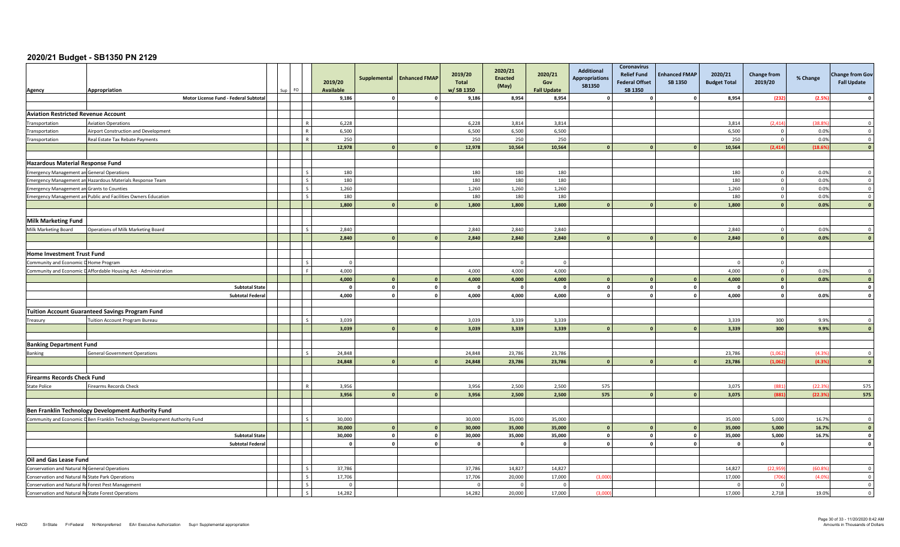| 8,954<br>Motor License Fund - Federal Subtotal<br>9,186<br>9,186<br>8,954<br>8,954<br>(232)<br>(2.5%<br>$\Omega$<br>$\mathbf{0}$<br>$\Omega$<br><b>Aviation Restricted Revenue Account</b><br>6,228<br>3,814<br>3,814<br>3,814<br>(2.414)<br><b>Aviation Operations</b><br>6,228<br>(38.8)<br>$\Omega$<br>6,500<br>6,500<br>6,500<br>6,500<br>6,500<br>0.0%<br>Airport Construction and Development<br>$\overline{0}$<br>$\overline{\mathbf{0}}$<br>250<br>250<br>$\overline{0}$<br>0.0%<br>Real Estate Tax Rebate Payments<br>250<br>250<br>250<br>$\overline{\mathbf{0}}$<br>(2, 414)<br>(18.6%<br>12,978<br>12,978<br>10,564<br>10,564<br>10,564<br>$\Omega$<br>- 0<br><b>Hazardous Material Response Fund</b><br>180<br>180<br>180<br>180<br>180<br>$\overline{0}$<br>0.0%<br><b>Emergency Management an General Operations</b><br>$\Omega$<br>180<br>180<br>180<br>180<br>$\overline{0}$<br>0.0%<br>180<br>$\overline{\mathbf{0}}$<br>Emergency Management an Hazardous Materials Response Team<br>$\zeta$<br>0.0%<br>1,260<br>1,260<br>1,260<br>1,260<br>1,260<br>$\overline{0}$<br>$\Omega$<br><b>Emergency Management an Grants to Counties</b><br>$\overline{\phantom{a}}$<br>$\overline{0}$<br>Emergency Management an Public and Facilities Owners Education<br>180<br>180<br>180<br>180<br>180<br>0.0%<br>$\Omega$<br>1,800<br>$\mathbf{a}$<br>1,800<br>1,800<br>1,800<br>1,800<br>$\mathbf{0}$<br>0.0%<br>$\mathbf{0}$<br>$\overline{\mathbf{0}}$<br><b>Milk Marketing Fund</b><br>2,840<br>2,840<br>2,840<br>2,840<br>2,840<br>0.0%<br>Operations of Milk Marketing Board<br>$\mathbf{0}$<br>2,840<br>2,840<br>0.0%<br>2,840<br>2,840<br>2,840<br>$\mathbf{0}$<br>$\Omega$<br>- 0<br><b>Home Investment Trust Fund</b><br>$\overline{0}$<br>Community and Economic D Home Program<br>$\Omega$<br>$\Omega$<br>$\Omega$<br>$\Omega$<br>$\overline{0}$<br>Community and Economic D Affordable Housing Act - Administration<br>F.<br>4.000<br>4,000<br>4,000<br>4,000<br>4,000<br>0.0%<br>$\overline{0}$<br>4,000<br>$\mathbf{0}$<br>0.0%<br>4,000<br>$\overline{0}$<br>$\mathbf{0}$<br>4,000<br>4,000<br>4,000<br>$\overline{\mathbf{0}}$<br>$\circ$<br>$\mathbf 0$<br>$\mathbf 0$<br>$\mathbf 0$<br><b>Subtotal State</b><br>$\overline{\mathbf{0}}$<br>$\mathbf{0}$<br>$\Omega$<br>$\Omega$<br>$\Omega$<br>$\Omega$<br>$\circ$<br>4,000<br>$\mathbf 0$<br>4,000<br>4,000<br>4,000<br>$\mathbf{o}$<br><b>Subtotal Federal</b><br>4,000<br>0.0%<br>$\mathbf{0}$<br>$\mathbf{0}$<br><b>Tuition Account Guaranteed Savings Program Fund</b><br>3,039<br>3,039<br>3,339<br>3,339<br>3,339<br>300<br>9.9%<br><b>Fuition Account Program Bureau</b><br>$\Omega$<br>Treasury<br>3,039<br>3,339<br>300<br>9.9%<br>$\mathbf{0}$<br>3,039<br>3,339<br>3,339<br>$\Omega$<br>$\mathbf{0}$<br>$\Omega$<br><b>Banking Department Fund</b><br>24,848<br>23,786<br>(1,062)<br>24,848<br>23,786<br>23,786<br>(4.39)<br>Banking<br><b>General Government Operations</b><br>$\Omega$<br>24,848<br>24,848<br>23,786<br>23,786<br>23,786<br>(1.062)<br>(4.3%<br>$\overline{0}$<br>n.<br>$\Omega$<br><b>Firearms Records Check Fund</b><br>3,956<br>2,500<br>575<br>3,075<br>(881)<br>(22.39)<br>575<br>irearms Records Check<br>3,956<br>2,500<br><b>State Police</b><br>(881)<br>3,956<br>3,956<br>2,500<br>2,500<br>575<br>3,075<br>(22.39)<br>575<br>$\mathbf{0}$<br>Ben Franklin Technology Development Authority Fund<br>Community and Economic D Ben Franklin Technology Development Authority Fund<br>30,000<br>30,000<br>35,000<br>35,000<br>5,000<br>16.7%<br>35,000<br>$\Omega$<br>$\mathbf{0}$<br>16.7%<br>30,000<br>30,000<br>35,000<br>35,000<br>35,000<br>5,000<br>$\overline{0}$<br>$\Omega$<br>$\Omega$<br>$\circ$<br>5,000<br>16.7%<br>30,000<br>$\mathbf{0}$<br>30,000<br>35,000<br>35,000<br>35,000<br>$\mathbf 0$<br><b>Subtotal State</b><br>$\Omega$<br>$\overline{\mathbf{0}}$<br>$\Omega$<br>$\overline{0}$<br>$\mathbf 0$<br><b>Subtotal Federal</b><br>$\mathbf{0}$<br>$\mathbf 0$<br>$\mathbf{0}$<br>$\Omega$<br>$\Omega$<br>$\Omega$<br>$\Omega$<br>$\mathbf{C}$<br>Oil and Gas Lease Fund<br>Conservation and Natural ReGeneral Operations<br>S.<br>37,786<br>37,786<br>14,827<br>14,827<br>14,827<br>(22, 959)<br>(60.89)<br>$\overline{0}$<br>$\varsigma$<br>17,706<br>17,706<br>20,000<br>17,000<br>(3,000)<br>17,000<br>$\mathbf 0$<br>Conservation and Natural ReState Park Operations<br>(706)<br>(4.09)<br>Conservation and Natural ReForest Pest Management<br>$\mathbf 0$<br>$\overline{0}$<br>$\overline{0}$<br>$\Omega$<br>$\Omega$<br>$\Omega$<br>14,282<br>2,718<br>Conservation and Natural ReState Forest Operations<br>14,282<br>20,000<br>17,000<br>17,000<br>(3,000)<br>19.0%<br>$\overline{0}$ | Agency               | Appropriation | FO. | 2019/20<br><b>Available</b> | Supplemental | <b>Enhanced FMAP</b> | 2019/20<br><b>Total</b><br>w/SB 1350 | 2020/21<br><b>Enacted</b><br>(May) | 2020/21<br>Gov<br><b>Fall Update</b> | <b>Additional</b><br><b>Appropriations</b><br><b>SB1350</b> | <b>Coronavirus</b><br><b>Relief Fund</b><br><b>Federal Offset</b><br>SB 1350 | <b>Enhanced FMAP</b><br><b>SB 1350</b> | 2020/21<br><b>Budget Total</b> | <b>Change from</b><br>2019/20 | % Change | <b>Change from Gov</b><br><b>Fall Update</b> |
|---------------------------------------------------------------------------------------------------------------------------------------------------------------------------------------------------------------------------------------------------------------------------------------------------------------------------------------------------------------------------------------------------------------------------------------------------------------------------------------------------------------------------------------------------------------------------------------------------------------------------------------------------------------------------------------------------------------------------------------------------------------------------------------------------------------------------------------------------------------------------------------------------------------------------------------------------------------------------------------------------------------------------------------------------------------------------------------------------------------------------------------------------------------------------------------------------------------------------------------------------------------------------------------------------------------------------------------------------------------------------------------------------------------------------------------------------------------------------------------------------------------------------------------------------------------------------------------------------------------------------------------------------------------------------------------------------------------------------------------------------------------------------------------------------------------------------------------------------------------------------------------------------------------------------------------------------------------------------------------------------------------------------------------------------------------------------------------------------------------------------------------------------------------------------------------------------------------------------------------------------------------------------------------------------------------------------------------------------------------------------------------------------------------------------------------------------------------------------------------------------------------------------------------------------------------------------------------------------------------------------------------------------------------------------------------------------------------------------------------------------------------------------------------------------------------------------------------------------------------------------------------------------------------------------------------------------------------------------------------------------------------------------------------------------------------------------------------------------------------------------------------------------------------------------------------------------------------------------------------------------------------------------------------------------------------------------------------------------------------------------------------------------------------------------------------------------------------------------------------------------------------------------------------------------------------------------------------------------------------------------------------------------------------------------------------------------------------------------------------------------------------------------------------------------------------------------------------------------------------------------------------------------------------------------------------------------------------------------------------------------------------------------------------------------------------------------------------------------------------------------------------------------------------------------------------------------------------------------------------------------------------------------------------------------------------------------------------------------------------------------------------------------------------------------------------------------------------------------------------------------------------------------------------------------------------------------------------------------------------------------------------------------------------------------------------------------------------------------------------|----------------------|---------------|-----|-----------------------------|--------------|----------------------|--------------------------------------|------------------------------------|--------------------------------------|-------------------------------------------------------------|------------------------------------------------------------------------------|----------------------------------------|--------------------------------|-------------------------------|----------|----------------------------------------------|
|                                                                                                                                                                                                                                                                                                                                                                                                                                                                                                                                                                                                                                                                                                                                                                                                                                                                                                                                                                                                                                                                                                                                                                                                                                                                                                                                                                                                                                                                                                                                                                                                                                                                                                                                                                                                                                                                                                                                                                                                                                                                                                                                                                                                                                                                                                                                                                                                                                                                                                                                                                                                                                                                                                                                                                                                                                                                                                                                                                                                                                                                                                                                                                                                                                                                                                                                                                                                                                                                                                                                                                                                                                                                                                                                                                                                                                                                                                                                                                                                                                                                                                                                                                                                                                                                                                                                                                                                                                                                                                                                                                                                                                                                                                                                       |                      |               |     |                             |              |                      |                                      |                                    |                                      |                                                             |                                                                              |                                        |                                |                               |          |                                              |
|                                                                                                                                                                                                                                                                                                                                                                                                                                                                                                                                                                                                                                                                                                                                                                                                                                                                                                                                                                                                                                                                                                                                                                                                                                                                                                                                                                                                                                                                                                                                                                                                                                                                                                                                                                                                                                                                                                                                                                                                                                                                                                                                                                                                                                                                                                                                                                                                                                                                                                                                                                                                                                                                                                                                                                                                                                                                                                                                                                                                                                                                                                                                                                                                                                                                                                                                                                                                                                                                                                                                                                                                                                                                                                                                                                                                                                                                                                                                                                                                                                                                                                                                                                                                                                                                                                                                                                                                                                                                                                                                                                                                                                                                                                                                       |                      |               |     |                             |              |                      |                                      |                                    |                                      |                                                             |                                                                              |                                        |                                |                               |          |                                              |
|                                                                                                                                                                                                                                                                                                                                                                                                                                                                                                                                                                                                                                                                                                                                                                                                                                                                                                                                                                                                                                                                                                                                                                                                                                                                                                                                                                                                                                                                                                                                                                                                                                                                                                                                                                                                                                                                                                                                                                                                                                                                                                                                                                                                                                                                                                                                                                                                                                                                                                                                                                                                                                                                                                                                                                                                                                                                                                                                                                                                                                                                                                                                                                                                                                                                                                                                                                                                                                                                                                                                                                                                                                                                                                                                                                                                                                                                                                                                                                                                                                                                                                                                                                                                                                                                                                                                                                                                                                                                                                                                                                                                                                                                                                                                       |                      |               |     |                             |              |                      |                                      |                                    |                                      |                                                             |                                                                              |                                        |                                |                               |          |                                              |
|                                                                                                                                                                                                                                                                                                                                                                                                                                                                                                                                                                                                                                                                                                                                                                                                                                                                                                                                                                                                                                                                                                                                                                                                                                                                                                                                                                                                                                                                                                                                                                                                                                                                                                                                                                                                                                                                                                                                                                                                                                                                                                                                                                                                                                                                                                                                                                                                                                                                                                                                                                                                                                                                                                                                                                                                                                                                                                                                                                                                                                                                                                                                                                                                                                                                                                                                                                                                                                                                                                                                                                                                                                                                                                                                                                                                                                                                                                                                                                                                                                                                                                                                                                                                                                                                                                                                                                                                                                                                                                                                                                                                                                                                                                                                       | Transportation       |               |     |                             |              |                      |                                      |                                    |                                      |                                                             |                                                                              |                                        |                                |                               |          |                                              |
|                                                                                                                                                                                                                                                                                                                                                                                                                                                                                                                                                                                                                                                                                                                                                                                                                                                                                                                                                                                                                                                                                                                                                                                                                                                                                                                                                                                                                                                                                                                                                                                                                                                                                                                                                                                                                                                                                                                                                                                                                                                                                                                                                                                                                                                                                                                                                                                                                                                                                                                                                                                                                                                                                                                                                                                                                                                                                                                                                                                                                                                                                                                                                                                                                                                                                                                                                                                                                                                                                                                                                                                                                                                                                                                                                                                                                                                                                                                                                                                                                                                                                                                                                                                                                                                                                                                                                                                                                                                                                                                                                                                                                                                                                                                                       | Transportation       |               |     |                             |              |                      |                                      |                                    |                                      |                                                             |                                                                              |                                        |                                |                               |          |                                              |
|                                                                                                                                                                                                                                                                                                                                                                                                                                                                                                                                                                                                                                                                                                                                                                                                                                                                                                                                                                                                                                                                                                                                                                                                                                                                                                                                                                                                                                                                                                                                                                                                                                                                                                                                                                                                                                                                                                                                                                                                                                                                                                                                                                                                                                                                                                                                                                                                                                                                                                                                                                                                                                                                                                                                                                                                                                                                                                                                                                                                                                                                                                                                                                                                                                                                                                                                                                                                                                                                                                                                                                                                                                                                                                                                                                                                                                                                                                                                                                                                                                                                                                                                                                                                                                                                                                                                                                                                                                                                                                                                                                                                                                                                                                                                       | Transportation       |               |     |                             |              |                      |                                      |                                    |                                      |                                                             |                                                                              |                                        |                                |                               |          |                                              |
|                                                                                                                                                                                                                                                                                                                                                                                                                                                                                                                                                                                                                                                                                                                                                                                                                                                                                                                                                                                                                                                                                                                                                                                                                                                                                                                                                                                                                                                                                                                                                                                                                                                                                                                                                                                                                                                                                                                                                                                                                                                                                                                                                                                                                                                                                                                                                                                                                                                                                                                                                                                                                                                                                                                                                                                                                                                                                                                                                                                                                                                                                                                                                                                                                                                                                                                                                                                                                                                                                                                                                                                                                                                                                                                                                                                                                                                                                                                                                                                                                                                                                                                                                                                                                                                                                                                                                                                                                                                                                                                                                                                                                                                                                                                                       |                      |               |     |                             |              |                      |                                      |                                    |                                      |                                                             |                                                                              |                                        |                                |                               |          |                                              |
|                                                                                                                                                                                                                                                                                                                                                                                                                                                                                                                                                                                                                                                                                                                                                                                                                                                                                                                                                                                                                                                                                                                                                                                                                                                                                                                                                                                                                                                                                                                                                                                                                                                                                                                                                                                                                                                                                                                                                                                                                                                                                                                                                                                                                                                                                                                                                                                                                                                                                                                                                                                                                                                                                                                                                                                                                                                                                                                                                                                                                                                                                                                                                                                                                                                                                                                                                                                                                                                                                                                                                                                                                                                                                                                                                                                                                                                                                                                                                                                                                                                                                                                                                                                                                                                                                                                                                                                                                                                                                                                                                                                                                                                                                                                                       |                      |               |     |                             |              |                      |                                      |                                    |                                      |                                                             |                                                                              |                                        |                                |                               |          |                                              |
|                                                                                                                                                                                                                                                                                                                                                                                                                                                                                                                                                                                                                                                                                                                                                                                                                                                                                                                                                                                                                                                                                                                                                                                                                                                                                                                                                                                                                                                                                                                                                                                                                                                                                                                                                                                                                                                                                                                                                                                                                                                                                                                                                                                                                                                                                                                                                                                                                                                                                                                                                                                                                                                                                                                                                                                                                                                                                                                                                                                                                                                                                                                                                                                                                                                                                                                                                                                                                                                                                                                                                                                                                                                                                                                                                                                                                                                                                                                                                                                                                                                                                                                                                                                                                                                                                                                                                                                                                                                                                                                                                                                                                                                                                                                                       |                      |               |     |                             |              |                      |                                      |                                    |                                      |                                                             |                                                                              |                                        |                                |                               |          |                                              |
|                                                                                                                                                                                                                                                                                                                                                                                                                                                                                                                                                                                                                                                                                                                                                                                                                                                                                                                                                                                                                                                                                                                                                                                                                                                                                                                                                                                                                                                                                                                                                                                                                                                                                                                                                                                                                                                                                                                                                                                                                                                                                                                                                                                                                                                                                                                                                                                                                                                                                                                                                                                                                                                                                                                                                                                                                                                                                                                                                                                                                                                                                                                                                                                                                                                                                                                                                                                                                                                                                                                                                                                                                                                                                                                                                                                                                                                                                                                                                                                                                                                                                                                                                                                                                                                                                                                                                                                                                                                                                                                                                                                                                                                                                                                                       |                      |               |     |                             |              |                      |                                      |                                    |                                      |                                                             |                                                                              |                                        |                                |                               |          |                                              |
|                                                                                                                                                                                                                                                                                                                                                                                                                                                                                                                                                                                                                                                                                                                                                                                                                                                                                                                                                                                                                                                                                                                                                                                                                                                                                                                                                                                                                                                                                                                                                                                                                                                                                                                                                                                                                                                                                                                                                                                                                                                                                                                                                                                                                                                                                                                                                                                                                                                                                                                                                                                                                                                                                                                                                                                                                                                                                                                                                                                                                                                                                                                                                                                                                                                                                                                                                                                                                                                                                                                                                                                                                                                                                                                                                                                                                                                                                                                                                                                                                                                                                                                                                                                                                                                                                                                                                                                                                                                                                                                                                                                                                                                                                                                                       |                      |               |     |                             |              |                      |                                      |                                    |                                      |                                                             |                                                                              |                                        |                                |                               |          |                                              |
|                                                                                                                                                                                                                                                                                                                                                                                                                                                                                                                                                                                                                                                                                                                                                                                                                                                                                                                                                                                                                                                                                                                                                                                                                                                                                                                                                                                                                                                                                                                                                                                                                                                                                                                                                                                                                                                                                                                                                                                                                                                                                                                                                                                                                                                                                                                                                                                                                                                                                                                                                                                                                                                                                                                                                                                                                                                                                                                                                                                                                                                                                                                                                                                                                                                                                                                                                                                                                                                                                                                                                                                                                                                                                                                                                                                                                                                                                                                                                                                                                                                                                                                                                                                                                                                                                                                                                                                                                                                                                                                                                                                                                                                                                                                                       |                      |               |     |                             |              |                      |                                      |                                    |                                      |                                                             |                                                                              |                                        |                                |                               |          |                                              |
|                                                                                                                                                                                                                                                                                                                                                                                                                                                                                                                                                                                                                                                                                                                                                                                                                                                                                                                                                                                                                                                                                                                                                                                                                                                                                                                                                                                                                                                                                                                                                                                                                                                                                                                                                                                                                                                                                                                                                                                                                                                                                                                                                                                                                                                                                                                                                                                                                                                                                                                                                                                                                                                                                                                                                                                                                                                                                                                                                                                                                                                                                                                                                                                                                                                                                                                                                                                                                                                                                                                                                                                                                                                                                                                                                                                                                                                                                                                                                                                                                                                                                                                                                                                                                                                                                                                                                                                                                                                                                                                                                                                                                                                                                                                                       |                      |               |     |                             |              |                      |                                      |                                    |                                      |                                                             |                                                                              |                                        |                                |                               |          |                                              |
|                                                                                                                                                                                                                                                                                                                                                                                                                                                                                                                                                                                                                                                                                                                                                                                                                                                                                                                                                                                                                                                                                                                                                                                                                                                                                                                                                                                                                                                                                                                                                                                                                                                                                                                                                                                                                                                                                                                                                                                                                                                                                                                                                                                                                                                                                                                                                                                                                                                                                                                                                                                                                                                                                                                                                                                                                                                                                                                                                                                                                                                                                                                                                                                                                                                                                                                                                                                                                                                                                                                                                                                                                                                                                                                                                                                                                                                                                                                                                                                                                                                                                                                                                                                                                                                                                                                                                                                                                                                                                                                                                                                                                                                                                                                                       |                      |               |     |                             |              |                      |                                      |                                    |                                      |                                                             |                                                                              |                                        |                                |                               |          |                                              |
|                                                                                                                                                                                                                                                                                                                                                                                                                                                                                                                                                                                                                                                                                                                                                                                                                                                                                                                                                                                                                                                                                                                                                                                                                                                                                                                                                                                                                                                                                                                                                                                                                                                                                                                                                                                                                                                                                                                                                                                                                                                                                                                                                                                                                                                                                                                                                                                                                                                                                                                                                                                                                                                                                                                                                                                                                                                                                                                                                                                                                                                                                                                                                                                                                                                                                                                                                                                                                                                                                                                                                                                                                                                                                                                                                                                                                                                                                                                                                                                                                                                                                                                                                                                                                                                                                                                                                                                                                                                                                                                                                                                                                                                                                                                                       |                      |               |     |                             |              |                      |                                      |                                    |                                      |                                                             |                                                                              |                                        |                                |                               |          |                                              |
|                                                                                                                                                                                                                                                                                                                                                                                                                                                                                                                                                                                                                                                                                                                                                                                                                                                                                                                                                                                                                                                                                                                                                                                                                                                                                                                                                                                                                                                                                                                                                                                                                                                                                                                                                                                                                                                                                                                                                                                                                                                                                                                                                                                                                                                                                                                                                                                                                                                                                                                                                                                                                                                                                                                                                                                                                                                                                                                                                                                                                                                                                                                                                                                                                                                                                                                                                                                                                                                                                                                                                                                                                                                                                                                                                                                                                                                                                                                                                                                                                                                                                                                                                                                                                                                                                                                                                                                                                                                                                                                                                                                                                                                                                                                                       |                      |               |     |                             |              |                      |                                      |                                    |                                      |                                                             |                                                                              |                                        |                                |                               |          |                                              |
|                                                                                                                                                                                                                                                                                                                                                                                                                                                                                                                                                                                                                                                                                                                                                                                                                                                                                                                                                                                                                                                                                                                                                                                                                                                                                                                                                                                                                                                                                                                                                                                                                                                                                                                                                                                                                                                                                                                                                                                                                                                                                                                                                                                                                                                                                                                                                                                                                                                                                                                                                                                                                                                                                                                                                                                                                                                                                                                                                                                                                                                                                                                                                                                                                                                                                                                                                                                                                                                                                                                                                                                                                                                                                                                                                                                                                                                                                                                                                                                                                                                                                                                                                                                                                                                                                                                                                                                                                                                                                                                                                                                                                                                                                                                                       | Milk Marketing Board |               |     |                             |              |                      |                                      |                                    |                                      |                                                             |                                                                              |                                        |                                |                               |          |                                              |
|                                                                                                                                                                                                                                                                                                                                                                                                                                                                                                                                                                                                                                                                                                                                                                                                                                                                                                                                                                                                                                                                                                                                                                                                                                                                                                                                                                                                                                                                                                                                                                                                                                                                                                                                                                                                                                                                                                                                                                                                                                                                                                                                                                                                                                                                                                                                                                                                                                                                                                                                                                                                                                                                                                                                                                                                                                                                                                                                                                                                                                                                                                                                                                                                                                                                                                                                                                                                                                                                                                                                                                                                                                                                                                                                                                                                                                                                                                                                                                                                                                                                                                                                                                                                                                                                                                                                                                                                                                                                                                                                                                                                                                                                                                                                       |                      |               |     |                             |              |                      |                                      |                                    |                                      |                                                             |                                                                              |                                        |                                |                               |          |                                              |
|                                                                                                                                                                                                                                                                                                                                                                                                                                                                                                                                                                                                                                                                                                                                                                                                                                                                                                                                                                                                                                                                                                                                                                                                                                                                                                                                                                                                                                                                                                                                                                                                                                                                                                                                                                                                                                                                                                                                                                                                                                                                                                                                                                                                                                                                                                                                                                                                                                                                                                                                                                                                                                                                                                                                                                                                                                                                                                                                                                                                                                                                                                                                                                                                                                                                                                                                                                                                                                                                                                                                                                                                                                                                                                                                                                                                                                                                                                                                                                                                                                                                                                                                                                                                                                                                                                                                                                                                                                                                                                                                                                                                                                                                                                                                       |                      |               |     |                             |              |                      |                                      |                                    |                                      |                                                             |                                                                              |                                        |                                |                               |          |                                              |
|                                                                                                                                                                                                                                                                                                                                                                                                                                                                                                                                                                                                                                                                                                                                                                                                                                                                                                                                                                                                                                                                                                                                                                                                                                                                                                                                                                                                                                                                                                                                                                                                                                                                                                                                                                                                                                                                                                                                                                                                                                                                                                                                                                                                                                                                                                                                                                                                                                                                                                                                                                                                                                                                                                                                                                                                                                                                                                                                                                                                                                                                                                                                                                                                                                                                                                                                                                                                                                                                                                                                                                                                                                                                                                                                                                                                                                                                                                                                                                                                                                                                                                                                                                                                                                                                                                                                                                                                                                                                                                                                                                                                                                                                                                                                       |                      |               |     |                             |              |                      |                                      |                                    |                                      |                                                             |                                                                              |                                        |                                |                               |          |                                              |
|                                                                                                                                                                                                                                                                                                                                                                                                                                                                                                                                                                                                                                                                                                                                                                                                                                                                                                                                                                                                                                                                                                                                                                                                                                                                                                                                                                                                                                                                                                                                                                                                                                                                                                                                                                                                                                                                                                                                                                                                                                                                                                                                                                                                                                                                                                                                                                                                                                                                                                                                                                                                                                                                                                                                                                                                                                                                                                                                                                                                                                                                                                                                                                                                                                                                                                                                                                                                                                                                                                                                                                                                                                                                                                                                                                                                                                                                                                                                                                                                                                                                                                                                                                                                                                                                                                                                                                                                                                                                                                                                                                                                                                                                                                                                       |                      |               |     |                             |              |                      |                                      |                                    |                                      |                                                             |                                                                              |                                        |                                |                               |          |                                              |
|                                                                                                                                                                                                                                                                                                                                                                                                                                                                                                                                                                                                                                                                                                                                                                                                                                                                                                                                                                                                                                                                                                                                                                                                                                                                                                                                                                                                                                                                                                                                                                                                                                                                                                                                                                                                                                                                                                                                                                                                                                                                                                                                                                                                                                                                                                                                                                                                                                                                                                                                                                                                                                                                                                                                                                                                                                                                                                                                                                                                                                                                                                                                                                                                                                                                                                                                                                                                                                                                                                                                                                                                                                                                                                                                                                                                                                                                                                                                                                                                                                                                                                                                                                                                                                                                                                                                                                                                                                                                                                                                                                                                                                                                                                                                       |                      |               |     |                             |              |                      |                                      |                                    |                                      |                                                             |                                                                              |                                        |                                |                               |          |                                              |
|                                                                                                                                                                                                                                                                                                                                                                                                                                                                                                                                                                                                                                                                                                                                                                                                                                                                                                                                                                                                                                                                                                                                                                                                                                                                                                                                                                                                                                                                                                                                                                                                                                                                                                                                                                                                                                                                                                                                                                                                                                                                                                                                                                                                                                                                                                                                                                                                                                                                                                                                                                                                                                                                                                                                                                                                                                                                                                                                                                                                                                                                                                                                                                                                                                                                                                                                                                                                                                                                                                                                                                                                                                                                                                                                                                                                                                                                                                                                                                                                                                                                                                                                                                                                                                                                                                                                                                                                                                                                                                                                                                                                                                                                                                                                       |                      |               |     |                             |              |                      |                                      |                                    |                                      |                                                             |                                                                              |                                        |                                |                               |          |                                              |
|                                                                                                                                                                                                                                                                                                                                                                                                                                                                                                                                                                                                                                                                                                                                                                                                                                                                                                                                                                                                                                                                                                                                                                                                                                                                                                                                                                                                                                                                                                                                                                                                                                                                                                                                                                                                                                                                                                                                                                                                                                                                                                                                                                                                                                                                                                                                                                                                                                                                                                                                                                                                                                                                                                                                                                                                                                                                                                                                                                                                                                                                                                                                                                                                                                                                                                                                                                                                                                                                                                                                                                                                                                                                                                                                                                                                                                                                                                                                                                                                                                                                                                                                                                                                                                                                                                                                                                                                                                                                                                                                                                                                                                                                                                                                       |                      |               |     |                             |              |                      |                                      |                                    |                                      |                                                             |                                                                              |                                        |                                |                               |          |                                              |
|                                                                                                                                                                                                                                                                                                                                                                                                                                                                                                                                                                                                                                                                                                                                                                                                                                                                                                                                                                                                                                                                                                                                                                                                                                                                                                                                                                                                                                                                                                                                                                                                                                                                                                                                                                                                                                                                                                                                                                                                                                                                                                                                                                                                                                                                                                                                                                                                                                                                                                                                                                                                                                                                                                                                                                                                                                                                                                                                                                                                                                                                                                                                                                                                                                                                                                                                                                                                                                                                                                                                                                                                                                                                                                                                                                                                                                                                                                                                                                                                                                                                                                                                                                                                                                                                                                                                                                                                                                                                                                                                                                                                                                                                                                                                       |                      |               |     |                             |              |                      |                                      |                                    |                                      |                                                             |                                                                              |                                        |                                |                               |          |                                              |
|                                                                                                                                                                                                                                                                                                                                                                                                                                                                                                                                                                                                                                                                                                                                                                                                                                                                                                                                                                                                                                                                                                                                                                                                                                                                                                                                                                                                                                                                                                                                                                                                                                                                                                                                                                                                                                                                                                                                                                                                                                                                                                                                                                                                                                                                                                                                                                                                                                                                                                                                                                                                                                                                                                                                                                                                                                                                                                                                                                                                                                                                                                                                                                                                                                                                                                                                                                                                                                                                                                                                                                                                                                                                                                                                                                                                                                                                                                                                                                                                                                                                                                                                                                                                                                                                                                                                                                                                                                                                                                                                                                                                                                                                                                                                       |                      |               |     |                             |              |                      |                                      |                                    |                                      |                                                             |                                                                              |                                        |                                |                               |          |                                              |
|                                                                                                                                                                                                                                                                                                                                                                                                                                                                                                                                                                                                                                                                                                                                                                                                                                                                                                                                                                                                                                                                                                                                                                                                                                                                                                                                                                                                                                                                                                                                                                                                                                                                                                                                                                                                                                                                                                                                                                                                                                                                                                                                                                                                                                                                                                                                                                                                                                                                                                                                                                                                                                                                                                                                                                                                                                                                                                                                                                                                                                                                                                                                                                                                                                                                                                                                                                                                                                                                                                                                                                                                                                                                                                                                                                                                                                                                                                                                                                                                                                                                                                                                                                                                                                                                                                                                                                                                                                                                                                                                                                                                                                                                                                                                       |                      |               |     |                             |              |                      |                                      |                                    |                                      |                                                             |                                                                              |                                        |                                |                               |          |                                              |
|                                                                                                                                                                                                                                                                                                                                                                                                                                                                                                                                                                                                                                                                                                                                                                                                                                                                                                                                                                                                                                                                                                                                                                                                                                                                                                                                                                                                                                                                                                                                                                                                                                                                                                                                                                                                                                                                                                                                                                                                                                                                                                                                                                                                                                                                                                                                                                                                                                                                                                                                                                                                                                                                                                                                                                                                                                                                                                                                                                                                                                                                                                                                                                                                                                                                                                                                                                                                                                                                                                                                                                                                                                                                                                                                                                                                                                                                                                                                                                                                                                                                                                                                                                                                                                                                                                                                                                                                                                                                                                                                                                                                                                                                                                                                       |                      |               |     |                             |              |                      |                                      |                                    |                                      |                                                             |                                                                              |                                        |                                |                               |          |                                              |
|                                                                                                                                                                                                                                                                                                                                                                                                                                                                                                                                                                                                                                                                                                                                                                                                                                                                                                                                                                                                                                                                                                                                                                                                                                                                                                                                                                                                                                                                                                                                                                                                                                                                                                                                                                                                                                                                                                                                                                                                                                                                                                                                                                                                                                                                                                                                                                                                                                                                                                                                                                                                                                                                                                                                                                                                                                                                                                                                                                                                                                                                                                                                                                                                                                                                                                                                                                                                                                                                                                                                                                                                                                                                                                                                                                                                                                                                                                                                                                                                                                                                                                                                                                                                                                                                                                                                                                                                                                                                                                                                                                                                                                                                                                                                       |                      |               |     |                             |              |                      |                                      |                                    |                                      |                                                             |                                                                              |                                        |                                |                               |          |                                              |
|                                                                                                                                                                                                                                                                                                                                                                                                                                                                                                                                                                                                                                                                                                                                                                                                                                                                                                                                                                                                                                                                                                                                                                                                                                                                                                                                                                                                                                                                                                                                                                                                                                                                                                                                                                                                                                                                                                                                                                                                                                                                                                                                                                                                                                                                                                                                                                                                                                                                                                                                                                                                                                                                                                                                                                                                                                                                                                                                                                                                                                                                                                                                                                                                                                                                                                                                                                                                                                                                                                                                                                                                                                                                                                                                                                                                                                                                                                                                                                                                                                                                                                                                                                                                                                                                                                                                                                                                                                                                                                                                                                                                                                                                                                                                       |                      |               |     |                             |              |                      |                                      |                                    |                                      |                                                             |                                                                              |                                        |                                |                               |          |                                              |
|                                                                                                                                                                                                                                                                                                                                                                                                                                                                                                                                                                                                                                                                                                                                                                                                                                                                                                                                                                                                                                                                                                                                                                                                                                                                                                                                                                                                                                                                                                                                                                                                                                                                                                                                                                                                                                                                                                                                                                                                                                                                                                                                                                                                                                                                                                                                                                                                                                                                                                                                                                                                                                                                                                                                                                                                                                                                                                                                                                                                                                                                                                                                                                                                                                                                                                                                                                                                                                                                                                                                                                                                                                                                                                                                                                                                                                                                                                                                                                                                                                                                                                                                                                                                                                                                                                                                                                                                                                                                                                                                                                                                                                                                                                                                       |                      |               |     |                             |              |                      |                                      |                                    |                                      |                                                             |                                                                              |                                        |                                |                               |          |                                              |
|                                                                                                                                                                                                                                                                                                                                                                                                                                                                                                                                                                                                                                                                                                                                                                                                                                                                                                                                                                                                                                                                                                                                                                                                                                                                                                                                                                                                                                                                                                                                                                                                                                                                                                                                                                                                                                                                                                                                                                                                                                                                                                                                                                                                                                                                                                                                                                                                                                                                                                                                                                                                                                                                                                                                                                                                                                                                                                                                                                                                                                                                                                                                                                                                                                                                                                                                                                                                                                                                                                                                                                                                                                                                                                                                                                                                                                                                                                                                                                                                                                                                                                                                                                                                                                                                                                                                                                                                                                                                                                                                                                                                                                                                                                                                       |                      |               |     |                             |              |                      |                                      |                                    |                                      |                                                             |                                                                              |                                        |                                |                               |          |                                              |
|                                                                                                                                                                                                                                                                                                                                                                                                                                                                                                                                                                                                                                                                                                                                                                                                                                                                                                                                                                                                                                                                                                                                                                                                                                                                                                                                                                                                                                                                                                                                                                                                                                                                                                                                                                                                                                                                                                                                                                                                                                                                                                                                                                                                                                                                                                                                                                                                                                                                                                                                                                                                                                                                                                                                                                                                                                                                                                                                                                                                                                                                                                                                                                                                                                                                                                                                                                                                                                                                                                                                                                                                                                                                                                                                                                                                                                                                                                                                                                                                                                                                                                                                                                                                                                                                                                                                                                                                                                                                                                                                                                                                                                                                                                                                       |                      |               |     |                             |              |                      |                                      |                                    |                                      |                                                             |                                                                              |                                        |                                |                               |          |                                              |
|                                                                                                                                                                                                                                                                                                                                                                                                                                                                                                                                                                                                                                                                                                                                                                                                                                                                                                                                                                                                                                                                                                                                                                                                                                                                                                                                                                                                                                                                                                                                                                                                                                                                                                                                                                                                                                                                                                                                                                                                                                                                                                                                                                                                                                                                                                                                                                                                                                                                                                                                                                                                                                                                                                                                                                                                                                                                                                                                                                                                                                                                                                                                                                                                                                                                                                                                                                                                                                                                                                                                                                                                                                                                                                                                                                                                                                                                                                                                                                                                                                                                                                                                                                                                                                                                                                                                                                                                                                                                                                                                                                                                                                                                                                                                       |                      |               |     |                             |              |                      |                                      |                                    |                                      |                                                             |                                                                              |                                        |                                |                               |          |                                              |
|                                                                                                                                                                                                                                                                                                                                                                                                                                                                                                                                                                                                                                                                                                                                                                                                                                                                                                                                                                                                                                                                                                                                                                                                                                                                                                                                                                                                                                                                                                                                                                                                                                                                                                                                                                                                                                                                                                                                                                                                                                                                                                                                                                                                                                                                                                                                                                                                                                                                                                                                                                                                                                                                                                                                                                                                                                                                                                                                                                                                                                                                                                                                                                                                                                                                                                                                                                                                                                                                                                                                                                                                                                                                                                                                                                                                                                                                                                                                                                                                                                                                                                                                                                                                                                                                                                                                                                                                                                                                                                                                                                                                                                                                                                                                       |                      |               |     |                             |              |                      |                                      |                                    |                                      |                                                             |                                                                              |                                        |                                |                               |          |                                              |
|                                                                                                                                                                                                                                                                                                                                                                                                                                                                                                                                                                                                                                                                                                                                                                                                                                                                                                                                                                                                                                                                                                                                                                                                                                                                                                                                                                                                                                                                                                                                                                                                                                                                                                                                                                                                                                                                                                                                                                                                                                                                                                                                                                                                                                                                                                                                                                                                                                                                                                                                                                                                                                                                                                                                                                                                                                                                                                                                                                                                                                                                                                                                                                                                                                                                                                                                                                                                                                                                                                                                                                                                                                                                                                                                                                                                                                                                                                                                                                                                                                                                                                                                                                                                                                                                                                                                                                                                                                                                                                                                                                                                                                                                                                                                       |                      |               |     |                             |              |                      |                                      |                                    |                                      |                                                             |                                                                              |                                        |                                |                               |          |                                              |
|                                                                                                                                                                                                                                                                                                                                                                                                                                                                                                                                                                                                                                                                                                                                                                                                                                                                                                                                                                                                                                                                                                                                                                                                                                                                                                                                                                                                                                                                                                                                                                                                                                                                                                                                                                                                                                                                                                                                                                                                                                                                                                                                                                                                                                                                                                                                                                                                                                                                                                                                                                                                                                                                                                                                                                                                                                                                                                                                                                                                                                                                                                                                                                                                                                                                                                                                                                                                                                                                                                                                                                                                                                                                                                                                                                                                                                                                                                                                                                                                                                                                                                                                                                                                                                                                                                                                                                                                                                                                                                                                                                                                                                                                                                                                       |                      |               |     |                             |              |                      |                                      |                                    |                                      |                                                             |                                                                              |                                        |                                |                               |          |                                              |
|                                                                                                                                                                                                                                                                                                                                                                                                                                                                                                                                                                                                                                                                                                                                                                                                                                                                                                                                                                                                                                                                                                                                                                                                                                                                                                                                                                                                                                                                                                                                                                                                                                                                                                                                                                                                                                                                                                                                                                                                                                                                                                                                                                                                                                                                                                                                                                                                                                                                                                                                                                                                                                                                                                                                                                                                                                                                                                                                                                                                                                                                                                                                                                                                                                                                                                                                                                                                                                                                                                                                                                                                                                                                                                                                                                                                                                                                                                                                                                                                                                                                                                                                                                                                                                                                                                                                                                                                                                                                                                                                                                                                                                                                                                                                       |                      |               |     |                             |              |                      |                                      |                                    |                                      |                                                             |                                                                              |                                        |                                |                               |          |                                              |
|                                                                                                                                                                                                                                                                                                                                                                                                                                                                                                                                                                                                                                                                                                                                                                                                                                                                                                                                                                                                                                                                                                                                                                                                                                                                                                                                                                                                                                                                                                                                                                                                                                                                                                                                                                                                                                                                                                                                                                                                                                                                                                                                                                                                                                                                                                                                                                                                                                                                                                                                                                                                                                                                                                                                                                                                                                                                                                                                                                                                                                                                                                                                                                                                                                                                                                                                                                                                                                                                                                                                                                                                                                                                                                                                                                                                                                                                                                                                                                                                                                                                                                                                                                                                                                                                                                                                                                                                                                                                                                                                                                                                                                                                                                                                       |                      |               |     |                             |              |                      |                                      |                                    |                                      |                                                             |                                                                              |                                        |                                |                               |          |                                              |
|                                                                                                                                                                                                                                                                                                                                                                                                                                                                                                                                                                                                                                                                                                                                                                                                                                                                                                                                                                                                                                                                                                                                                                                                                                                                                                                                                                                                                                                                                                                                                                                                                                                                                                                                                                                                                                                                                                                                                                                                                                                                                                                                                                                                                                                                                                                                                                                                                                                                                                                                                                                                                                                                                                                                                                                                                                                                                                                                                                                                                                                                                                                                                                                                                                                                                                                                                                                                                                                                                                                                                                                                                                                                                                                                                                                                                                                                                                                                                                                                                                                                                                                                                                                                                                                                                                                                                                                                                                                                                                                                                                                                                                                                                                                                       |                      |               |     |                             |              |                      |                                      |                                    |                                      |                                                             |                                                                              |                                        |                                |                               |          |                                              |
|                                                                                                                                                                                                                                                                                                                                                                                                                                                                                                                                                                                                                                                                                                                                                                                                                                                                                                                                                                                                                                                                                                                                                                                                                                                                                                                                                                                                                                                                                                                                                                                                                                                                                                                                                                                                                                                                                                                                                                                                                                                                                                                                                                                                                                                                                                                                                                                                                                                                                                                                                                                                                                                                                                                                                                                                                                                                                                                                                                                                                                                                                                                                                                                                                                                                                                                                                                                                                                                                                                                                                                                                                                                                                                                                                                                                                                                                                                                                                                                                                                                                                                                                                                                                                                                                                                                                                                                                                                                                                                                                                                                                                                                                                                                                       |                      |               |     |                             |              |                      |                                      |                                    |                                      |                                                             |                                                                              |                                        |                                |                               |          |                                              |
|                                                                                                                                                                                                                                                                                                                                                                                                                                                                                                                                                                                                                                                                                                                                                                                                                                                                                                                                                                                                                                                                                                                                                                                                                                                                                                                                                                                                                                                                                                                                                                                                                                                                                                                                                                                                                                                                                                                                                                                                                                                                                                                                                                                                                                                                                                                                                                                                                                                                                                                                                                                                                                                                                                                                                                                                                                                                                                                                                                                                                                                                                                                                                                                                                                                                                                                                                                                                                                                                                                                                                                                                                                                                                                                                                                                                                                                                                                                                                                                                                                                                                                                                                                                                                                                                                                                                                                                                                                                                                                                                                                                                                                                                                                                                       |                      |               |     |                             |              |                      |                                      |                                    |                                      |                                                             |                                                                              |                                        |                                |                               |          |                                              |
|                                                                                                                                                                                                                                                                                                                                                                                                                                                                                                                                                                                                                                                                                                                                                                                                                                                                                                                                                                                                                                                                                                                                                                                                                                                                                                                                                                                                                                                                                                                                                                                                                                                                                                                                                                                                                                                                                                                                                                                                                                                                                                                                                                                                                                                                                                                                                                                                                                                                                                                                                                                                                                                                                                                                                                                                                                                                                                                                                                                                                                                                                                                                                                                                                                                                                                                                                                                                                                                                                                                                                                                                                                                                                                                                                                                                                                                                                                                                                                                                                                                                                                                                                                                                                                                                                                                                                                                                                                                                                                                                                                                                                                                                                                                                       |                      |               |     |                             |              |                      |                                      |                                    |                                      |                                                             |                                                                              |                                        |                                |                               |          |                                              |
|                                                                                                                                                                                                                                                                                                                                                                                                                                                                                                                                                                                                                                                                                                                                                                                                                                                                                                                                                                                                                                                                                                                                                                                                                                                                                                                                                                                                                                                                                                                                                                                                                                                                                                                                                                                                                                                                                                                                                                                                                                                                                                                                                                                                                                                                                                                                                                                                                                                                                                                                                                                                                                                                                                                                                                                                                                                                                                                                                                                                                                                                                                                                                                                                                                                                                                                                                                                                                                                                                                                                                                                                                                                                                                                                                                                                                                                                                                                                                                                                                                                                                                                                                                                                                                                                                                                                                                                                                                                                                                                                                                                                                                                                                                                                       |                      |               |     |                             |              |                      |                                      |                                    |                                      |                                                             |                                                                              |                                        |                                |                               |          |                                              |
|                                                                                                                                                                                                                                                                                                                                                                                                                                                                                                                                                                                                                                                                                                                                                                                                                                                                                                                                                                                                                                                                                                                                                                                                                                                                                                                                                                                                                                                                                                                                                                                                                                                                                                                                                                                                                                                                                                                                                                                                                                                                                                                                                                                                                                                                                                                                                                                                                                                                                                                                                                                                                                                                                                                                                                                                                                                                                                                                                                                                                                                                                                                                                                                                                                                                                                                                                                                                                                                                                                                                                                                                                                                                                                                                                                                                                                                                                                                                                                                                                                                                                                                                                                                                                                                                                                                                                                                                                                                                                                                                                                                                                                                                                                                                       |                      |               |     |                             |              |                      |                                      |                                    |                                      |                                                             |                                                                              |                                        |                                |                               |          |                                              |
|                                                                                                                                                                                                                                                                                                                                                                                                                                                                                                                                                                                                                                                                                                                                                                                                                                                                                                                                                                                                                                                                                                                                                                                                                                                                                                                                                                                                                                                                                                                                                                                                                                                                                                                                                                                                                                                                                                                                                                                                                                                                                                                                                                                                                                                                                                                                                                                                                                                                                                                                                                                                                                                                                                                                                                                                                                                                                                                                                                                                                                                                                                                                                                                                                                                                                                                                                                                                                                                                                                                                                                                                                                                                                                                                                                                                                                                                                                                                                                                                                                                                                                                                                                                                                                                                                                                                                                                                                                                                                                                                                                                                                                                                                                                                       |                      |               |     |                             |              |                      |                                      |                                    |                                      |                                                             |                                                                              |                                        |                                |                               |          |                                              |
|                                                                                                                                                                                                                                                                                                                                                                                                                                                                                                                                                                                                                                                                                                                                                                                                                                                                                                                                                                                                                                                                                                                                                                                                                                                                                                                                                                                                                                                                                                                                                                                                                                                                                                                                                                                                                                                                                                                                                                                                                                                                                                                                                                                                                                                                                                                                                                                                                                                                                                                                                                                                                                                                                                                                                                                                                                                                                                                                                                                                                                                                                                                                                                                                                                                                                                                                                                                                                                                                                                                                                                                                                                                                                                                                                                                                                                                                                                                                                                                                                                                                                                                                                                                                                                                                                                                                                                                                                                                                                                                                                                                                                                                                                                                                       |                      |               |     |                             |              |                      |                                      |                                    |                                      |                                                             |                                                                              |                                        |                                |                               |          |                                              |
|                                                                                                                                                                                                                                                                                                                                                                                                                                                                                                                                                                                                                                                                                                                                                                                                                                                                                                                                                                                                                                                                                                                                                                                                                                                                                                                                                                                                                                                                                                                                                                                                                                                                                                                                                                                                                                                                                                                                                                                                                                                                                                                                                                                                                                                                                                                                                                                                                                                                                                                                                                                                                                                                                                                                                                                                                                                                                                                                                                                                                                                                                                                                                                                                                                                                                                                                                                                                                                                                                                                                                                                                                                                                                                                                                                                                                                                                                                                                                                                                                                                                                                                                                                                                                                                                                                                                                                                                                                                                                                                                                                                                                                                                                                                                       |                      |               |     |                             |              |                      |                                      |                                    |                                      |                                                             |                                                                              |                                        |                                |                               |          |                                              |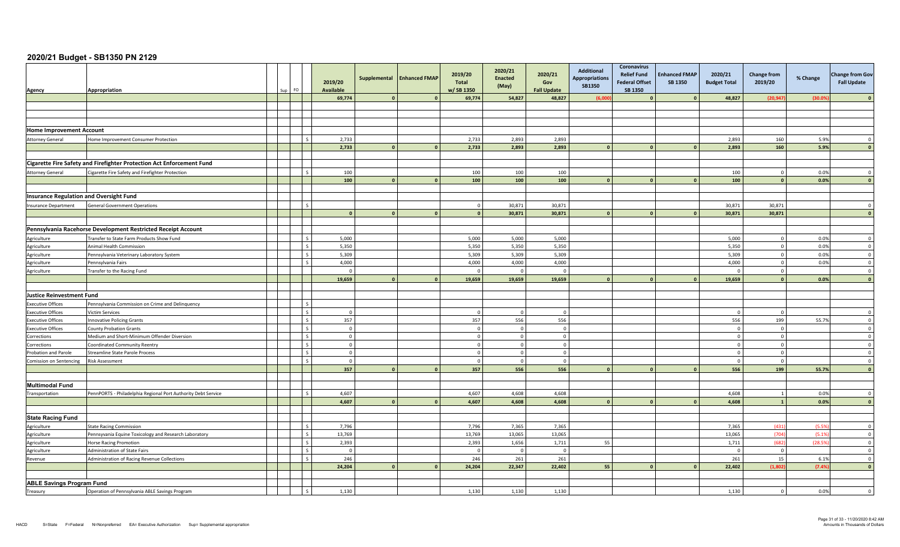| Agency                                         | Appropriation                                                                           | Sun | FO.                     | 2019/20<br><b>Available</b> |                | Supplemental Enhanced FMAP | 2019/20<br>Total<br>w/SB 1350 | 2020/21<br><b>Enacted</b><br>(May) | 2020/21<br>Gov<br><b>Fall Update</b> | Additional<br><b>Appropriations</b><br>SB1350 | Coronavirus<br><b>Relief Fund</b><br><b>Federal Offset</b><br>SB 1350 | <b>Enhanced FMAP</b><br><b>SB 1350</b> | 2020/21<br><b>Budget Total</b> | <b>Change from</b><br>2019/20 | % Change | <b>Change from Gov</b><br><b>Fall Update</b> |
|------------------------------------------------|-----------------------------------------------------------------------------------------|-----|-------------------------|-----------------------------|----------------|----------------------------|-------------------------------|------------------------------------|--------------------------------------|-----------------------------------------------|-----------------------------------------------------------------------|----------------------------------------|--------------------------------|-------------------------------|----------|----------------------------------------------|
|                                                |                                                                                         |     |                         | 69,774                      |                |                            | 69,774                        | 54,827                             | 48,827                               | (6,00)                                        |                                                                       |                                        | 48,827                         | (20, 947)                     | (30.05)  |                                              |
|                                                |                                                                                         |     |                         |                             |                |                            |                               |                                    |                                      |                                               |                                                                       |                                        |                                |                               |          |                                              |
|                                                |                                                                                         |     |                         |                             |                |                            |                               |                                    |                                      |                                               |                                                                       |                                        |                                |                               |          |                                              |
|                                                |                                                                                         |     |                         |                             |                |                            |                               |                                    |                                      |                                               |                                                                       |                                        |                                |                               |          |                                              |
| <b>Home Improvement Account</b>                |                                                                                         |     |                         |                             |                |                            |                               |                                    |                                      |                                               |                                                                       |                                        |                                |                               |          |                                              |
| <b>Attorney General</b>                        | Home Improvement Consumer Protection                                                    |     | $\mathsf{L}$            | 2,733                       |                |                            | 2,733                         | 2,893                              | 2,893                                |                                               |                                                                       |                                        | 2,893                          | 160                           | 5.9%     | $\overline{0}$                               |
|                                                |                                                                                         |     |                         | 2,733                       | $\mathbf{0}$   | $\mathbf{0}$               | 2,733                         | 2,893                              | 2,893                                |                                               | $\mathbf{0}$                                                          |                                        | 2,893                          | 160                           | 5.9%     | $\mathbf{0}$                                 |
|                                                |                                                                                         |     |                         |                             |                |                            |                               |                                    |                                      |                                               |                                                                       |                                        |                                |                               |          |                                              |
|                                                | Cigarette Fire Safety and Firefighter Protection Act Enforcement Fund                   |     |                         |                             |                |                            |                               |                                    |                                      |                                               |                                                                       |                                        |                                |                               |          |                                              |
| <b>Attorney General</b>                        | Cigarette Fire Safety and Firefighter Protection                                        |     | l s                     | 100                         |                |                            | 100                           | 100                                | 100                                  |                                               |                                                                       |                                        | 100                            | $\overline{0}$                | 0.0%     | $\overline{0}$                               |
|                                                |                                                                                         |     |                         | 100                         | $\mathbf{a}$   | $\mathbf{0}$               | 100                           | 100                                | 100                                  |                                               |                                                                       |                                        | 100                            | $\mathbf{0}$                  | 0.0%     | $\mathbf{0}$                                 |
|                                                |                                                                                         |     |                         |                             |                |                            |                               |                                    |                                      |                                               |                                                                       |                                        |                                |                               |          |                                              |
| <b>Insurance Regulation and Oversight Fund</b> |                                                                                         |     | l s                     |                             |                |                            |                               |                                    |                                      |                                               |                                                                       |                                        |                                |                               |          |                                              |
| Insurance Department                           | <b>General Government Operations</b>                                                    |     |                         | $\sqrt{2}$                  | $\Omega$       | $\mathbf{0}$               | $\Omega$<br>$\Omega$          | 30.871<br>30,871                   | 30.871<br>30,871                     |                                               | $\Omega$                                                              |                                        | 30.871<br>30,871               | 30.871<br>30,871              |          | $\Omega$<br>$\Omega$                         |
|                                                |                                                                                         |     |                         |                             |                |                            |                               |                                    |                                      |                                               |                                                                       |                                        |                                |                               |          |                                              |
|                                                | Pennsylvania Racehorse Development Restricted Receipt Account                           |     |                         |                             |                |                            |                               |                                    |                                      |                                               |                                                                       |                                        |                                |                               |          |                                              |
| Agriculture                                    | Transfer to State Farm Products Show Fund                                               |     | $\mathsf{L}$            | 5,000                       |                |                            | 5,000                         | 5,000                              | 5,000                                |                                               |                                                                       |                                        | 5,000                          | $\Omega$                      | 0.0%     | $\mathbf 0$                                  |
| Agriculture                                    | Animal Health Commission                                                                |     | $\overline{\mathbf{s}}$ | 5,350                       |                |                            | 5,350                         | 5,350                              | 5,350                                |                                               |                                                                       |                                        | 5,350                          | $\overline{0}$                | 0.0%     | $\overline{0}$                               |
| Agriculture                                    | Pennsylvania Veterinary Laboratory System                                               |     | l s                     | 5,309                       |                |                            | 5,309                         | 5,309                              | 5,309                                |                                               |                                                                       |                                        | 5,309                          | $\overline{0}$                | 0.0%     | $\overline{0}$                               |
| Agriculture                                    | Pennsylvania Fairs                                                                      |     | $\sim$                  | 4,000                       |                |                            | 4,000                         | 4,000                              | 4,000                                |                                               |                                                                       |                                        | 4,000                          | $\overline{0}$                | 0.0%     | $\overline{0}$                               |
| Agriculture                                    | Transfer to the Racing Fund                                                             |     |                         | $\Omega$                    |                |                            | $\sqrt{ }$                    | $\Omega$                           | $\overline{0}$                       |                                               |                                                                       |                                        | - 0                            | $\mathbf 0$                   |          | $\overline{0}$                               |
|                                                |                                                                                         |     |                         | 19,659                      | <sup>n</sup>   | $\Omega$                   | 19.659                        | 19,659                             | 19,659                               |                                               |                                                                       |                                        | 19,659                         | $\mathbf{0}$                  | 0.0%     |                                              |
|                                                |                                                                                         |     |                         |                             |                |                            |                               |                                    |                                      |                                               |                                                                       |                                        |                                |                               |          |                                              |
| Justice Reinvestment Fund                      |                                                                                         |     |                         |                             |                |                            |                               |                                    |                                      |                                               |                                                                       |                                        |                                |                               |          |                                              |
| <b>Executive Offices</b>                       | Pennsylvania Commission on Crime and Delinquency                                        |     | $\mathsf{I}$            |                             |                |                            |                               |                                    |                                      |                                               |                                                                       |                                        |                                |                               |          |                                              |
| <b>Executive Offices</b>                       | <b>Victim Services</b>                                                                  |     | $\mathsf{I}$            | $\overline{0}$              |                |                            | $\sqrt{ }$                    | $\Omega$                           | $\overline{0}$                       |                                               |                                                                       |                                        |                                | $\overline{0}$                |          | $\Omega$                                     |
| <b>Executive Offices</b>                       | <b>Innovative Policing Grants</b>                                                       |     | $\mathsf{L}$            | 357                         |                |                            | 357                           | 556                                | 556                                  |                                               |                                                                       |                                        | 556                            | 199                           | 55.7%    | $\Omega$                                     |
| <b>Executive Offices</b>                       | <b>County Probation Grants</b>                                                          |     | $\vert s$               | $\overline{0}$              |                |                            |                               |                                    | $\Omega$                             |                                               |                                                                       |                                        |                                | $\overline{0}$                |          | $\overline{0}$                               |
| Corrections                                    | Medium and Short-Minimum Offender Diversion                                             |     | $\mathsf{I}$            | $\mathbf 0$                 |                |                            | $\Omega$                      |                                    | $\overline{0}$                       |                                               |                                                                       |                                        |                                | $\Omega$                      |          | $\overline{0}$                               |
| Corrections                                    | <b>Coordinated Community Reentry</b>                                                    |     | $\mathsf{L}$            | $\overline{0}$              |                |                            | $\Omega$                      | $\Omega$                           | $\overline{0}$                       |                                               |                                                                       |                                        | - 0                            | $\overline{0}$                |          | $\Omega$                                     |
| <b>Probation and Parole</b>                    | <b>Streamline State Parole Process</b>                                                  |     | $\vert s$               | $\mathbf 0$                 |                |                            | $\Omega$                      | $\Omega$                           | $\overline{0}$                       |                                               |                                                                       |                                        |                                | $\overline{0}$                |          | $\mathbf 0$                                  |
| Comission on Sentencing                        | <b>Risk Assessment</b>                                                                  |     | $\mathsf{L}$            | $\overline{0}$              |                |                            | $\Omega$                      | $\Omega$                           | $\overline{0}$                       |                                               |                                                                       |                                        | - 0                            | $\overline{0}$                |          | $\Omega$                                     |
|                                                |                                                                                         |     |                         | 357                         |                | $\Omega$                   | 357                           | 556                                | 556                                  |                                               |                                                                       |                                        | 556                            | 199                           | 55.7%    |                                              |
|                                                |                                                                                         |     |                         |                             |                |                            |                               |                                    |                                      |                                               |                                                                       |                                        |                                |                               |          |                                              |
| <b>Multimodal Fund</b>                         |                                                                                         |     | $\mathsf{L}$            |                             |                |                            |                               |                                    |                                      |                                               |                                                                       |                                        |                                |                               |          |                                              |
| Transportation                                 | PennPORTS - Philadelphia Regional Port Authority Debt Service                           |     |                         | 4.607                       | $\Omega$       |                            | 4.607                         | 4.608                              | 4.608                                |                                               |                                                                       |                                        | 4.608                          | $\overline{1}$                | 0.0%     | $\Omega$                                     |
|                                                |                                                                                         |     |                         | 4,607                       |                | $\mathbf{o}$               | 4,607                         | 4,608                              | 4,608                                |                                               | $\Omega$                                                              |                                        | 4,608                          | $\overline{1}$                | 0.0%     | $\mathbf{0}$                                 |
| <b>State Racing Fund</b>                       |                                                                                         |     |                         |                             |                |                            |                               |                                    |                                      |                                               |                                                                       |                                        |                                |                               |          |                                              |
|                                                |                                                                                         |     | $\mathsf{L}$            | 7,796                       |                |                            | 7,796                         | 7,365                              | 7,365                                |                                               |                                                                       |                                        | 7,365                          | (431)                         | (5.5%    | $\mathbf 0$                                  |
| Agriculture                                    | <b>State Racing Commission</b><br>Pennsyvania Equine Toxicology and Research Laboratory |     | $\mathsf{L}$            | 13,769                      |                |                            | 13,769                        | 13,065                             | 13,065                               |                                               |                                                                       |                                        | 13,065                         | (704)                         | (5.1%    | $\overline{0}$                               |
| Agriculture<br>Agriculture                     | <b>Horse Racing Promotion</b>                                                           |     | l s                     | 2,393                       |                |                            | 2,393                         | 1,656                              | 1,711                                | 55                                            |                                                                       |                                        | 1,711                          | (682)                         | (28.5%   | $\overline{0}$                               |
| Agriculture                                    | Administration of State Fairs                                                           |     | Ιs                      | $\overline{0}$              |                |                            |                               | $\sqrt{ }$                         | $\mathbf{0}$                         |                                               |                                                                       |                                        |                                | $\mathbf 0$                   |          | $\overline{0}$                               |
| Revenue                                        | Administration of Racing Revenue Collections                                            |     | l s                     | 246                         |                |                            | 246                           | 261                                | 261                                  |                                               |                                                                       |                                        | 261                            | 15                            | 6.1%     | $\overline{0}$                               |
|                                                |                                                                                         |     |                         | 24,204                      | $\overline{0}$ | $\mathbf{0}$               | 24,204                        | 22,347                             | 22,402                               | 55                                            | $\Omega$                                                              |                                        | 22,402                         | (1,802)                       | (7.4%    | $\mathbf{0}$                                 |
|                                                |                                                                                         |     |                         |                             |                |                            |                               |                                    |                                      |                                               |                                                                       |                                        |                                |                               |          |                                              |
| <b>ABLE Savings Program Fund</b>               |                                                                                         |     |                         |                             |                |                            |                               |                                    |                                      |                                               |                                                                       |                                        |                                |                               |          |                                              |
| Treasury                                       | Operation of Pennsylvania ABLE Savings Program                                          |     | l s                     | 1,130                       |                |                            | 1,130                         | 1,130                              | 1,130                                |                                               |                                                                       |                                        | 1,130                          | $\mathbf 0$                   | 0.0%     | $\Omega$                                     |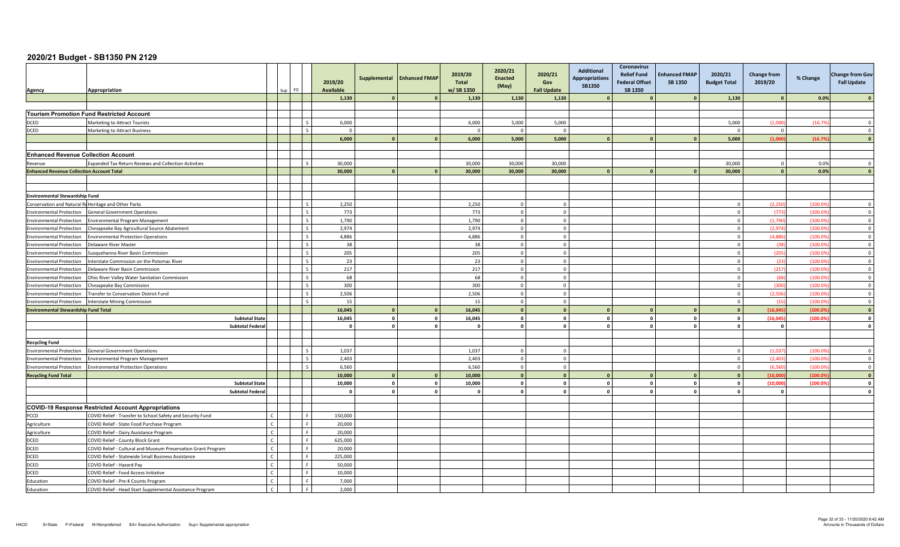| Agency                                                             | Appropriation                                                          |                | FO.<br>Sun |     | 2019/20<br><b>Available</b> | Supplemental   | <b>Enhanced FMAP</b> | 2019/20<br>Total<br>w/SB 1350 | 2020/21<br><b>Enacted</b><br>(May) | 2020/21<br>Gov<br><b>Fall Update</b> | Additional<br><b>Appropriations</b><br>SB1350 | <b>Coronavirus</b><br><b>Relief Fund</b><br><b>Federal Offset</b><br>SB 1350 | <b>Enhanced FMAP</b><br><b>SB 1350</b> | 2020/21<br><b>Budget Total</b> | Change from<br>2019/20 | % Change | <b>Change from Gov</b><br><b>Fall Update</b> |
|--------------------------------------------------------------------|------------------------------------------------------------------------|----------------|------------|-----|-----------------------------|----------------|----------------------|-------------------------------|------------------------------------|--------------------------------------|-----------------------------------------------|------------------------------------------------------------------------------|----------------------------------------|--------------------------------|------------------------|----------|----------------------------------------------|
|                                                                    |                                                                        |                |            |     | 1,130                       |                |                      | 1,130                         | 1,130                              | 1,130                                |                                               |                                                                              |                                        | 1,130                          | $\sqrt{2}$             | 0.0%     |                                              |
|                                                                    |                                                                        |                |            |     |                             |                |                      |                               |                                    |                                      |                                               |                                                                              |                                        |                                |                        |          |                                              |
|                                                                    | <b>Tourism Promotion Fund Restricted Account</b>                       |                |            |     |                             |                |                      |                               |                                    |                                      |                                               |                                                                              |                                        |                                |                        |          |                                              |
| DCED                                                               | Marketing to Attract Tourists                                          |                |            |     | 6,000                       |                |                      | 6,000                         | 5,000                              | 5,000                                |                                               |                                                                              |                                        | 5,000                          | (1.000)                | (16.79)  | $\sqrt{ }$                                   |
| <b>DCED</b>                                                        | <b>Marketing to Attract Business</b>                                   |                |            |     | $\Omega$                    |                |                      |                               | $\Omega$                           | $\Omega$                             |                                               |                                                                              |                                        | $\sqrt{ }$                     | $\overline{0}$         |          | $\Omega$                                     |
|                                                                    |                                                                        |                |            |     | 6,000                       | $\Omega$       |                      | 6,000                         | 5,000                              | 5,000                                |                                               |                                                                              |                                        | 5,000                          | (1.000)                | (16.79)  |                                              |
|                                                                    |                                                                        |                |            |     |                             |                |                      |                               |                                    |                                      |                                               |                                                                              |                                        |                                |                        |          |                                              |
| <b>Enhanced Revenue Collection Account</b>                         |                                                                        |                |            |     |                             |                |                      |                               |                                    |                                      |                                               |                                                                              |                                        |                                |                        |          |                                              |
| Revenue                                                            | <b>Expanded Tax Return Reviews and Collection Activities</b>           |                |            |     | 30,000                      |                |                      | 30,000                        | 30,000                             | 30,000                               |                                               |                                                                              |                                        | 30,000                         | $\mathbf 0$            | 0.0%     | $\Omega$                                     |
| <b>Enhanced Revenue Collection Account Total</b>                   |                                                                        |                |            |     | 30,000                      | $\mathbf{a}$   |                      | 30,000                        | 30,000                             | 30,000                               |                                               |                                                                              |                                        | 30,000                         | $\Omega$               | 0.0%     | $\sqrt{2}$                                   |
|                                                                    |                                                                        |                |            |     |                             |                |                      |                               |                                    |                                      |                                               |                                                                              |                                        |                                |                        |          |                                              |
|                                                                    |                                                                        |                |            |     |                             |                |                      |                               |                                    |                                      |                                               |                                                                              |                                        |                                |                        |          |                                              |
| <b>Environmental Stewardship Fund</b>                              |                                                                        |                |            |     |                             |                |                      |                               |                                    |                                      |                                               |                                                                              |                                        |                                |                        |          |                                              |
|                                                                    | Conservation and Natural Re Heritage and Other Parks                   |                |            |     | 2,250                       |                |                      | 2,250                         | $\Omega$                           | $\Omega$                             |                                               |                                                                              |                                        |                                | (2, 250)               | (100.0)  | $\Omega$                                     |
| <b>Environmental Protection</b>                                    | <b>General Government Operations</b>                                   |                |            |     | 773                         |                |                      | 773                           | $\mathbf{0}$                       | $\circ$                              |                                               |                                                                              |                                        |                                | (773)                  | (100.09) | $\overline{0}$                               |
| <b>Environmental Protection</b>                                    | <b>Environmental Program Management</b>                                |                |            |     | 1,790                       |                |                      | 1,790                         | $\mathbf 0$                        | $\circ$                              |                                               |                                                                              |                                        |                                | (1,790)                | (100.09) | $\overline{\mathbf{0}}$                      |
| <b>Environmental Protection</b>                                    | Chesapeake Bay Agricultural Source Abatement                           |                |            |     | 2,974                       |                |                      | 2,974                         | $\Omega$                           | $\circ$                              |                                               |                                                                              |                                        | $\sqrt{ }$                     | (2,974)                | (100.09) | $\overline{0}$                               |
| <b>Environmental Protection</b>                                    | <b>Environmental Protection Operations</b>                             |                |            |     | 4.886                       |                |                      | 4.886                         | $\Omega$                           | $\Omega$                             |                                               |                                                                              |                                        | $\Omega$                       | (4.886)                | (100.09) | $\overline{0}$                               |
| <b>Environmental Protection</b>                                    | Delaware River Master                                                  |                |            |     | 38                          |                |                      | 38                            | $\Omega$                           | $\mathbf 0$                          |                                               |                                                                              |                                        |                                | (38)                   | (100.09) | $\overline{0}$                               |
| <b>Environmental Protection</b>                                    | Susquehanna River Basin Commission                                     |                |            |     | 205                         |                |                      | 205                           | $\Omega$                           | $\Omega$                             |                                               |                                                                              |                                        |                                | (205)                  | (100.09) | $\Omega$                                     |
| <b>Environmental Protection</b>                                    | nterstate Commission on the Potomac River                              |                |            |     | 23                          |                |                      | 23                            | $\Omega$                           | $\Omega$                             |                                               |                                                                              |                                        |                                | (23)                   | (100.09) | $\overline{0}$                               |
| <b>Environmental Protection</b>                                    | Delaware River Basin Commission                                        |                |            |     | 217                         |                |                      | 217                           | $\mathbf 0$                        | $\overline{0}$                       |                                               |                                                                              |                                        |                                | (217)                  | (100.09) | $\overline{0}$                               |
| <b>Environmental Protection</b>                                    | Ohio River Valley Water Sanitation Commission                          |                |            |     | 68                          |                |                      | 68                            | $\Omega$                           | $\Omega$                             |                                               |                                                                              |                                        |                                | (68)                   | (100.09) | $\overline{0}$                               |
| <b>Environmental Protection</b>                                    | Chesapeake Bay Commission                                              |                |            |     | 300                         |                |                      | 300                           | $\overline{0}$                     | $\circ$                              |                                               |                                                                              |                                        | $\Omega$                       | (300)                  | (100.09) | $\overline{0}$                               |
| <b>Environmental Protection</b>                                    | Fransfer to Conservation District Fund                                 |                |            |     | 2,506                       |                |                      | 2,506                         | $\Omega$                           | $\Omega$                             |                                               |                                                                              |                                        |                                | (2.506)                | (100.09) | $\overline{0}$                               |
| <b>Environmental Protection</b>                                    | <b>Interstate Mining Commission</b>                                    |                |            |     | 15                          |                |                      | 15                            | $\Omega$                           | $\Omega$                             |                                               |                                                                              |                                        |                                | (15)                   | (100.09) | $\overline{0}$                               |
| <b>Environmental Stewardship Fund Total</b>                        |                                                                        |                |            |     | 16,045                      | $\mathbf{0}$   |                      | 16,045                        | $\Omega$                           | $\mathbf{0}$                         |                                               |                                                                              |                                        |                                | (16.045)               | (100.09) | $\mathbf{0}$                                 |
|                                                                    | <b>Subtotal State</b>                                                  |                |            |     | 16,045                      | $\mathbf{0}$   | $\mathbf{0}$         | 16,045                        | $\mathbf{0}$                       | $\mathbf{0}$                         |                                               | $\mathbf{0}$                                                                 | $\circ$                                |                                | (16, 045)              | (100.09) | $\mathbf{0}$                                 |
|                                                                    | <b>Subtotal Federa</b>                                                 |                |            |     | $\Omega$                    | $\mathbf{0}$   | $\Omega$             | $\mathbf{a}$                  | $\mathbf{0}$                       | $\mathbf{0}$                         |                                               | $\mathbf{0}$                                                                 | $\circ$                                |                                | $\mathbf{o}$           |          | $\Omega$                                     |
|                                                                    |                                                                        |                |            |     |                             |                |                      |                               |                                    |                                      |                                               |                                                                              |                                        |                                |                        |          |                                              |
| <b>Recycling Fund</b>                                              |                                                                        |                |            |     |                             |                |                      | 1,037                         | $\Omega$                           | $\Omega$                             |                                               |                                                                              |                                        |                                | (1,037)                | (100.09) | $\Omega$                                     |
| <b>Environmental Protection</b>                                    | <b>General Government Operations</b>                                   |                |            |     | 1,037<br>2,403              |                |                      | 2,403                         | $\Omega$                           | $\Omega$                             |                                               |                                                                              |                                        |                                | (2.403)                | (100.09) | $\Omega$                                     |
| <b>Environmental Protection</b><br><b>Environmental Protection</b> | Invironmental Program Management<br>nvironmental Protection Operations |                |            |     | 6,560                       |                |                      | 6,560                         | $\mathbf{0}$                       | $\circ$                              |                                               |                                                                              |                                        |                                | (6, 560)               | (100.09) | $\overline{0}$                               |
| <b>Recycling Fund Total</b>                                        |                                                                        |                |            |     | 10,000                      | $\sqrt{2}$     | $\sqrt{2}$           | 10,000                        | $\mathbf{0}$                       | $\mathbf{0}$                         |                                               |                                                                              |                                        |                                | (10,000)               | (100.09) | $\sqrt{ }$                                   |
|                                                                    | <b>Subtotal State</b>                                                  |                |            |     | 10,000                      | $\overline{0}$ | $\mathbf{0}$         | 10,000                        | $\Omega$                           | $\Omega$                             | $\sqrt{2}$                                    | $\mathbf{0}$                                                                 | $\Omega$                               | $\Omega$                       | (10,000)               | (100.09) | $\Omega$                                     |
|                                                                    | <b>Subtotal Federal</b>                                                |                |            |     | $\mathbf{0}$                | $\mathbf{0}$   | $\mathbf{0}$         | $\Omega$                      | $\mathbf{0}$                       | $\mathbf{0}$                         |                                               | $\mathbf{0}$                                                                 | $\mathbf{0}$                           |                                | $\mathbf{0}$           |          | $\mathbf{0}$                                 |
|                                                                    |                                                                        |                |            |     |                             |                |                      |                               |                                    |                                      |                                               |                                                                              |                                        |                                |                        |          |                                              |
|                                                                    | <b>COVID-19 Response Restricted Account Appropriations</b>             |                |            |     |                             |                |                      |                               |                                    |                                      |                                               |                                                                              |                                        |                                |                        |          |                                              |
| PCCD                                                               | COVID Relief - Transfer to School Safety and Security Fund             | $\epsilon$     |            |     | 150,000                     |                |                      |                               |                                    |                                      |                                               |                                                                              |                                        |                                |                        |          |                                              |
| Agriculture                                                        | COVID Relief - State Food Purchase Program                             | $\mathfrak{c}$ |            | Lε  | 20,000                      |                |                      |                               |                                    |                                      |                                               |                                                                              |                                        |                                |                        |          |                                              |
| Agriculture                                                        | COVID Relief - Dairy Assistance Program                                | $\epsilon$     |            |     | 20,000                      |                |                      |                               |                                    |                                      |                                               |                                                                              |                                        |                                |                        |          |                                              |
| DCED                                                               | COVID Relief - County Block Grant                                      | $\mathsf{C}$   |            |     | 625,000                     |                |                      |                               |                                    |                                      |                                               |                                                                              |                                        |                                |                        |          |                                              |
| <b>DCED</b>                                                        | COVID Relief - Cultural and Museum Preservation Grant Program          |                |            |     | 20,000                      |                |                      |                               |                                    |                                      |                                               |                                                                              |                                        |                                |                        |          |                                              |
| <b>DCED</b>                                                        | COVID Relief - Statewide Small Business Assistance                     |                |            |     | 225,000                     |                |                      |                               |                                    |                                      |                                               |                                                                              |                                        |                                |                        |          |                                              |
| <b>DCED</b>                                                        | COVID Relief - Hazard Pay                                              | $\epsilon$     |            |     | 50.000                      |                |                      |                               |                                    |                                      |                                               |                                                                              |                                        |                                |                        |          |                                              |
| DCED                                                               | COVID Relief - Food Access Initiative                                  | $\mathcal{C}$  |            |     | 10,000                      |                |                      |                               |                                    |                                      |                                               |                                                                              |                                        |                                |                        |          |                                              |
| Education                                                          | COVID Relief - Pre-K Counts Program                                    | $\epsilon$     |            |     | 7,000                       |                |                      |                               |                                    |                                      |                                               |                                                                              |                                        |                                |                        |          |                                              |
| Education                                                          | COVID Relief - Head Start Supplemental Assistance Program              | $\mathsf{C}$   |            | l F | 2.000                       |                |                      |                               |                                    |                                      |                                               |                                                                              |                                        |                                |                        |          |                                              |